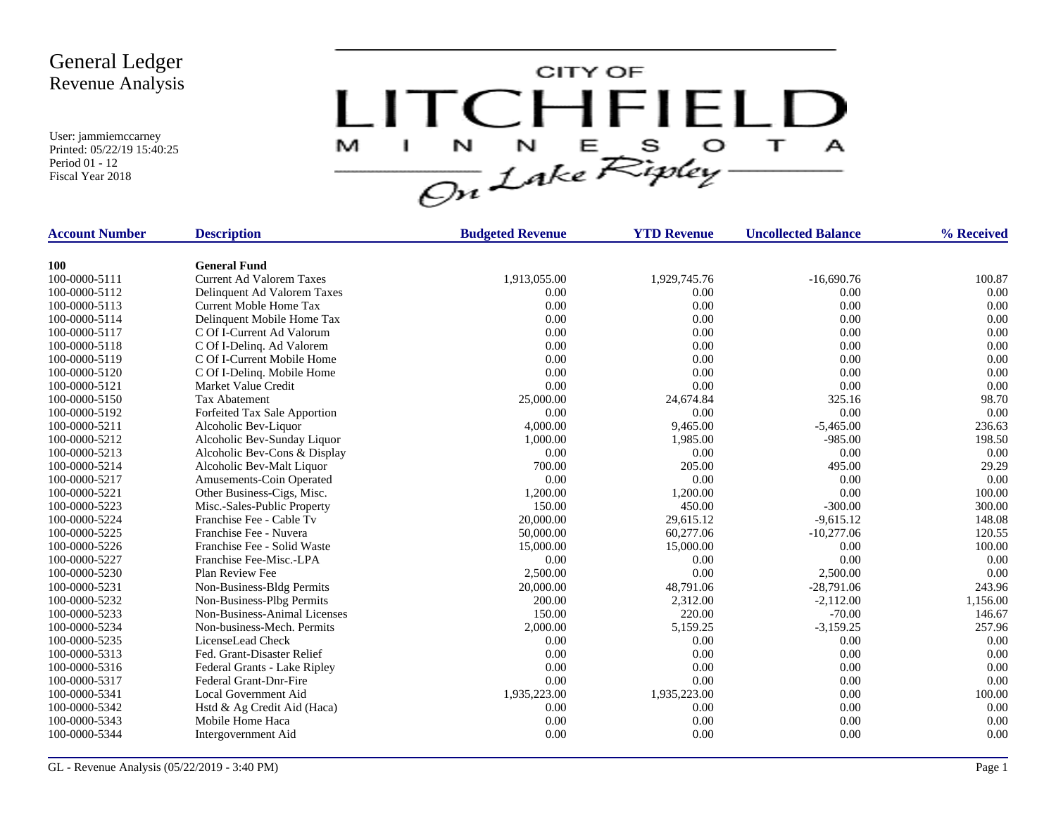

| <b>Account Number</b> | <b>Description</b>              | <b>Budgeted Revenue</b> | <b>YTD Revenue</b> | <b>Uncollected Balance</b> | % Received |
|-----------------------|---------------------------------|-------------------------|--------------------|----------------------------|------------|
| <b>100</b>            | <b>General Fund</b>             |                         |                    |                            |            |
| 100-0000-5111         | <b>Current Ad Valorem Taxes</b> | 1,913,055.00            | 1,929,745.76       | $-16,690.76$               | 100.87     |
| 100-0000-5112         | Delinquent Ad Valorem Taxes     | 0.00                    | 0.00               | 0.00                       | 0.00       |
| 100-0000-5113         | Current Moble Home Tax          | 0.00                    | 0.00               | 0.00                       | 0.00       |
| 100-0000-5114         | Delinquent Mobile Home Tax      | 0.00                    | 0.00               | 0.00                       | 0.00       |
| 100-0000-5117         | C Of I-Current Ad Valorum       | 0.00                    | 0.00               | 0.00                       | 0.00       |
| 100-0000-5118         | C Of I-Delinq. Ad Valorem       | 0.00                    | 0.00               | 0.00                       | 0.00       |
| 100-0000-5119         | C Of I-Current Mobile Home      | 0.00                    | 0.00               | 0.00                       | 0.00       |
| 100-0000-5120         | C Of I-Delinq. Mobile Home      | 0.00                    | 0.00               | 0.00                       | 0.00       |
| 100-0000-5121         | Market Value Credit             | 0.00                    | 0.00               | 0.00                       | 0.00       |
| 100-0000-5150         | <b>Tax Abatement</b>            | 25,000.00               | 24,674.84          | 325.16                     | 98.70      |
| 100-0000-5192         | Forfeited Tax Sale Apportion    | 0.00                    | 0.00               | 0.00                       | 0.00       |
| 100-0000-5211         | Alcoholic Bev-Liquor            | 4,000.00                | 9,465.00           | $-5,465.00$                | 236.63     |
| 100-0000-5212         | Alcoholic Bev-Sunday Liquor     | 1,000.00                | 1,985.00           | $-985.00$                  | 198.50     |
| 100-0000-5213         | Alcoholic Bev-Cons & Display    | 0.00                    | 0.00               | 0.00                       | 0.00       |
| 100-0000-5214         | Alcoholic Bev-Malt Liquor       | 700.00                  | 205.00             | 495.00                     | 29.29      |
| 100-0000-5217         | Amusements-Coin Operated        | 0.00                    | 0.00               | 0.00                       | 0.00       |
| 100-0000-5221         | Other Business-Cigs, Misc.      | 1,200.00                | 1,200.00           | 0.00                       | 100.00     |
| 100-0000-5223         | Misc.-Sales-Public Property     | 150.00                  | 450.00             | $-300.00$                  | 300.00     |
| 100-0000-5224         | Franchise Fee - Cable Tv        | 20,000.00               | 29,615.12          | $-9,615.12$                | 148.08     |
| 100-0000-5225         | Franchise Fee - Nuvera          | 50,000.00               | 60,277.06          | $-10,277.06$               | 120.55     |
| 100-0000-5226         | Franchise Fee - Solid Waste     | 15,000.00               | 15,000.00          | 0.00                       | 100.00     |
| 100-0000-5227         | Franchise Fee-Misc.-LPA         | 0.00                    | 0.00               | 0.00                       | 0.00       |
| 100-0000-5230         | Plan Review Fee                 | 2,500.00                | 0.00               | 2,500.00                   | 0.00       |
| 100-0000-5231         | Non-Business-Bldg Permits       | 20,000.00               | 48,791.06          | $-28,791.06$               | 243.96     |
| 100-0000-5232         | Non-Business-Plbg Permits       | 200.00                  | 2,312.00           | $-2,112.00$                | 1,156.00   |
| 100-0000-5233         | Non-Business-Animal Licenses    | 150.00                  | 220.00             | $-70.00$                   | 146.67     |
| 100-0000-5234         | Non-business-Mech. Permits      | 2,000.00                | 5,159.25           | $-3,159.25$                | 257.96     |
| 100-0000-5235         | LicenseLead Check               | 0.00                    | 0.00               | 0.00                       | 0.00       |
| 100-0000-5313         | Fed. Grant-Disaster Relief      | 0.00                    | 0.00               | 0.00                       | 0.00       |
| 100-0000-5316         | Federal Grants - Lake Ripley    | 0.00                    | 0.00               | 0.00                       | 0.00       |
| 100-0000-5317         | <b>Federal Grant-Dnr-Fire</b>   | 0.00                    | 0.00               | 0.00                       | 0.00       |
| 100-0000-5341         | Local Government Aid            | 1,935,223.00            | 1,935,223.00       | 0.00                       | 100.00     |
| 100-0000-5342         | Hstd & Ag Credit Aid (Haca)     | 0.00                    | 0.00               | 0.00                       | 0.00       |
| 100-0000-5343         | Mobile Home Haca                | 0.00                    | 0.00               | 0.00                       | 0.00       |
| 100-0000-5344         | Intergovernment Aid             | 0.00                    | 0.00               | 0.00                       | 0.00       |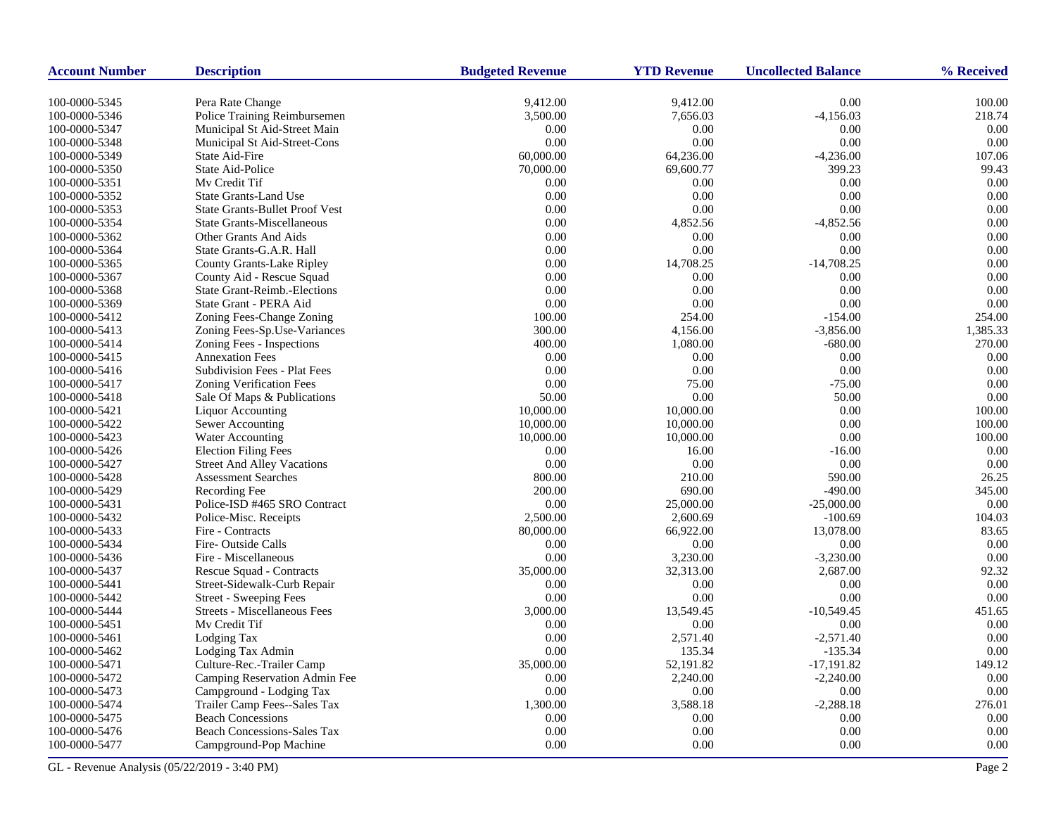| <b>Account Number</b>          | <b>Description</b>                                             | <b>Budgeted Revenue</b> | <b>YTD Revenue</b>   | <b>Uncollected Balance</b> | % Received       |
|--------------------------------|----------------------------------------------------------------|-------------------------|----------------------|----------------------------|------------------|
|                                |                                                                |                         |                      |                            |                  |
| 100-0000-5345<br>100-0000-5346 | Pera Rate Change<br>Police Training Reimbursemen               | 9,412.00<br>3,500.00    | 9,412.00<br>7,656.03 | 0.00<br>$-4,156.03$        | 100.00<br>218.74 |
| 100-0000-5347                  | Municipal St Aid-Street Main                                   | 0.00                    | 0.00                 | 0.00                       | 0.00             |
| 100-0000-5348                  | Municipal St Aid-Street-Cons                                   | 0.00                    | 0.00                 | 0.00                       | 0.00             |
| 100-0000-5349                  | State Aid-Fire                                                 | 60,000.00               | 64,236.00            | $-4,236.00$                | 107.06           |
| 100-0000-5350                  | State Aid-Police                                               | 70,000.00               | 69,600.77            | 399.23                     | 99.43            |
| 100-0000-5351                  | My Credit Tif                                                  | 0.00                    | 0.00                 | 0.00                       | 0.00             |
| 100-0000-5352                  | <b>State Grants-Land Use</b>                                   | 0.00                    | 0.00                 | 0.00                       | 0.00             |
| 100-0000-5353                  | <b>State Grants-Bullet Proof Vest</b>                          | 0.00                    | 0.00                 | 0.00                       | 0.00             |
| 100-0000-5354                  | <b>State Grants-Miscellaneous</b>                              | 0.00                    | 4,852.56             | $-4,852.56$                | 0.00             |
| 100-0000-5362                  | Other Grants And Aids                                          | 0.00                    | 0.00                 | 0.00                       | 0.00             |
| 100-0000-5364                  | State Grants-G.A.R. Hall                                       | 0.00                    | 0.00                 | 0.00                       | 0.00             |
| 100-0000-5365                  | County Grants-Lake Ripley                                      | 0.00                    | 14,708.25            | $-14,708.25$               | 0.00             |
| 100-0000-5367                  | County Aid - Rescue Squad                                      | 0.00                    | 0.00                 | 0.00                       | 0.00             |
| 100-0000-5368                  | <b>State Grant-Reimb.-Elections</b>                            | 0.00                    | 0.00                 | 0.00                       | 0.00             |
| 100-0000-5369                  | State Grant - PERA Aid                                         | 0.00                    | 0.00                 | 0.00                       | 0.00             |
| 100-0000-5412                  | Zoning Fees-Change Zoning                                      | 100.00                  | 254.00               | $-154.00$                  | 254.00           |
| 100-0000-5413                  | Zoning Fees-Sp.Use-Variances                                   | 300.00                  | 4,156.00             | $-3,856.00$                | 1,385.33         |
| 100-0000-5414                  | Zoning Fees - Inspections                                      | 400.00                  | 1,080.00             | $-680.00$                  | 270.00           |
| 100-0000-5415                  | <b>Annexation Fees</b>                                         | 0.00                    | 0.00                 | 0.00                       | 0.00             |
| 100-0000-5416                  | Subdivision Fees - Plat Fees                                   | 0.00                    | 0.00                 | 0.00                       | 0.00             |
| 100-0000-5417                  |                                                                | 0.00                    | 75.00                | $-75.00$                   | 0.00             |
| 100-0000-5418                  | <b>Zoning Verification Fees</b><br>Sale Of Maps & Publications | 50.00                   | 0.00                 | 50.00                      | 0.00             |
| 100-0000-5421                  | <b>Liquor Accounting</b>                                       | 10,000.00               | 10,000.00            | 0.00                       | 100.00           |
| 100-0000-5422                  | Sewer Accounting                                               | 10,000.00               | 10,000.00            | 0.00                       | 100.00           |
| 100-0000-5423                  | Water Accounting                                               | 10,000.00               | 10,000.00            | 0.00                       | 100.00           |
| 100-0000-5426                  | <b>Election Filing Fees</b>                                    | 0.00                    | 16.00                | $-16.00$                   | 0.00             |
| 100-0000-5427                  | <b>Street And Alley Vacations</b>                              | 0.00                    | 0.00                 | 0.00                       | 0.00             |
| 100-0000-5428                  | <b>Assessment Searches</b>                                     | 800.00                  | 210.00               | 590.00                     | 26.25            |
| 100-0000-5429                  | Recording Fee                                                  | 200.00                  | 690.00               | $-490.00$                  | 345.00           |
| 100-0000-5431                  | Police-ISD #465 SRO Contract                                   | 0.00                    | 25,000.00            | $-25,000.00$               | 0.00             |
| 100-0000-5432                  | Police-Misc. Receipts                                          | 2,500.00                | 2,600.69             | $-100.69$                  | 104.03           |
| 100-0000-5433                  | Fire - Contracts                                               | 80,000.00               | 66,922.00            | 13,078.00                  | 83.65            |
| 100-0000-5434                  | Fire-Outside Calls                                             | 0.00                    | 0.00                 | 0.00                       | 0.00             |
| 100-0000-5436                  | Fire - Miscellaneous                                           | 0.00                    | 3,230.00             | $-3,230.00$                | 0.00             |
| 100-0000-5437                  | Rescue Squad - Contracts                                       | 35,000.00               | 32,313.00            | 2,687.00                   | 92.32            |
| 100-0000-5441                  | Street-Sidewalk-Curb Repair                                    | 0.00                    | 0.00                 | 0.00                       | 0.00             |
| 100-0000-5442                  | <b>Street - Sweeping Fees</b>                                  | 0.00                    | 0.00                 | 0.00                       | 0.00             |
| 100-0000-5444                  | <b>Streets - Miscellaneous Fees</b>                            | 3,000.00                | 13,549.45            | $-10,549.45$               | 451.65           |
| 100-0000-5451                  | Mv Credit Tif                                                  | 0.00                    | 0.00                 | 0.00                       | 0.00             |
| 100-0000-5461                  | Lodging Tax                                                    | 0.00                    | 2,571.40             | $-2,571.40$                | 0.00             |
| 100-0000-5462                  | Lodging Tax Admin                                              | 0.00                    | 135.34               | $-135.34$                  | 0.00             |
| 100-0000-5471                  | Culture-Rec.-Trailer Camp                                      | 35,000.00               | 52,191.82            | $-17,191.82$               | 149.12           |
| 100-0000-5472                  | Camping Reservation Admin Fee                                  | 0.00                    | 2,240.00             | $-2,240.00$                | 0.00             |
| 100-0000-5473                  | Campground - Lodging Tax                                       | 0.00                    | 0.00                 | 0.00                       | 0.00             |
| 100-0000-5474                  | Trailer Camp Fees--Sales Tax                                   | 1,300.00                | 3,588.18             | $-2,288.18$                | 276.01           |
| 100-0000-5475                  | <b>Beach Concessions</b>                                       | 0.00                    | 0.00                 | 0.00                       | 0.00             |
| 100-0000-5476                  | <b>Beach Concessions-Sales Tax</b>                             | 0.00                    | 0.00                 | 0.00                       | 0.00             |
| 100-0000-5477                  | Campground-Pop Machine                                         | 0.00                    | 0.00                 | 0.00                       | 0.00             |

GL - Revenue Analysis (05/22/2019 - 3:40 PM) Page 2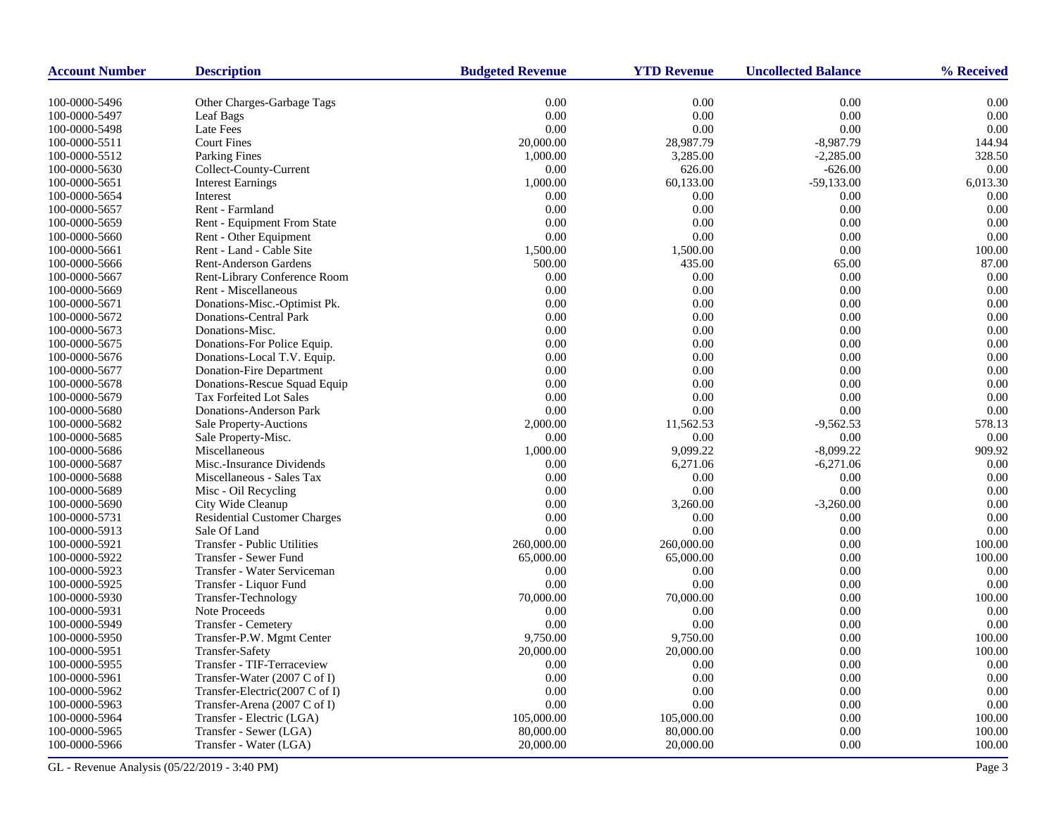| <b>Account Number</b> | <b>Description</b>                  | <b>Budgeted Revenue</b> | <b>YTD Revenue</b> | <b>Uncollected Balance</b> | % Received |
|-----------------------|-------------------------------------|-------------------------|--------------------|----------------------------|------------|
| 100-0000-5496         | Other Charges-Garbage Tags          | $0.00\,$                | 0.00               | $0.00\,$                   | 0.00       |
| 100-0000-5497         | Leaf Bags                           | 0.00                    | 0.00               | 0.00                       | 0.00       |
| 100-0000-5498         | <b>Late Fees</b>                    | 0.00                    | 0.00               | 0.00                       | 0.00       |
| 100-0000-5511         | <b>Court Fines</b>                  | 20,000.00               | 28,987.79          | $-8,987.79$                | 144.94     |
| 100-0000-5512         | <b>Parking Fines</b>                | 1,000.00                | 3,285.00           | $-2,285.00$                | 328.50     |
| 100-0000-5630         | Collect-County-Current              | 0.00                    | 626.00             | $-626.00$                  | 0.00       |
| 100-0000-5651         | <b>Interest Earnings</b>            | 1,000.00                | 60,133.00          | $-59,133.00$               | 6,013.30   |
| 100-0000-5654         | Interest                            | 0.00                    | 0.00               | 0.00                       | 0.00       |
| 100-0000-5657         | Rent - Farmland                     | 0.00                    | 0.00               | 0.00                       | 0.00       |
| 100-0000-5659         | <b>Rent - Equipment From State</b>  | 0.00                    | 0.00               | 0.00                       | 0.00       |
| 100-0000-5660         | Rent - Other Equipment              | 0.00                    | 0.00               | 0.00                       | 0.00       |
| 100-0000-5661         | Rent - Land - Cable Site            | 1,500.00                | 1,500.00           | 0.00                       | 100.00     |
| 100-0000-5666         | <b>Rent-Anderson Gardens</b>        | 500.00                  | 435.00             | 65.00                      | 87.00      |
| 100-0000-5667         | Rent-Library Conference Room        | 0.00                    | 0.00               | 0.00                       | 0.00       |
| 100-0000-5669         | Rent - Miscellaneous                | 0.00                    | 0.00               | 0.00                       | 0.00       |
| 100-0000-5671         | Donations-Misc.-Optimist Pk.        | 0.00                    | 0.00               | 0.00                       | 0.00       |
| 100-0000-5672         | <b>Donations-Central Park</b>       | 0.00                    | 0.00               | 0.00                       | 0.00       |
| 100-0000-5673         | Donations-Misc.                     | 0.00                    | 0.00               | 0.00                       | 0.00       |
| 100-0000-5675         | Donations-For Police Equip.         | 0.00                    | 0.00               | 0.00                       | 0.00       |
| 100-0000-5676         | Donations-Local T.V. Equip.         | 0.00                    | 0.00               | 0.00                       | 0.00       |
| 100-0000-5677         | Donation-Fire Department            | 0.00                    | 0.00               | 0.00                       | 0.00       |
| 100-0000-5678         | Donations-Rescue Squad Equip        | 0.00                    | 0.00               | 0.00                       | 0.00       |
| 100-0000-5679         | <b>Tax Forfeited Lot Sales</b>      | 0.00                    | 0.00               | 0.00                       | 0.00       |
| 100-0000-5680         | Donations-Anderson Park             | 0.00                    | 0.00               | 0.00                       | 0.00       |
| 100-0000-5682         | Sale Property-Auctions              | 2,000.00                | 11,562.53          | $-9,562.53$                | 578.13     |
| 100-0000-5685         | Sale Property-Misc.                 | 0.00                    | 0.00               | 0.00                       | 0.00       |
| 100-0000-5686         | Miscellaneous                       | 1,000.00                | 9,099.22           | $-8,099.22$                | 909.92     |
| 100-0000-5687         | Misc.-Insurance Dividends           | 0.00                    | 6,271.06           | $-6,271.06$                | 0.00       |
| 100-0000-5688         | Miscellaneous - Sales Tax           | 0.00                    | 0.00               | 0.00                       | 0.00       |
| 100-0000-5689         | Misc - Oil Recycling                | 0.00                    | 0.00               | 0.00                       | 0.00       |
| 100-0000-5690         | City Wide Cleanup                   | 0.00                    | 3,260.00           | $-3,260.00$                | 0.00       |
| 100-0000-5731         | <b>Residential Customer Charges</b> | 0.00                    | 0.00               | 0.00                       | 0.00       |
| 100-0000-5913         | Sale Of Land                        | 0.00                    | 0.00               | 0.00                       | 0.00       |
| 100-0000-5921         | Transfer - Public Utilities         | 260,000.00              | 260,000.00         | 0.00                       | 100.00     |
| 100-0000-5922         | Transfer - Sewer Fund               | 65,000.00               | 65,000.00          | 0.00                       | 100.00     |
| 100-0000-5923         | Transfer - Water Serviceman         | 0.00                    | 0.00               | 0.00                       | 0.00       |
| 100-0000-5925         | Transfer - Liquor Fund              | 0.00                    | 0.00               | 0.00                       | 0.00       |
| 100-0000-5930         | Transfer-Technology                 | 70,000.00               | 70,000.00          | 0.00                       | 100.00     |
| 100-0000-5931         | Note Proceeds                       | 0.00                    | 0.00               | 0.00                       | 0.00       |
| 100-0000-5949         | Transfer - Cemetery                 | 0.00                    | 0.00               | 0.00                       | 0.00       |
| 100-0000-5950         | Transfer-P.W. Mgmt Center           | 9,750.00                | 9,750.00           | 0.00                       | 100.00     |
| 100-0000-5951         | <b>Transfer-Safety</b>              | 20,000.00               | 20,000.00          | 0.00                       | 100.00     |
| 100-0000-5955         | Transfer - TIF-Terraceview          | 0.00                    | 0.00               | 0.00                       | 0.00       |
| 100-0000-5961         | Transfer-Water (2007 C of I)        | 0.00                    | 0.00               | 0.00                       | 0.00       |
| 100-0000-5962         | Transfer-Electric(2007 C of I)      | 0.00                    | 0.00               | 0.00                       | 0.00       |
| 100-0000-5963         | Transfer-Arena (2007 C of I)        | 0.00                    | 0.00               | 0.00                       | 0.00       |
| 100-0000-5964         | Transfer - Electric (LGA)           | 105,000.00              | 105,000.00         | 0.00                       | 100.00     |
| 100-0000-5965         | Transfer - Sewer (LGA)              | 80,000.00               | 80,000.00          | 0.00                       | 100.00     |
| 100-0000-5966         | Transfer - Water (LGA)              | 20,000.00               | 20,000.00          | 0.00                       | 100.00     |

GL - Revenue Analysis (05/22/2019 - 3:40 PM) Page 3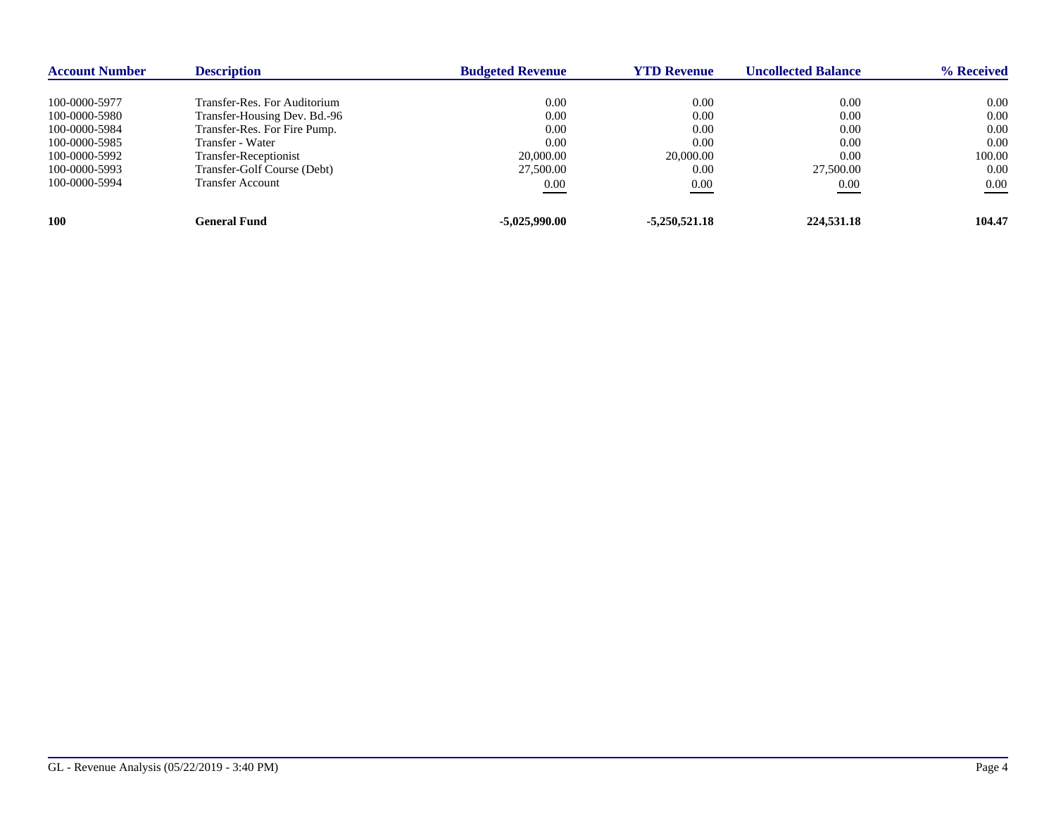| <b>Account Number</b> | <b>Description</b>           | <b>Budgeted Revenue</b> | <b>YTD Revenue</b> | <b>Uncollected Balance</b> | % Received |
|-----------------------|------------------------------|-------------------------|--------------------|----------------------------|------------|
|                       |                              |                         |                    |                            |            |
| 100-0000-5977         | Transfer-Res. For Auditorium | 0.00                    | 0.00               | 0.00                       | 0.00       |
| 100-0000-5980         | Transfer-Housing Dev. Bd.-96 | 0.00                    | 0.00               | 0.00                       | 0.00       |
| 100-0000-5984         | Transfer-Res. For Fire Pump. | 0.00                    | 0.00               | 0.00                       | 0.00       |
| 100-0000-5985         | Transfer - Water             | 0.00                    | 0.00               | 0.00                       | 0.00       |
| 100-0000-5992         | Transfer-Receptionist        | 20,000.00               | 20,000.00          | 0.00                       | 100.00     |
| 100-0000-5993         | Transfer-Golf Course (Debt)  | 27,500.00               | 0.00               | 27,500.00                  | 0.00       |
| 100-0000-5994         | <b>Transfer Account</b>      | 0.00                    | 0.00               | 0.00                       | 0.00       |
| 100                   | General Fund                 | $-5,025,990.00$         | $-5,250,521.18$    | 224,531.18                 | 104.47     |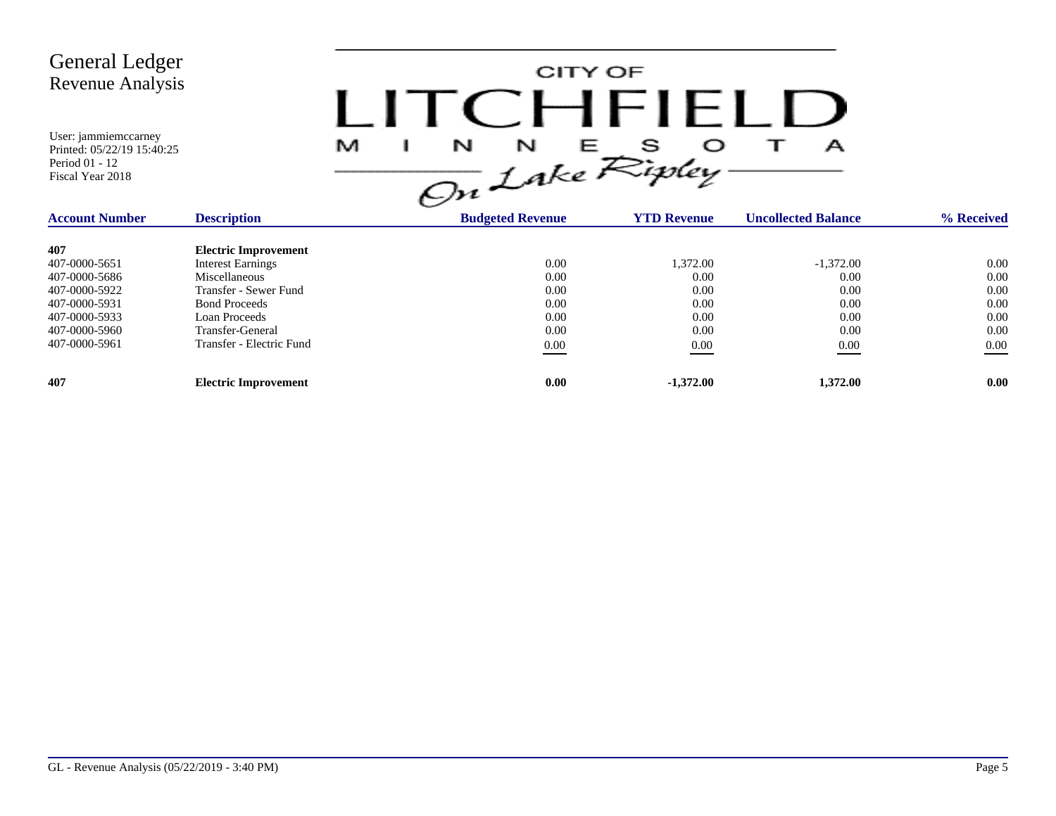

| <b>Account Number</b> | <b>Description</b>          | <b>Budgeted Revenue</b> | <b>YTD Revenue</b> | <b>Uncollected Balance</b> | % Received |
|-----------------------|-----------------------------|-------------------------|--------------------|----------------------------|------------|
| 407                   | <b>Electric Improvement</b> |                         |                    |                            |            |
| 407-0000-5651         | <b>Interest Earnings</b>    | 0.00                    | 1.372.00           | $-1,372.00$                | 0.00       |
| 407-0000-5686         | Miscellaneous               | 0.00                    | 0.00               | 0.00                       | 0.00       |
| 407-0000-5922         | Transfer - Sewer Fund       | 0.00                    | 0.00               | 0.00                       | 0.00       |
| 407-0000-5931         | <b>Bond Proceeds</b>        | 0.00                    | 0.00               | 0.00                       | 0.00       |
| 407-0000-5933         | Loan Proceeds               | 0.00                    | 0.00               | 0.00                       | 0.00       |
| 407-0000-5960         | Transfer-General            | 0.00                    | 0.00               | 0.00                       | 0.00       |
| 407-0000-5961         | Transfer - Electric Fund    | 0.00                    | 0.00               | 0.00                       | 0.00       |
| 407                   | <b>Electric Improvement</b> | 0.00                    | $-1,372.00$        | 1,372.00                   | 0.00       |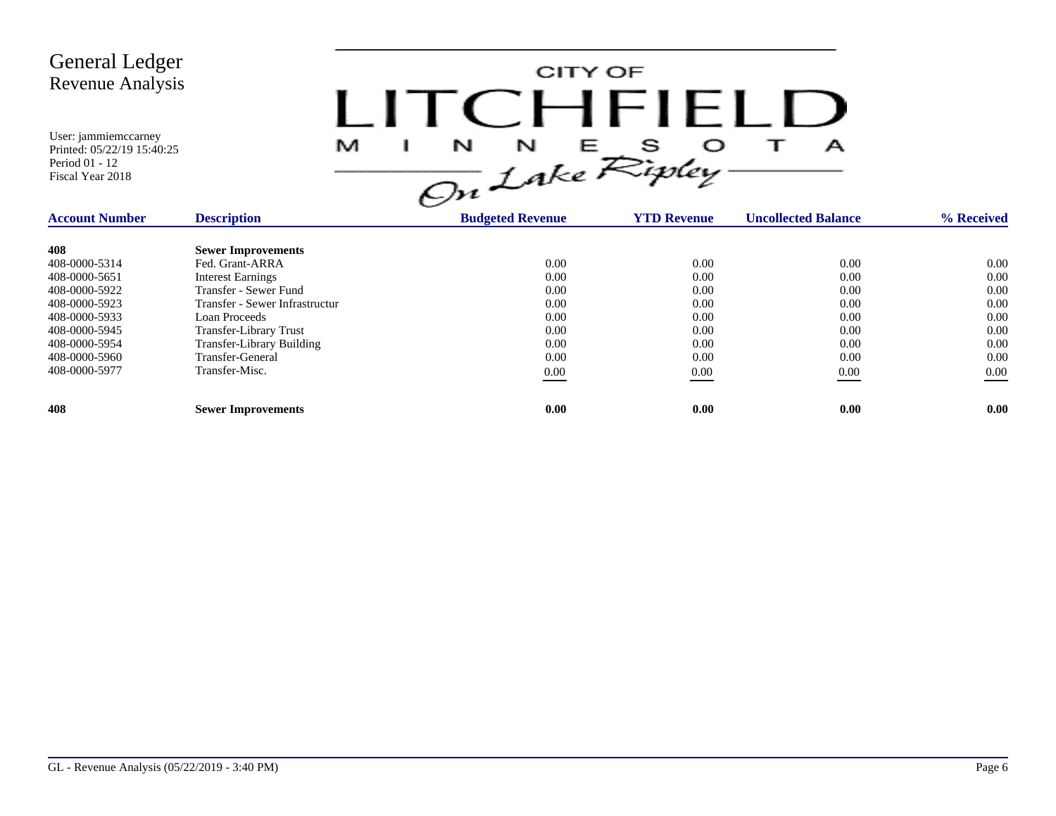CITY OF LITCHFIELD  $M$  I N N E S O T A<br>On Lake Ripley

| <b>Account Number</b> | <b>Description</b>               | <b>Budgeted Revenue</b> | <b>YTD Revenue</b> | <b>Uncollected Balance</b> | % Received |
|-----------------------|----------------------------------|-------------------------|--------------------|----------------------------|------------|
| 408                   | <b>Sewer Improvements</b>        |                         |                    |                            |            |
| 408-0000-5314         | Fed. Grant-ARRA                  | 0.00                    | 0.00               | 0.00                       | 0.00       |
| 408-0000-5651         | <b>Interest Earnings</b>         | 0.00                    | 0.00               | 0.00                       | 0.00       |
| 408-0000-5922         | Transfer - Sewer Fund            | 0.00                    | 0.00               | 0.00                       | 0.00       |
| 408-0000-5923         | Transfer - Sewer Infrastructur   | 0.00                    | 0.00               | 0.00                       | 0.00       |
| 408-0000-5933         | Loan Proceeds                    | 0.00                    | 0.00               | 0.00                       | 0.00       |
| 408-0000-5945         | <b>Transfer-Library Trust</b>    | 0.00                    | 0.00               | 0.00                       | 0.00       |
| 408-0000-5954         | <b>Transfer-Library Building</b> | 0.00                    | 0.00               | 0.00                       | 0.00       |
| 408-0000-5960         | Transfer-General                 | 0.00                    | 0.00               | 0.00                       | 0.00       |
| 408-0000-5977         | Transfer-Misc.                   | 0.00                    | 0.00               | 0.00                       | $0.00\,$   |
|                       |                                  |                         |                    |                            |            |
| 408                   | <b>Sewer Improvements</b>        | 0.00                    | 0.00               | 0.00                       | 0.00       |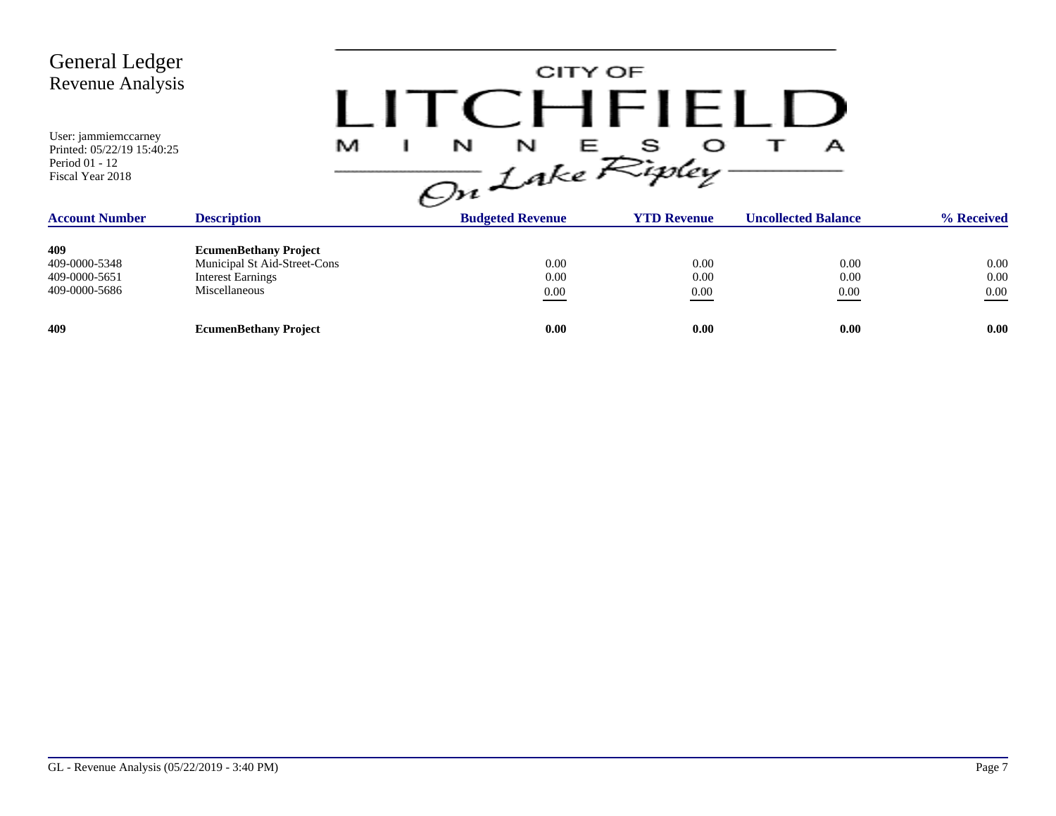| <b>General Ledger</b><br>Revenue Analysis<br>User: jammiemccarney<br>Printed: 05/22/19 15:40:25<br>Period 01 - 12<br>Fiscal Year 2018 | M                                                                                                         | CITY OF<br>TCHFIELD<br>$\frac{1}{\sqrt{2n}}\int_{0}^{N}e^{E}R_{i}^{s}e^{C}$<br>А |                      |                            |                          |  |  |  |
|---------------------------------------------------------------------------------------------------------------------------------------|-----------------------------------------------------------------------------------------------------------|----------------------------------------------------------------------------------|----------------------|----------------------------|--------------------------|--|--|--|
| <b>Account Number</b>                                                                                                                 | <b>Description</b>                                                                                        | <b>Budgeted Revenue</b>                                                          | <b>YTD Revenue</b>   | <b>Uncollected Balance</b> | % Received               |  |  |  |
| 409<br>409-0000-5348<br>409-0000-5651<br>409-0000-5686                                                                                | <b>EcumenBethany Project</b><br>Municipal St Aid-Street-Cons<br><b>Interest Earnings</b><br>Miscellaneous | 0.00<br>0.00<br>$0.00\,$                                                         | 0.00<br>0.00<br>0.00 | 0.00<br>0.00<br>0.00       | 0.00<br>0.00<br>$0.00\,$ |  |  |  |
| 409                                                                                                                                   | <b>EcumenBethany Project</b>                                                                              | 0.00                                                                             | 0.00                 | 0.00                       | 0.00                     |  |  |  |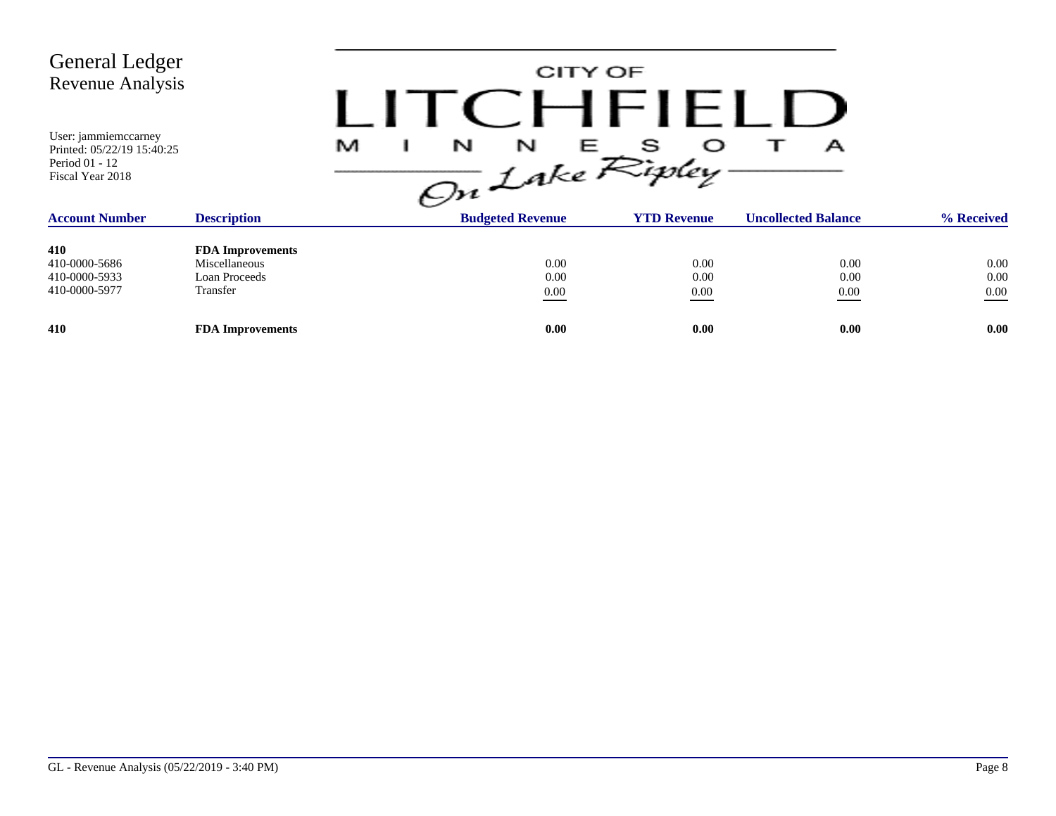| <b>General Ledger</b><br>Revenue Analysis<br>User: jammiemccarney<br>Printed: 05/22/19 15:40:25<br>Period 01 - 12<br>Fiscal Year 2018 |                         | CITY OF<br>CHFIELD<br>M<br>$\frac{1}{\sqrt{m}}\int_{0}^{N} f dx e^{S}$<br>А |                         |                    |                            |            |
|---------------------------------------------------------------------------------------------------------------------------------------|-------------------------|-----------------------------------------------------------------------------|-------------------------|--------------------|----------------------------|------------|
| <b>Account Number</b>                                                                                                                 | <b>Description</b>      |                                                                             | <b>Budgeted Revenue</b> | <b>YTD Revenue</b> | <b>Uncollected Balance</b> | % Received |
| 410                                                                                                                                   | <b>FDA</b> Improvements |                                                                             |                         |                    |                            |            |
| 410-0000-5686                                                                                                                         | <b>Miscellaneous</b>    |                                                                             | 0.00                    | 0.00               | 0.00                       | 0.00       |
| 410-0000-5933                                                                                                                         | Loan Proceeds           |                                                                             | 0.00                    | 0.00               | 0.00                       | 0.00       |
| 410-0000-5977                                                                                                                         | Transfer                |                                                                             | $0.00\,$                | 0.00               | $0.00\,$                   | 0.00       |
| 410                                                                                                                                   | <b>FDA Improvements</b> |                                                                             | 0.00                    | 0.00               | 0.00                       | 0.00       |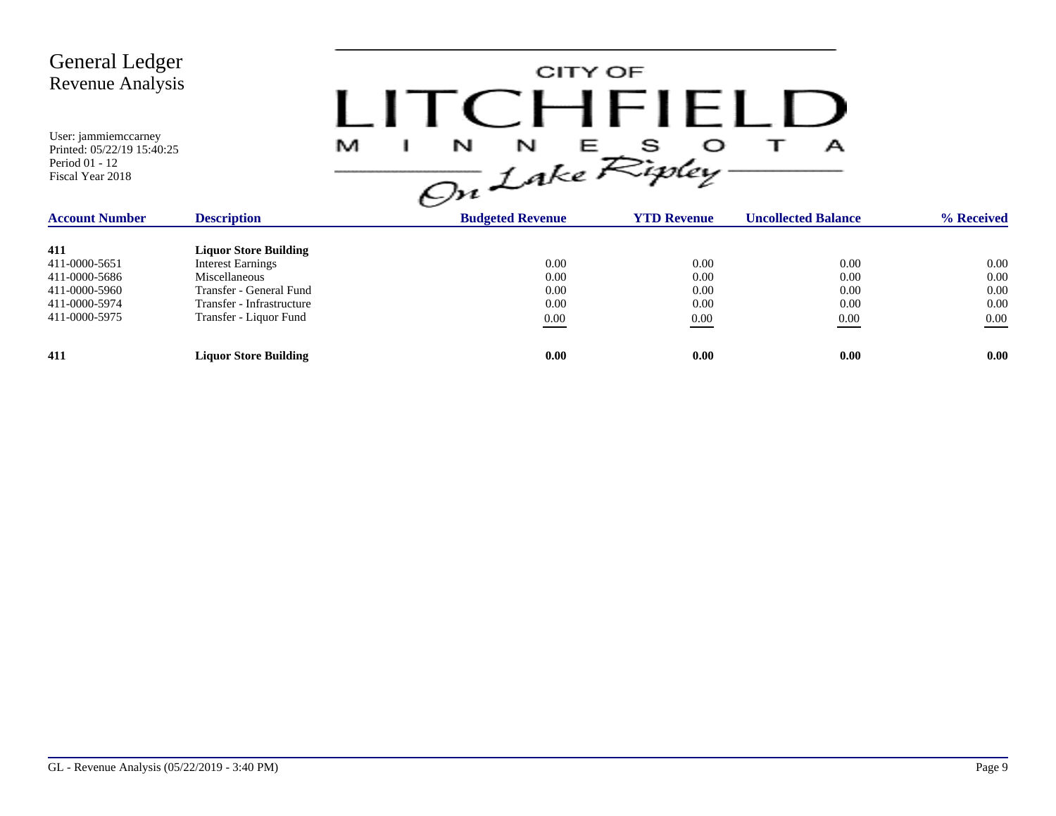

| <b>Account Number</b> | <b>Description</b>           | <b>Budgeted Revenue</b> | <b>YTD Revenue</b> | <b>Uncollected Balance</b> | % Received        |
|-----------------------|------------------------------|-------------------------|--------------------|----------------------------|-------------------|
| 411                   | <b>Liquor Store Building</b> |                         |                    |                            |                   |
| 411-0000-5651         | <b>Interest Earnings</b>     | 0.00                    | 0.00               | 0.00                       | 0.00              |
| 411-0000-5686         | Miscellaneous                | 0.00                    | 0.00               | 0.00                       | 0.00              |
| 411-0000-5960         | Transfer - General Fund      | 0.00                    | 0.00               | 0.00                       | 0.00              |
| 411-0000-5974         | Transfer - Infrastructure    | 0.00                    | 0.00               | 0.00                       | 0.00              |
| 411-0000-5975         | Transfer - Liquor Fund       | 0.00                    | 0.00               | 0.00<br>__                 | 0.00              |
| 411                   | <b>Liquor Store Building</b> | 0.00                    | 0.00               | 0.00                       | 0.00 <sub>1</sub> |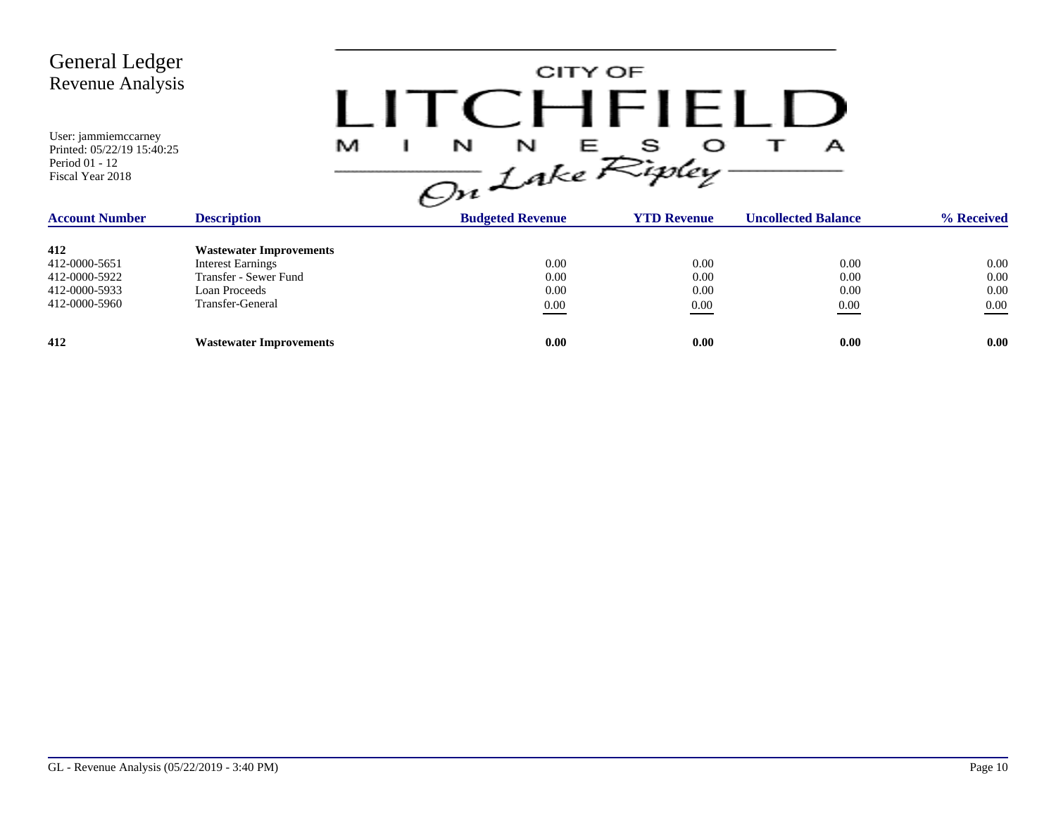CITY OF LITCHFIELD  $M$  I N N E S O T A<br>On Lake Ripley

| <b>Account Number</b> | <b>Description</b>             | <b>Budgeted Revenue</b> | <b>YTD Revenue</b> | <b>Uncollected Balance</b> | % Received |
|-----------------------|--------------------------------|-------------------------|--------------------|----------------------------|------------|
| 412                   | <b>Wastewater Improvements</b> |                         |                    |                            |            |
| 412-0000-5651         | <b>Interest Earnings</b>       | 0.00                    | 0.00               | 0.00                       | $0.00\,$   |
| 412-0000-5922         | Transfer - Sewer Fund          | 0.00                    | 0.00               | 0.00                       | 0.00       |
| 412-0000-5933         | Loan Proceeds                  | 0.00                    | 0.00               | 0.00                       | 0.00       |
| 412-0000-5960         | Transfer-General               | 0.00                    | 0.00               | 0.00                       | 0.00       |
| 412                   | <b>Wastewater Improvements</b> | 0.00                    | 0.00               | 0.00                       | 0.00       |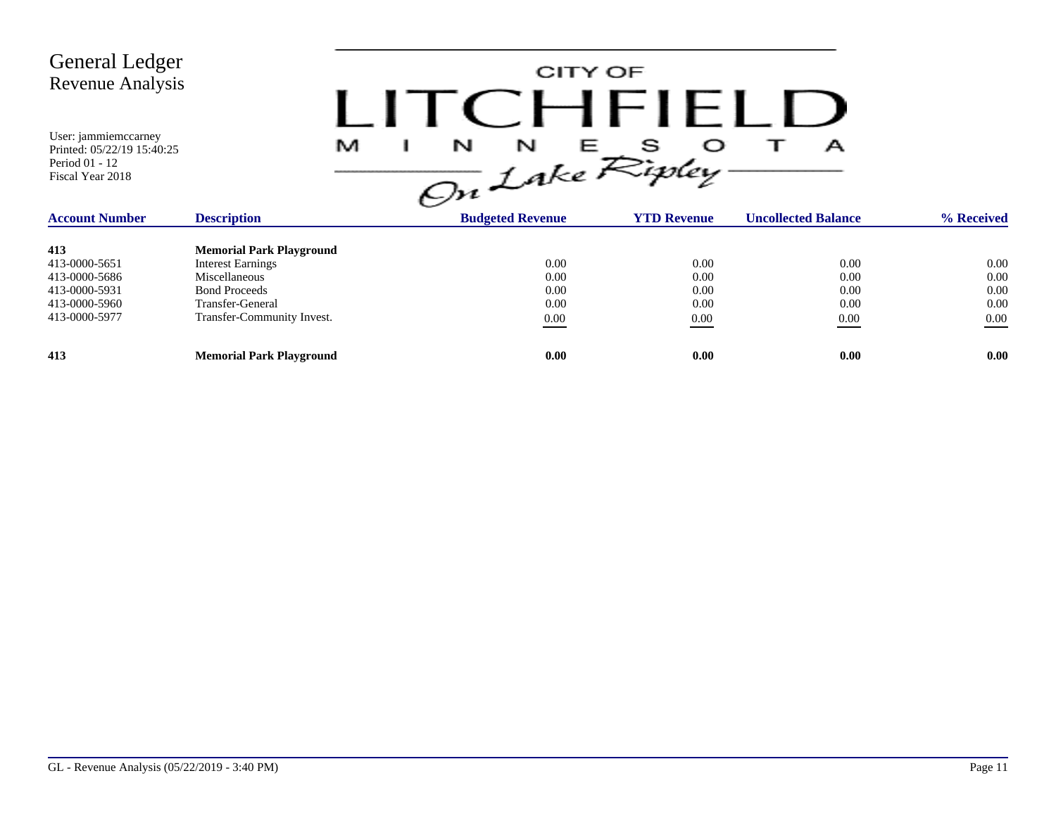CITY OF LITCHFIELD  $M$  I N N E S O T A<br>On Lake Ripley

| <b>Account Number</b> | <b>Description</b>              | <b>Budgeted Revenue</b> | <b>YTD Revenue</b> | <b>Uncollected Balance</b> | % Received |
|-----------------------|---------------------------------|-------------------------|--------------------|----------------------------|------------|
| 413                   | <b>Memorial Park Playground</b> |                         |                    |                            |            |
| 413-0000-5651         | <b>Interest Earnings</b>        | 0.00                    | 0.00               | 0.00                       | 0.00       |
| 413-0000-5686         | Miscellaneous                   | 0.00                    | 0.00               | 0.00                       | 0.00       |
| 413-0000-5931         | <b>Bond Proceeds</b>            | 0.00                    | 0.00               | 0.00                       | 0.00       |
| 413-0000-5960         | Transfer-General                | 0.00                    | 0.00               | 0.00                       | 0.00       |
| 413-0000-5977         | Transfer-Community Invest.      | 0.00                    | 0.00               | 0.00                       | 0.00       |
| 413                   | <b>Memorial Park Playground</b> | 0.00                    | 0.00               | 0.00                       | 0.00       |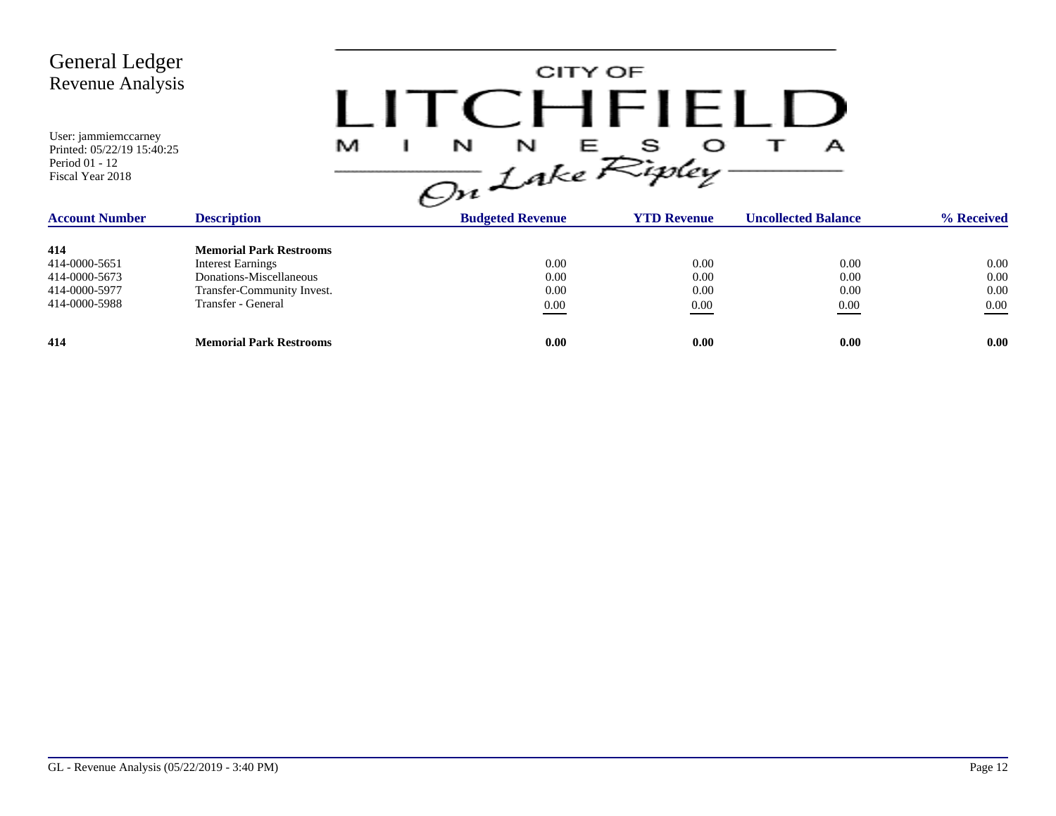CITY OF LITCHFIELD  $M$  I N N E S O T A<br>On Lake Ripley

| <b>Account Number</b> | <b>Description</b>             | <b>Budgeted Revenue</b> | <b>YTD Revenue</b> | <b>Uncollected Balance</b> | % Received |
|-----------------------|--------------------------------|-------------------------|--------------------|----------------------------|------------|
| 414                   | <b>Memorial Park Restrooms</b> |                         |                    |                            |            |
| 414-0000-5651         | <b>Interest Earnings</b>       | 0.00                    | 0.00               | 0.00                       | 0.00       |
| 414-0000-5673         | Donations-Miscellaneous        | 0.00                    | 0.00               | 0.00                       | 0.00       |
| 414-0000-5977         | Transfer-Community Invest.     | 0.00                    | 0.00               | 0.00                       | 0.00       |
| 414-0000-5988         | Transfer - General             | 0.00                    | 0.00               | 0.00                       | 0.00       |
| 414                   | <b>Memorial Park Restrooms</b> | 0.00                    | 0.00               | 0.00                       | 0.00       |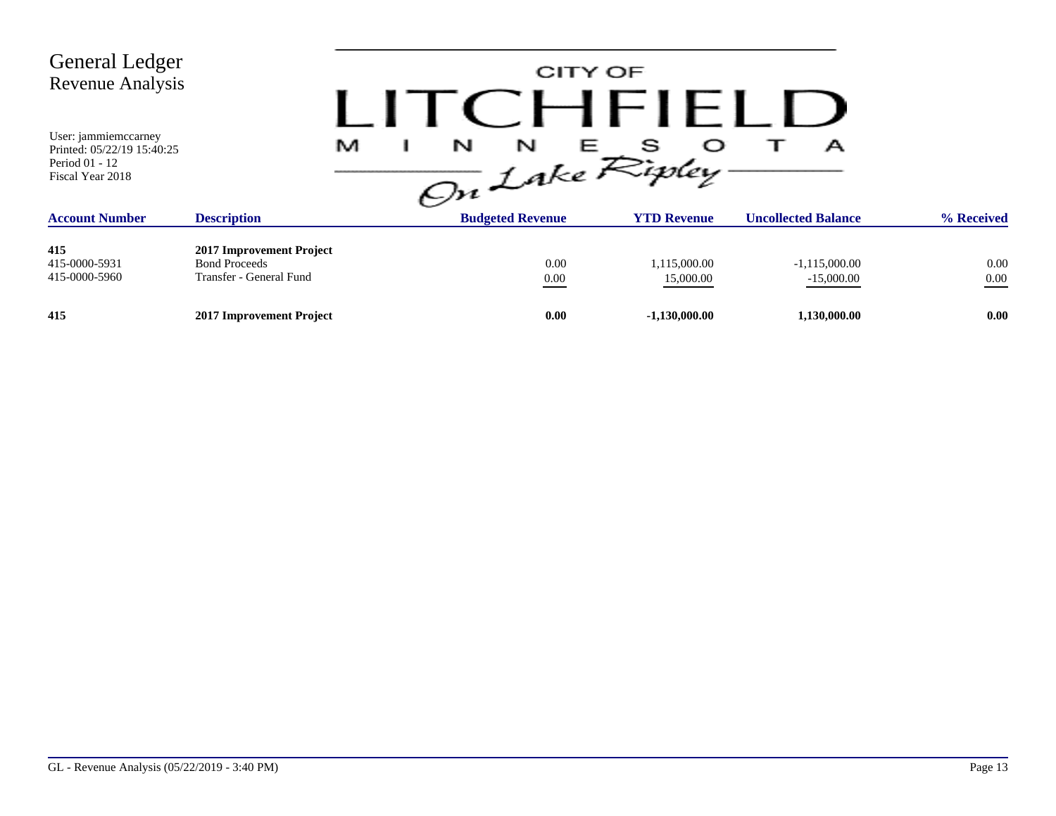| <b>General Ledger</b><br>Revenue Analysis                                                |                                                                             |                                | CITY OF<br>$\cap$ HFIFI   |                                 |              |
|------------------------------------------------------------------------------------------|-----------------------------------------------------------------------------|--------------------------------|---------------------------|---------------------------------|--------------|
| User: jammiemccarney<br>Printed: 05/22/19 15:40:25<br>Period 01 - 12<br>Fiscal Year 2018 |                                                                             | N<br>N<br>M<br>On Lake Ripley. | S<br>医血清                  | А                               |              |
| <b>Account Number</b>                                                                    | <b>Description</b>                                                          | <b>Budgeted Revenue</b>        | <b>YTD Revenue</b>        | <b>Uncollected Balance</b>      | % Received   |
| 415<br>415-0000-5931<br>415-0000-5960                                                    | 2017 Improvement Project<br><b>Bond Proceeds</b><br>Transfer - General Fund | 0.00<br>$0.00\,$               | 1,115,000.00<br>15,000.00 | $-1,115,000.00$<br>$-15,000.00$ | 0.00<br>0.00 |
| 415                                                                                      | 2017 Improvement Project                                                    | 0.00                           | $-1,130,000.00$           | 1,130,000.00                    | 0.00         |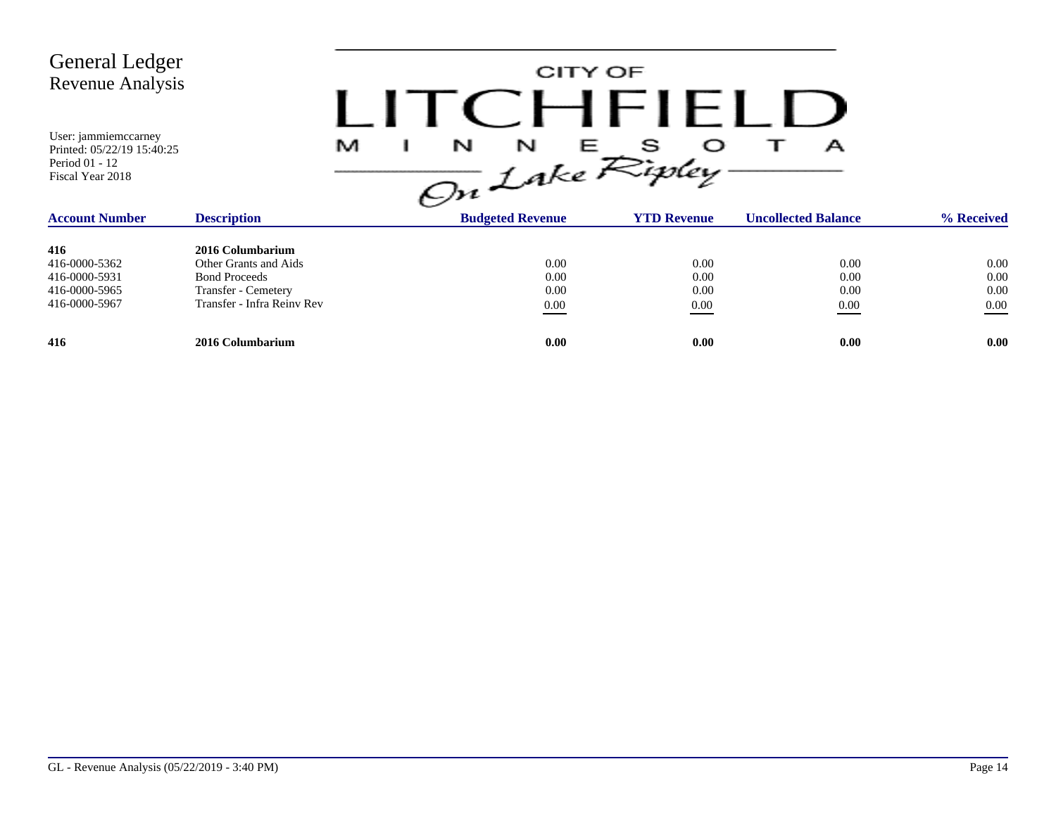| <b>General Ledger</b><br>Revenue Analysis<br>User: jammiemccarney<br>Printed: 05/22/19 15:40:25<br>Period 01 - 12<br>Fiscal Year 2018 |                                                                                                                               | M |                                  | CITY OF<br>$C$ $H$ $H$ $H$ $L$ $L$<br>$\frac{1}{\sqrt{2n}}\int_{0}^{N} f dx e^{\sum_{i}^{n} f dy} dy$ | А                            |                                  |
|---------------------------------------------------------------------------------------------------------------------------------------|-------------------------------------------------------------------------------------------------------------------------------|---|----------------------------------|-------------------------------------------------------------------------------------------------------|------------------------------|----------------------------------|
| <b>Account Number</b>                                                                                                                 | <b>Description</b>                                                                                                            |   | <b>Budgeted Revenue</b>          | <b>YTD Revenue</b>                                                                                    | <b>Uncollected Balance</b>   | % Received                       |
| 416<br>416-0000-5362<br>416-0000-5931<br>416-0000-5965<br>416-0000-5967                                                               | 2016 Columbarium<br>Other Grants and Aids<br><b>Bond Proceeds</b><br><b>Transfer - Cemetery</b><br>Transfer - Infra Reiny Rev |   | 0.00<br>0.00<br>0.00<br>$0.00\,$ | 0.00<br>0.00<br>0.00<br>0.00                                                                          | 0.00<br>0.00<br>0.00<br>0.00 | 0.00<br>0.00<br>0.00<br>$0.00\,$ |
| 416                                                                                                                                   | 2016 Columbarium                                                                                                              |   | 0.00                             | 0.00                                                                                                  | 0.00                         | 0.00                             |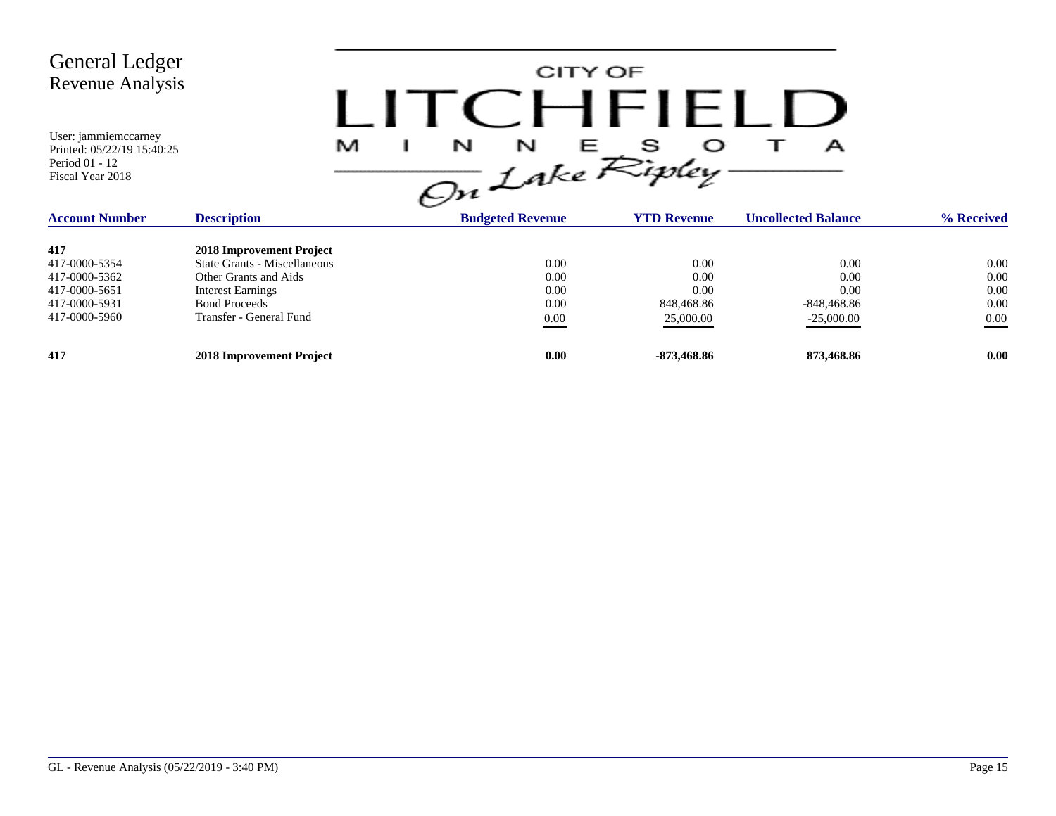| <b>General Ledger</b><br><b>Revenue Analysis</b><br>User: jammiemccarney<br>Printed: 05/22/19 15:40:25<br>Period 01 - 12<br>Fiscal Year 2018 | M                                                                                                                                                                | I ITCHFIELL<br>N<br>N<br>On Lake Ripley- | CITY OF                                         | А                                                     |                                      |
|----------------------------------------------------------------------------------------------------------------------------------------------|------------------------------------------------------------------------------------------------------------------------------------------------------------------|------------------------------------------|-------------------------------------------------|-------------------------------------------------------|--------------------------------------|
| <b>Account Number</b>                                                                                                                        | <b>Description</b>                                                                                                                                               | <b>Budgeted Revenue</b>                  | <b>YTD Revenue</b>                              | <b>Uncollected Balance</b>                            | % Received                           |
| 417<br>417-0000-5354<br>417-0000-5362<br>417-0000-5651<br>417-0000-5931<br>417-0000-5960                                                     | 2018 Improvement Project<br>State Grants - Miscellaneous<br>Other Grants and Aids<br><b>Interest Earnings</b><br><b>Bond Proceeds</b><br>Transfer - General Fund | 0.00<br>0.00<br>0.00<br>0.00<br>$0.00\,$ | 0.00<br>0.00<br>0.00<br>848,468.86<br>25,000.00 | 0.00<br>0.00<br>0.00<br>$-848,468.86$<br>$-25,000.00$ | 0.00<br>0.00<br>0.00<br>0.00<br>0.00 |
| 417                                                                                                                                          | 2018 Improvement Project                                                                                                                                         | 0.00                                     | -873,468.86                                     | 873,468.86                                            | 0.00                                 |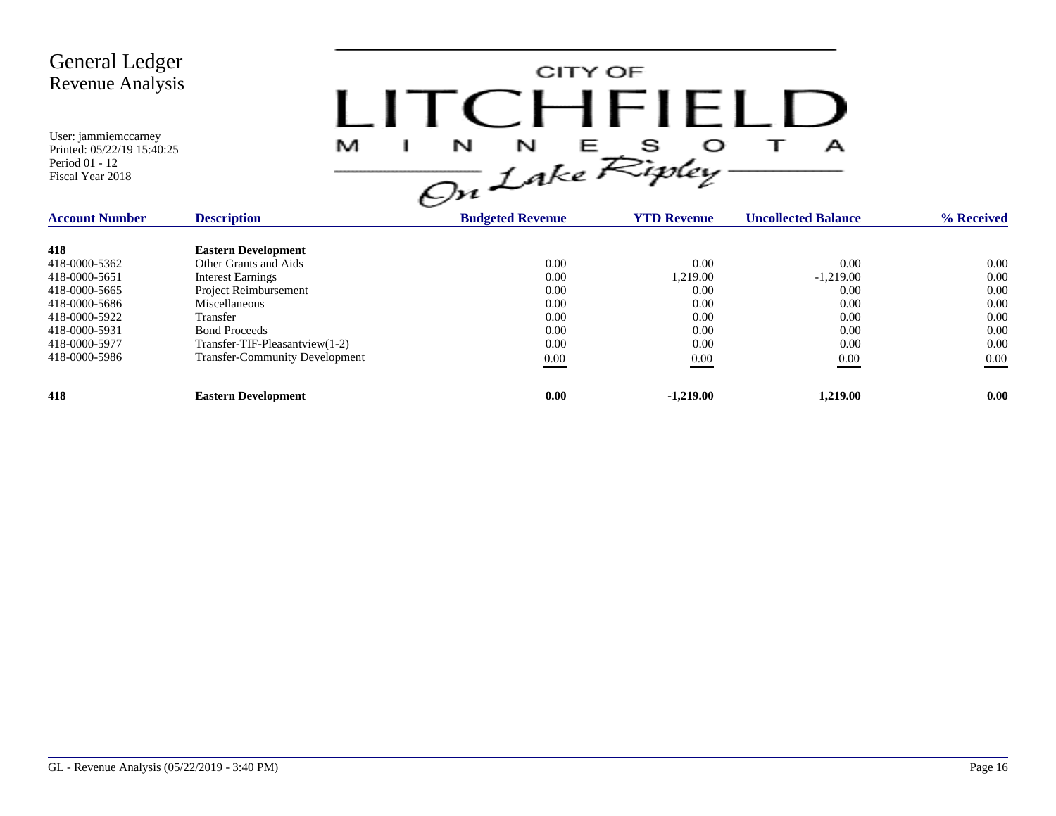

| <b>Account Number</b> | <b>Description</b>                    | <b>Budgeted Revenue</b> | <b>YTD Revenue</b> | <b>Uncollected Balance</b> | % Received |
|-----------------------|---------------------------------------|-------------------------|--------------------|----------------------------|------------|
| 418                   | <b>Eastern Development</b>            |                         |                    |                            |            |
| 418-0000-5362         | Other Grants and Aids                 | 0.00                    | 0.00               | 0.00                       | 0.00       |
| 418-0000-5651         | <b>Interest Earnings</b>              | 0.00                    | 1.219.00           | $-1,219.00$                | 0.00       |
| 418-0000-5665         | Project Reimbursement                 | 0.00                    | 0.00               | 0.00                       | 0.00       |
| 418-0000-5686         | Miscellaneous                         | 0.00                    | 0.00               | 0.00                       | 0.00       |
| 418-0000-5922         | Transfer                              | 0.00                    | 0.00               | 0.00                       | 0.00       |
| 418-0000-5931         | <b>Bond Proceeds</b>                  | 0.00                    | 0.00               | 0.00                       | 0.00       |
| 418-0000-5977         | Transfer-TIF-Pleasantview(1-2)        | 0.00                    | 0.00               | 0.00                       | 0.00       |
| 418-0000-5986         | <b>Transfer-Community Development</b> | 0.00                    | 0.00               | 0.00                       | 0.00       |
| 418                   | <b>Eastern Development</b>            | 0.00                    | $-1,219.00$        | 1.219.00                   | 0.00       |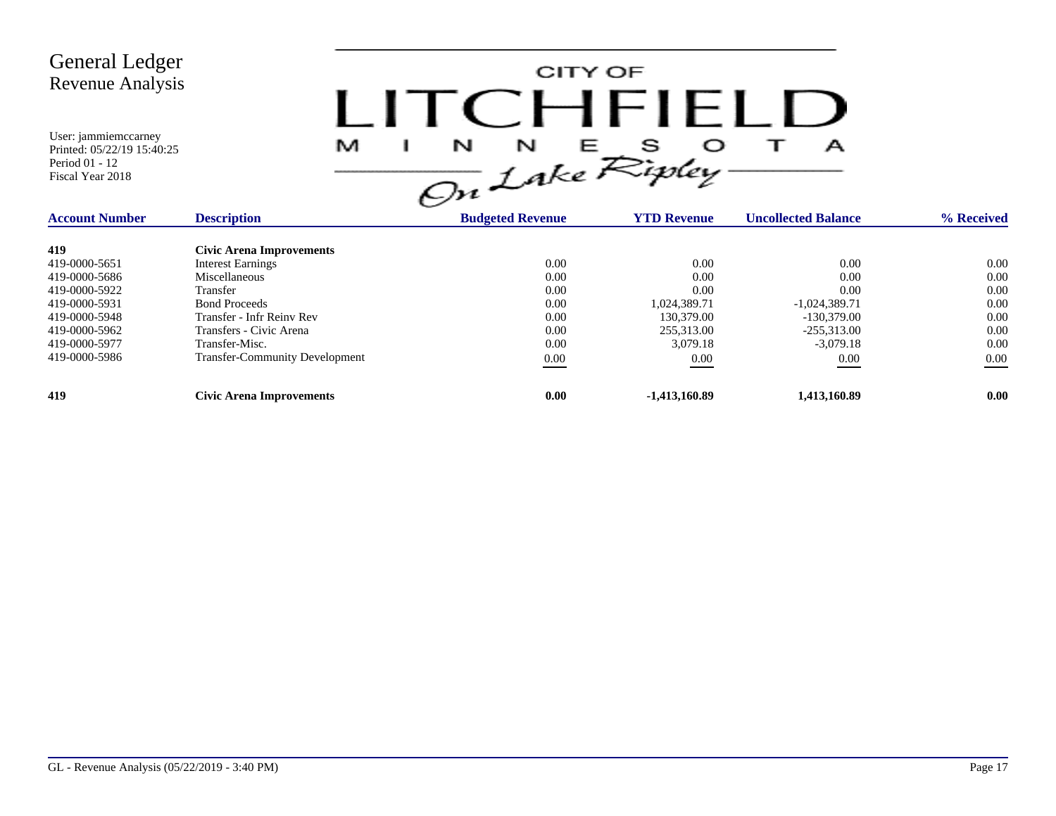

| <b>Account Number</b> | <b>Description</b>                    | <b>Budgeted Revenue</b> | <b>YTD Revenue</b> | <b>Uncollected Balance</b> | % Received |
|-----------------------|---------------------------------------|-------------------------|--------------------|----------------------------|------------|
| 419                   | Civic Arena Improvements              |                         |                    |                            |            |
| 419-0000-5651         | <b>Interest Earnings</b>              | 0.00                    | 0.00               | 0.00                       | 0.00       |
| 419-0000-5686         | Miscellaneous                         | 0.00                    | 0.00               | 0.00                       | 0.00       |
| 419-0000-5922         | Transfer                              | 0.00                    | 0.00               | 0.00                       | 0.00       |
| 419-0000-5931         | <b>Bond Proceeds</b>                  | 0.00                    | 1.024.389.71       | $-1,024,389.71$            | 0.00       |
| 419-0000-5948         | Transfer - Infr Reiny Rev             | 0.00                    | 130,379.00         | $-130,379,00$              | 0.00       |
| 419-0000-5962         | Transfers - Civic Arena               | 0.00                    | 255,313.00         | $-255.313.00$              | 0.00       |
| 419-0000-5977         | Transfer-Misc.                        | 0.00                    | 3,079.18           | $-3.079.18$                | 0.00       |
| 419-0000-5986         | <b>Transfer-Community Development</b> | 0.00                    | 0.00               | 0.00                       | 0.00       |
| 419                   | <b>Civic Arena Improvements</b>       | 0.00                    | $-1,413,160.89$    | 1,413,160.89               | 0.00       |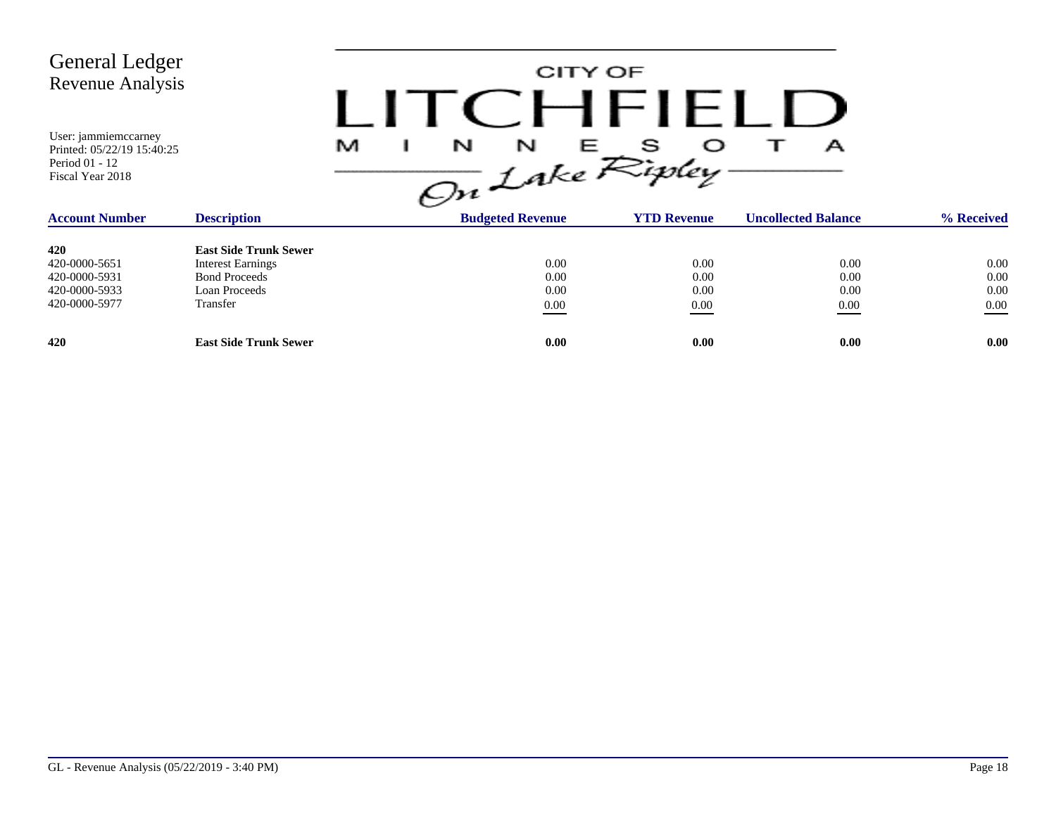| General Ledger<br><b>Revenue Analysis</b>                                                |                              |                                | CITY OF<br>CHFIELD |                            |            |
|------------------------------------------------------------------------------------------|------------------------------|--------------------------------|--------------------|----------------------------|------------|
| User: jammiemccarney<br>Printed: 05/22/19 15:40:25<br>Period 01 - 12<br>Fiscal Year 2018 |                              | M<br>N<br>N<br>On Lake Ripley. | O<br>E.            | А                          |            |
| <b>Account Number</b>                                                                    | <b>Description</b>           | <b>Budgeted Revenue</b>        | <b>YTD Revenue</b> | <b>Uncollected Balance</b> | % Received |
| 420                                                                                      | <b>East Side Trunk Sewer</b> |                                |                    |                            |            |
| 420-0000-5651                                                                            | <b>Interest Earnings</b>     |                                | 0.00<br>0.00       | 0.00                       | 0.00       |
| 420-0000-5931                                                                            | <b>Bond Proceeds</b>         |                                | 0.00<br>0.00       | 0.00                       | 0.00       |
| 420-0000-5933                                                                            | Loan Proceeds                |                                | 0.00<br>0.00       | 0.00                       | 0.00       |
| 420-0000-5977                                                                            | Transfer                     |                                | 0.00<br>$0.00\,$   | 0.00                       | 0.00       |
| 420                                                                                      | <b>East Side Trunk Sewer</b> |                                | 0.00<br>0.00       | 0.00                       | 0.00       |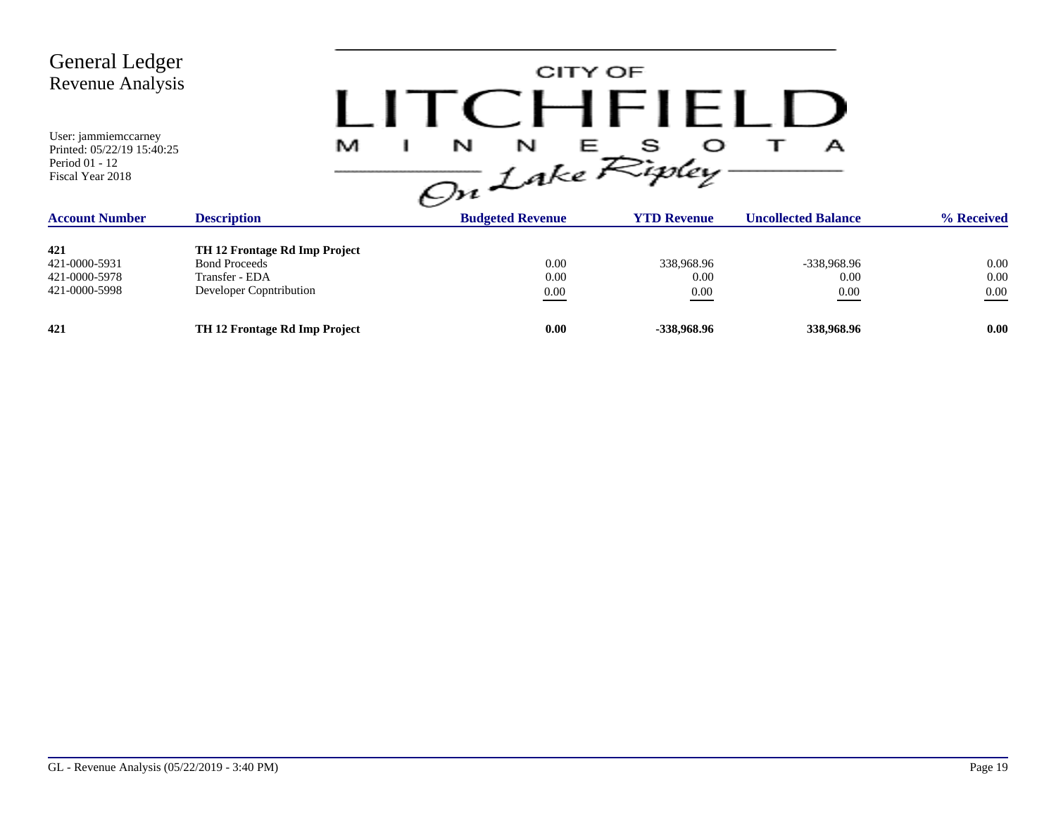| General Ledger<br><b>Revenue Analysis</b>                                                                         |                               | CITY OF<br>I ITCHFIELL                                     |                         |                                 |            |
|-------------------------------------------------------------------------------------------------------------------|-------------------------------|------------------------------------------------------------|-------------------------|---------------------------------|------------|
| User: jammiemccarney<br>Printed: 05/22/19 15:40:25<br>Period 01 - 12<br>Fiscal Year 2018<br><b>Account Number</b> | M<br><b>Description</b>       | N<br>N<br>E 1<br>On Lake Ripley<br><b>Budgeted Revenue</b> | s<br><b>YTD Revenue</b> | А<br><b>Uncollected Balance</b> | % Received |
|                                                                                                                   |                               |                                                            |                         |                                 |            |
| 421                                                                                                               | TH 12 Frontage Rd Imp Project |                                                            |                         |                                 |            |
| 421-0000-5931                                                                                                     | <b>Bond Proceeds</b>          | 0.00                                                       | 338,968.96              | -338,968.96                     | 0.00       |
| 421-0000-5978                                                                                                     | Transfer - EDA                | 0.00                                                       | 0.00                    | 0.00                            | 0.00       |
| 421-0000-5998                                                                                                     | Developer Copntribution       | $0.00\,$                                                   | $0.00\,$                | 0.00                            | $0.00\,$   |
| 421                                                                                                               | TH 12 Frontage Rd Imp Project | 0.00                                                       | -338,968.96             | 338,968.96                      | 0.00       |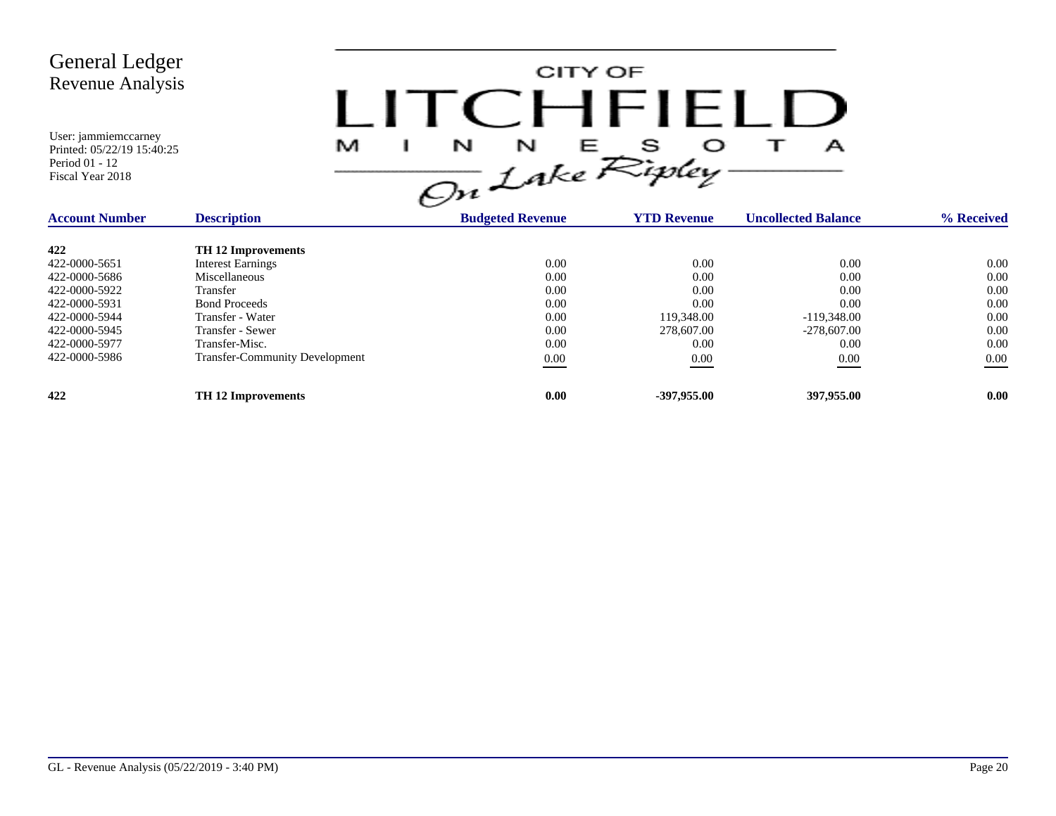

| <b>Account Number</b> | <b>Description</b>                    | <b>Budgeted Revenue</b> | <b>YTD Revenue</b> | <b>Uncollected Balance</b> | % Received |
|-----------------------|---------------------------------------|-------------------------|--------------------|----------------------------|------------|
| 422                   | <b>TH 12 Improvements</b>             |                         |                    |                            |            |
| 422-0000-5651         | <b>Interest Earnings</b>              | 0.00                    | 0.00               | 0.00                       | 0.00       |
| 422-0000-5686         | Miscellaneous                         | 0.00                    | 0.00               | 0.00                       | 0.00       |
| 422-0000-5922         | <b>Transfer</b>                       | 0.00                    | 0.00               | 0.00                       | 0.00       |
| 422-0000-5931         | <b>Bond Proceeds</b>                  | 0.00                    | 0.00               | 0.00                       | 0.00       |
| 422-0000-5944         | Transfer - Water                      | 0.00                    | 119,348.00         | $-119.348.00$              | 0.00       |
| 422-0000-5945         | Transfer - Sewer                      | 0.00                    | 278,607.00         | $-278,607,00$              | 0.00       |
| 422-0000-5977         | Transfer-Misc.                        | 0.00                    | 0.00               | 0.00                       | 0.00       |
| 422-0000-5986         | <b>Transfer-Community Development</b> | 0.00                    | 0.00               | 0.00                       | 0.00       |
| 422                   | <b>TH 12 Improvements</b>             | 0.00                    | $-397,955,00$      | 397,955.00                 | 0.00       |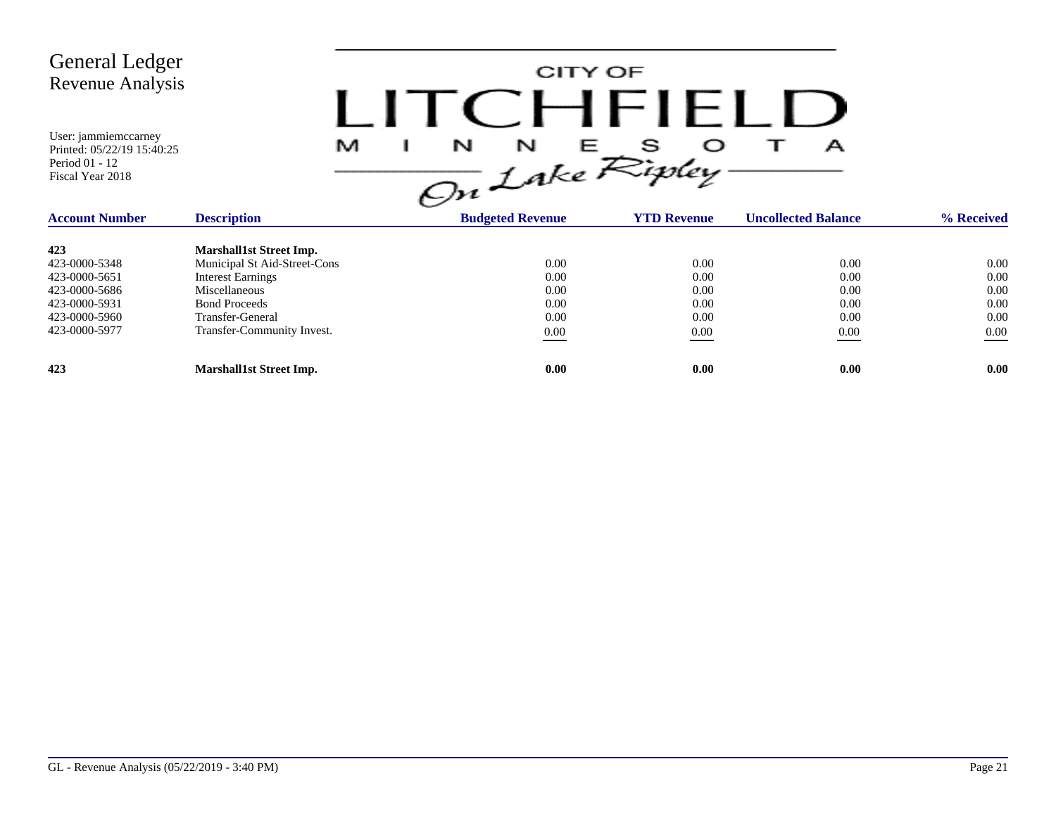| <b>General Ledger</b><br><b>Revenue Analysis</b><br>User: jammiemccarney<br>Printed: 05/22/19 15:40:25<br>Period 01 - 12<br>Fiscal Year 2018 | M<br>H                                                                                                                                                                                       | CITY OF<br>$1$ ITC HEIFLE<br>N<br>N<br><b>三</b><br>On Lake Ripley | s                                            | А                                                |                                                  |
|----------------------------------------------------------------------------------------------------------------------------------------------|----------------------------------------------------------------------------------------------------------------------------------------------------------------------------------------------|-------------------------------------------------------------------|----------------------------------------------|--------------------------------------------------|--------------------------------------------------|
| <b>Account Number</b>                                                                                                                        | <b>Description</b>                                                                                                                                                                           | <b>Budgeted Revenue</b>                                           | <b>YTD Revenue</b>                           | <b>Uncollected Balance</b>                       | % Received                                       |
| 423<br>423-0000-5348<br>423-0000-5651<br>423-0000-5686<br>423-0000-5931<br>423-0000-5960<br>423-0000-5977                                    | <b>Marshall1st Street Imp.</b><br>Municipal St Aid-Street-Cons<br><b>Interest Earnings</b><br>Miscellaneous<br><b>Bond Proceeds</b><br><b>Transfer-General</b><br>Transfer-Community Invest. | 0.00<br>0.00<br>0.00<br>0.00<br>0.00<br>$0.00\,$                  | 0.00<br>0.00<br>0.00<br>0.00<br>0.00<br>0.00 | 0.00<br>0.00<br>0.00<br>0.00<br>0.00<br>$0.00\,$ | 0.00<br>0.00<br>0.00<br>0.00<br>0.00<br>$0.00\,$ |
| 423                                                                                                                                          | <b>Marshall1st Street Imp.</b>                                                                                                                                                               | 0.00                                                              | 0.00                                         | 0.00                                             | 0.00                                             |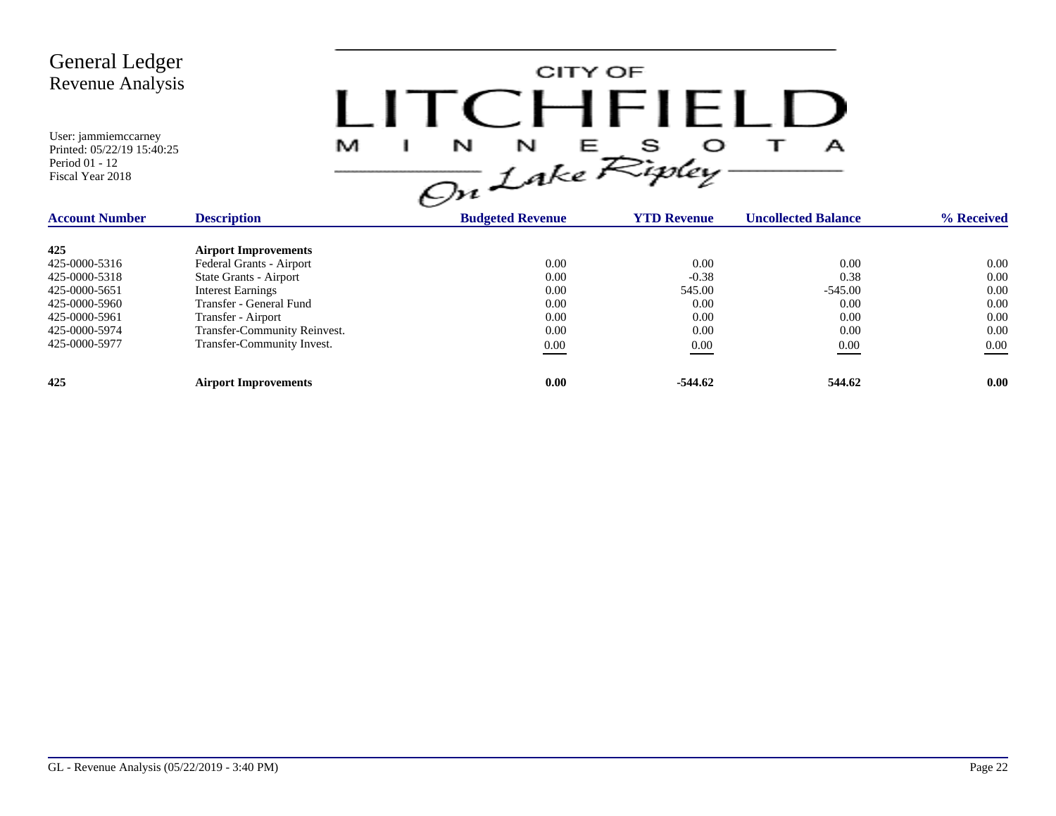| <b>General Ledger</b><br><b>Revenue Analysis</b><br>User: jammiemccarney<br>Printed: 05/22/19 15:40:25<br>Period 01 - 12<br>Fiscal Year 2018 | M                            | CITY OF<br>$\Box$ $\Box$ $\Box$ $\Box$ $\Box$ $\Box$ $\Box$<br>$\frac{1}{\sqrt{m}}\int_{0}^{N} f dx e^{S}$ |                    | А                          |            |
|----------------------------------------------------------------------------------------------------------------------------------------------|------------------------------|------------------------------------------------------------------------------------------------------------|--------------------|----------------------------|------------|
| <b>Account Number</b>                                                                                                                        | <b>Description</b>           | <b>Budgeted Revenue</b>                                                                                    | <b>YTD Revenue</b> | <b>Uncollected Balance</b> | % Received |
| 425                                                                                                                                          | <b>Airport Improvements</b>  |                                                                                                            |                    |                            |            |
| 425-0000-5316                                                                                                                                | Federal Grants - Airport     | 0.00                                                                                                       | 0.00               | 0.00                       | 0.00       |
| 425-0000-5318                                                                                                                                | State Grants - Airport       | 0.00                                                                                                       | $-0.38$            | 0.38                       | 0.00       |
| 425-0000-5651                                                                                                                                | <b>Interest Earnings</b>     | 0.00                                                                                                       | 545.00             | $-545.00$                  | 0.00       |
| 425-0000-5960                                                                                                                                | Transfer - General Fund      | 0.00                                                                                                       | 0.00               | 0.00                       | 0.00       |
| 425-0000-5961                                                                                                                                | Transfer - Airport           | 0.00                                                                                                       | 0.00               | 0.00                       | 0.00       |
| 425-0000-5974                                                                                                                                | Transfer-Community Reinvest. | 0.00                                                                                                       | 0.00               | 0.00                       | 0.00       |
| 425-0000-5977                                                                                                                                | Transfer-Community Invest.   | $0.00\,$                                                                                                   | 0.00               | 0.00                       | $0.00\,$   |
| 425                                                                                                                                          | <b>Airport Improvements</b>  | 0.00                                                                                                       | $-544.62$          | 544.62                     | 0.00       |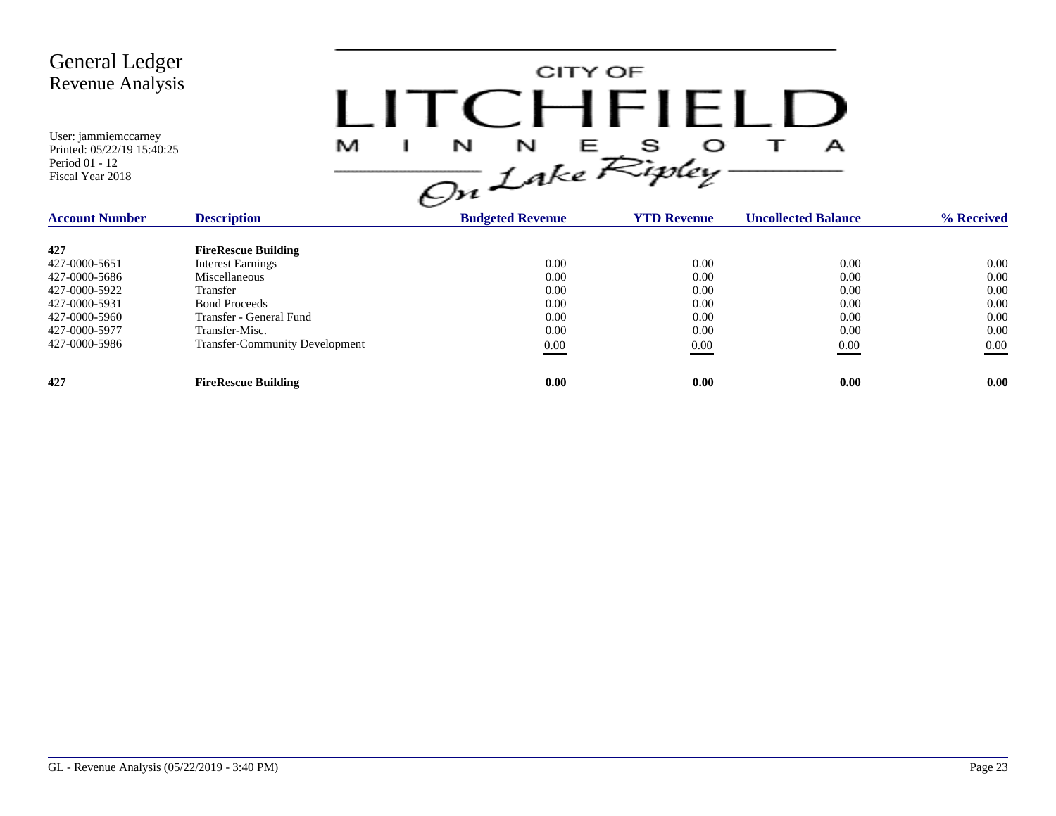

| <b>Account Number</b> | <b>Description</b>                    | <b>Budgeted Revenue</b> | <b>YTD Revenue</b> | <b>Uncollected Balance</b> | % Received |
|-----------------------|---------------------------------------|-------------------------|--------------------|----------------------------|------------|
| 427                   | <b>FireRescue Building</b>            |                         |                    |                            |            |
| 427-0000-5651         | <b>Interest Earnings</b>              | 0.00                    | 0.00               | 0.00                       | 0.00       |
| 427-0000-5686         | Miscellaneous                         | 0.00                    | 0.00               | 0.00                       | 0.00       |
| 427-0000-5922         | Transfer                              | 0.00                    | 0.00               | 0.00                       | 0.00       |
| 427-0000-5931         | <b>Bond Proceeds</b>                  | 0.00                    | 0.00               | 0.00                       | 0.00       |
| 427-0000-5960         | Transfer - General Fund               | 0.00                    | 0.00               | 0.00                       | 0.00       |
| 427-0000-5977         | Transfer-Misc.                        | 0.00                    | 0.00               | 0.00                       | 0.00       |
| 427-0000-5986         | <b>Transfer-Community Development</b> | 0.00                    | 0.00               | 0.00                       | 0.00       |
| 427                   | <b>FireRescue Building</b>            | 0.00                    | 0.00               | 0.00                       | 0.00       |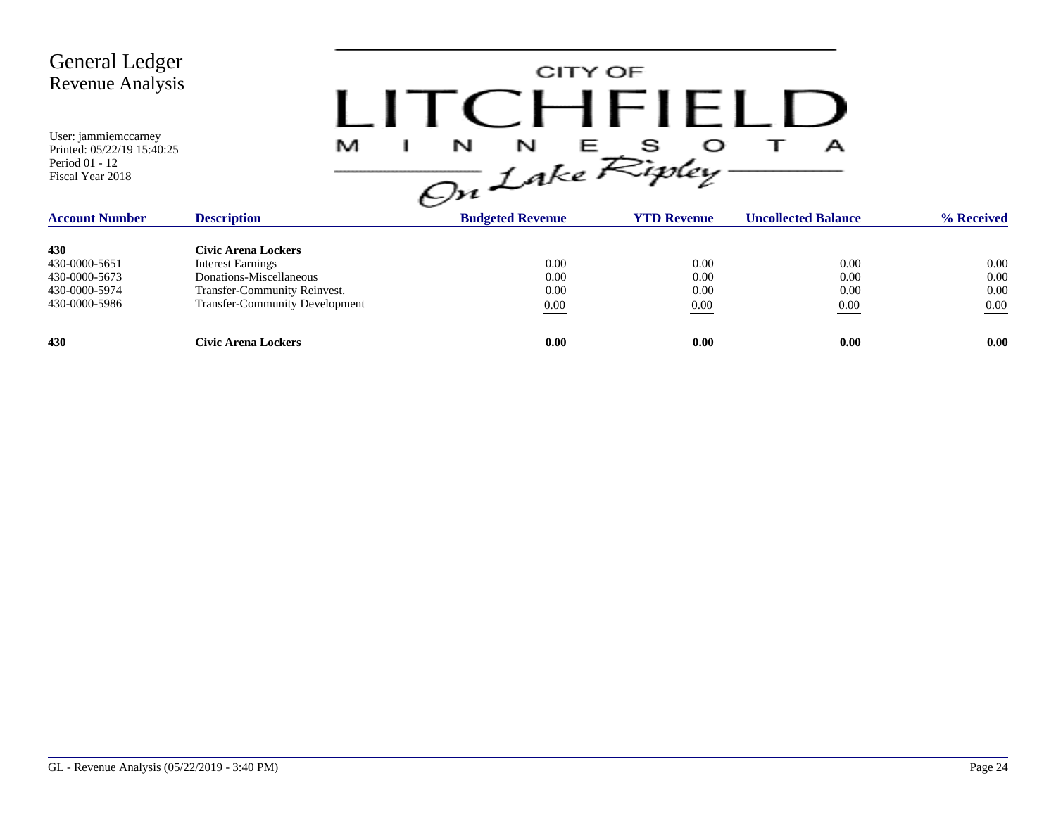CITY OF LITCHFIELD  $M$  I N N E S O T A<br>On Lake Ripley

| <b>Account Number</b> | <b>Description</b>                    | <b>Budgeted Revenue</b> | <b>YTD Revenue</b> | <b>Uncollected Balance</b> | % Received |
|-----------------------|---------------------------------------|-------------------------|--------------------|----------------------------|------------|
| 430                   | Civic Arena Lockers                   |                         |                    |                            |            |
| 430-0000-5651         | <b>Interest Earnings</b>              | 0.00                    | 0.00               | 0.00                       | 0.00       |
| 430-0000-5673         | Donations-Miscellaneous               | 0.00                    | 0.00               | 0.00                       | 0.00       |
| 430-0000-5974         | Transfer-Community Reinvest.          | 0.00                    | 0.00               | 0.00                       | 0.00       |
| 430-0000-5986         | <b>Transfer-Community Development</b> | $\underline{0.00}$      | 0.00               | 0.00                       | $0.00\,$   |
| 430                   | Civic Arena Lockers                   | 0.00                    | 0.00               | 0.00                       | 0.00       |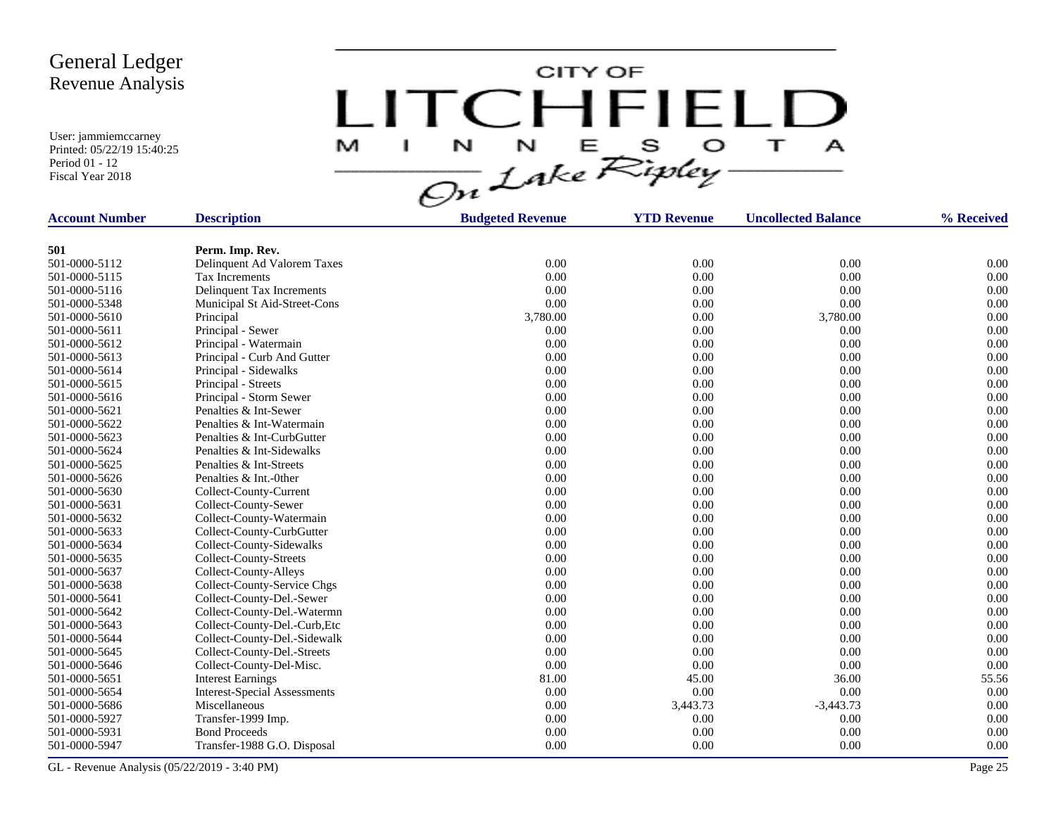User: jammiemccarney Printed: 05/22/19 15:40:25 Period 01 - 12 Fiscal Year 2018

CITY OF LITCHFIELD **TI** M. J.  $\mathbf{A}$ 

| <b>Account Number</b> | <b>Description</b>                  | <b>Budgeted Revenue</b> | <b>YTD Revenue</b> | <b>Uncollected Balance</b> | % Received |
|-----------------------|-------------------------------------|-------------------------|--------------------|----------------------------|------------|
|                       |                                     |                         |                    |                            |            |
| 501                   | Perm. Imp. Rev.                     |                         |                    |                            |            |
| 501-0000-5112         | Delinquent Ad Valorem Taxes         | 0.00                    | 0.00               | 0.00                       | 0.00       |
| 501-0000-5115         | Tax Increments                      | 0.00                    | 0.00               | 0.00                       | 0.00       |
| 501-0000-5116         | Delinquent Tax Increments           | 0.00                    | 0.00               | 0.00                       | 0.00       |
| 501-0000-5348         | Municipal St Aid-Street-Cons        | 0.00                    | 0.00               | 0.00                       | 0.00       |
| 501-0000-5610         | Principal                           | 3,780.00                | 0.00               | 3,780.00                   | 0.00       |
| 501-0000-5611         | Principal - Sewer                   | 0.00                    | 0.00               | 0.00                       | 0.00       |
| 501-0000-5612         | Principal - Watermain               | 0.00                    | 0.00               | 0.00                       | 0.00       |
| 501-0000-5613         | Principal - Curb And Gutter         | 0.00                    | 0.00               | 0.00                       | 0.00       |
| 501-0000-5614         | Principal - Sidewalks               | 0.00                    | 0.00               | 0.00                       | 0.00       |
| 501-0000-5615         | Principal - Streets                 | 0.00                    | 0.00               | 0.00                       | 0.00       |
| 501-0000-5616         | Principal - Storm Sewer             | 0.00                    | 0.00               | 0.00                       | 0.00       |
| 501-0000-5621         | Penalties & Int-Sewer               | 0.00                    | 0.00               | 0.00                       | 0.00       |
| 501-0000-5622         | Penalties & Int-Watermain           | 0.00                    | 0.00               | 0.00                       | 0.00       |
| 501-0000-5623         | Penalties & Int-CurbGutter          | 0.00                    | 0.00               | 0.00                       | 0.00       |
| 501-0000-5624         | Penalties & Int-Sidewalks           | 0.00                    | 0.00               | 0.00                       | 0.00       |
| 501-0000-5625         | Penalties & Int-Streets             | 0.00                    | $0.00\,$           | 0.00                       | 0.00       |
| 501-0000-5626         | Penalties & Int.-0ther              | 0.00                    | 0.00               | 0.00                       | 0.00       |
| 501-0000-5630         | Collect-County-Current              | 0.00                    | 0.00               | 0.00                       | 0.00       |
| 501-0000-5631         | Collect-County-Sewer                | 0.00                    | $0.00\,$           | 0.00                       | 0.00       |
| 501-0000-5632         | Collect-County-Watermain            | 0.00                    | 0.00               | 0.00                       | 0.00       |
| 501-0000-5633         | Collect-County-CurbGutter           | 0.00                    | 0.00               | 0.00                       | 0.00       |
| 501-0000-5634         | Collect-County-Sidewalks            | 0.00                    | 0.00               | 0.00                       | 0.00       |
| 501-0000-5635         | Collect-County-Streets              | 0.00                    | 0.00               | 0.00                       | 0.00       |
| 501-0000-5637         | Collect-County-Alleys               | 0.00                    | 0.00               | 0.00                       | 0.00       |
| 501-0000-5638         | Collect-County-Service Chgs         | 0.00                    | 0.00               | 0.00                       | 0.00       |
| 501-0000-5641         | Collect-County-Del.-Sewer           | 0.00                    | 0.00               | 0.00                       | 0.00       |
| 501-0000-5642         | Collect-County-Del.-Watermn         | 0.00                    | 0.00               | 0.00                       | 0.00       |
| 501-0000-5643         | Collect-County-Del.-Curb, Etc       | 0.00                    | 0.00               | 0.00                       | 0.00       |
| 501-0000-5644         | Collect-County-Del.-Sidewalk        | 0.00                    | 0.00               | 0.00                       | 0.00       |
| 501-0000-5645         | Collect-County-Del.-Streets         | 0.00                    | 0.00               | 0.00                       | 0.00       |
| 501-0000-5646         | Collect-County-Del-Misc.            | 0.00                    | 0.00               | 0.00                       | 0.00       |
| 501-0000-5651         | <b>Interest Earnings</b>            | 81.00                   | 45.00              | 36.00                      | 55.56      |
| 501-0000-5654         | <b>Interest-Special Assessments</b> | 0.00                    | 0.00               | 0.00                       | 0.00       |
| 501-0000-5686         | Miscellaneous                       | 0.00                    | 3,443.73           | $-3,443.73$                | 0.00       |
| 501-0000-5927         | Transfer-1999 Imp.                  | 0.00                    | 0.00               | 0.00                       | 0.00       |
| 501-0000-5931         | <b>Bond Proceeds</b>                | 0.00                    | 0.00               | 0.00                       | 0.00       |
| 501-0000-5947         | Transfer-1988 G.O. Disposal         | 0.00                    | 0.00               | 0.00                       | 0.00       |
|                       |                                     |                         |                    |                            |            |

GL - Revenue Analysis (05/22/2019 - 3:40 PM) Page 25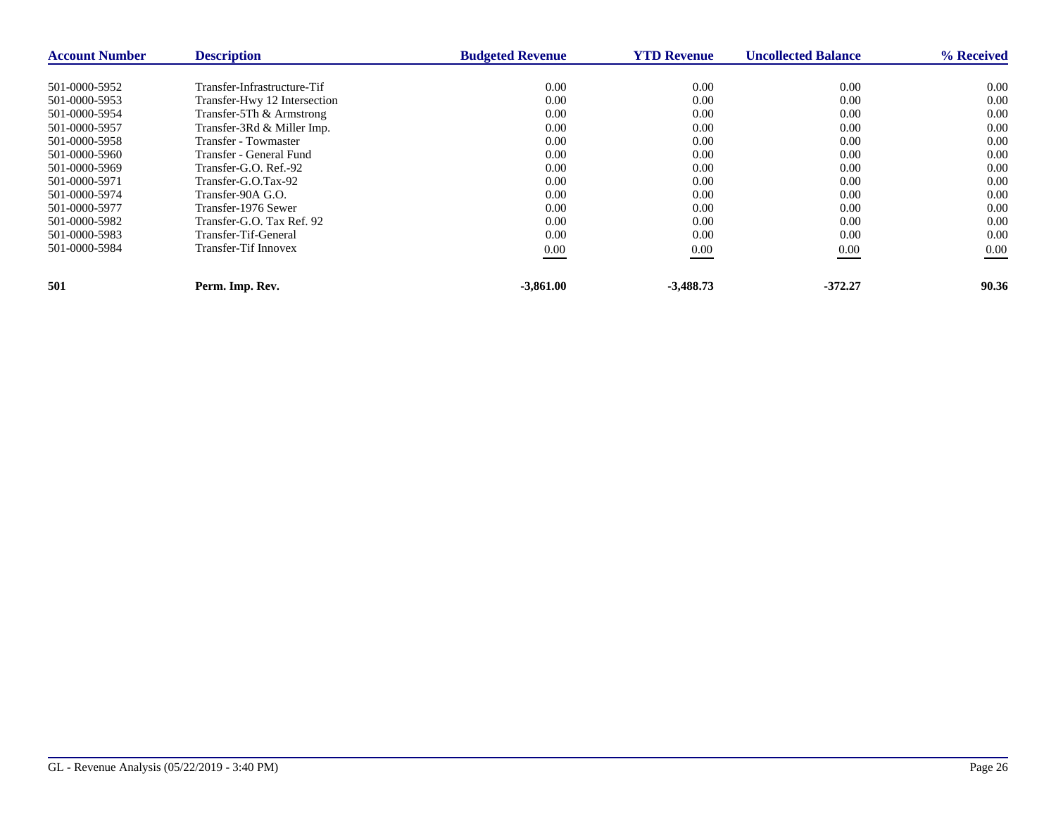| <b>Account Number</b> | <b>Description</b>           | <b>Budgeted Revenue</b> | <b>YTD Revenue</b> | <b>Uncollected Balance</b> | % Received |
|-----------------------|------------------------------|-------------------------|--------------------|----------------------------|------------|
| 501-0000-5952         | Transfer-Infrastructure-Tif  | 0.00                    | 0.00               | 0.00                       | 0.00       |
| 501-0000-5953         | Transfer-Hwy 12 Intersection | 0.00                    | 0.00               | 0.00                       | 0.00       |
| 501-0000-5954         | Transfer-5Th & Armstrong     | 0.00                    | 0.00               | 0.00                       | 0.00       |
| 501-0000-5957         | Transfer-3Rd & Miller Imp.   | 0.00                    | 0.00               | 0.00                       | 0.00       |
| 501-0000-5958         | Transfer - Towmaster         | 0.00                    | 0.00               | 0.00                       | 0.00       |
| 501-0000-5960         | Transfer - General Fund      | 0.00                    | 0.00               | 0.00                       | 0.00       |
| 501-0000-5969         | Transfer-G.O. Ref.-92        | 0.00                    | 0.00               | 0.00                       | 0.00       |
| 501-0000-5971         | Transfer-G.O.Tax-92          | 0.00                    | 0.00               | 0.00                       | 0.00       |
| 501-0000-5974         | Transfer-90A G.O.            | 0.00                    | 0.00               | 0.00                       | 0.00       |
| 501-0000-5977         | Transfer-1976 Sewer          | 0.00                    | 0.00               | 0.00                       | 0.00       |
| 501-0000-5982         | Transfer-G.O. Tax Ref. 92    | 0.00                    | 0.00               | 0.00                       | 0.00       |
| 501-0000-5983         | Transfer-Tif-General         | 0.00                    | 0.00               | 0.00                       | 0.00       |
| 501-0000-5984         | Transfer-Tif Innovex         | $0.00\,$                | 0.00               | 0.00                       | $0.00\,$   |
| 501                   | Perm. Imp. Rev.              | $-3,861.00$             | $-3,488.73$        | $-372.27$                  | 90.36      |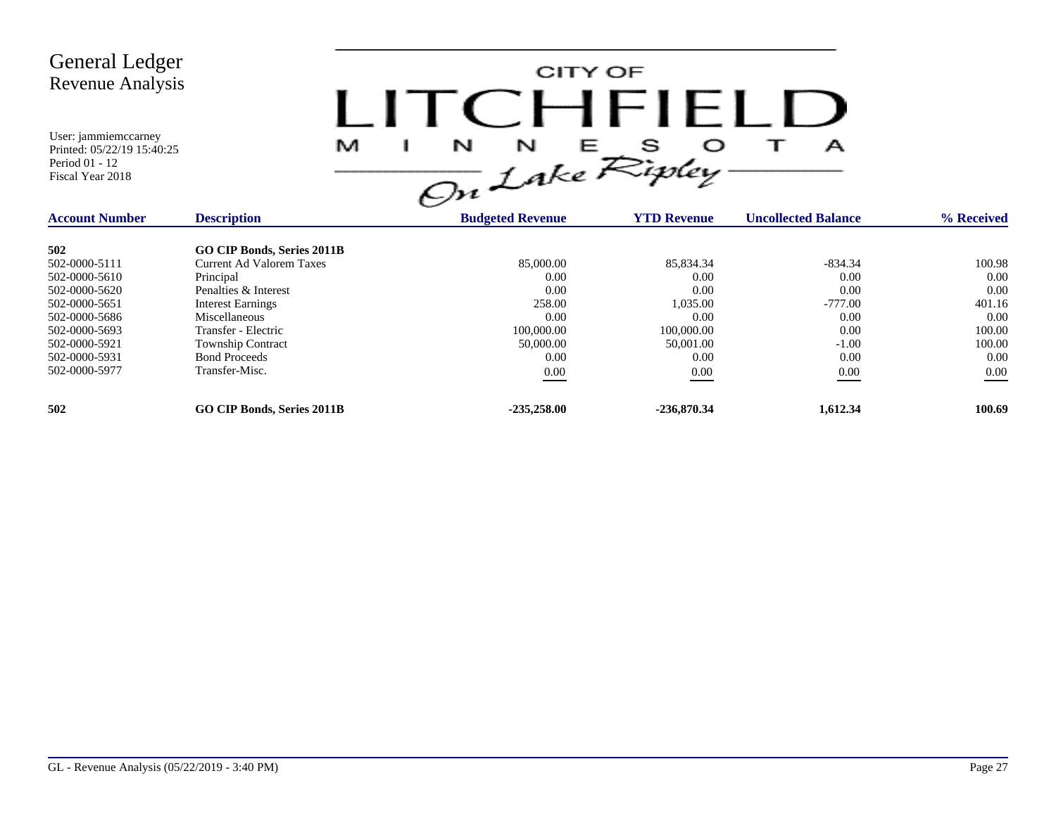| <b>General Ledger</b><br>Revenue Analysis<br>User: jammiemccarney<br>Printed: 05/22/19 15:40:25<br>Period 01 - 12<br>Fiscal Year 2018 | M                                 | CITY OF<br>I ITCHFIELL<br>$\frac{N}{\omega}L$ ake Ripley |                    | А                          |            |
|---------------------------------------------------------------------------------------------------------------------------------------|-----------------------------------|----------------------------------------------------------|--------------------|----------------------------|------------|
| <b>Account Number</b>                                                                                                                 | <b>Description</b>                | <b>Budgeted Revenue</b>                                  | <b>YTD Revenue</b> | <b>Uncollected Balance</b> | % Received |
| 502                                                                                                                                   | <b>GO CIP Bonds, Series 2011B</b> |                                                          |                    |                            |            |
| 502-0000-5111                                                                                                                         | <b>Current Ad Valorem Taxes</b>   | 85,000.00                                                | 85,834.34          | $-834.34$                  | 100.98     |
| 502-0000-5610                                                                                                                         | Principal                         | 0.00                                                     | 0.00               | 0.00                       | 0.00       |
| 502-0000-5620                                                                                                                         | Penalties & Interest              | 0.00                                                     | 0.00               | 0.00                       | 0.00       |
| 502-0000-5651                                                                                                                         | <b>Interest Earnings</b>          | 258.00                                                   | 1,035.00           | $-777.00$                  | 401.16     |
| 502-0000-5686                                                                                                                         | Miscellaneous                     | 0.00                                                     | 0.00               | 0.00                       | 0.00       |
| 502-0000-5693                                                                                                                         | Transfer - Electric               | 100,000.00                                               | 100,000.00         | 0.00                       | 100.00     |
| 502-0000-5921                                                                                                                         | Township Contract                 | 50,000.00                                                | 50,001.00          | $-1.00$                    | 100.00     |
| 502-0000-5931                                                                                                                         | <b>Bond Proceeds</b>              | 0.00                                                     | 0.00               | 0.00                       | 0.00       |
| 502-0000-5977                                                                                                                         | Transfer-Misc.                    | 0.00                                                     | 0.00               | $0.00\,$                   | 0.00       |
| 502                                                                                                                                   | <b>GO CIP Bonds, Series 2011B</b> | $-235,258.00$                                            | $-236,870.34$      | 1,612.34                   | 100.69     |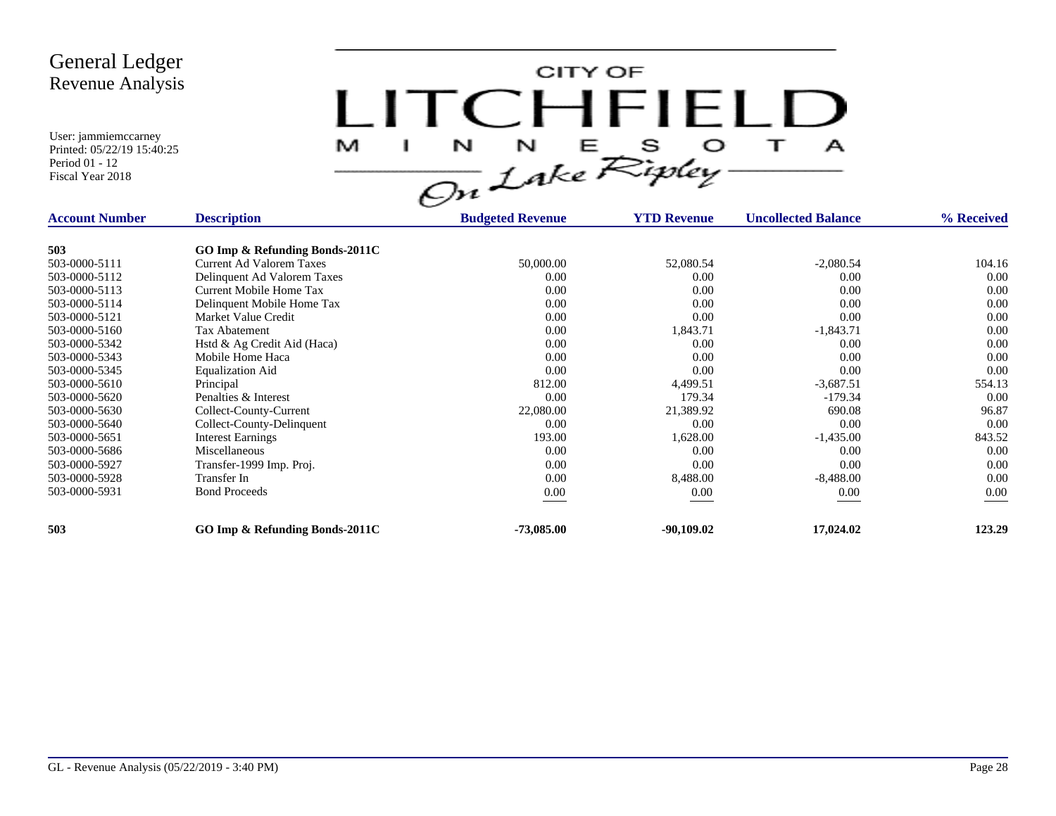User: jammiemccarney Printed: 05/22/19 15:40:25

Period 01 - 12 Fiscal Year 2018

CITY OF LITCHFIELD  $M$  I N N E S O T A<br>On Lake Ripley

| <b>Account Number</b> | <b>Description</b>             | <b>Budgeted Revenue</b> | <b>YTD Revenue</b> | <b>Uncollected Balance</b> | % Received |
|-----------------------|--------------------------------|-------------------------|--------------------|----------------------------|------------|
| 503                   | GO Imp & Refunding Bonds-2011C |                         |                    |                            |            |
| 503-0000-5111         | Current Ad Valorem Taxes       | 50,000.00               | 52,080.54          | $-2,080.54$                | 104.16     |
| 503-0000-5112         | Delinquent Ad Valorem Taxes    | 0.00                    | 0.00               | 0.00                       | 0.00       |
| 503-0000-5113         | Current Mobile Home Tax        | 0.00                    | 0.00               | 0.00                       | 0.00       |
| 503-0000-5114         | Delinquent Mobile Home Tax     | 0.00                    | 0.00               | 0.00                       | 0.00       |
| 503-0000-5121         | Market Value Credit            | 0.00                    | 0.00               | 0.00                       | 0.00       |
| 503-0000-5160         | <b>Tax Abatement</b>           | 0.00                    | 1,843.71           | $-1,843.71$                | 0.00       |
| 503-0000-5342         | Hstd & Ag Credit Aid (Haca)    | 0.00                    | 0.00               | 0.00                       | 0.00       |
| 503-0000-5343         | Mobile Home Haca               | 0.00                    | 0.00               | 0.00                       | 0.00       |
| 503-0000-5345         | <b>Equalization Aid</b>        | 0.00                    | 0.00               | 0.00                       | 0.00       |
| 503-0000-5610         | Principal                      | 812.00                  | 4,499.51           | $-3,687.51$                | 554.13     |
| 503-0000-5620         | Penalties & Interest           | 0.00                    | 179.34             | $-179.34$                  | 0.00       |
| 503-0000-5630         | Collect-County-Current         | 22,080.00               | 21,389.92          | 690.08                     | 96.87      |
| 503-0000-5640         | Collect-County-Delinquent      | 0.00                    | 0.00               | 0.00                       | 0.00       |
| 503-0000-5651         | <b>Interest Earnings</b>       | 193.00                  | 1,628.00           | $-1,435.00$                | 843.52     |
| 503-0000-5686         | Miscellaneous                  | 0.00                    | 0.00               | 0.00                       | 0.00       |
| 503-0000-5927         | Transfer-1999 Imp. Proj.       | 0.00                    | 0.00               | 0.00                       | 0.00       |
| 503-0000-5928         | Transfer In                    | 0.00                    | 8,488.00           | $-8,488.00$                | 0.00       |
| 503-0000-5931         | <b>Bond Proceeds</b>           | $0.00\,$                | 0.00               | 0.00                       | $0.00\,$   |
| 503                   | GO Imp & Refunding Bonds-2011C | $-73,085.00$            | $-90,109.02$       | 17,024.02                  | 123.29     |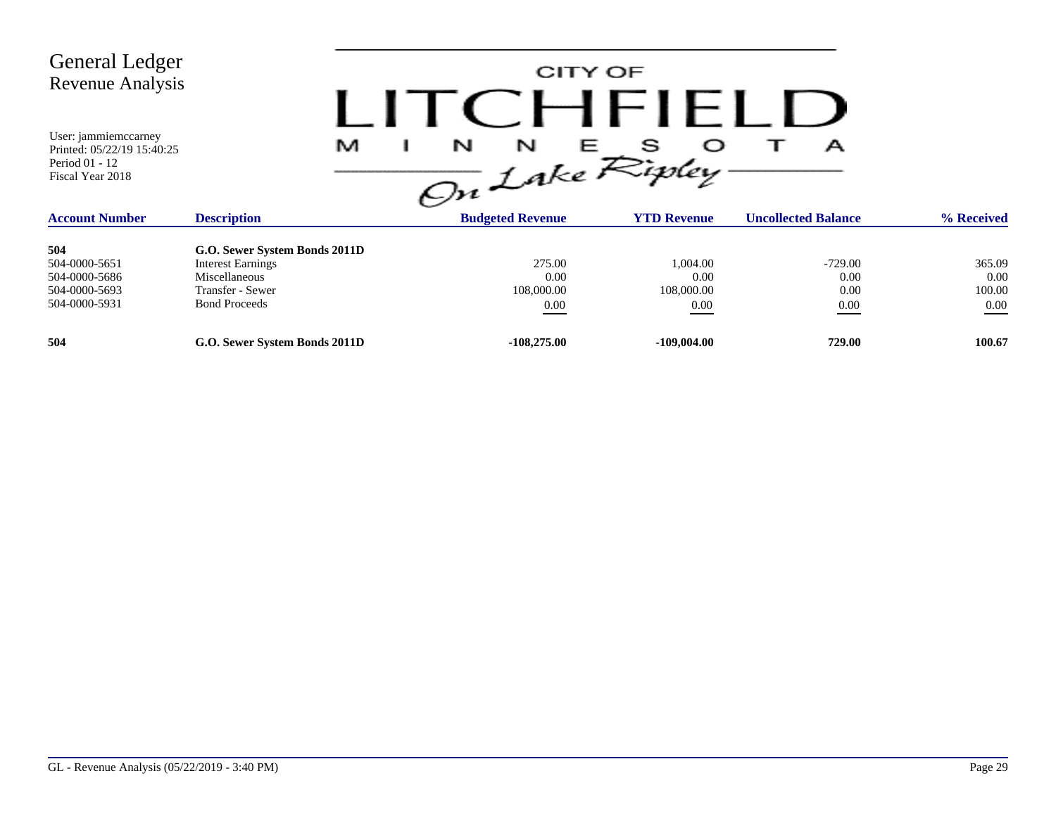| General Ledger<br>Revenue Analysis<br>User: jammiemccarney<br>Printed: 05/22/19 15:40:25<br>Period 01 - 12<br>Fiscal Year 2018 | M                             | and the state of the state<br>N<br>N<br>On Lake Ripley | CITY OF<br>CHFILLD | А                          |            |
|--------------------------------------------------------------------------------------------------------------------------------|-------------------------------|--------------------------------------------------------|--------------------|----------------------------|------------|
| <b>Account Number</b>                                                                                                          | <b>Description</b>            | <b>Budgeted Revenue</b>                                | <b>YTD Revenue</b> | <b>Uncollected Balance</b> | % Received |
| 504                                                                                                                            | G.O. Sewer System Bonds 2011D |                                                        |                    |                            |            |
| 504-0000-5651                                                                                                                  | <b>Interest Earnings</b>      | 275.00                                                 | 1,004.00           | $-729.00$                  | 365.09     |
| 504-0000-5686                                                                                                                  | Miscellaneous                 | 0.00                                                   | 0.00               | 0.00                       | 0.00       |
| 504-0000-5693                                                                                                                  | Transfer - Sewer              | 108,000.00                                             | 108,000.00         | 0.00                       | 100.00     |
| 504-0000-5931                                                                                                                  | <b>Bond Proceeds</b>          | $0.00\,$                                               | 0.00               | $0.00\,$                   | $0.00\,$   |
| 504                                                                                                                            | G.O. Sewer System Bonds 2011D | $-108,275.00$                                          | $-109,004.00$      | 729.00                     | 100.67     |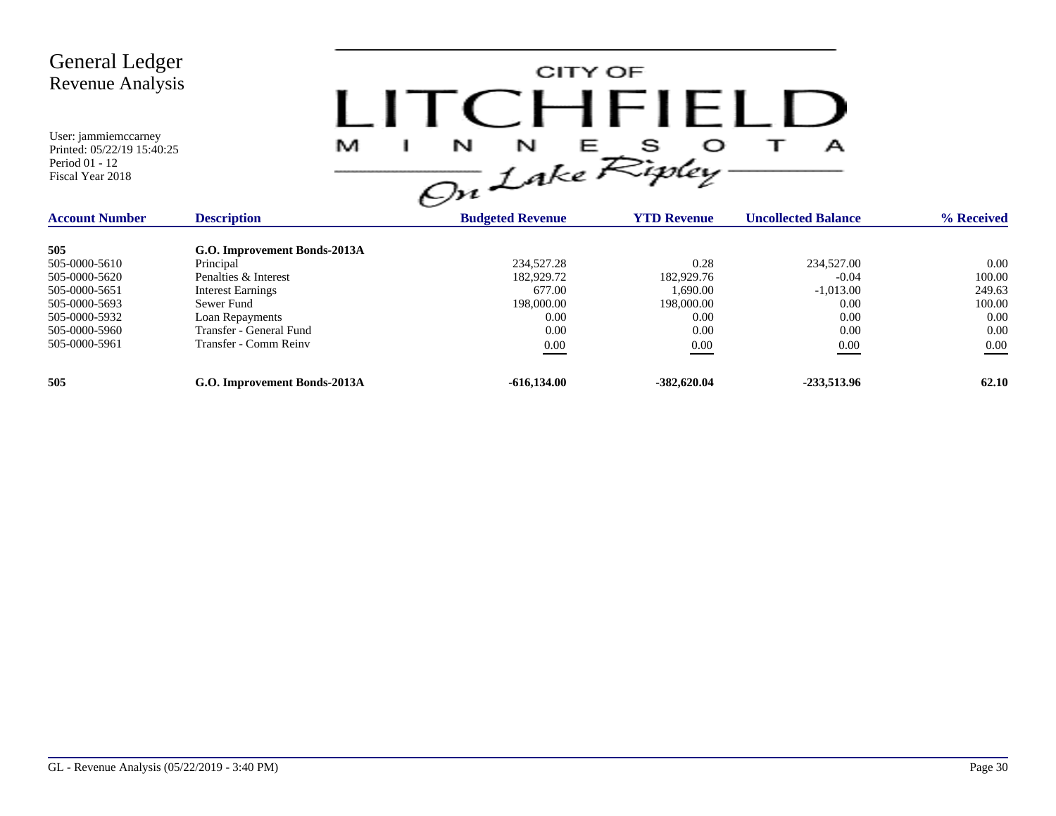

| <b>Account Number</b> | <b>Description</b>           | <b>Budgeted Revenue</b> | <b>YTD Revenue</b> | <b>Uncollected Balance</b> | % Received |
|-----------------------|------------------------------|-------------------------|--------------------|----------------------------|------------|
| 505                   | G.O. Improvement Bonds-2013A |                         |                    |                            |            |
| 505-0000-5610         | Principal                    | 234,527.28              | 0.28               | 234,527.00                 | 0.00       |
| 505-0000-5620         | Penalties & Interest         | 182,929.72              | 182,929.76         | $-0.04$                    | 100.00     |
| 505-0000-5651         | <b>Interest Earnings</b>     | 677.00                  | 1.690.00           | $-1,013.00$                | 249.63     |
| 505-0000-5693         | Sewer Fund                   | 198,000.00              | 198,000.00         | 0.00                       | 100.00     |
| 505-0000-5932         | Loan Repayments              | 0.00                    | 0.00               | 0.00                       | 0.00       |
| 505-0000-5960         | Transfer - General Fund      | 0.00                    | 0.00               | 0.00                       | 0.00       |
| 505-0000-5961         | Transfer - Comm Reinv        | 0.00                    | 0.00               | 0.00                       | $0.00\,$   |
| 505                   | G.O. Improvement Bonds-2013A | $-616,134.00$           | $-382,620.04$      | -233,513.96                | 62.10      |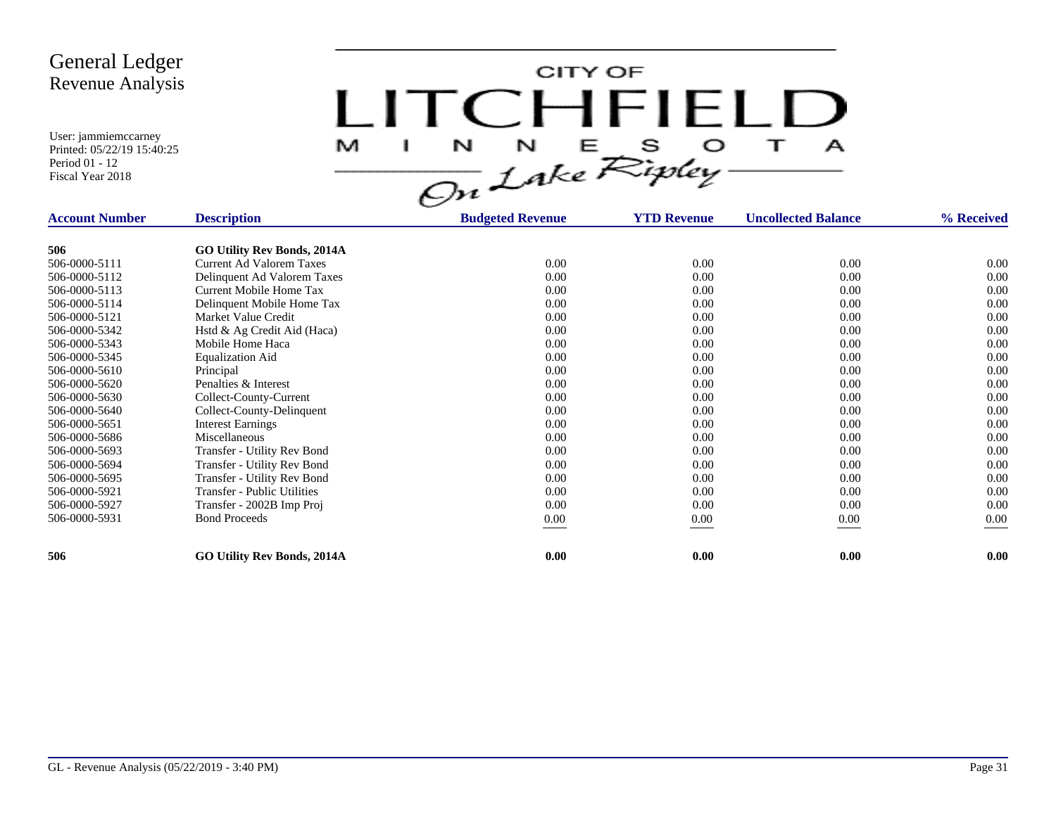CITY OF LITCHFIELD  $N$   $N$   $E$   $S$   $O$ <br>On Lake Ripley  $\mathbf{T}$ M J.  $\mathbf{A}$ 

| <b>Account Number</b> | <b>Description</b>                 | <b>Budgeted Revenue</b> | <b>YTD Revenue</b> | <b>Uncollected Balance</b> | % Received |
|-----------------------|------------------------------------|-------------------------|--------------------|----------------------------|------------|
|                       |                                    |                         |                    |                            |            |
| 506                   | <b>GO Utility Rev Bonds, 2014A</b> |                         |                    |                            |            |
| 506-0000-5111         | <b>Current Ad Valorem Taxes</b>    | 0.00                    | 0.00               | 0.00                       | 0.00       |
| 506-0000-5112         | Delinquent Ad Valorem Taxes        | 0.00                    | 0.00               | 0.00                       | 0.00       |
| 506-0000-5113         | Current Mobile Home Tax            | 0.00                    | 0.00               | 0.00                       | 0.00       |
| 506-0000-5114         | Delinquent Mobile Home Tax         | 0.00                    | 0.00               | 0.00                       | 0.00       |
| 506-0000-5121         | Market Value Credit                | 0.00                    | 0.00               | 0.00                       | 0.00       |
| 506-0000-5342         | Hstd & Ag Credit Aid (Haca)        | 0.00                    | 0.00               | 0.00                       | 0.00       |
| 506-0000-5343         | Mobile Home Haca                   | 0.00                    | 0.00               | 0.00                       | 0.00       |
| 506-0000-5345         | <b>Equalization Aid</b>            | 0.00                    | 0.00               | 0.00                       | 0.00       |
| 506-0000-5610         | Principal                          | 0.00                    | 0.00               | 0.00                       | 0.00       |
| 506-0000-5620         | Penalties & Interest               | 0.00                    | 0.00               | 0.00                       | 0.00       |
| 506-0000-5630         | Collect-County-Current             | 0.00                    | 0.00               | 0.00                       | 0.00       |
| 506-0000-5640         | Collect-County-Delinquent          | 0.00                    | 0.00               | 0.00                       | 0.00       |
| 506-0000-5651         | <b>Interest Earnings</b>           | 0.00                    | 0.00               | 0.00                       | 0.00       |
| 506-0000-5686         | Miscellaneous                      | 0.00                    | 0.00               | 0.00                       | 0.00       |
| 506-0000-5693         | Transfer - Utility Rev Bond        | 0.00                    | 0.00               | 0.00                       | 0.00       |
| 506-0000-5694         | Transfer - Utility Rev Bond        | 0.00                    | 0.00               | 0.00                       | 0.00       |
| 506-0000-5695         | Transfer - Utility Rev Bond        | 0.00                    | 0.00               | 0.00                       | 0.00       |
| 506-0000-5921         | <b>Transfer - Public Utilities</b> | 0.00                    | 0.00               | 0.00                       | 0.00       |
| 506-0000-5927         | Transfer - 2002B Imp Proj          | 0.00                    | 0.00               | 0.00                       | 0.00       |
| 506-0000-5931         | <b>Bond Proceeds</b>               | $0.00\,$                | 0.00               | $0.00\,$                   | $0.00\,$   |
|                       |                                    |                         |                    |                            |            |
| 506                   | <b>GO Utility Rev Bonds, 2014A</b> | 0.00                    | 0.00               | 0.00                       | 0.00       |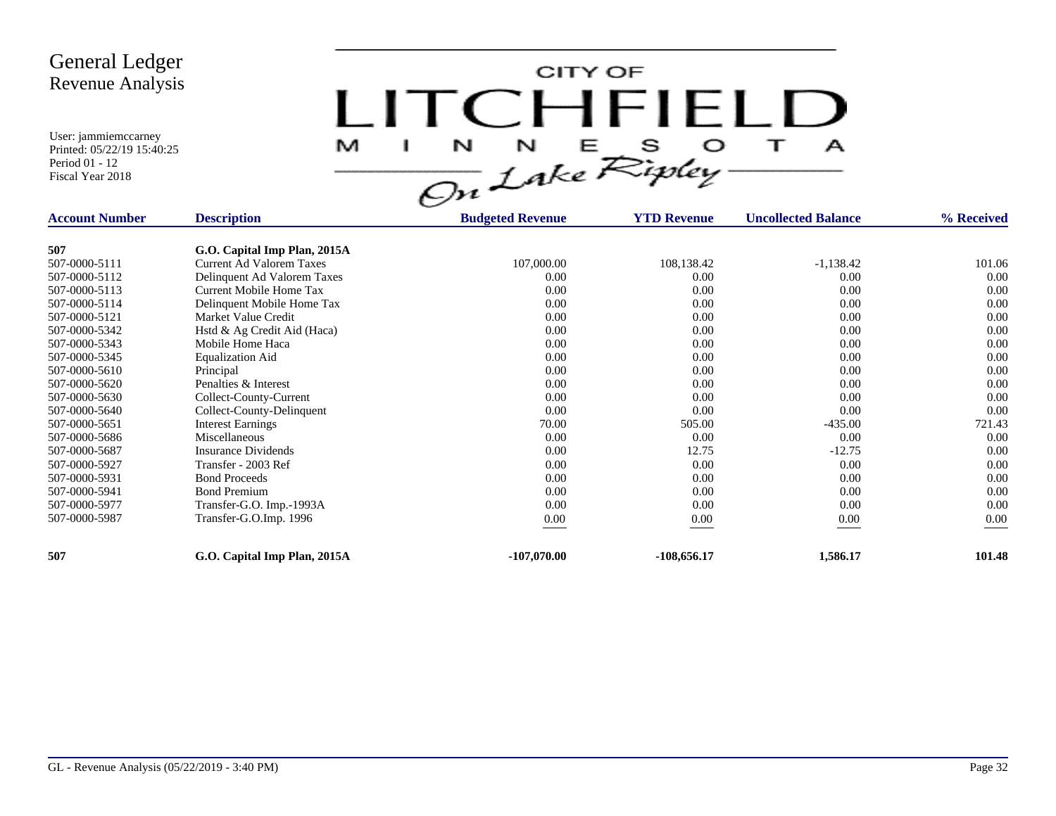CITY OF LITCHFIELD  $\overline{1}$ M  $\mathbf{I}$  $\mathbf{A}$ 

| <b>Account Number</b> | <b>Description</b>           | <b>Budgeted Revenue</b> | <b>YTD Revenue</b> | <b>Uncollected Balance</b> | % Received |
|-----------------------|------------------------------|-------------------------|--------------------|----------------------------|------------|
|                       |                              |                         |                    |                            |            |
| 507                   | G.O. Capital Imp Plan, 2015A |                         |                    |                            |            |
| 507-0000-5111         | Current Ad Valorem Taxes     | 107,000.00              | 108,138.42         | $-1,138.42$                | 101.06     |
| 507-0000-5112         | Delinquent Ad Valorem Taxes  | 0.00                    | 0.00               | 0.00                       | 0.00       |
| 507-0000-5113         | Current Mobile Home Tax      | 0.00                    | 0.00               | 0.00                       | 0.00       |
| 507-0000-5114         | Delinquent Mobile Home Tax   | 0.00                    | 0.00               | 0.00                       | 0.00       |
| 507-0000-5121         | Market Value Credit          | 0.00                    | 0.00               | 0.00                       | 0.00       |
| 507-0000-5342         | Hstd & Ag Credit Aid (Haca)  | 0.00                    | 0.00               | 0.00                       | 0.00       |
| 507-0000-5343         | Mobile Home Haca             | 0.00                    | 0.00               | 0.00                       | 0.00       |
| 507-0000-5345         | <b>Equalization Aid</b>      | 0.00                    | 0.00               | 0.00                       | 0.00       |
| 507-0000-5610         | Principal                    | 0.00                    | 0.00               | 0.00                       | 0.00       |
| 507-0000-5620         | Penalties & Interest         | 0.00                    | 0.00               | 0.00                       | 0.00       |
| 507-0000-5630         | Collect-County-Current       | 0.00                    | 0.00               | 0.00                       | 0.00       |
| 507-0000-5640         | Collect-County-Delinquent    | 0.00                    | 0.00               | 0.00                       | 0.00       |
| 507-0000-5651         | <b>Interest Earnings</b>     | 70.00                   | 505.00             | $-435.00$                  | 721.43     |
| 507-0000-5686         | Miscellaneous                | 0.00                    | 0.00               | 0.00                       | 0.00       |
| 507-0000-5687         | <b>Insurance Dividends</b>   | 0.00                    | 12.75              | $-12.75$                   | 0.00       |
| 507-0000-5927         | Transfer - 2003 Ref          | 0.00                    | 0.00               | 0.00                       | 0.00       |
| 507-0000-5931         | <b>Bond Proceeds</b>         | 0.00                    | 0.00               | 0.00                       | 0.00       |
| 507-0000-5941         | <b>Bond Premium</b>          | 0.00                    | 0.00               | 0.00                       | 0.00       |
| 507-0000-5977         | Transfer-G.O. Imp.-1993A     | 0.00                    | 0.00               | 0.00                       | 0.00       |
| 507-0000-5987         | Transfer-G.O.Imp. 1996       | 0.00                    | 0.00               | 0.00                       | 0.00       |
|                       |                              |                         |                    |                            |            |
| 507                   | G.O. Capital Imp Plan, 2015A | $-107,070.00$           | $-108,656.17$      | 1,586.17                   | 101.48     |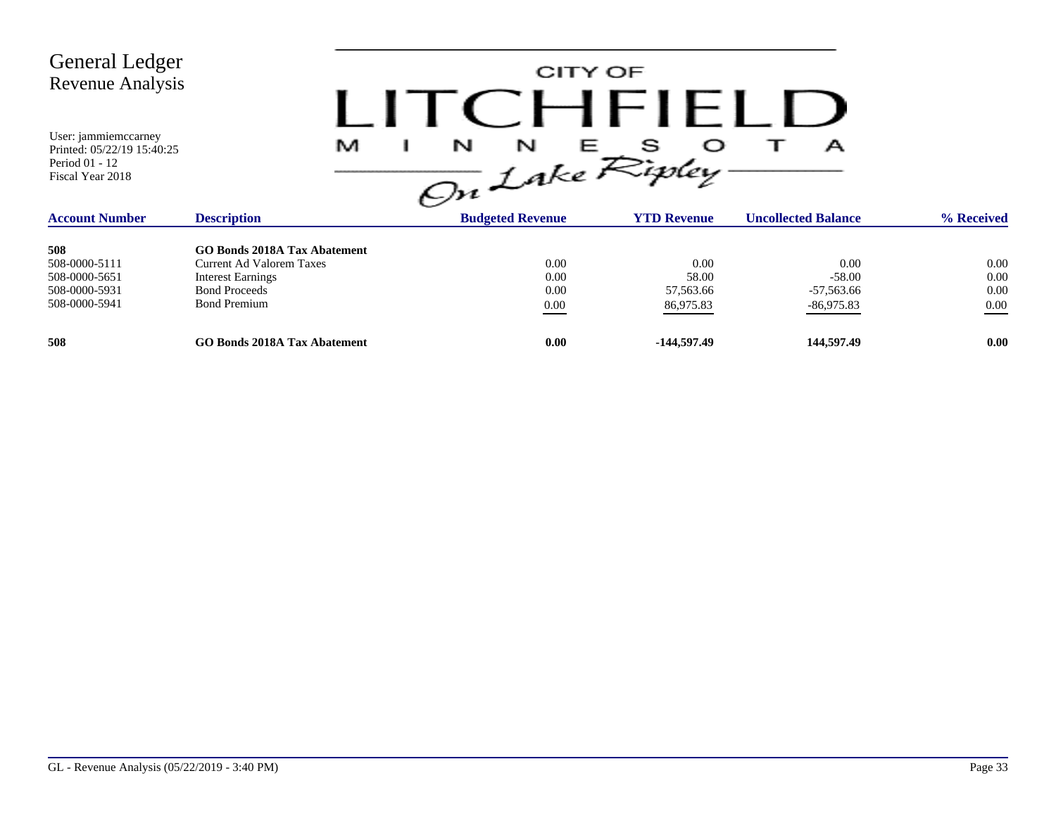| <b>General Ledger</b><br><b>Revenue Analysis</b><br>User: jammiemccarney<br>Printed: 05/22/19 15:40:25<br>Period 01 - 12 |                              | M | CITY OF<br>( :HFIFI I )<br>N<br>N |                    | А                          |            |
|--------------------------------------------------------------------------------------------------------------------------|------------------------------|---|-----------------------------------|--------------------|----------------------------|------------|
| Fiscal Year 2018                                                                                                         |                              |   | On Lake Ripley-                   |                    |                            |            |
| <b>Account Number</b>                                                                                                    | <b>Description</b>           |   | <b>Budgeted Revenue</b>           | <b>YTD Revenue</b> | <b>Uncollected Balance</b> | % Received |
| 508                                                                                                                      | CO Bonds 2018A Tay Abatement |   |                                   |                    |                            |            |

| 508           | <b>GO Bonds 2018A Tax Abatement</b> |      |             |              |          |
|---------------|-------------------------------------|------|-------------|--------------|----------|
| 508-0000-5111 | Current Ad Valorem Taxes            | 0.00 | 0.00        | 0.00         | 0.00     |
| 508-0000-5651 | <b>Interest Earnings</b>            | 0.00 | 58.00       | $-58.00$     | 0.00     |
| 508-0000-5931 | <b>Bond Proceeds</b>                | 0.00 | 57,563.66   | -57,563.66   | 0.00     |
| 508-0000-5941 | <b>Bond Premium</b>                 | 0.00 | 86,975.83   | $-86,975.83$ | $0.00\,$ |
|               |                                     |      |             |              |          |
| 508           | <b>GO Bonds 2018A Tax Abatement</b> | 0.00 | -144.597.49 | 144,597.49   | 0.00     |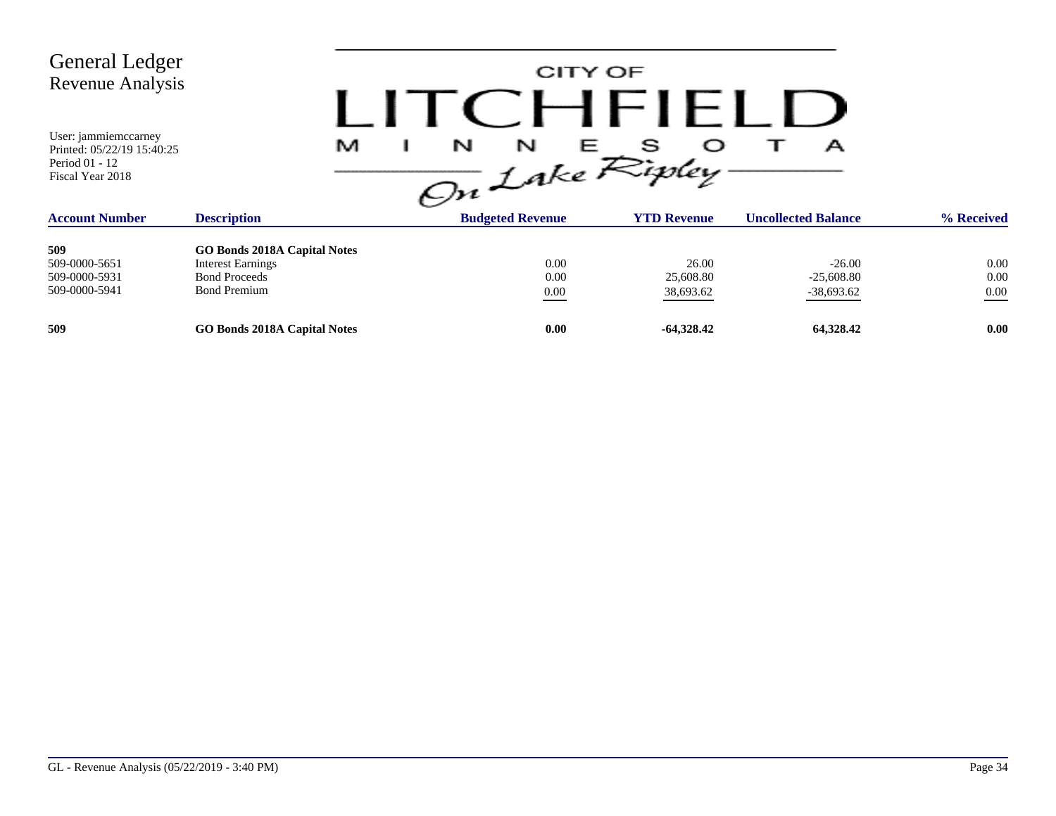| <b>General Ledger</b><br>Revenue Analysis<br>User: jammiemccarney                         |                                     | CITY OF<br>LITCHFIELD                                                               |                    |                                 |            |
|-------------------------------------------------------------------------------------------|-------------------------------------|-------------------------------------------------------------------------------------|--------------------|---------------------------------|------------|
| Printed: 05/22/19 15:40:25<br>Period 01 - 12<br>Fiscal Year 2018<br><b>Account Number</b> | M<br><b>Description</b>             | $\frac{1}{\sqrt{2n}}\int_{0}^{N}dke \mathcal{R}_{i}^{s}$<br><b>Budgeted Revenue</b> | <b>YTD Revenue</b> | Α<br><b>Uncollected Balance</b> | % Received |
|                                                                                           |                                     |                                                                                     |                    |                                 |            |
| 509                                                                                       | <b>GO Bonds 2018A Capital Notes</b> |                                                                                     |                    |                                 |            |
| 509-0000-5651                                                                             | <b>Interest Earnings</b>            | 0.00                                                                                | 26.00              | $-26.00$                        | 0.00       |
| 509-0000-5931                                                                             | <b>Bond Proceeds</b>                | 0.00                                                                                | 25,608.80          | $-25,608.80$                    | 0.00       |
| 509-0000-5941                                                                             | <b>Bond Premium</b>                 | $0.00\,$                                                                            | 38,693.62          | $-38,693.62$                    | $0.00\,$   |
| 509                                                                                       | <b>GO Bonds 2018A Capital Notes</b> | 0.00                                                                                | $-64,328.42$       | 64,328.42                       | 0.00       |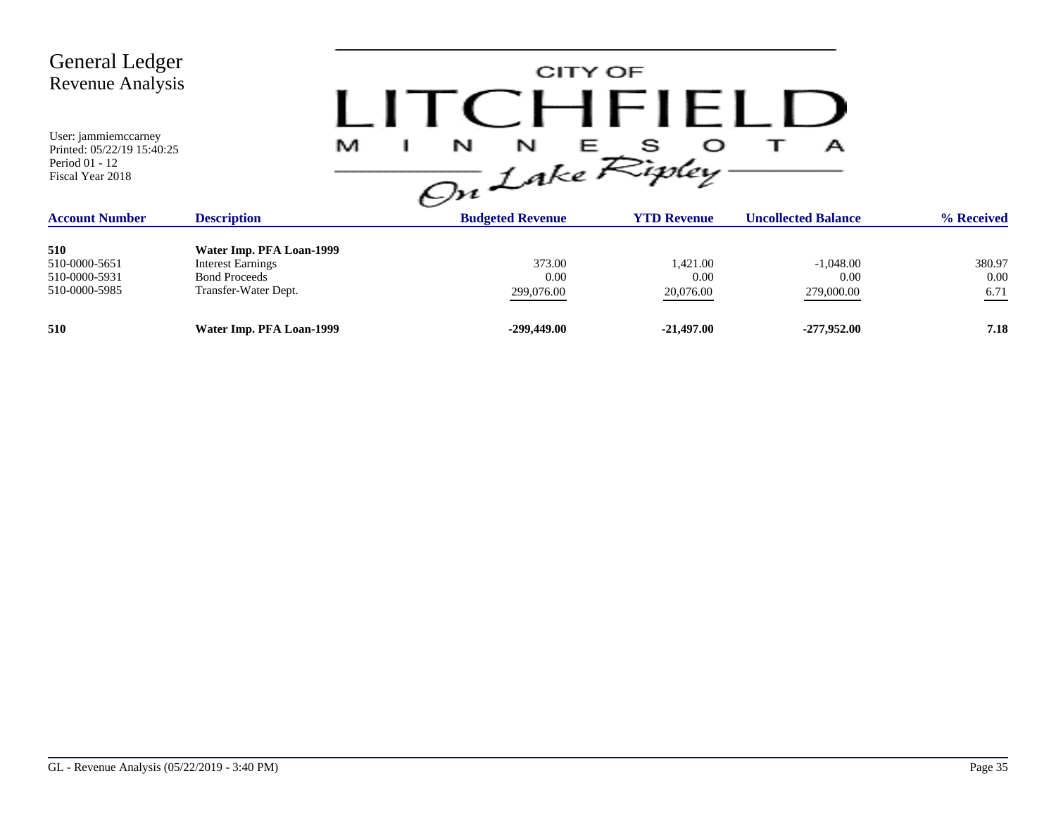| <b>General Ledger</b><br><b>Revenue Analysis</b><br>User: jammiemccarney<br>Printed: 05/22/19 15:40:25<br>Period 01 - 12 | M                        | CITY OF<br>$H$ $H$ $H$ $H$ $H$ $H$<br>N<br>N<br>Е<br>А<br>On Lake Ripley. |                    |                            |            |  |  |  |
|--------------------------------------------------------------------------------------------------------------------------|--------------------------|---------------------------------------------------------------------------|--------------------|----------------------------|------------|--|--|--|
| Fiscal Year 2018                                                                                                         |                          |                                                                           |                    |                            |            |  |  |  |
| <b>Account Number</b>                                                                                                    | <b>Description</b>       | <b>Budgeted Revenue</b>                                                   | <b>YTD Revenue</b> | <b>Uncollected Balance</b> | % Received |  |  |  |
| 510                                                                                                                      | Water Imp. PFA Loan-1999 |                                                                           |                    |                            |            |  |  |  |
| 510-0000-5651                                                                                                            | <b>Interest Earnings</b> | 373.00                                                                    | 1,421.00           | $-1,048.00$                | 380.97     |  |  |  |
| 510-0000-5931                                                                                                            | <b>Bond Proceeds</b>     | 0.00                                                                      | 0.00               | 0.00                       | $0.00\,$   |  |  |  |
| 510-0000-5985                                                                                                            | Transfer-Water Dept.     | 299,076.00                                                                | 20,076.00          | 279,000.00                 | 6.71       |  |  |  |
| 510                                                                                                                      | Water Imp. PFA Loan-1999 | $-299,449.00$                                                             | $-21,497.00$       | $-277,952,00$              | 7.18       |  |  |  |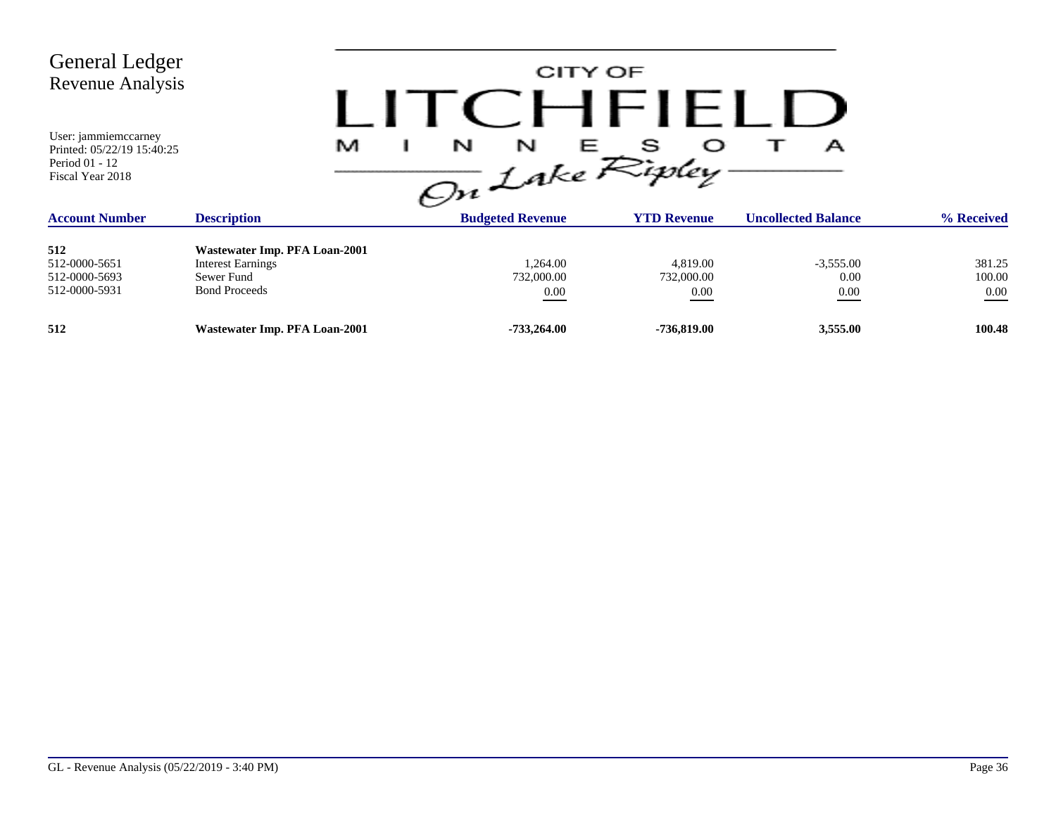| <b>General Ledger</b><br>Revenue Analysis<br>User: jammiemccarney<br>Printed: 05/22/19 15:40:25<br>Period 01 - 12<br>Fiscal Year 2018 | M                                                                                               | CITY OF<br>CHFIFLU<br>$\frac{1}{\sqrt{2n}}\int_{akc}^{\infty} E_{i\%}^{S}$ |                                | А                           |                              |
|---------------------------------------------------------------------------------------------------------------------------------------|-------------------------------------------------------------------------------------------------|----------------------------------------------------------------------------|--------------------------------|-----------------------------|------------------------------|
| <b>Account Number</b>                                                                                                                 | <b>Description</b>                                                                              | <b>Budgeted Revenue</b>                                                    | <b>YTD Revenue</b>             | <b>Uncollected Balance</b>  | % Received                   |
| 512<br>512-0000-5651<br>512-0000-5693<br>512-0000-5931                                                                                | Wastewater Imp. PFA Loan-2001<br><b>Interest Earnings</b><br>Sewer Fund<br><b>Bond Proceeds</b> | 1,264.00<br>732,000.00<br>0.00                                             | 4,819.00<br>732,000.00<br>0.00 | $-3,555.00$<br>0.00<br>0.00 | 381.25<br>100.00<br>$0.00\,$ |
| 512                                                                                                                                   | Wastewater Imp. PFA Loan-2001                                                                   | $-733,264.00$                                                              | -736,819.00                    | 3,555.00                    | 100.48                       |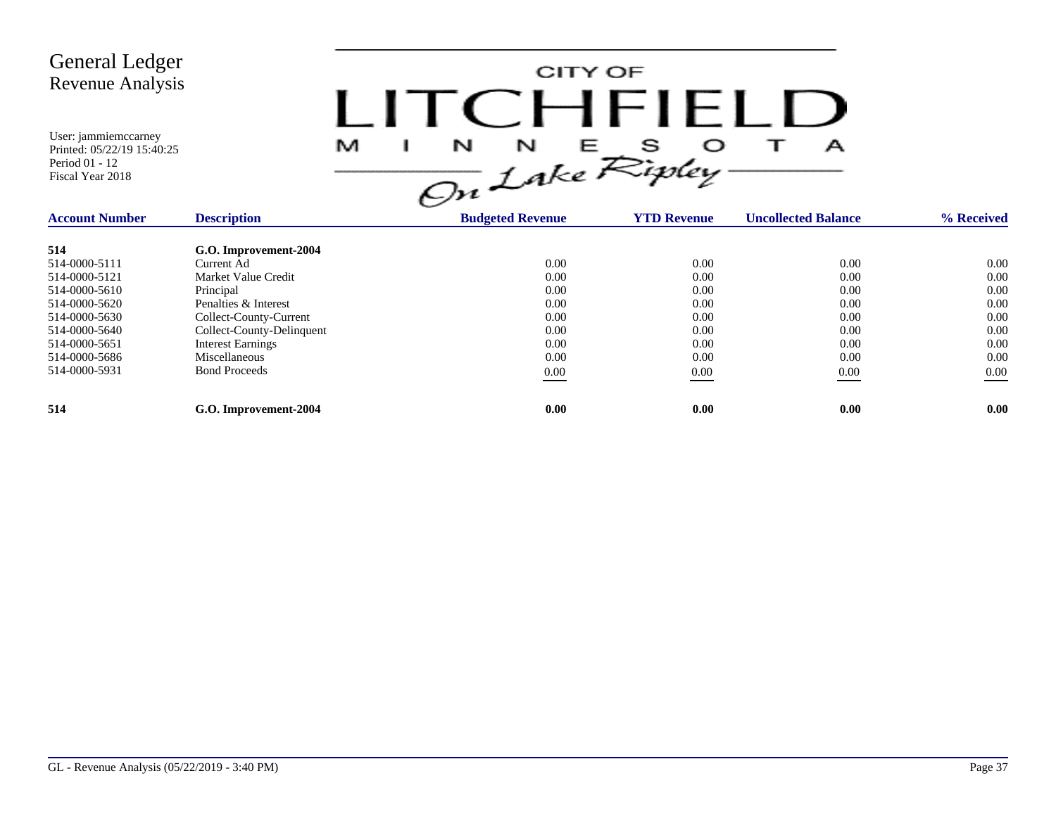

| <b>Account Number</b> | <b>Description</b>        | <b>Budgeted Revenue</b> | <b>YTD Revenue</b> | <b>Uncollected Balance</b> | % Received |
|-----------------------|---------------------------|-------------------------|--------------------|----------------------------|------------|
| 514                   | G.O. Improvement-2004     |                         |                    |                            |            |
| 514-0000-5111         | Current Ad                | 0.00                    | 0.00               | 0.00                       | 0.00       |
| 514-0000-5121         | Market Value Credit       | 0.00                    | 0.00               | 0.00                       | 0.00       |
| 514-0000-5610         | Principal                 | 0.00                    | 0.00               | 0.00                       | 0.00       |
| 514-0000-5620         | Penalties & Interest      | 0.00                    | 0.00               | 0.00                       | 0.00       |
| 514-0000-5630         | Collect-County-Current    | 0.00                    | 0.00               | 0.00                       | 0.00       |
| 514-0000-5640         | Collect-County-Delinquent | 0.00                    | 0.00               | 0.00                       | 0.00       |
| 514-0000-5651         | <b>Interest Earnings</b>  | 0.00                    | 0.00               | 0.00                       | 0.00       |
| 514-0000-5686         | Miscellaneous             | 0.00                    | 0.00               | 0.00                       | 0.00       |
| 514-0000-5931         | <b>Bond Proceeds</b>      | $0.00\,$                | 0.00               | 0.00                       | $0.00\,$   |
| 514                   | G.O. Improvement-2004     | 0.00                    | 0.00               | 0.00                       | 0.00       |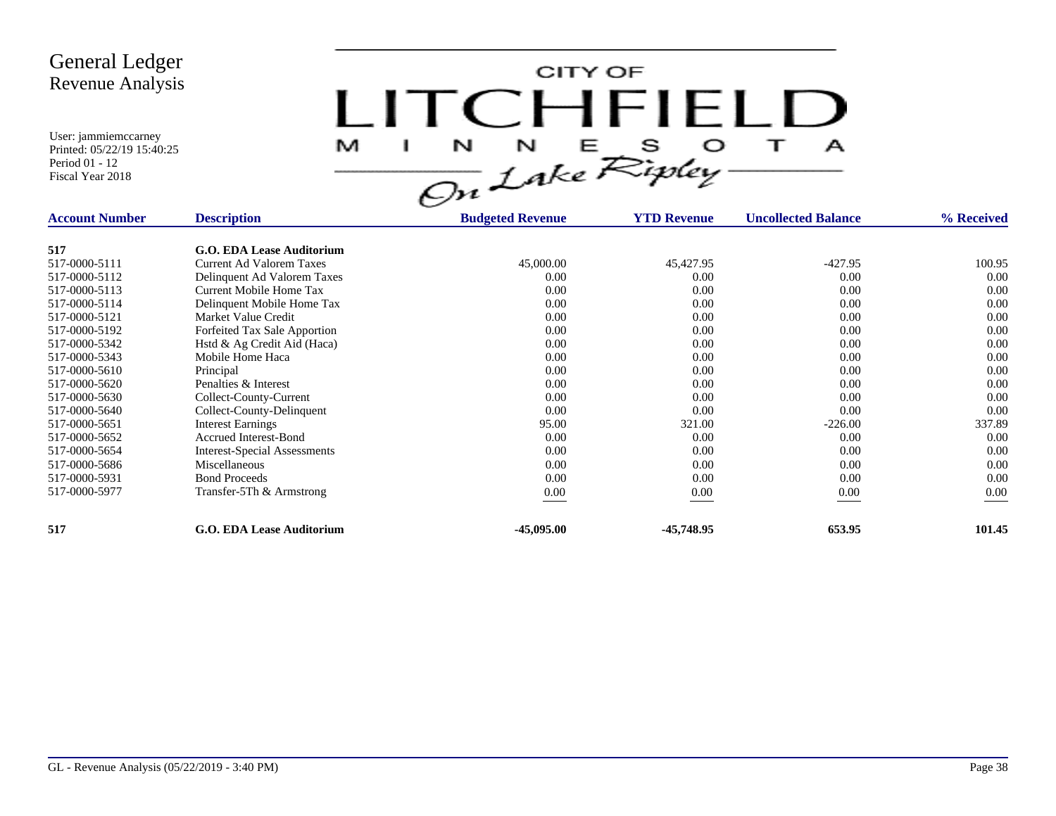CITY OF LITCHFIELD  $\overline{\mathbf{1}}$ M  $\mathbf{I}$  $\mathbf{A}$ 

| <b>Account Number</b> | <b>Description</b>               | <b>Budgeted Revenue</b> | <b>YTD Revenue</b> | <b>Uncollected Balance</b> | % Received |
|-----------------------|----------------------------------|-------------------------|--------------------|----------------------------|------------|
| 517                   | <b>G.O. EDA Lease Auditorium</b> |                         |                    |                            |            |
| 517-0000-5111         | <b>Current Ad Valorem Taxes</b>  | 45,000.00               | 45,427.95          | $-427.95$                  | 100.95     |
| 517-0000-5112         | Delinquent Ad Valorem Taxes      | 0.00                    | 0.00               | 0.00                       | 0.00       |
| 517-0000-5113         | Current Mobile Home Tax          | 0.00                    | 0.00               | 0.00                       | 0.00       |
| 517-0000-5114         | Delinquent Mobile Home Tax       | 0.00                    | 0.00               | 0.00                       | 0.00       |
| 517-0000-5121         | Market Value Credit              | 0.00                    | 0.00               | 0.00                       | 0.00       |
| 517-0000-5192         | Forfeited Tax Sale Apportion     | 0.00                    | 0.00               | 0.00                       | 0.00       |
| 517-0000-5342         | Hstd & Ag Credit Aid (Haca)      | 0.00                    | 0.00               | 0.00                       | 0.00       |
| 517-0000-5343         | Mobile Home Haca                 | 0.00                    | 0.00               | 0.00                       | 0.00       |
| 517-0000-5610         | Principal                        | 0.00                    | 0.00               | 0.00                       | 0.00       |
| 517-0000-5620         | Penalties & Interest             | 0.00                    | 0.00               | 0.00                       | 0.00       |
| 517-0000-5630         | Collect-County-Current           | 0.00                    | 0.00               | 0.00                       | 0.00       |
| 517-0000-5640         | Collect-County-Delinquent        | 0.00                    | 0.00               | 0.00                       | 0.00       |
| 517-0000-5651         | <b>Interest Earnings</b>         | 95.00                   | 321.00             | $-226.00$                  | 337.89     |
| 517-0000-5652         | <b>Accrued Interest-Bond</b>     | 0.00                    | 0.00               | 0.00                       | 0.00       |
| 517-0000-5654         | Interest-Special Assessments     | 0.00                    | 0.00               | 0.00                       | 0.00       |
| 517-0000-5686         | Miscellaneous                    | 0.00                    | 0.00               | 0.00                       | 0.00       |
| 517-0000-5931         | <b>Bond Proceeds</b>             | 0.00                    | 0.00               | 0.00                       | 0.00       |
| 517-0000-5977         | Transfer-5Th & Armstrong         | 0.00                    | 0.00               | 0.00                       | 0.00       |
| 517                   | <b>G.O. EDA Lease Auditorium</b> | $-45,095.00$            | -45,748.95         | 653.95                     | 101.45     |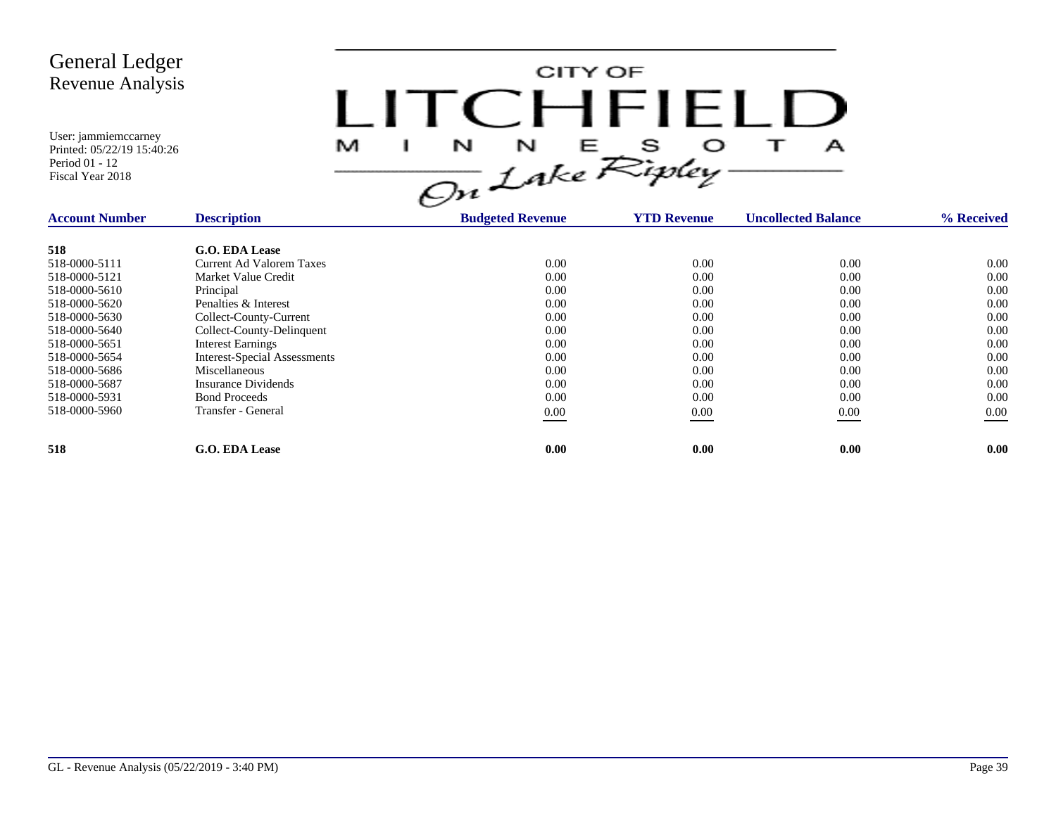CITY OF LITCHFIELD  $M$  I N N E S O T A<br>On Lake Ripley

| <b>Account Number</b> | <b>Description</b>                  | <b>Budgeted Revenue</b> | <b>YTD Revenue</b> | <b>Uncollected Balance</b> | % Received |
|-----------------------|-------------------------------------|-------------------------|--------------------|----------------------------|------------|
| 518                   | G.O. EDA Lease                      |                         |                    |                            |            |
| 518-0000-5111         | Current Ad Valorem Taxes            | 0.00                    | 0.00               | 0.00                       | 0.00       |
| 518-0000-5121         | Market Value Credit                 | 0.00                    | 0.00               | 0.00                       | 0.00       |
| 518-0000-5610         | Principal                           | 0.00                    | 0.00               | 0.00                       | 0.00       |
| 518-0000-5620         | Penalties & Interest                | 0.00                    | 0.00               | 0.00                       | 0.00       |
| 518-0000-5630         | Collect-County-Current              | 0.00                    | 0.00               | 0.00                       | 0.00       |
| 518-0000-5640         | Collect-County-Delinquent           | 0.00                    | 0.00               | 0.00                       | 0.00       |
| 518-0000-5651         | <b>Interest Earnings</b>            | 0.00                    | 0.00               | 0.00                       | 0.00       |
| 518-0000-5654         | <b>Interest-Special Assessments</b> | 0.00                    | 0.00               | 0.00                       | 0.00       |
| 518-0000-5686         | Miscellaneous                       | 0.00                    | 0.00               | 0.00                       | 0.00       |
| 518-0000-5687         | Insurance Dividends                 | 0.00                    | 0.00               | 0.00                       | 0.00       |
| 518-0000-5931         | <b>Bond Proceeds</b>                | 0.00                    | 0.00               | 0.00                       | 0.00       |
| 518-0000-5960         | Transfer - General                  | 0.00                    | 0.00               | 0.00                       | $0.00\,$   |
| 518                   | G.O. EDA Lease                      | 0.00                    | 0.00               | 0.00                       | 0.00       |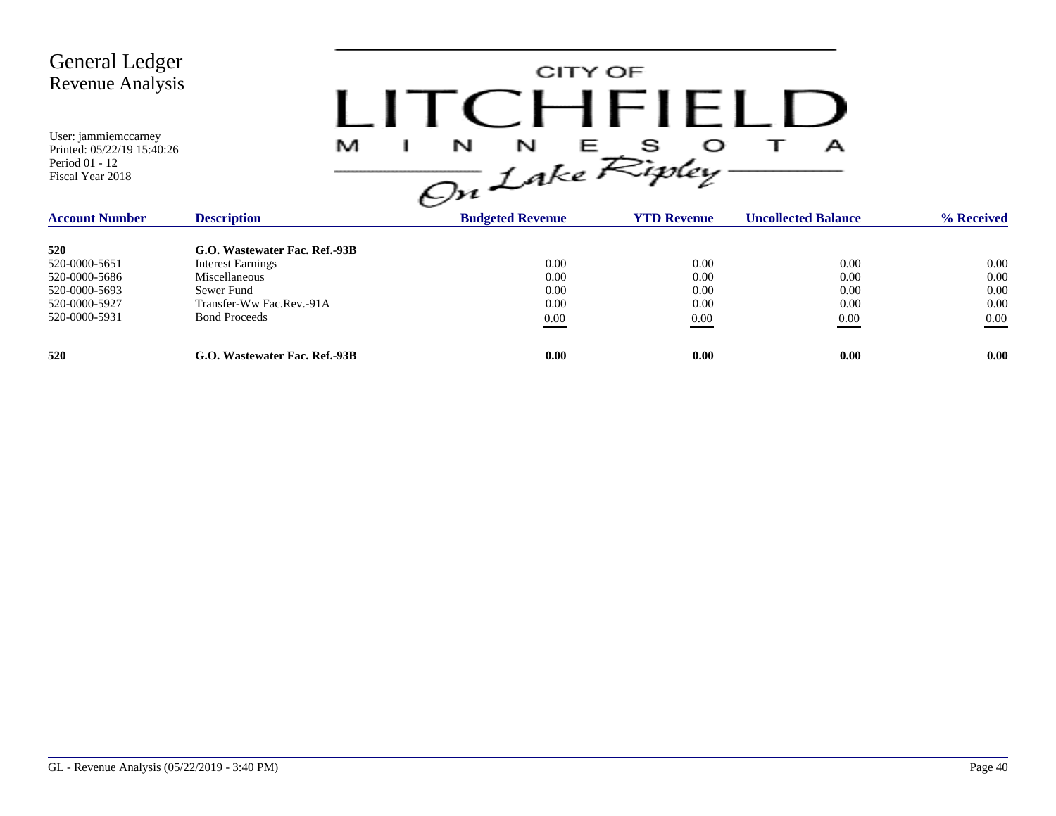

| <b>Account Number</b> | <b>Description</b>            | <b>Budgeted Revenue</b> | <b>YTD Revenue</b> | <b>Uncollected Balance</b> | % Received |
|-----------------------|-------------------------------|-------------------------|--------------------|----------------------------|------------|
| 520                   | G.O. Wastewater Fac. Ref.-93B |                         |                    |                            |            |
| 520-0000-5651         | <b>Interest Earnings</b>      | 0.00                    | 0.00               | 0.00                       | 0.00       |
| 520-0000-5686         | Miscellaneous                 | 0.00                    | 0.00               | 0.00                       | 0.00       |
| 520-0000-5693         | Sewer Fund                    | 0.00                    | 0.00               | 0.00                       | 0.00       |
| 520-0000-5927         | Transfer-Ww Fac.Rev.-91A      | 0.00                    | 0.00               | 0.00                       | 0.00       |
| 520-0000-5931         | <b>Bond Proceeds</b>          | 0.00                    | 0.00               | 0.00                       | 0.00       |
| 520                   | G.O. Wastewater Fac. Ref.-93B | 0.00                    | 0.00               | 0.00                       | 0.00       |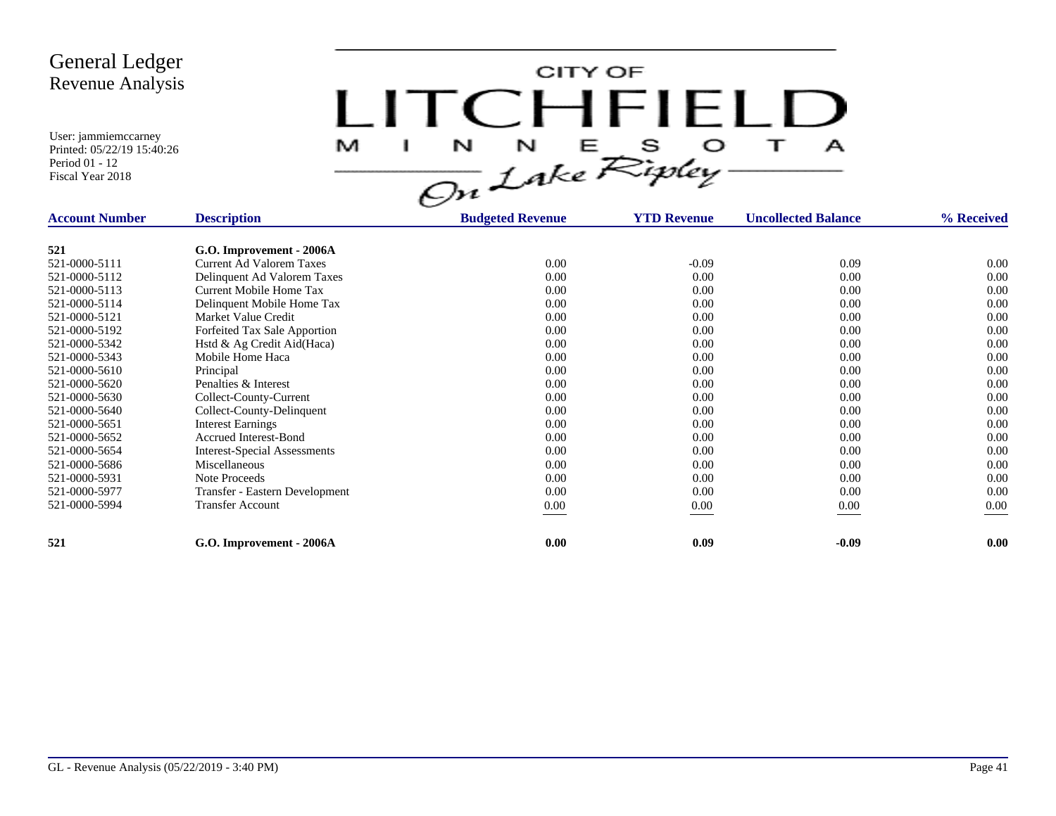CITY OF LITCHFIELD M  $\mathbf{I}$  $\mathbf{A}$ 

| <b>Account Number</b> | <b>Description</b>                  | <b>Budgeted Revenue</b> | <b>YTD Revenue</b> | <b>Uncollected Balance</b> | % Received |
|-----------------------|-------------------------------------|-------------------------|--------------------|----------------------------|------------|
| 521                   | G.O. Improvement - 2006A            |                         |                    |                            |            |
| 521-0000-5111         | <b>Current Ad Valorem Taxes</b>     | 0.00                    | $-0.09$            | 0.09                       | 0.00       |
| 521-0000-5112         | Delinquent Ad Valorem Taxes         | 0.00                    | 0.00               | 0.00                       | 0.00       |
|                       | Current Mobile Home Tax             | 0.00                    | 0.00               |                            | 0.00       |
| 521-0000-5113         |                                     |                         |                    | 0.00                       |            |
| 521-0000-5114         | Delinquent Mobile Home Tax          | 0.00                    | 0.00               | 0.00                       | 0.00       |
| 521-0000-5121         | Market Value Credit                 | 0.00                    | 0.00               | 0.00                       | 0.00       |
| 521-0000-5192         | Forfeited Tax Sale Apportion        | 0.00                    | 0.00               | 0.00                       | 0.00       |
| 521-0000-5342         | Hstd & Ag Credit Aid(Haca)          | 0.00                    | 0.00               | 0.00                       | 0.00       |
| 521-0000-5343         | Mobile Home Haca                    | 0.00                    | 0.00               | 0.00                       | 0.00       |
| 521-0000-5610         | Principal                           | 0.00                    | 0.00               | 0.00                       | 0.00       |
| 521-0000-5620         | Penalties & Interest                | 0.00                    | 0.00               | 0.00                       | 0.00       |
| 521-0000-5630         | Collect-County-Current              | 0.00                    | 0.00               | 0.00                       | 0.00       |
| 521-0000-5640         | Collect-County-Delinquent           | 0.00                    | 0.00               | 0.00                       | 0.00       |
| 521-0000-5651         | <b>Interest Earnings</b>            | 0.00                    | 0.00               | 0.00                       | 0.00       |
| 521-0000-5652         | Accrued Interest-Bond               | 0.00                    | 0.00               | 0.00                       | 0.00       |
| 521-0000-5654         | <b>Interest-Special Assessments</b> | 0.00                    | 0.00               | 0.00                       | 0.00       |
| 521-0000-5686         | Miscellaneous                       | 0.00                    | 0.00               | 0.00                       | 0.00       |
| 521-0000-5931         | Note Proceeds                       | 0.00                    | 0.00               | 0.00                       | 0.00       |
| 521-0000-5977         | Transfer - Eastern Development      | 0.00                    | 0.00               | 0.00                       | 0.00       |
| 521-0000-5994         | <b>Transfer Account</b>             | $0.00\,$                | $0.00\,$           | 0.00                       | $0.00\,$   |
| 521                   | G.O. Improvement - 2006A            | 0.00                    | 0.09               | $-0.09$                    | 0.00       |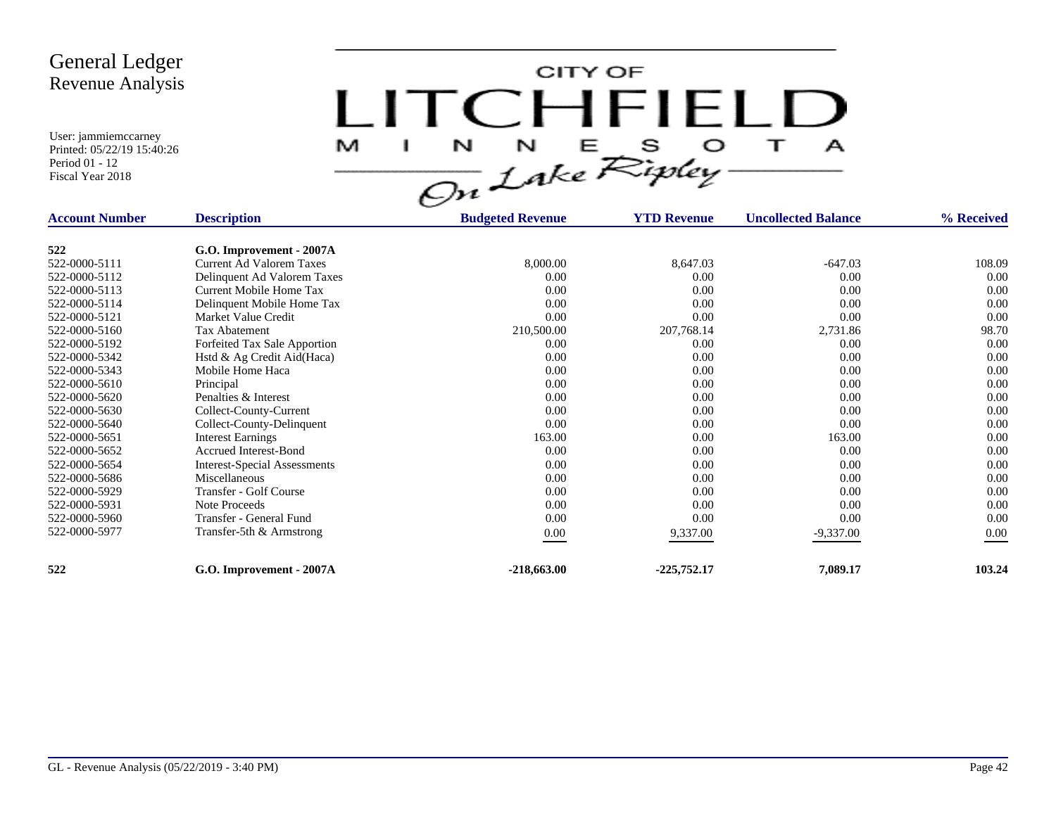CITY OF LITCHFIELD  $M$  I N N E S O T A<br>On Lake Ripley

| <b>Account Number</b> | <b>Description</b>                  | <b>Budgeted Revenue</b> | <b>YTD Revenue</b> | <b>Uncollected Balance</b> | % Received |
|-----------------------|-------------------------------------|-------------------------|--------------------|----------------------------|------------|
| 522                   | G.O. Improvement - 2007A            |                         |                    |                            |            |
| 522-0000-5111         | Current Ad Valorem Taxes            | 8,000.00                | 8,647.03           | $-647.03$                  | 108.09     |
| 522-0000-5112         | Delinquent Ad Valorem Taxes         | 0.00                    | 0.00               | 0.00                       | 0.00       |
| 522-0000-5113         | Current Mobile Home Tax             | 0.00                    | 0.00               | 0.00                       | 0.00       |
|                       |                                     |                         |                    |                            | 0.00       |
| 522-0000-5114         | Delinquent Mobile Home Tax          | 0.00                    | 0.00               | 0.00                       |            |
| 522-0000-5121         | Market Value Credit                 | 0.00                    | 0.00               | 0.00                       | 0.00       |
| 522-0000-5160         | Tax Abatement                       | 210,500.00              | 207,768.14         | 2,731.86                   | 98.70      |
| 522-0000-5192         | Forfeited Tax Sale Apportion        | 0.00                    | 0.00               | 0.00                       | 0.00       |
| 522-0000-5342         | Hstd & Ag Credit Aid(Haca)          | 0.00                    | 0.00               | 0.00                       | 0.00       |
| 522-0000-5343         | Mobile Home Haca                    | 0.00                    | 0.00               | 0.00                       | 0.00       |
| 522-0000-5610         | Principal                           | 0.00                    | 0.00               | 0.00                       | 0.00       |
| 522-0000-5620         | Penalties & Interest                | 0.00                    | 0.00               | 0.00                       | 0.00       |
| 522-0000-5630         | Collect-County-Current              | 0.00                    | 0.00               | 0.00                       | 0.00       |
| 522-0000-5640         | Collect-County-Delinquent           | 0.00                    | 0.00               | 0.00                       | 0.00       |
| 522-0000-5651         | <b>Interest Earnings</b>            | 163.00                  | 0.00               | 163.00                     | 0.00       |
| 522-0000-5652         | <b>Accrued Interest-Bond</b>        | 0.00                    | 0.00               | 0.00                       | 0.00       |
| 522-0000-5654         | <b>Interest-Special Assessments</b> | 0.00                    | 0.00               | 0.00                       | 0.00       |
| 522-0000-5686         | Miscellaneous                       | 0.00                    | 0.00               | 0.00                       | 0.00       |
| 522-0000-5929         | Transfer - Golf Course              | 0.00                    | 0.00               | 0.00                       | 0.00       |
| 522-0000-5931         | Note Proceeds                       | 0.00                    | 0.00               | 0.00                       | 0.00       |
| 522-0000-5960         | Transfer - General Fund             | 0.00                    | 0.00               | 0.00                       | 0.00       |
| 522-0000-5977         | Transfer-5th & Armstrong            |                         |                    |                            | 0.00       |
|                       |                                     | $0.00\,$                | 9,337.00           | $-9,337.00$                |            |
| 522                   | G.O. Improvement - 2007A            | $-218,663.00$           | $-225,752.17$      | 7,089.17                   | 103.24     |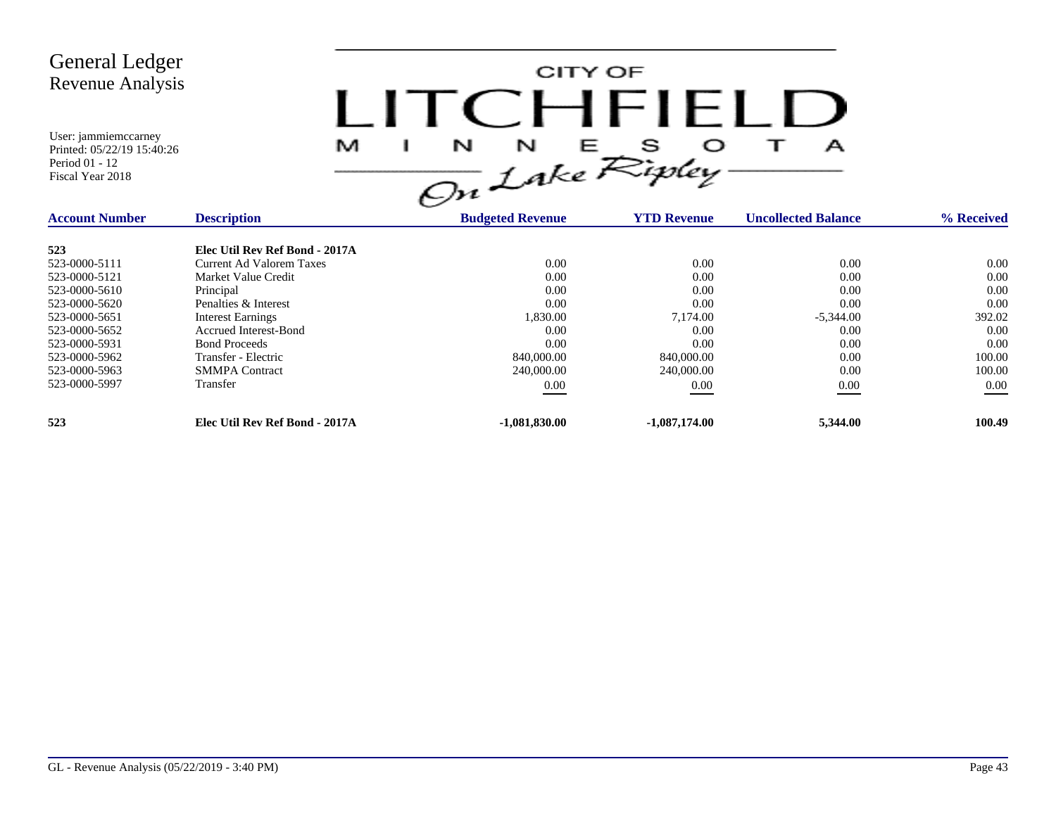| <b>General Ledger</b><br><b>Revenue Analysis</b>                                                                                                                              |                                                                                                                                                                                                                                                                        |                                                                                              | CITY OF<br>CHFIELL                                                                           |                                                                                         |                                                                                    |
|-------------------------------------------------------------------------------------------------------------------------------------------------------------------------------|------------------------------------------------------------------------------------------------------------------------------------------------------------------------------------------------------------------------------------------------------------------------|----------------------------------------------------------------------------------------------|----------------------------------------------------------------------------------------------|-----------------------------------------------------------------------------------------|------------------------------------------------------------------------------------|
| User: jammiemccarney<br>Printed: 05/22/19 15:40:26<br>Period 01 - 12<br>Fiscal Year 2018                                                                                      | M                                                                                                                                                                                                                                                                      | L<br>$\frac{1}{\sqrt{2n}}\int_{0}^{N}dke\sum_{i}^{S}e^{2ikx}$                                |                                                                                              | А                                                                                       |                                                                                    |
| <b>Account Number</b>                                                                                                                                                         | <b>Description</b>                                                                                                                                                                                                                                                     | <b>Budgeted Revenue</b>                                                                      | <b>YTD Revenue</b>                                                                           | <b>Uncollected Balance</b>                                                              | % Received                                                                         |
| 523<br>523-0000-5111<br>523-0000-5121<br>523-0000-5610<br>523-0000-5620<br>523-0000-5651<br>523-0000-5652<br>523-0000-5931<br>523-0000-5962<br>523-0000-5963<br>523-0000-5997 | Elec Util Rev Ref Bond - 2017A<br>Current Ad Valorem Taxes<br>Market Value Credit<br>Principal<br>Penalties & Interest<br><b>Interest Earnings</b><br><b>Accrued Interest-Bond</b><br><b>Bond Proceeds</b><br>Transfer - Electric<br><b>SMMPA</b> Contract<br>Transfer | 0.00<br>0.00<br>0.00<br>0.00<br>1,830.00<br>0.00<br>0.00<br>840,000.00<br>240,000.00<br>0.00 | 0.00<br>0.00<br>0.00<br>0.00<br>7.174.00<br>0.00<br>0.00<br>840,000.00<br>240,000.00<br>0.00 | 0.00<br>0.00<br>0.00<br>0.00<br>$-5,344.00$<br>0.00<br>0.00<br>0.00<br>0.00<br>$0.00\,$ | 0.00<br>0.00<br>0.00<br>0.00<br>392.02<br>0.00<br>0.00<br>100.00<br>100.00<br>0.00 |
| 523                                                                                                                                                                           | Elec Util Rev Ref Bond - 2017A                                                                                                                                                                                                                                         | $-1,081,830.00$                                                                              | $-1,087,174.00$                                                                              | 5,344.00                                                                                | 100.49                                                                             |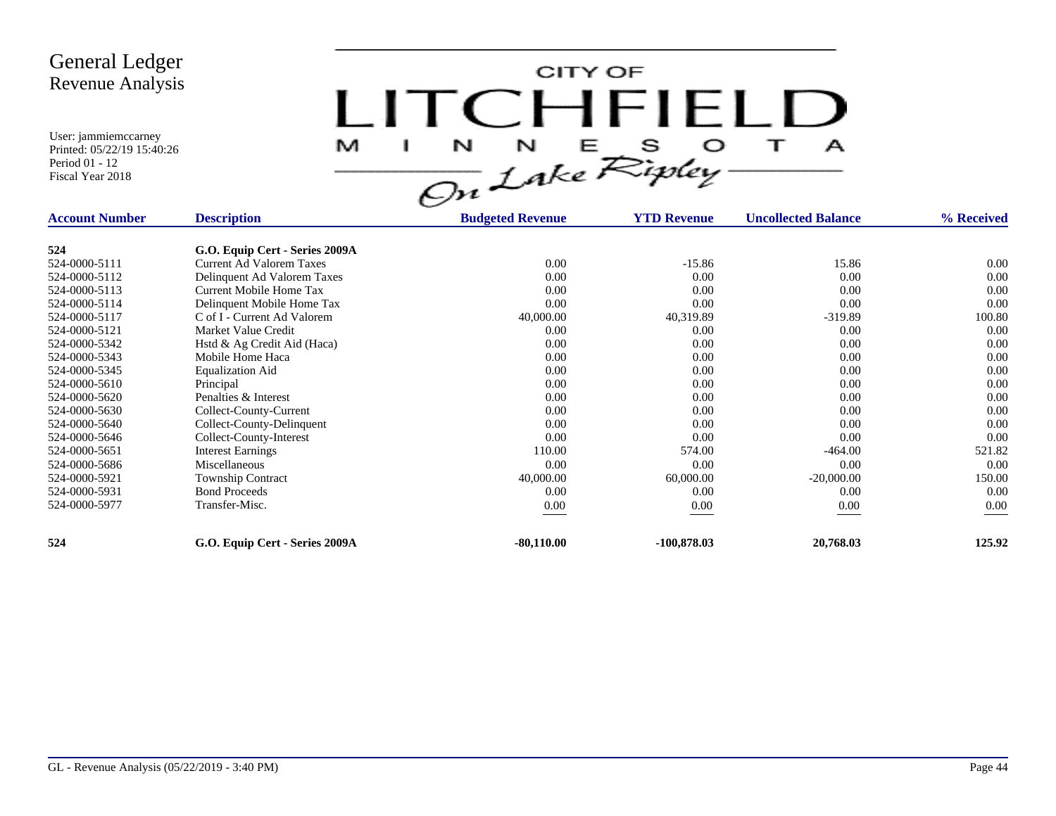CITY OF LITCHFIELD  $\overline{1}$ M  $\mathbf{I}$  $\mathbf{A}$ 

| <b>Account Number</b> | <b>Description</b>              | <b>Budgeted Revenue</b> | <b>YTD Revenue</b> | <b>Uncollected Balance</b> | % Received |
|-----------------------|---------------------------------|-------------------------|--------------------|----------------------------|------------|
| 524                   | G.O. Equip Cert - Series 2009A  |                         |                    |                            |            |
| 524-0000-5111         | <b>Current Ad Valorem Taxes</b> | 0.00                    | $-15.86$           | 15.86                      | 0.00       |
| 524-0000-5112         | Delinquent Ad Valorem Taxes     | 0.00                    | 0.00               | 0.00                       | 0.00       |
| 524-0000-5113         | Current Mobile Home Tax         | 0.00                    | 0.00               | 0.00                       | 0.00       |
| 524-0000-5114         | Delinquent Mobile Home Tax      | 0.00                    | 0.00               | 0.00                       | 0.00       |
| 524-0000-5117         | C of I - Current Ad Valorem     | 40,000.00               | 40,319.89          | $-319.89$                  | 100.80     |
| 524-0000-5121         | Market Value Credit             | 0.00                    | 0.00               | 0.00                       | 0.00       |
|                       |                                 | 0.00                    |                    |                            |            |
| 524-0000-5342         | Hstd & Ag Credit Aid (Haca)     |                         | 0.00               | 0.00                       | 0.00       |
| 524-0000-5343         | Mobile Home Haca                | 0.00                    | 0.00               | 0.00                       | 0.00       |
| 524-0000-5345         | <b>Equalization Aid</b>         | 0.00                    | 0.00               | 0.00                       | 0.00       |
| 524-0000-5610         | Principal                       | 0.00                    | 0.00               | 0.00                       | 0.00       |
| 524-0000-5620         | Penalties & Interest            | 0.00                    | 0.00               | 0.00                       | 0.00       |
| 524-0000-5630         | Collect-County-Current          | 0.00                    | 0.00               | 0.00                       | 0.00       |
| 524-0000-5640         | Collect-County-Delinquent       | 0.00                    | 0.00               | 0.00                       | 0.00       |
| 524-0000-5646         | Collect-County-Interest         | 0.00                    | 0.00               | 0.00                       | 0.00       |
| 524-0000-5651         | <b>Interest Earnings</b>        | 110.00                  | 574.00             | $-464.00$                  | 521.82     |
| 524-0000-5686         | Miscellaneous                   | 0.00                    | 0.00               | 0.00                       | 0.00       |
| 524-0000-5921         | <b>Township Contract</b>        | 40,000.00               | 60,000.00          | $-20,000.00$               | 150.00     |
| 524-0000-5931         | <b>Bond Proceeds</b>            | 0.00                    | 0.00               | 0.00                       | 0.00       |
| 524-0000-5977         | Transfer-Misc.                  | 0.00                    | 0.00               | 0.00                       | 0.00       |
| 524                   | G.O. Equip Cert - Series 2009A  | $-80,110.00$            | $-100,878.03$      | 20,768.03                  | 125.92     |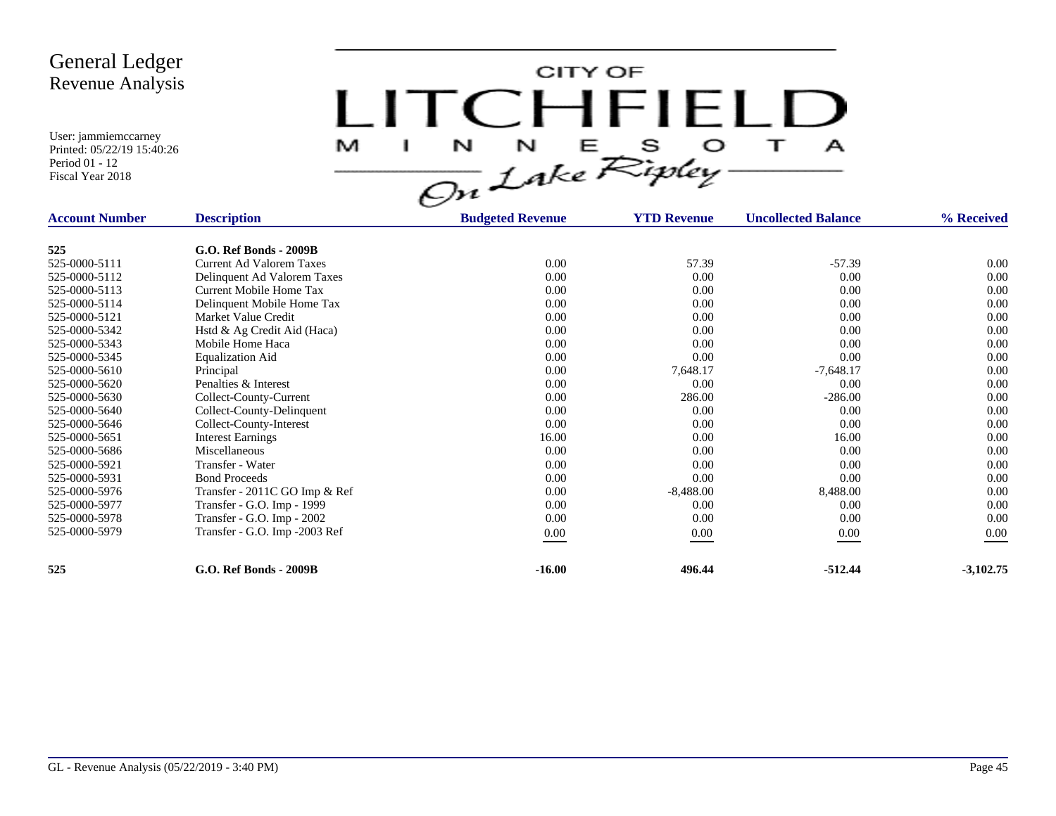CITY OF LITCHFIELD M  $\mathbf{I}$  $\mathbf{A}$ 

| <b>Account Number</b> | <b>Description</b>              | <b>Budgeted Revenue</b> | <b>YTD Revenue</b> | <b>Uncollected Balance</b> | % Received  |
|-----------------------|---------------------------------|-------------------------|--------------------|----------------------------|-------------|
| 525                   | G.O. Ref Bonds - 2009B          |                         |                    |                            |             |
| 525-0000-5111         | <b>Current Ad Valorem Taxes</b> | 0.00                    | 57.39              | $-57.39$                   | $0.00\,$    |
| 525-0000-5112         | Delinquent Ad Valorem Taxes     | 0.00                    | 0.00               | 0.00                       | 0.00        |
| 525-0000-5113         | Current Mobile Home Tax         | 0.00                    | 0.00               | 0.00                       | 0.00        |
| 525-0000-5114         | Delinquent Mobile Home Tax      | 0.00                    | 0.00               | 0.00                       | 0.00        |
| 525-0000-5121         | Market Value Credit             | 0.00                    | 0.00               | 0.00                       | 0.00        |
| 525-0000-5342         | Hstd & Ag Credit Aid (Haca)     | 0.00                    | 0.00               | 0.00                       | 0.00        |
| 525-0000-5343         | Mobile Home Haca                | 0.00                    | 0.00               | 0.00                       | 0.00        |
| 525-0000-5345         |                                 | 0.00                    | 0.00               | 0.00                       | 0.00        |
| 525-0000-5610         | <b>Equalization Aid</b>         | 0.00                    |                    |                            | 0.00        |
|                       | Principal                       |                         | 7,648.17           | $-7,648.17$                |             |
| 525-0000-5620         | Penalties & Interest            | 0.00                    | 0.00               | 0.00                       | 0.00        |
| 525-0000-5630         | Collect-County-Current          | 0.00                    | 286.00             | $-286.00$                  | 0.00        |
| 525-0000-5640         | Collect-County-Delinquent       | 0.00                    | 0.00               | 0.00                       | 0.00        |
| 525-0000-5646         | Collect-County-Interest         | 0.00                    | 0.00               | 0.00                       | 0.00        |
| 525-0000-5651         | <b>Interest Earnings</b>        | 16.00                   | 0.00               | 16.00                      | 0.00        |
| 525-0000-5686         | Miscellaneous                   | 0.00                    | 0.00               | 0.00                       | 0.00        |
| 525-0000-5921         | Transfer - Water                | 0.00                    | 0.00               | 0.00                       | 0.00        |
| 525-0000-5931         | <b>Bond Proceeds</b>            | 0.00                    | 0.00               | 0.00                       | 0.00        |
| 525-0000-5976         | Transfer - 2011C GO Imp & Ref   | 0.00                    | $-8,488.00$        | 8,488.00                   | 0.00        |
| 525-0000-5977         | Transfer - G.O. Imp - 1999      | 0.00                    | 0.00               | 0.00                       | 0.00        |
| 525-0000-5978         | Transfer - G.O. Imp - 2002      | 0.00                    | 0.00               | 0.00                       | 0.00        |
| 525-0000-5979         | Transfer - G.O. Imp -2003 Ref   | $0.00\,$                | 0.00               | 0.00                       | 0.00        |
| 525                   | <b>G.O. Ref Bonds - 2009B</b>   | $-16.00$                | 496.44             | $-512.44$                  | $-3,102.75$ |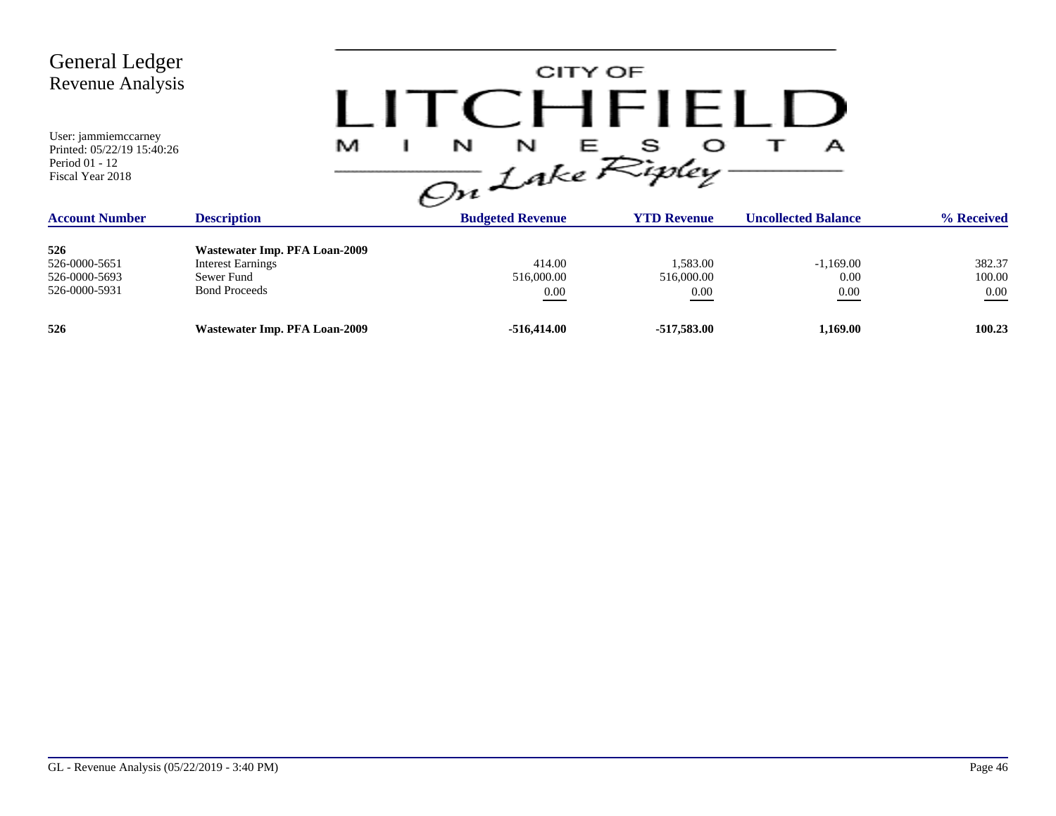| <b>General Ledger</b><br><b>Revenue Analysis</b><br>User: jammiemccarney<br>Printed: 05/22/19 15:40:26<br>Period 01 - 12<br>Fiscal Year 2018 | M                                                                                               | $\frac{1}{\sqrt{2n}}\int_{akc}^{\mathcal{N}}dkeRipley$ | CITY OF<br>CHFIELL                 | А                           |                              |
|----------------------------------------------------------------------------------------------------------------------------------------------|-------------------------------------------------------------------------------------------------|--------------------------------------------------------|------------------------------------|-----------------------------|------------------------------|
| <b>Account Number</b>                                                                                                                        | <b>Description</b>                                                                              | <b>Budgeted Revenue</b>                                | <b>YTD Revenue</b>                 | <b>Uncollected Balance</b>  | % Received                   |
| 526<br>526-0000-5651<br>526-0000-5693<br>526-0000-5931                                                                                       | Wastewater Imp. PFA Loan-2009<br><b>Interest Earnings</b><br>Sewer Fund<br><b>Bond Proceeds</b> | 414.00<br>516,000.00<br>0.00                           | 1,583.00<br>516,000.00<br>$0.00\,$ | $-1,169.00$<br>0.00<br>0.00 | 382.37<br>100.00<br>$0.00\,$ |
| 526                                                                                                                                          | Wastewater Imp. PFA Loan-2009                                                                   | $-516,414.00$                                          | -517,583.00                        | 1,169.00                    | 100.23                       |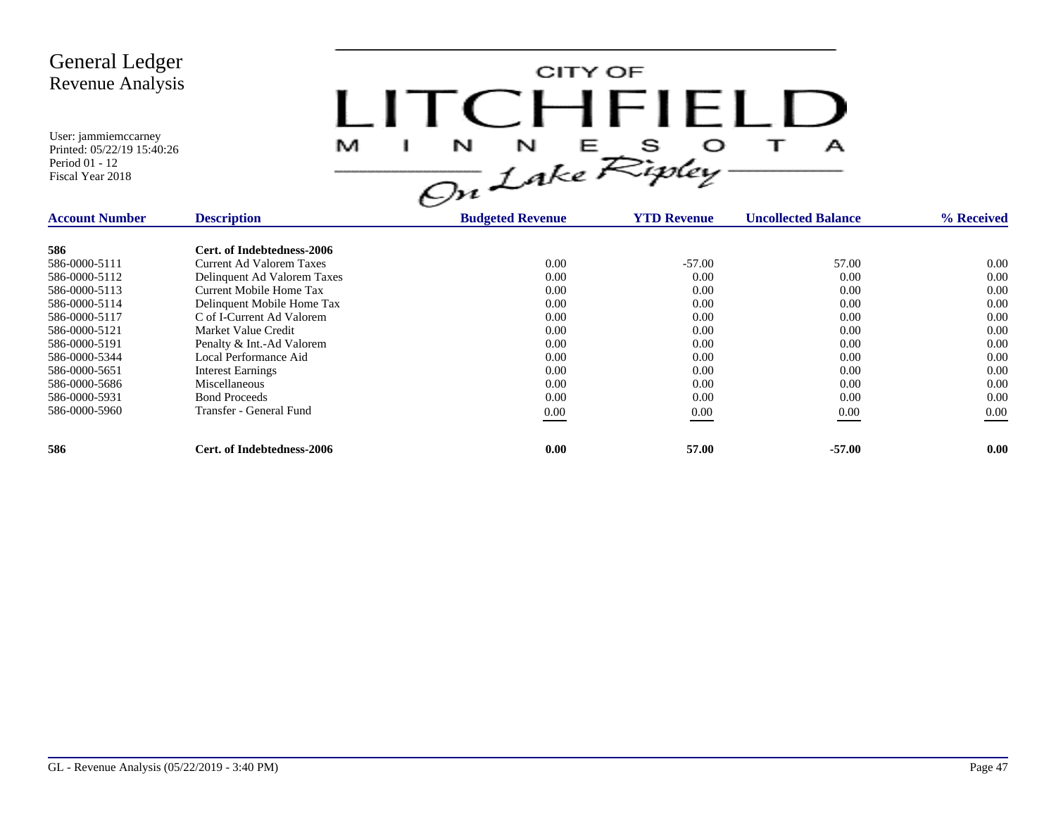CITY OF LITCHFIELD  $M$  I N N E S O T A<br>On Lake Ripley

| <b>Account Number</b> | <b>Description</b>              | <b>Budgeted Revenue</b> | <b>YTD Revenue</b> | <b>Uncollected Balance</b> | % Received |
|-----------------------|---------------------------------|-------------------------|--------------------|----------------------------|------------|
| 586                   | Cert. of Indebtedness-2006      |                         |                    |                            |            |
| 586-0000-5111         | <b>Current Ad Valorem Taxes</b> | 0.00                    | $-57.00$           | 57.00                      | 0.00       |
| 586-0000-5112         | Delinquent Ad Valorem Taxes     | 0.00                    | 0.00               | 0.00                       | 0.00       |
| 586-0000-5113         | Current Mobile Home Tax         | 0.00                    | 0.00               | 0.00                       | 0.00       |
| 586-0000-5114         | Delinquent Mobile Home Tax      | 0.00                    | 0.00               | 0.00                       | 0.00       |
| 586-0000-5117         | C of I-Current Ad Valorem       | 0.00                    | 0.00               | 0.00                       | 0.00       |
| 586-0000-5121         | Market Value Credit             | 0.00                    | 0.00               | 0.00                       | 0.00       |
| 586-0000-5191         | Penalty & Int.-Ad Valorem       | 0.00                    | 0.00               | 0.00                       | 0.00       |
| 586-0000-5344         | Local Performance Aid           | 0.00                    | 0.00               | 0.00                       | 0.00       |
| 586-0000-5651         | <b>Interest Earnings</b>        | 0.00                    | 0.00               | 0.00                       | 0.00       |
| 586-0000-5686         | Miscellaneous                   | 0.00                    | 0.00               | 0.00                       | 0.00       |
| 586-0000-5931         | <b>Bond Proceeds</b>            | 0.00                    | 0.00               | 0.00                       | 0.00       |
| 586-0000-5960         | Transfer - General Fund         | $0.00\,$                | 0.00               | 0.00                       | $0.00\,$   |
| 586                   | Cert. of Indebtedness-2006      | 0.00                    | 57.00              | $-57.00$                   | 0.00       |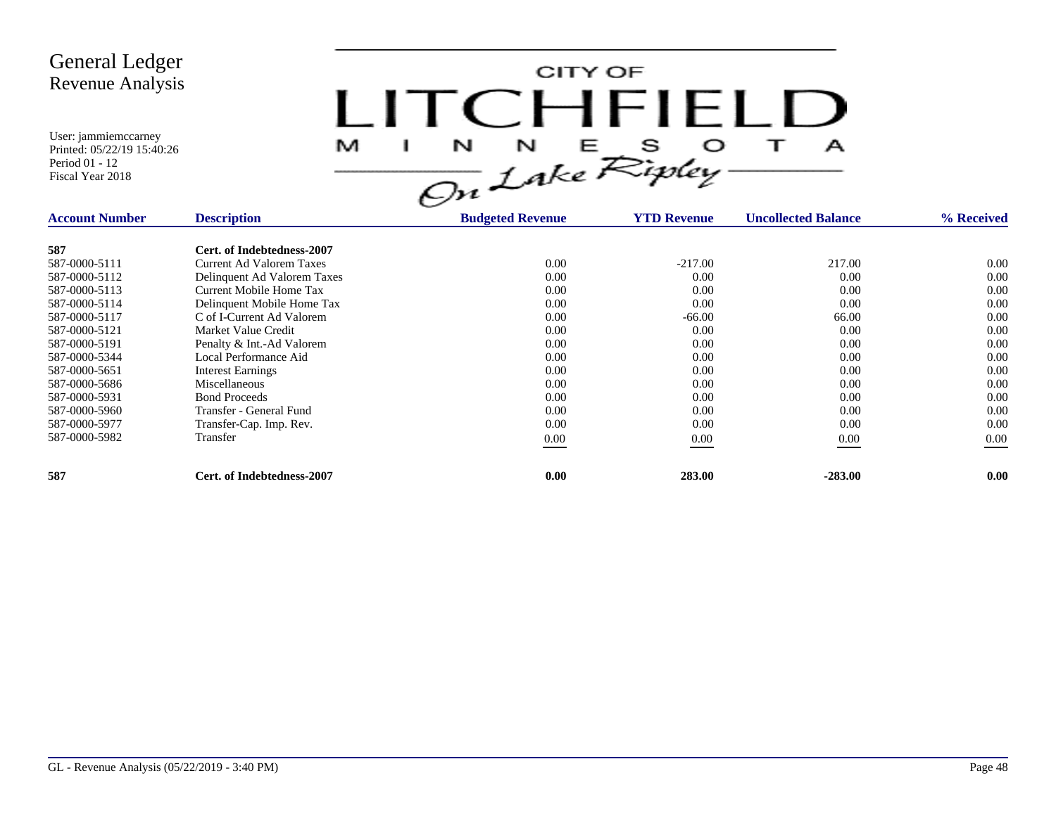CITY OF LITCHFIELD  $M$  I N N E S O T A<br>On Lake Ripley

| <b>Account Number</b> | <b>Description</b>          | <b>Budgeted Revenue</b> | <b>YTD Revenue</b> | <b>Uncollected Balance</b> | % Received |
|-----------------------|-----------------------------|-------------------------|--------------------|----------------------------|------------|
| 587                   | Cert. of Indebtedness-2007  |                         |                    |                            |            |
| 587-0000-5111         | Current Ad Valorem Taxes    | 0.00                    | $-217.00$          | 217.00                     | 0.00       |
| 587-0000-5112         | Delinquent Ad Valorem Taxes | 0.00                    | 0.00               | 0.00                       | 0.00       |
| 587-0000-5113         | Current Mobile Home Tax     | 0.00                    | 0.00               | 0.00                       | 0.00       |
| 587-0000-5114         | Delinquent Mobile Home Tax  | 0.00                    | 0.00               | 0.00                       | 0.00       |
| 587-0000-5117         | C of I-Current Ad Valorem   | 0.00                    | $-66.00$           | 66.00                      | 0.00       |
| 587-0000-5121         | Market Value Credit         | 0.00                    | 0.00               | 0.00                       | 0.00       |
| 587-0000-5191         | Penalty & Int.-Ad Valorem   | 0.00                    | 0.00               | 0.00                       | 0.00       |
| 587-0000-5344         | Local Performance Aid       | 0.00                    | 0.00               | 0.00                       | 0.00       |
| 587-0000-5651         | <b>Interest Earnings</b>    | 0.00                    | 0.00               | 0.00                       | 0.00       |
| 587-0000-5686         | Miscellaneous               | 0.00                    | 0.00               | 0.00                       | 0.00       |
| 587-0000-5931         | <b>Bond Proceeds</b>        | 0.00                    | 0.00               | 0.00                       | 0.00       |
| 587-0000-5960         | Transfer - General Fund     | 0.00                    | 0.00               | 0.00                       | 0.00       |
| 587-0000-5977         | Transfer-Cap. Imp. Rev.     | 0.00                    | 0.00               | 0.00                       | 0.00       |
| 587-0000-5982         | Transfer                    | $0.00\,$                | 0.00               | 0.00                       | $0.00\,$   |
| 587                   | Cert. of Indebtedness-2007  | 0.00                    | 283.00             | $-283.00$                  | 0.00       |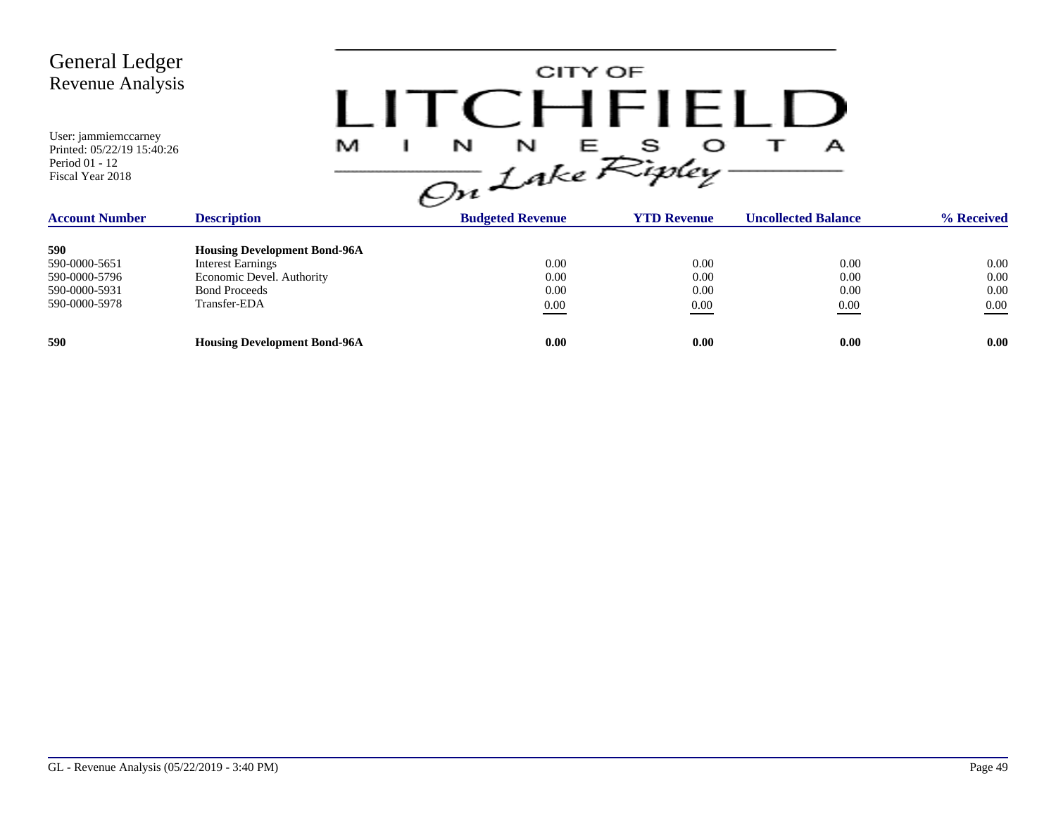| <b>General Ledger</b><br>Revenue Analysis |  |
|-------------------------------------------|--|
| User: jammiemccarney                      |  |

Printed: 05/22/19 15:40:26

Period 01 - 12 Fiscal Year 2018

CITY OF **ITCHFIELD**  $\frac{1}{\omega}$   $\frac{1}{\omega}$   $\frac{1}{\omega}$   $\frac{1}{\omega}$   $\frac{1}{\omega}$   $\frac{1}{\omega}$   $\frac{1}{\omega}$   $\frac{1}{\omega}$   $\frac{1}{\omega}$   $\frac{1}{\omega}$   $\frac{1}{\omega}$   $\frac{1}{\omega}$   $\frac{1}{\omega}$   $\frac{1}{\omega}$   $\frac{1}{\omega}$   $\frac{1}{\omega}$   $\frac{1}{\omega}$   $\frac{1}{\omega}$   $\frac{1}{\omega}$   $\frac{1}{\omega}$ 

| <b>Account Number</b> | <b>Description</b>                  | <b>The County of the County</b><br><b>Budgeted Revenue</b> | <b>YTD Revenue</b> | <b>Uncollected Balance</b> | % Received |
|-----------------------|-------------------------------------|------------------------------------------------------------|--------------------|----------------------------|------------|
| 590                   | <b>Housing Development Bond-96A</b> |                                                            |                    |                            |            |
|                       |                                     |                                                            |                    |                            |            |
| 590-0000-5651         | <b>Interest Earnings</b>            | 0.00                                                       | 0.00               | 0.00                       | 0.00       |
| 590-0000-5796         | Economic Devel. Authority           | 0.00                                                       | 0.00               | 0.00                       | 0.00       |
| 590-0000-5931         | <b>Bond Proceeds</b>                | 0.00                                                       | 0.00               | 0.00                       | 0.00       |
| 590-0000-5978         | Transfer-EDA                        | 0.00                                                       | 0.00               | 0.00                       | 0.00       |
|                       |                                     |                                                            |                    |                            |            |
| 590                   | <b>Housing Development Bond-96A</b> | 0.00                                                       | 0.00               | 0.00                       | 0.00       |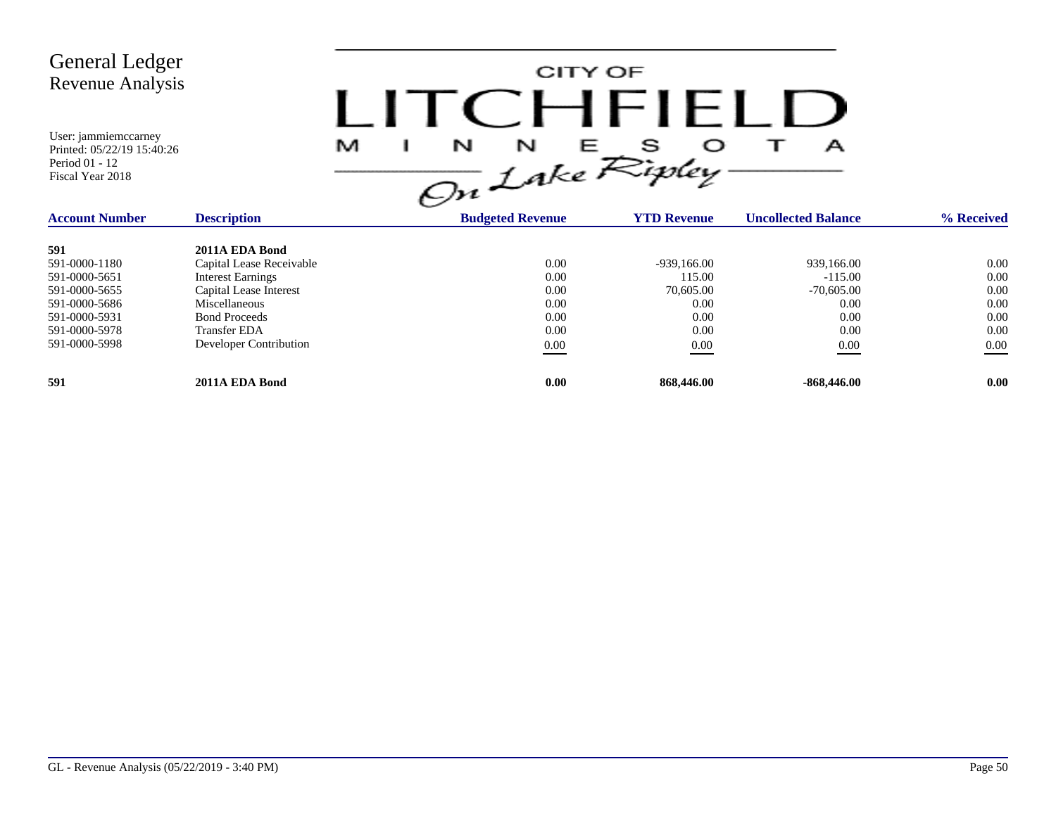| <b>General Ledger</b><br>Revenue Analysis<br>User: jammiemccarney<br>Printed: 05/22/19 15:40:26<br>Period 01 - 12<br>Fiscal Year 2018 |                          | $I$ ITC HEL<br>M<br>N<br>N<br>On Lake Ripley. | CITY OF<br>S.<br>Е | A                          |            |
|---------------------------------------------------------------------------------------------------------------------------------------|--------------------------|-----------------------------------------------|--------------------|----------------------------|------------|
| <b>Account Number</b>                                                                                                                 | <b>Description</b>       | <b>Budgeted Revenue</b>                       | <b>YTD Revenue</b> | <b>Uncollected Balance</b> | % Received |
| 591                                                                                                                                   | 2011A EDA Bond           |                                               |                    |                            |            |
| 591-0000-1180                                                                                                                         | Capital Lease Receivable | 0.00                                          | $-939,166.00$      | 939,166.00                 | 0.00       |
| 591-0000-5651                                                                                                                         | <b>Interest Earnings</b> | 0.00                                          | 115.00             | $-115.00$                  | 0.00       |
| 591-0000-5655                                                                                                                         | Capital Lease Interest   | 0.00                                          | 70,605.00          | $-70,605.00$               | 0.00       |
| 591-0000-5686                                                                                                                         | Miscellaneous            | 0.00                                          | 0.00               | 0.00                       | 0.00       |
| 591-0000-5931                                                                                                                         | <b>Bond Proceeds</b>     | 0.00                                          | 0.00               | 0.00                       | 0.00       |
| 591-0000-5978                                                                                                                         | <b>Transfer EDA</b>      | 0.00                                          | 0.00               | 0.00                       | 0.00       |
| 591-0000-5998                                                                                                                         | Developer Contribution   | $0.00\,$                                      | 0.00               | $0.00\,$                   | $0.00\,$   |
| 591                                                                                                                                   | 2011A EDA Bond           | 0.00                                          | 868,446.00         | $-868,446.00$              | 0.00       |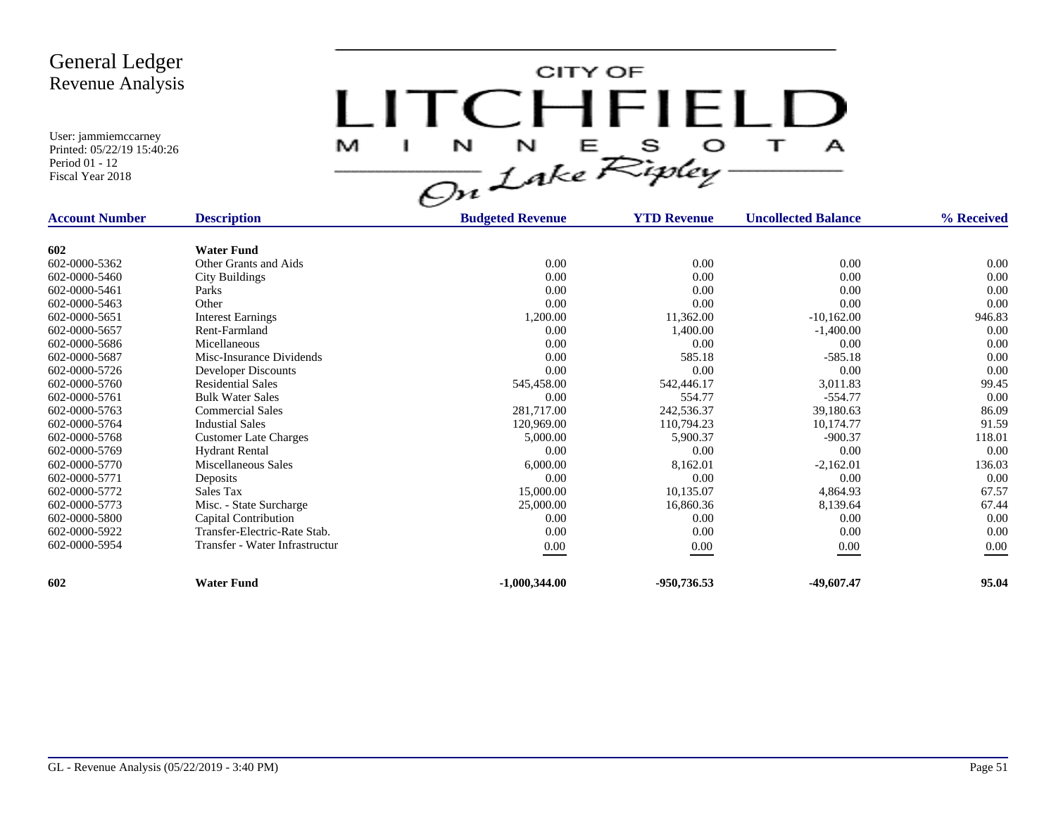

| <b>Account Number</b> | <b>Description</b>             | <b>Budgeted Revenue</b> | <b>YTD Revenue</b> | <b>Uncollected Balance</b> | % Received |
|-----------------------|--------------------------------|-------------------------|--------------------|----------------------------|------------|
|                       |                                |                         |                    |                            |            |
| 602                   | <b>Water Fund</b>              |                         |                    |                            |            |
| 602-0000-5362         | Other Grants and Aids          | 0.00                    | 0.00               | 0.00                       | $0.00\,$   |
| 602-0000-5460         | <b>City Buildings</b>          | 0.00                    | 0.00               | 0.00                       | 0.00       |
| 602-0000-5461         | Parks                          | 0.00                    | 0.00               | 0.00                       | 0.00       |
| 602-0000-5463         | Other                          | 0.00                    | 0.00               | 0.00                       | 0.00       |
| 602-0000-5651         | <b>Interest Earnings</b>       | 1,200.00                | 11,362.00          | $-10,162.00$               | 946.83     |
| 602-0000-5657         | Rent-Farmland                  | 0.00                    | 1,400.00           | $-1,400.00$                | 0.00       |
| 602-0000-5686         | Micellaneous                   | 0.00                    | 0.00               | 0.00                       | 0.00       |
| 602-0000-5687         | Misc-Insurance Dividends       | 0.00                    | 585.18             | $-585.18$                  | 0.00       |
| 602-0000-5726         | Developer Discounts            | 0.00                    | 0.00               | 0.00                       | 0.00       |
| 602-0000-5760         | <b>Residential Sales</b>       | 545,458.00              | 542,446.17         | 3,011.83                   | 99.45      |
| 602-0000-5761         | <b>Bulk Water Sales</b>        | 0.00                    | 554.77             | $-554.77$                  | 0.00       |
| 602-0000-5763         | <b>Commercial Sales</b>        | 281,717.00              | 242,536.37         | 39,180.63                  | 86.09      |
| 602-0000-5764         | <b>Industial Sales</b>         | 120,969.00              | 110,794.23         | 10,174.77                  | 91.59      |
| 602-0000-5768         | <b>Customer Late Charges</b>   | 5,000.00                | 5,900.37           | $-900.37$                  | 118.01     |
| 602-0000-5769         | <b>Hydrant Rental</b>          | 0.00                    | 0.00               | 0.00                       | 0.00       |
| 602-0000-5770         | Miscellaneous Sales            | 6,000.00                | 8,162.01           | $-2,162.01$                | 136.03     |
| 602-0000-5771         | Deposits                       | 0.00                    | 0.00               | 0.00                       | 0.00       |
| 602-0000-5772         | Sales Tax                      | 15,000.00               | 10,135.07          | 4,864.93                   | 67.57      |
| 602-0000-5773         | Misc. - State Surcharge        | 25,000.00               | 16,860.36          | 8,139.64                   | 67.44      |
| 602-0000-5800         | Capital Contribution           | 0.00                    | 0.00               | 0.00                       | 0.00       |
| 602-0000-5922         | Transfer-Electric-Rate Stab.   | 0.00                    | 0.00               | 0.00                       | 0.00       |
| 602-0000-5954         | Transfer - Water Infrastructur | $0.00\,$                | 0.00               | $0.00\,$                   | 0.00       |
|                       |                                |                         |                    |                            |            |
| 602                   | <b>Water Fund</b>              | $-1,000,344.00$         | -950,736.53        | -49,607.47                 | 95.04      |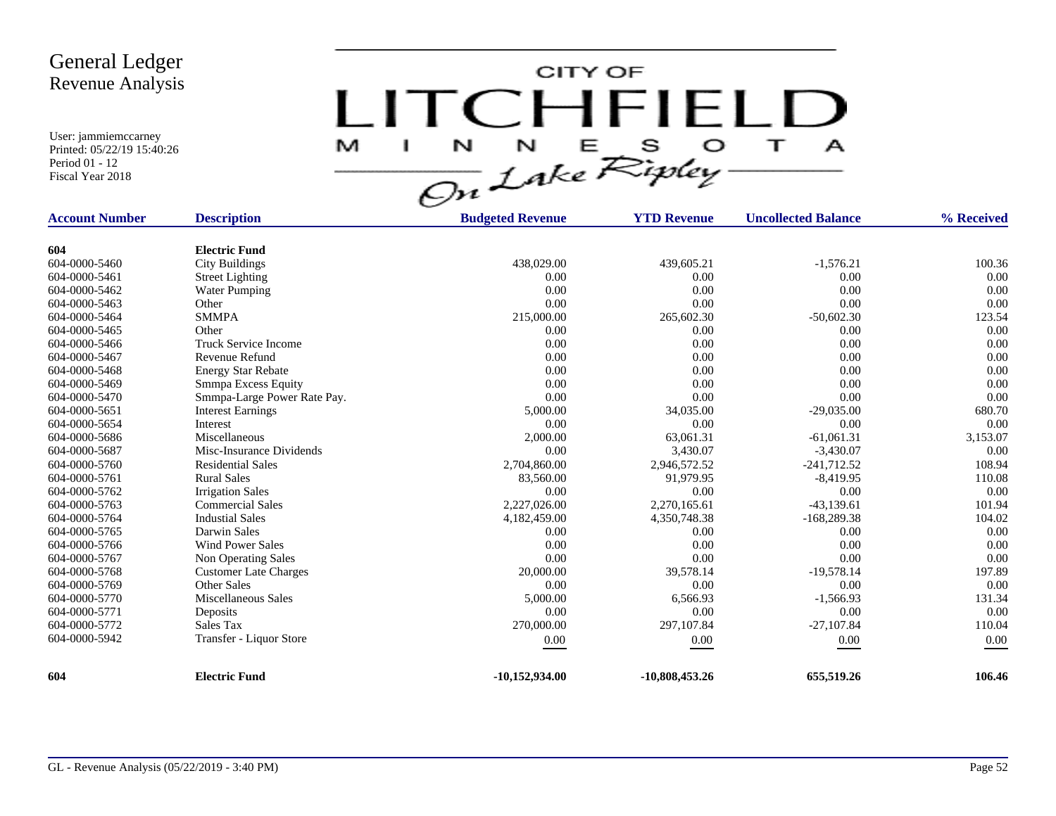CITY OF LITCHFIELD M  $\mathbf{I}$  $\mathbf{A}$ 

| <b>Account Number</b> | <b>Description</b>           | <b>Budgeted Revenue</b> | <b>YTD Revenue</b> | <b>Uncollected Balance</b> | % Received |
|-----------------------|------------------------------|-------------------------|--------------------|----------------------------|------------|
|                       |                              |                         |                    |                            |            |
| 604                   | <b>Electric Fund</b>         |                         |                    |                            |            |
| 604-0000-5460         | <b>City Buildings</b>        | 438,029.00              | 439,605.21         | $-1,576.21$                | 100.36     |
| 604-0000-5461         | <b>Street Lighting</b>       | 0.00                    | 0.00               | 0.00                       | 0.00       |
| 604-0000-5462         | <b>Water Pumping</b>         | 0.00                    | 0.00               | 0.00                       | 0.00       |
| 604-0000-5463         | Other                        | 0.00                    | 0.00               | 0.00                       | 0.00       |
| 604-0000-5464         | <b>SMMPA</b>                 | 215,000.00              | 265,602.30         | $-50,602.30$               | 123.54     |
| 604-0000-5465         | Other                        | 0.00                    | 0.00               | 0.00                       | 0.00       |
| 604-0000-5466         | <b>Truck Service Income</b>  | 0.00                    | 0.00               | 0.00                       | 0.00       |
| 604-0000-5467         | Revenue Refund               | 0.00                    | 0.00               | 0.00                       | 0.00       |
| 604-0000-5468         | <b>Energy Star Rebate</b>    | 0.00                    | 0.00               | 0.00                       | 0.00       |
| 604-0000-5469         | Smmpa Excess Equity          | 0.00                    | 0.00               | 0.00                       | 0.00       |
| 604-0000-5470         | Smmpa-Large Power Rate Pay.  | 0.00                    | 0.00               | 0.00                       | 0.00       |
| 604-0000-5651         | <b>Interest Earnings</b>     | 5,000.00                | 34,035.00          | $-29,035.00$               | 680.70     |
| 604-0000-5654         | Interest                     | 0.00                    | 0.00               | 0.00                       | 0.00       |
| 604-0000-5686         | Miscellaneous                | 2,000.00                | 63,061.31          | $-61,061.31$               | 3,153.07   |
| 604-0000-5687         | Misc-Insurance Dividends     | 0.00                    | 3,430.07           | $-3,430.07$                | 0.00       |
| 604-0000-5760         | <b>Residential Sales</b>     | 2,704,860.00            | 2,946,572.52       | $-241,712.52$              | 108.94     |
| 604-0000-5761         | <b>Rural Sales</b>           | 83,560.00               | 91,979.95          | $-8,419.95$                | 110.08     |
| 604-0000-5762         | <b>Irrigation Sales</b>      | 0.00                    | 0.00               | 0.00                       | 0.00       |
| 604-0000-5763         | <b>Commercial Sales</b>      | 2,227,026.00            | 2,270,165.61       | $-43,139.61$               | 101.94     |
| 604-0000-5764         | <b>Industial Sales</b>       | 4,182,459.00            | 4,350,748.38       | $-168,289.38$              | 104.02     |
| 604-0000-5765         | Darwin Sales                 | 0.00                    | 0.00               | 0.00                       | 0.00       |
| 604-0000-5766         | <b>Wind Power Sales</b>      | 0.00                    | 0.00               | 0.00                       | 0.00       |
| 604-0000-5767         | Non Operating Sales          | 0.00                    | 0.00               | 0.00                       | 0.00       |
| 604-0000-5768         | <b>Customer Late Charges</b> | 20,000.00               | 39,578.14          | $-19,578.14$               | 197.89     |
| 604-0000-5769         | <b>Other Sales</b>           | 0.00                    | 0.00               | 0.00                       | 0.00       |
| 604-0000-5770         | Miscellaneous Sales          | 5,000.00                | 6,566.93           | $-1,566.93$                | 131.34     |
| 604-0000-5771         | Deposits                     | 0.00                    | 0.00               | 0.00                       | 0.00       |
| 604-0000-5772         | Sales Tax                    | 270,000.00              | 297,107.84         | $-27,107.84$               | 110.04     |
| 604-0000-5942         | Transfer - Liquor Store      | 0.00                    | 0.00               | 0.00                       | 0.00       |
|                       |                              |                         |                    |                            |            |
| 604                   | <b>Electric Fund</b>         | $-10,152,934.00$        | $-10,808,453.26$   | 655,519.26                 | 106.46     |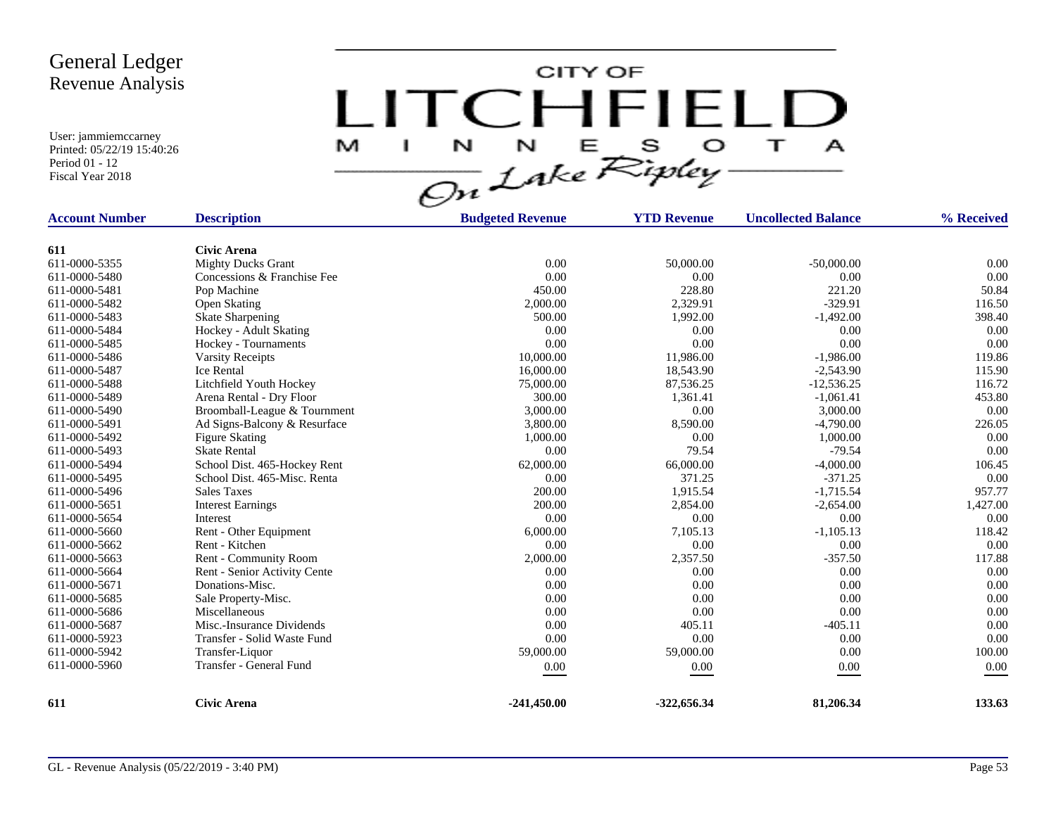CITY OF LITCHFIELD  $M$  I N N E S O T A<br>On Lake Ripley

| <b>Account Number</b> | <b>Description</b>           | <b>Budgeted Revenue</b> | <b>YTD Revenue</b> | <b>Uncollected Balance</b> | % Received |
|-----------------------|------------------------------|-------------------------|--------------------|----------------------------|------------|
|                       |                              |                         |                    |                            |            |
| 611                   | <b>Civic Arena</b>           |                         |                    |                            |            |
| 611-0000-5355         | <b>Mighty Ducks Grant</b>    | 0.00                    | 50,000.00          | $-50,000.00$               | 0.00       |
| 611-0000-5480         | Concessions & Franchise Fee  | 0.00                    | 0.00               | 0.00                       | 0.00       |
| 611-0000-5481         | Pop Machine                  | 450.00                  | 228.80             | 221.20                     | 50.84      |
| 611-0000-5482         | <b>Open Skating</b>          | 2,000.00                | 2,329.91           | $-329.91$                  | 116.50     |
| 611-0000-5483         | <b>Skate Sharpening</b>      | 500.00                  | 1,992.00           | $-1,492.00$                | 398.40     |
| 611-0000-5484         | Hockey - Adult Skating       | 0.00                    | 0.00               | 0.00                       | 0.00       |
| 611-0000-5485         | Hockey - Tournaments         | 0.00                    | 0.00               | 0.00                       | 0.00       |
| 611-0000-5486         | <b>Varsity Receipts</b>      | 10,000.00               | 11,986.00          | $-1,986.00$                | 119.86     |
| 611-0000-5487         | <b>Ice Rental</b>            | 16,000.00               | 18,543.90          | $-2,543.90$                | 115.90     |
| 611-0000-5488         | Litchfield Youth Hockey      | 75,000.00               | 87,536.25          | $-12,536.25$               | 116.72     |
| 611-0000-5489         | Arena Rental - Dry Floor     | 300.00                  | 1,361.41           | $-1,061.41$                | 453.80     |
| 611-0000-5490         | Broomball-League & Tournment | 3,000.00                | 0.00               | 3,000.00                   | 0.00       |
| 611-0000-5491         | Ad Signs-Balcony & Resurface | 3,800.00                | 8,590.00           | $-4,790.00$                | 226.05     |
| 611-0000-5492         | <b>Figure Skating</b>        | 1,000.00                | 0.00               | 1,000.00                   | 0.00       |
| 611-0000-5493         | <b>Skate Rental</b>          | 0.00                    | 79.54              | $-79.54$                   | 0.00       |
| 611-0000-5494         | School Dist. 465-Hockey Rent | 62,000.00               | 66,000.00          | $-4,000.00$                | 106.45     |
| 611-0000-5495         | School Dist. 465-Misc. Renta | 0.00                    | 371.25             | $-371.25$                  | 0.00       |
| 611-0000-5496         | <b>Sales Taxes</b>           | 200.00                  | 1,915.54           | $-1,715.54$                | 957.77     |
| 611-0000-5651         | <b>Interest Earnings</b>     | 200.00                  | 2,854.00           | $-2,654.00$                | 1,427.00   |
| 611-0000-5654         | Interest                     | 0.00                    | 0.00               | 0.00                       | 0.00       |
| 611-0000-5660         | Rent - Other Equipment       | 6,000.00                | 7,105.13           | $-1,105.13$                | 118.42     |
| 611-0000-5662         | Rent - Kitchen               | 0.00                    | 0.00               | 0.00                       | 0.00       |
| 611-0000-5663         | Rent - Community Room        | 2,000.00                | 2,357.50           | $-357.50$                  | 117.88     |
| 611-0000-5664         | Rent - Senior Activity Cente | 0.00                    | 0.00               | 0.00                       | 0.00       |
| 611-0000-5671         | Donations-Misc.              | 0.00                    | 0.00               | 0.00                       | 0.00       |
| 611-0000-5685         | Sale Property-Misc.          | 0.00                    | 0.00               | 0.00                       | 0.00       |
| 611-0000-5686         | Miscellaneous                | 0.00                    | 0.00               | 0.00                       | 0.00       |
| 611-0000-5687         | Misc.-Insurance Dividends    | 0.00                    | 405.11             | $-405.11$                  | 0.00       |
| 611-0000-5923         | Transfer - Solid Waste Fund  | 0.00                    | 0.00               | 0.00                       | 0.00       |
| 611-0000-5942         | Transfer-Liquor              | 59,000.00               | 59,000.00          | 0.00                       | 100.00     |
| 611-0000-5960         | Transfer - General Fund      | 0.00                    | 0.00               | 0.00                       | 0.00       |
|                       |                              |                         |                    |                            |            |
| 611                   | <b>Civic Arena</b>           | $-241,450.00$           | $-322,656.34$      | 81,206.34                  | 133.63     |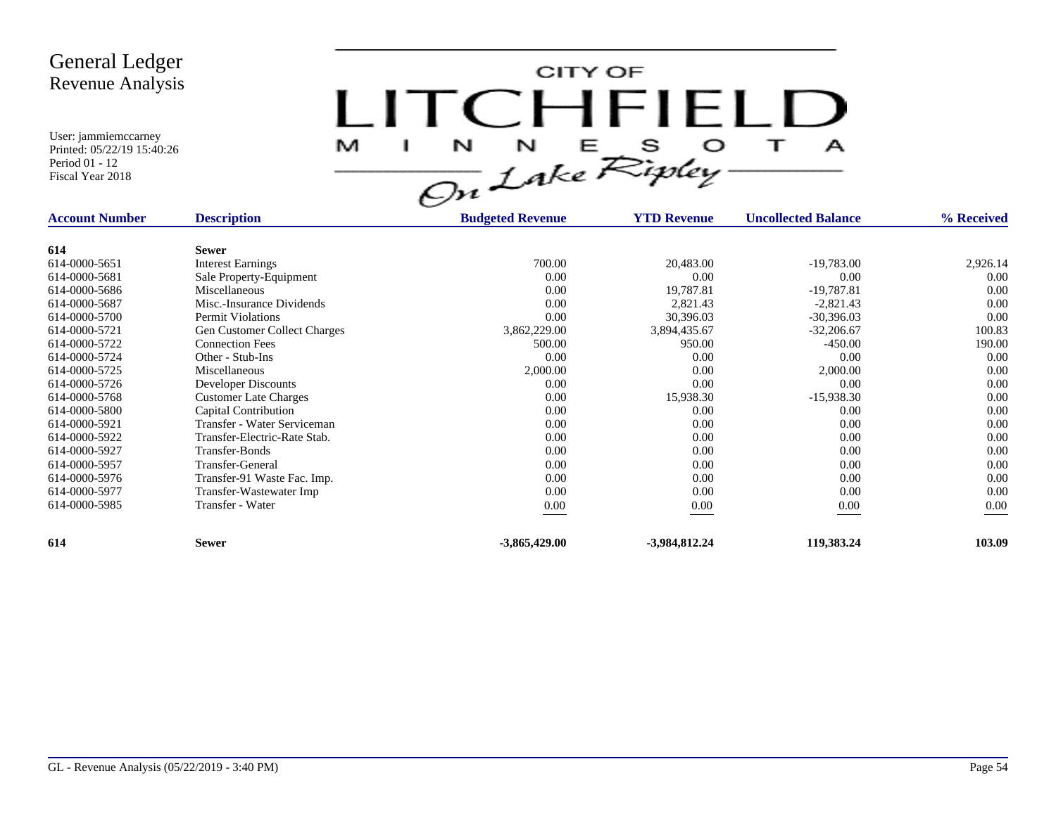CITY OF LITCHFIELD M  $\mathbf{I}$  $\mathbf{A}$ 

| <b>Account Number</b> | <b>Description</b>                  | <b>Budgeted Revenue</b> | <b>YTD Revenue</b> | <b>Uncollected Balance</b> | % Received |
|-----------------------|-------------------------------------|-------------------------|--------------------|----------------------------|------------|
|                       |                                     |                         |                    |                            |            |
| 614                   | <b>Sewer</b>                        |                         |                    |                            |            |
| 614-0000-5651         | <b>Interest Earnings</b>            | 700.00                  | 20,483.00          | $-19,783.00$               | 2,926.14   |
| 614-0000-5681         | Sale Property-Equipment             | 0.00                    | 0.00               | 0.00                       | 0.00       |
| 614-0000-5686         | Miscellaneous                       | 0.00                    | 19,787.81          | $-19,787.81$               | 0.00       |
| 614-0000-5687         | Misc.-Insurance Dividends           | 0.00                    | 2,821.43           | $-2,821.43$                | 0.00       |
| 614-0000-5700         | Permit Violations                   | 0.00                    | 30,396.03          | $-30,396.03$               | 0.00       |
| 614-0000-5721         | <b>Gen Customer Collect Charges</b> | 3,862,229.00            | 3,894,435.67       | $-32,206.67$               | 100.83     |
| 614-0000-5722         | <b>Connection Fees</b>              | 500.00                  | 950.00             | $-450.00$                  | 190.00     |
| 614-0000-5724         | Other - Stub-Ins                    | 0.00                    | 0.00               | 0.00                       | 0.00       |
| 614-0000-5725         | Miscellaneous                       | 2,000.00                | 0.00               | 2,000.00                   | 0.00       |
| 614-0000-5726         | Developer Discounts                 | 0.00                    | 0.00               | 0.00                       | 0.00       |
| 614-0000-5768         | <b>Customer Late Charges</b>        | 0.00                    | 15,938.30          | $-15,938.30$               | 0.00       |
| 614-0000-5800         | Capital Contribution                | 0.00                    | 0.00               | 0.00                       | 0.00       |
| 614-0000-5921         | Transfer - Water Serviceman         | 0.00                    | 0.00               | 0.00                       | 0.00       |
| 614-0000-5922         | Transfer-Electric-Rate Stab.        | 0.00                    | 0.00               | 0.00                       | 0.00       |
| 614-0000-5927         | Transfer-Bonds                      | 0.00                    | 0.00               | 0.00                       | 0.00       |
| 614-0000-5957         | Transfer-General                    | 0.00                    | 0.00               | 0.00                       | 0.00       |
| 614-0000-5976         | Transfer-91 Waste Fac. Imp.         | 0.00                    | 0.00               | 0.00                       | 0.00       |
| 614-0000-5977         | Transfer-Wastewater Imp             | 0.00                    | 0.00               | 0.00                       | 0.00       |
| 614-0000-5985         | Transfer - Water                    | $0.00\,$                | 0.00               | 0.00                       | $0.00\,$   |
| 614                   | <b>Sewer</b>                        | $-3,865,429.00$         | $-3,984,812,24$    | 119,383.24                 | 103.09     |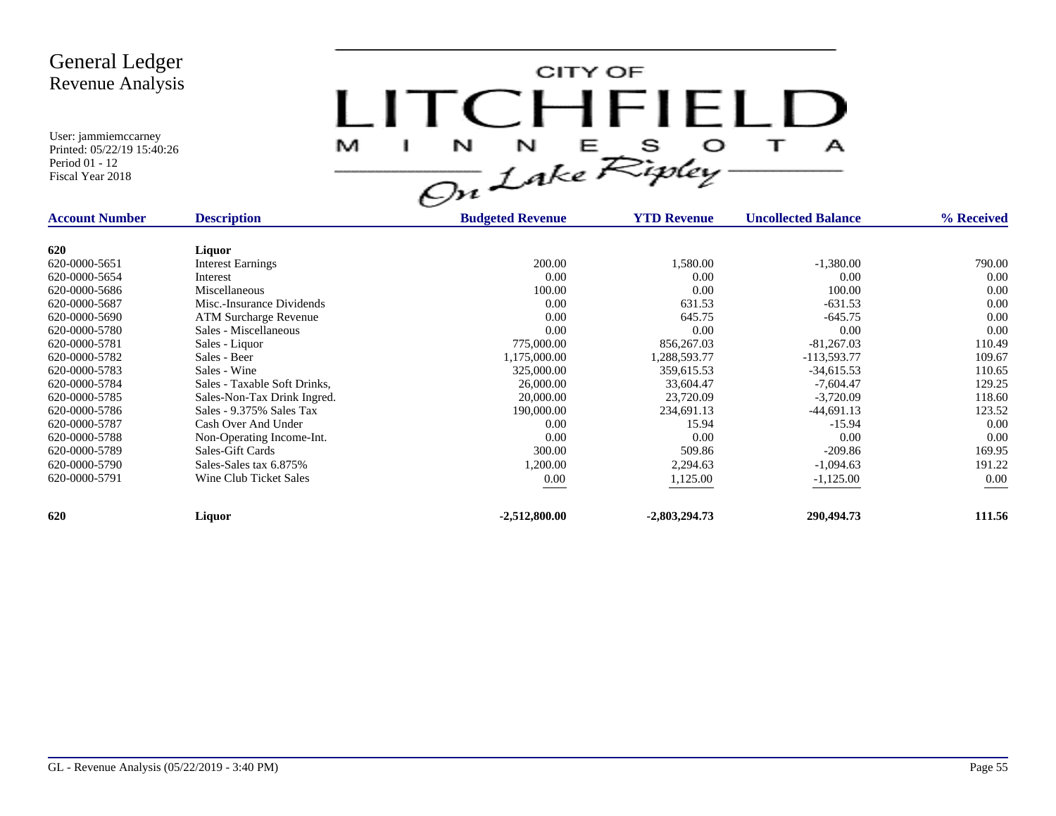CITY OF LITCHFIELD  $M$  I N N E S O T A<br>On Lake Ripley

| <b>Account Number</b> | <b>Description</b>           | <b>Budgeted Revenue</b> | <b>YTD Revenue</b> | <b>Uncollected Balance</b> | % Received |
|-----------------------|------------------------------|-------------------------|--------------------|----------------------------|------------|
| 620                   | Liquor                       |                         |                    |                            |            |
| 620-0000-5651         | <b>Interest Earnings</b>     | 200.00                  | 1,580.00           | $-1,380.00$                | 790.00     |
| 620-0000-5654         | Interest                     | 0.00                    | 0.00               | 0.00                       | 0.00       |
| 620-0000-5686         | Miscellaneous                | 100.00                  | 0.00               | 100.00                     | 0.00       |
| 620-0000-5687         | Misc.-Insurance Dividends    | 0.00                    | 631.53             | $-631.53$                  | 0.00       |
| 620-0000-5690         | <b>ATM Surcharge Revenue</b> | 0.00                    | 645.75             | $-645.75$                  | 0.00       |
| 620-0000-5780         | Sales - Miscellaneous        | 0.00                    | 0.00               | 0.00                       | 0.00       |
| 620-0000-5781         | Sales - Liquor               | 775,000.00              | 856,267.03         | $-81,267.03$               | 110.49     |
| 620-0000-5782         | Sales - Beer                 | ,175,000.00             | 1,288,593.77       | $-113,593.77$              | 109.67     |
| 620-0000-5783         | Sales - Wine                 | 325,000.00              | 359,615.53         | $-34,615.53$               | 110.65     |
| 620-0000-5784         | Sales - Taxable Soft Drinks, | 26,000.00               | 33,604.47          | $-7,604.47$                | 129.25     |
| 620-0000-5785         | Sales-Non-Tax Drink Ingred.  | 20,000.00               | 23,720.09          | $-3,720.09$                | 118.60     |
| 620-0000-5786         | Sales - 9.375% Sales Tax     | 190,000.00              | 234,691.13         | $-44,691.13$               | 123.52     |
| 620-0000-5787         | Cash Over And Under          | 0.00                    | 15.94              | $-15.94$                   | 0.00       |
| 620-0000-5788         | Non-Operating Income-Int.    | 0.00                    | 0.00               | 0.00                       | 0.00       |
| 620-0000-5789         | Sales-Gift Cards             | 300.00                  | 509.86             | $-209.86$                  | 169.95     |
| 620-0000-5790         | Sales-Sales tax 6.875%       | 1,200.00                | 2,294.63           | $-1,094.63$                | 191.22     |
| 620-0000-5791         | Wine Club Ticket Sales       | 0.00                    | 1,125.00           | $-1,125.00$                | $0.00\,$   |
| 620                   | Liquor                       | $-2,512,800.00$         | $-2,803,294.73$    | 290,494.73                 | 111.56     |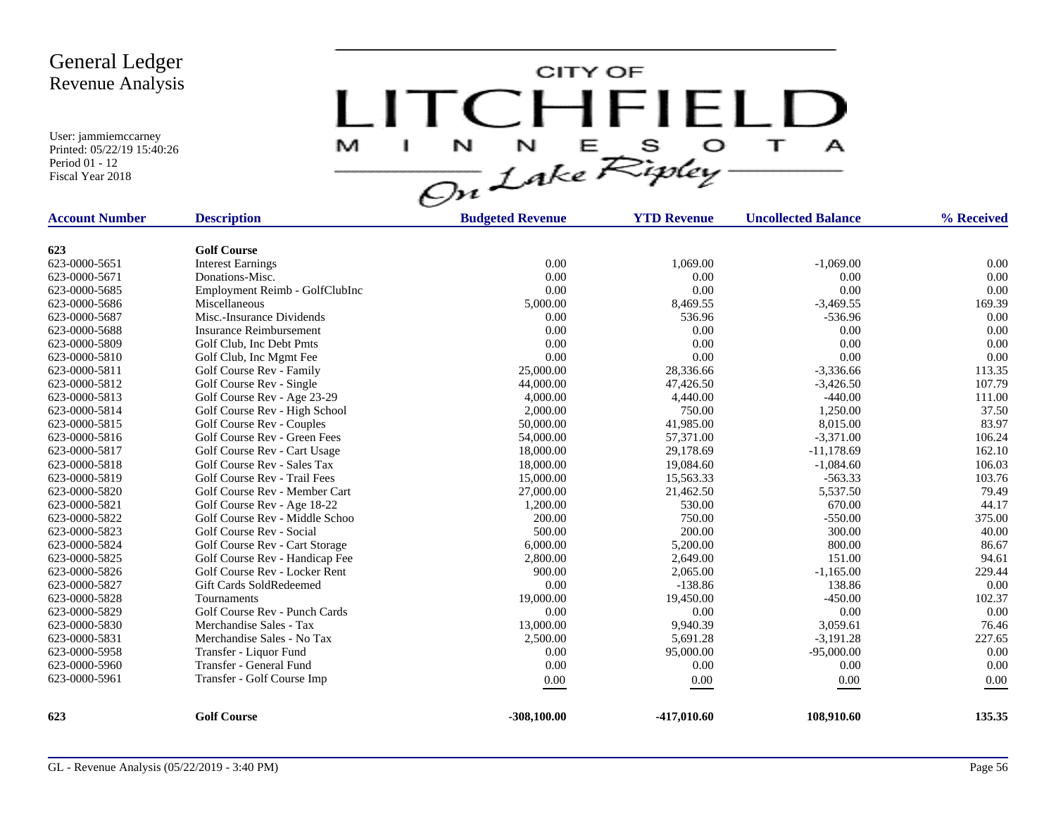CITY OF LITCHFIELD  $M$  I N N E S O T A<br>On Lake Ripley

| <b>Account Number</b> | <b>Description</b>             | <b>Budgeted Revenue</b> | <b>YTD Revenue</b> | <b>Uncollected Balance</b> | % Received |
|-----------------------|--------------------------------|-------------------------|--------------------|----------------------------|------------|
| 623                   | <b>Golf Course</b>             |                         |                    |                            |            |
| 623-0000-5651         | <b>Interest Earnings</b>       | 0.00                    | 1.069.00           | $-1.069.00$                | 0.00       |
| 623-0000-5671         | Donations-Misc.                | 0.00                    | 0.00               | 0.00                       | 0.00       |
| 623-0000-5685         | Employment Reimb - GolfClubInc | 0.00                    | 0.00               | 0.00                       | 0.00       |
| 623-0000-5686         | Miscellaneous                  | 5,000.00                | 8,469.55           | $-3,469.55$                | 169.39     |
| 623-0000-5687         | Misc.-Insurance Dividends      | 0.00                    | 536.96             | $-536.96$                  | 0.00       |
| 623-0000-5688         | <b>Insurance Reimbursement</b> | 0.00                    | 0.00               | 0.00                       | 0.00       |
| 623-0000-5809         | Golf Club, Inc Debt Pmts       | 0.00                    | 0.00               | 0.00                       | 0.00       |
| 623-0000-5810         | Golf Club, Inc Mgmt Fee        | 0.00                    | 0.00               | 0.00                       | 0.00       |
| 623-0000-5811         | Golf Course Rev - Family       | 25,000.00               | 28,336.66          | $-3,336.66$                | 113.35     |
| 623-0000-5812         | Golf Course Rev - Single       | 44,000.00               | 47,426.50          | $-3,426.50$                | 107.79     |
| 623-0000-5813         | Golf Course Rev - Age 23-29    | 4,000.00                | 4,440.00           | $-440.00$                  | 111.00     |
| 623-0000-5814         | Golf Course Rev - High School  | 2,000.00                | 750.00             | 1,250.00                   | 37.50      |
| 623-0000-5815         | Golf Course Rev - Couples      | 50,000.00               | 41,985.00          | 8,015.00                   | 83.97      |
| 623-0000-5816         | Golf Course Rev - Green Fees   | 54,000.00               | 57,371.00          | $-3,371.00$                | 106.24     |
| 623-0000-5817         | Golf Course Rev - Cart Usage   | 18,000.00               | 29,178.69          | $-11,178.69$               | 162.10     |
| 623-0000-5818         | Golf Course Rev - Sales Tax    | 18,000.00               | 19,084.60          | $-1,084.60$                | 106.03     |
| 623-0000-5819         | Golf Course Rev - Trail Fees   | 15,000.00               | 15,563.33          | $-563.33$                  | 103.76     |
| 623-0000-5820         | Golf Course Rev - Member Cart  | 27,000.00               | 21,462.50          | 5,537.50                   | 79.49      |
| 623-0000-5821         | Golf Course Rev - Age 18-22    | 1,200.00                | 530.00             | 670.00                     | 44.17      |
| 623-0000-5822         | Golf Course Rev - Middle Schoo | 200.00                  | 750.00             | $-550.00$                  | 375.00     |
| 623-0000-5823         | Golf Course Rev - Social       | 500.00                  | 200.00             | 300.00                     | 40.00      |
| 623-0000-5824         | Golf Course Rev - Cart Storage | 6,000.00                | 5,200.00           | 800.00                     | 86.67      |
| 623-0000-5825         | Golf Course Rev - Handicap Fee | 2,800.00                | 2,649.00           | 151.00                     | 94.61      |
| 623-0000-5826         | Golf Course Rev - Locker Rent  | 900.00                  | 2,065.00           | $-1,165.00$                | 229.44     |
| 623-0000-5827         | Gift Cards SoldRedeemed        | 0.00                    | $-138.86$          | 138.86                     | 0.00       |
| 623-0000-5828         | Tournaments                    | 19,000.00               | 19,450.00          | $-450.00$                  | 102.37     |
| 623-0000-5829         | Golf Course Rev - Punch Cards  | 0.00                    | 0.00               | 0.00                       | 0.00       |
| 623-0000-5830         | Merchandise Sales - Tax        | 13,000.00               | 9,940.39           | 3,059.61                   | 76.46      |
| 623-0000-5831         | Merchandise Sales - No Tax     | 2,500.00                | 5,691.28           | $-3,191.28$                | 227.65     |
| 623-0000-5958         | Transfer - Liquor Fund         | 0.00                    | 95,000.00          | $-95,000.00$               | 0.00       |
| 623-0000-5960         | Transfer - General Fund        | 0.00                    | 0.00               | 0.00                       | 0.00       |
| 623-0000-5961         | Transfer - Golf Course Imp     | 0.00                    | 0.00               | $0.00\,$                   | 0.00       |
| 623                   | <b>Golf Course</b>             | $-308,100.00$           | $-417,010.60$      | 108.910.60                 | 135.35     |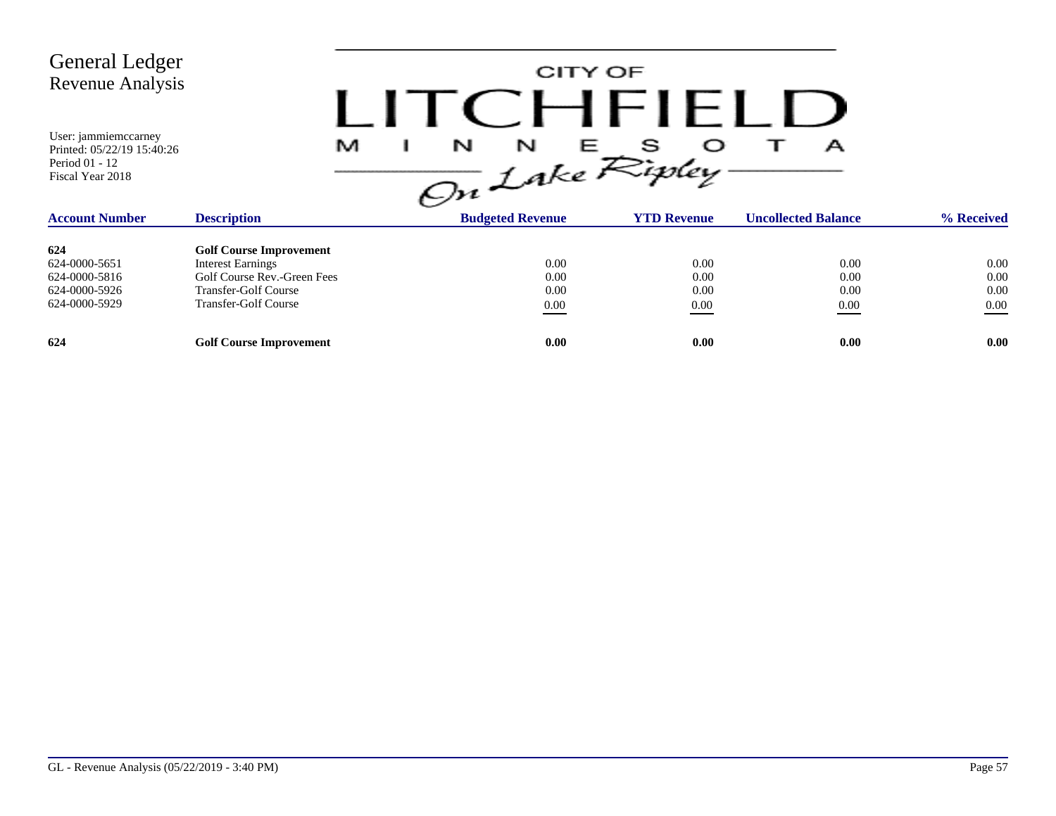| <b>General Ledger</b><br>Revenue Analysis<br>User: jammiemccarney<br>Printed: 05/22/19 15:40:26<br>Period 01 - 12<br>Fiscal Year 2018 | .<br>M                         | CITY OF<br>CHFILLU<br>$\frac{1}{\sqrt{m}}\int_{0}^{N} L_{0}k_{e}e^{S_{0}k_{e}}$ |                    | А                          |            |
|---------------------------------------------------------------------------------------------------------------------------------------|--------------------------------|---------------------------------------------------------------------------------|--------------------|----------------------------|------------|
| <b>Account Number</b>                                                                                                                 | <b>Description</b>             | <b>Budgeted Revenue</b>                                                         | <b>YTD Revenue</b> | <b>Uncollected Balance</b> | % Received |
| 624                                                                                                                                   | <b>Golf Course Improvement</b> |                                                                                 |                    |                            |            |
| 624-0000-5651                                                                                                                         | <b>Interest Earnings</b>       | 0.00                                                                            | 0.00               | 0.00                       | 0.00       |
| 624-0000-5816                                                                                                                         | Golf Course Rev.-Green Fees    | 0.00                                                                            | 0.00               | 0.00                       | 0.00       |
| 624-0000-5926                                                                                                                         | <b>Transfer-Golf Course</b>    | 0.00                                                                            | 0.00               | 0.00                       | 0.00       |
| 624-0000-5929                                                                                                                         | <b>Transfer-Golf Course</b>    | $0.00\,$                                                                        | 0.00               | 0.00                       | $0.00\,$   |
| 624                                                                                                                                   | <b>Golf Course Improvement</b> | 0.00                                                                            | 0.00               | 0.00                       | 0.00       |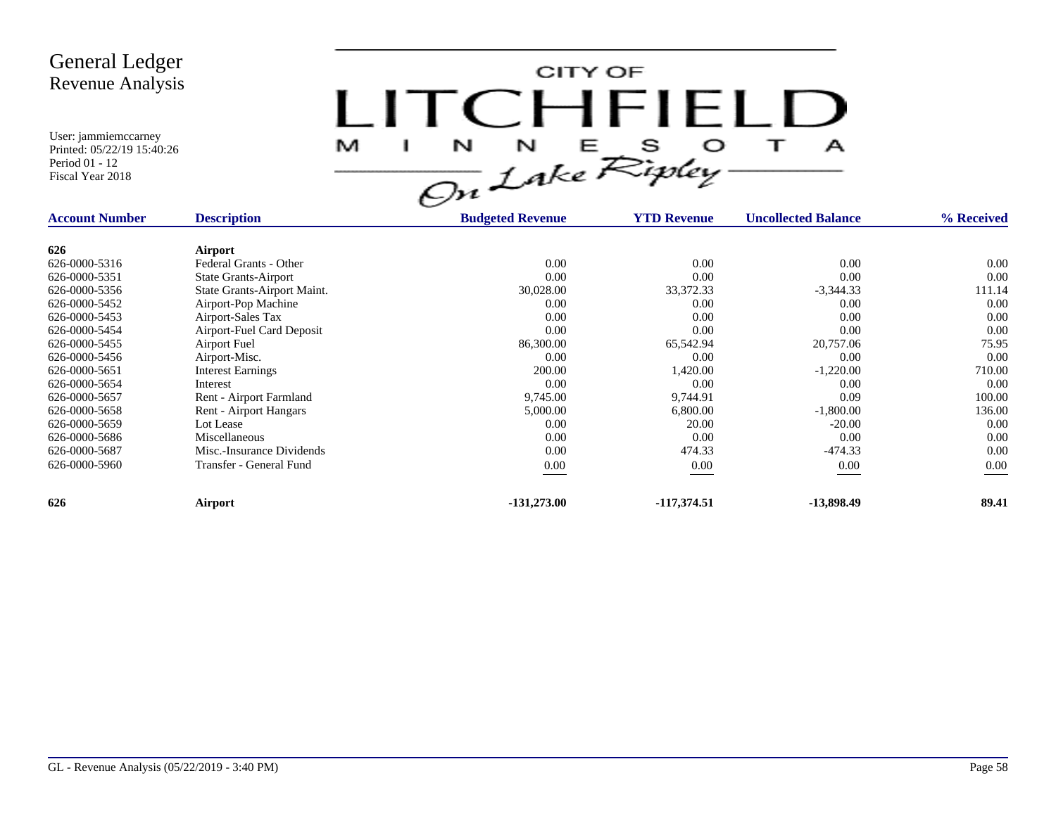CITY OF LITCHFIELD  $\overline{\mathbf{1}}$ M  $\mathbf{I}$  $\mathbf{A}$ 

| <b>Account Number</b> | <b>Description</b>          | <b>Budgeted Revenue</b> | <b>YTD Revenue</b> | <b>Uncollected Balance</b> | % Received |
|-----------------------|-----------------------------|-------------------------|--------------------|----------------------------|------------|
| 626                   | Airport                     |                         |                    |                            |            |
| 626-0000-5316         | Federal Grants - Other      | 0.00                    | 0.00               | 0.00                       | 0.00       |
| 626-0000-5351         | <b>State Grants-Airport</b> | 0.00                    | 0.00               | 0.00                       | 0.00       |
| 626-0000-5356         | State Grants-Airport Maint. | 30,028.00               | 33, 372. 33        | $-3,344.33$                | 111.14     |
| 626-0000-5452         | Airport-Pop Machine         | 0.00                    | 0.00               | 0.00                       | 0.00       |
| 626-0000-5453         | Airport-Sales Tax           | 0.00                    | 0.00               | 0.00                       | 0.00       |
| 626-0000-5454         | Airport-Fuel Card Deposit   | 0.00                    | 0.00               | 0.00                       | 0.00       |
| 626-0000-5455         | Airport Fuel                | 86,300.00               | 65,542.94          | 20,757.06                  | 75.95      |
| 626-0000-5456         | Airport-Misc.               | 0.00                    | 0.00               | 0.00                       | 0.00       |
| 626-0000-5651         | <b>Interest Earnings</b>    | 200.00                  | 1,420.00           | $-1,220.00$                | 710.00     |
| 626-0000-5654         | Interest                    | 0.00                    | 0.00               | 0.00                       | 0.00       |
| 626-0000-5657         | Rent - Airport Farmland     | 9,745.00                | 9,744.91           | 0.09                       | 100.00     |
| 626-0000-5658         | Rent - Airport Hangars      | 5,000.00                | 6,800.00           | $-1,800.00$                | 136.00     |
| 626-0000-5659         | Lot Lease                   | 0.00                    | 20.00              | $-20.00$                   | 0.00       |
| 626-0000-5686         | Miscellaneous               | 0.00                    | 0.00               | 0.00                       | 0.00       |
| 626-0000-5687         | Misc.-Insurance Dividends   | 0.00                    | 474.33             | $-474.33$                  | 0.00       |
| 626-0000-5960         | Transfer - General Fund     | 0.00                    | 0.00               | 0.00                       | 0.00       |
| 626                   | Airport                     | $-131,273.00$           | $-117,374.51$      | -13,898.49                 | 89.41      |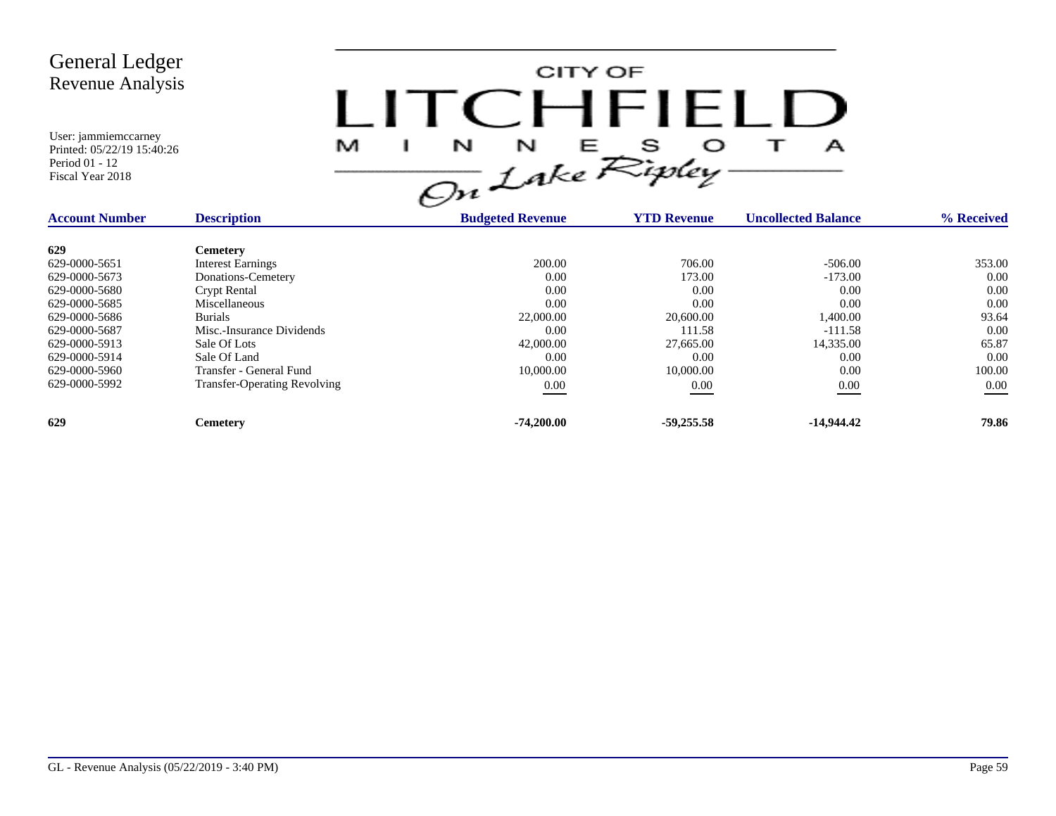CITY OF LITCHFIELD  $M$  I N N E S O T A<br>On Lake Ripley

| <b>Account Number</b> | <b>Description</b>                  | <b>Budgeted Revenue</b> | <b>YTD Revenue</b> | <b>Uncollected Balance</b> | % Received |
|-----------------------|-------------------------------------|-------------------------|--------------------|----------------------------|------------|
| 629                   | <b>Cemetery</b>                     |                         |                    |                            |            |
| 629-0000-5651         | <b>Interest Earnings</b>            | 200.00                  | 706.00             | $-506.00$                  | 353.00     |
| 629-0000-5673         | Donations-Cemetery                  | 0.00                    | 173.00             | $-173.00$                  | 0.00       |
| 629-0000-5680         | <b>Crypt Rental</b>                 | 0.00                    | 0.00               | 0.00                       | 0.00       |
| 629-0000-5685         | Miscellaneous                       | 0.00                    | 0.00               | 0.00                       | 0.00       |
| 629-0000-5686         | <b>Burials</b>                      | 22,000.00               | 20,600.00          | 1,400.00                   | 93.64      |
| 629-0000-5687         | Misc.-Insurance Dividends           | 0.00                    | 111.58             | $-111.58$                  | 0.00       |
| 629-0000-5913         | Sale Of Lots                        | 42,000.00               | 27,665.00          | 14,335.00                  | 65.87      |
| 629-0000-5914         | Sale Of Land                        | 0.00                    | 0.00               | 0.00                       | 0.00       |
| 629-0000-5960         | Transfer - General Fund             | 10,000.00               | 10,000.00          | 0.00                       | 100.00     |
| 629-0000-5992         | <b>Transfer-Operating Revolving</b> | $0.00\,$                | 0.00               | 0.00                       | 0.00       |
| 629                   | Cemetery                            | $-74,200.00$            | $-59.255.58$       | $-14.944.42$               | 79.86      |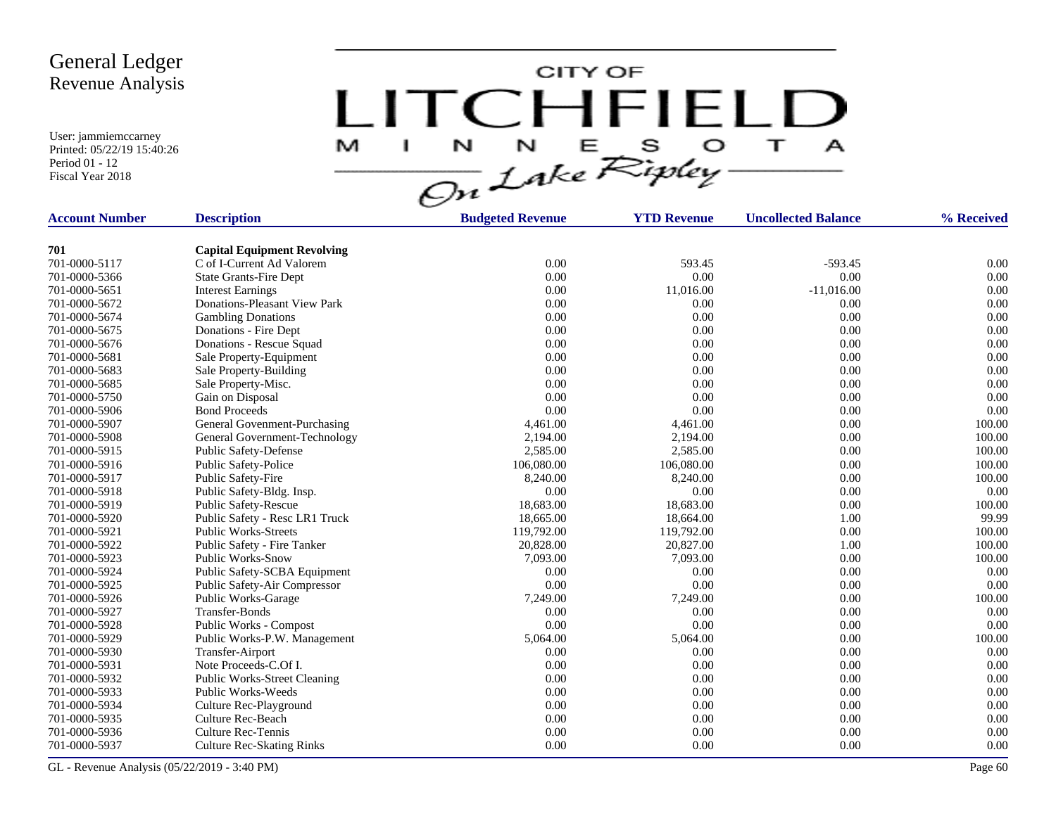User: jammiemccarney Printed: 05/22/19 15:40:26 Period 01 - 12 Fiscal Year 2018

CITY OF LITCHFIELD  $\overline{1}$ M.  $\mathbf{I}$  $\mathbf{A}$ 

| <b>Account Number</b> | <b>Description</b>                  | <b>Budgeted Revenue</b> | <b>YTD Revenue</b> | <b>Uncollected Balance</b> | % Received |
|-----------------------|-------------------------------------|-------------------------|--------------------|----------------------------|------------|
|                       |                                     |                         |                    |                            |            |
| 701                   | <b>Capital Equipment Revolving</b>  |                         |                    |                            |            |
| 701-0000-5117         | C of I-Current Ad Valorem           | 0.00                    | 593.45             | $-593.45$                  | 0.00       |
| 701-0000-5366         | <b>State Grants-Fire Dept</b>       | 0.00                    | 0.00               | 0.00                       | 0.00       |
| 701-0000-5651         | <b>Interest Earnings</b>            | 0.00                    | 11,016.00          | $-11,016.00$               | 0.00       |
| 701-0000-5672         | Donations-Pleasant View Park        | 0.00                    | 0.00               | 0.00                       | 0.00       |
| 701-0000-5674         | <b>Gambling Donations</b>           | 0.00                    | 0.00               | 0.00                       | 0.00       |
| 701-0000-5675         | Donations - Fire Dept               | 0.00                    | 0.00               | 0.00                       | 0.00       |
| 701-0000-5676         | Donations - Rescue Squad            | 0.00                    | 0.00               | 0.00                       | 0.00       |
| 701-0000-5681         | Sale Property-Equipment             | 0.00                    | 0.00               | 0.00                       | 0.00       |
| 701-0000-5683         | Sale Property-Building              | 0.00                    | 0.00               | 0.00                       | 0.00       |
| 701-0000-5685         | Sale Property-Misc.                 | 0.00                    | 0.00               | 0.00                       | 0.00       |
| 701-0000-5750         | Gain on Disposal                    | 0.00                    | 0.00               | 0.00                       | 0.00       |
| 701-0000-5906         | <b>Bond Proceeds</b>                | 0.00                    | 0.00               | 0.00                       | 0.00       |
| 701-0000-5907         | General Govenment-Purchasing        | 4,461.00                | 4,461.00           | 0.00                       | 100.00     |
| 701-0000-5908         | General Government-Technology       | 2,194.00                | 2,194.00           | 0.00                       | 100.00     |
| 701-0000-5915         | Public Safety-Defense               | 2,585.00                | 2,585.00           | 0.00                       | 100.00     |
| 701-0000-5916         | Public Safety-Police                | 106,080.00              | 106,080.00         | 0.00                       | 100.00     |
| 701-0000-5917         | Public Safety-Fire                  | 8,240.00                | 8,240.00           | 0.00                       | 100.00     |
| 701-0000-5918         | Public Safety-Bldg. Insp.           | 0.00                    | 0.00               | 0.00                       | 0.00       |
| 701-0000-5919         | Public Safety-Rescue                | 18,683.00               | 18,683.00          | 0.00                       | 100.00     |
| 701-0000-5920         | Public Safety - Resc LR1 Truck      | 18,665.00               | 18,664.00          | 1.00                       | 99.99      |
| 701-0000-5921         | <b>Public Works-Streets</b>         | 119,792.00              | 119,792.00         | 0.00                       | 100.00     |
| 701-0000-5922         | Public Safety - Fire Tanker         | 20,828.00               | 20,827.00          | 1.00                       | 100.00     |
| 701-0000-5923         | <b>Public Works-Snow</b>            | 7,093.00                | 7,093.00           | 0.00                       | 100.00     |
| 701-0000-5924         | Public Safety-SCBA Equipment        | 0.00                    | 0.00               | 0.00                       | 0.00       |
| 701-0000-5925         | Public Safety-Air Compressor        | 0.00                    | 0.00               | 0.00                       | 0.00       |
| 701-0000-5926         | Public Works-Garage                 | 7,249.00                | 7,249.00           | 0.00                       | 100.00     |
| 701-0000-5927         | Transfer-Bonds                      | 0.00                    | 0.00               | 0.00                       | 0.00       |
| 701-0000-5928         | Public Works - Compost              | 0.00                    | 0.00               | 0.00                       | 0.00       |
| 701-0000-5929         | Public Works-P.W. Management        | 5,064.00                | 5,064.00           | 0.00                       | 100.00     |
| 701-0000-5930         | Transfer-Airport                    | 0.00                    | 0.00               | 0.00                       | 0.00       |
| 701-0000-5931         | Note Proceeds-C.Of I.               | 0.00                    | 0.00               | 0.00                       | 0.00       |
| 701-0000-5932         | <b>Public Works-Street Cleaning</b> | 0.00                    | 0.00               | 0.00                       | 0.00       |
| 701-0000-5933         | Public Works-Weeds                  | 0.00                    | 0.00               | 0.00                       | 0.00       |
| 701-0000-5934         | Culture Rec-Playground              | 0.00                    | 0.00               | 0.00                       | 0.00       |
| 701-0000-5935         | <b>Culture Rec-Beach</b>            | 0.00                    | 0.00               | 0.00                       | 0.00       |
| 701-0000-5936         | <b>Culture Rec-Tennis</b>           | 0.00                    | 0.00               | 0.00                       | 0.00       |
| 701-0000-5937         | <b>Culture Rec-Skating Rinks</b>    | 0.00                    | 0.00               | 0.00                       | 0.00       |

GL - Revenue Analysis (05/22/2019 - 3:40 PM) Page 60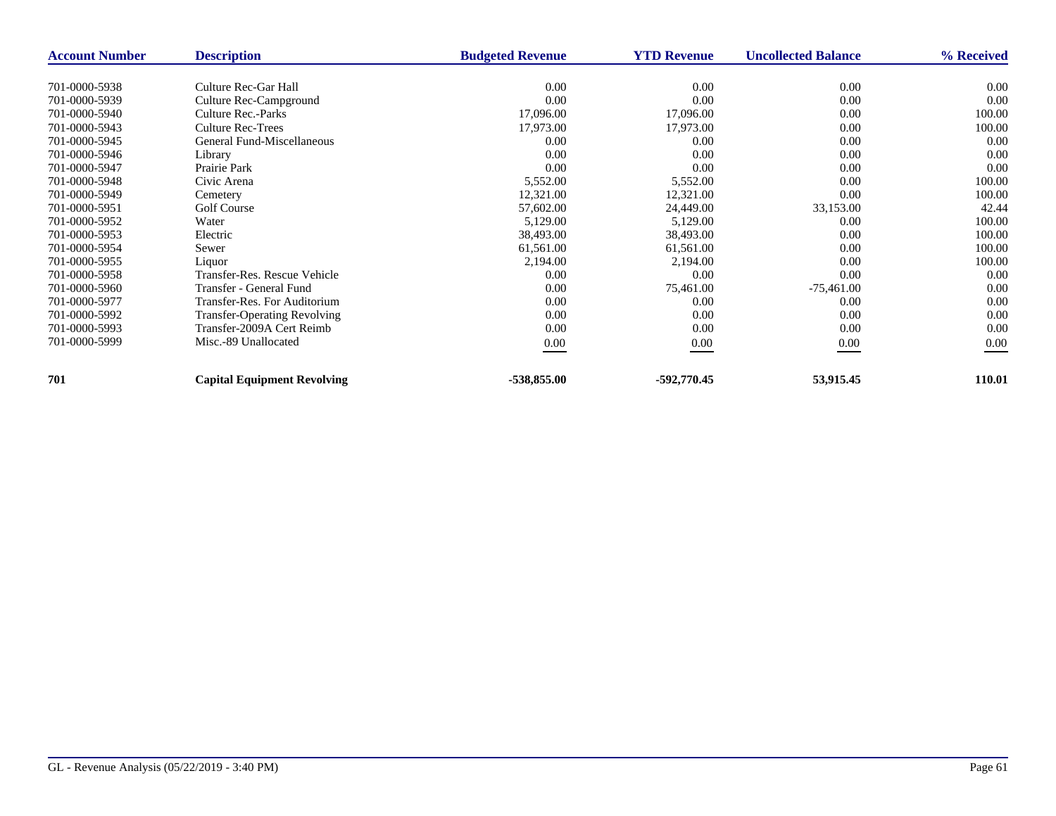| <b>Account Number</b> | <b>Description</b>                  | <b>Budgeted Revenue</b> | <b>YTD Revenue</b> | <b>Uncollected Balance</b> | % Received |
|-----------------------|-------------------------------------|-------------------------|--------------------|----------------------------|------------|
|                       |                                     |                         |                    |                            |            |
| 701-0000-5938         | Culture Rec-Gar Hall                | 0.00                    | 0.00               | 0.00                       | 0.00       |
| 701-0000-5939         | Culture Rec-Campground              | 0.00                    | 0.00               | 0.00                       | 0.00       |
| 701-0000-5940         | Culture Rec.-Parks                  | 17,096.00               | 17,096.00          | 0.00                       | 100.00     |
| 701-0000-5943         | <b>Culture Rec-Trees</b>            | 17,973.00               | 17,973.00          | 0.00                       | 100.00     |
| 701-0000-5945         | General Fund-Miscellaneous          | 0.00                    | 0.00               | 0.00                       | 0.00       |
| 701-0000-5946         | Library                             | 0.00                    | 0.00               | 0.00                       | 0.00       |
| 701-0000-5947         | Prairie Park                        | 0.00                    | 0.00               | 0.00                       | 0.00       |
| 701-0000-5948         | Civic Arena                         | 5,552.00                | 5,552.00           | 0.00                       | 100.00     |
| 701-0000-5949         | Cemetery                            | 12,321.00               | 12,321.00          | 0.00                       | 100.00     |
| 701-0000-5951         | Golf Course                         | 57,602.00               | 24,449.00          | 33,153.00                  | 42.44      |
| 701-0000-5952         | Water                               | 5,129.00                | 5,129.00           | 0.00                       | 100.00     |
| 701-0000-5953         | Electric                            | 38,493.00               | 38,493.00          | 0.00                       | 100.00     |
| 701-0000-5954         | Sewer                               | 61,561.00               | 61,561.00          | 0.00                       | 100.00     |
| 701-0000-5955         | Liquor                              | 2,194.00                | 2,194.00           | 0.00                       | 100.00     |
| 701-0000-5958         | Transfer-Res. Rescue Vehicle        | 0.00                    | 0.00               | 0.00                       | 0.00       |
| 701-0000-5960         | Transfer - General Fund             | 0.00                    | 75,461.00          | $-75,461.00$               | 0.00       |
| 701-0000-5977         | Transfer-Res. For Auditorium        | 0.00                    | 0.00               | 0.00                       | 0.00       |
| 701-0000-5992         | <b>Transfer-Operating Revolving</b> | 0.00                    | 0.00               | 0.00                       | 0.00       |
| 701-0000-5993         | Transfer-2009A Cert Reimb           | 0.00                    | 0.00               | 0.00                       | 0.00       |
| 701-0000-5999         | Misc.-89 Unallocated                | $0.00\,$                | 0.00               | 0.00                       | 0.00       |
|                       |                                     |                         |                    |                            |            |
| 701                   | <b>Capital Equipment Revolving</b>  | -538,855.00             | -592,770.45        | 53,915.45                  | 110.01     |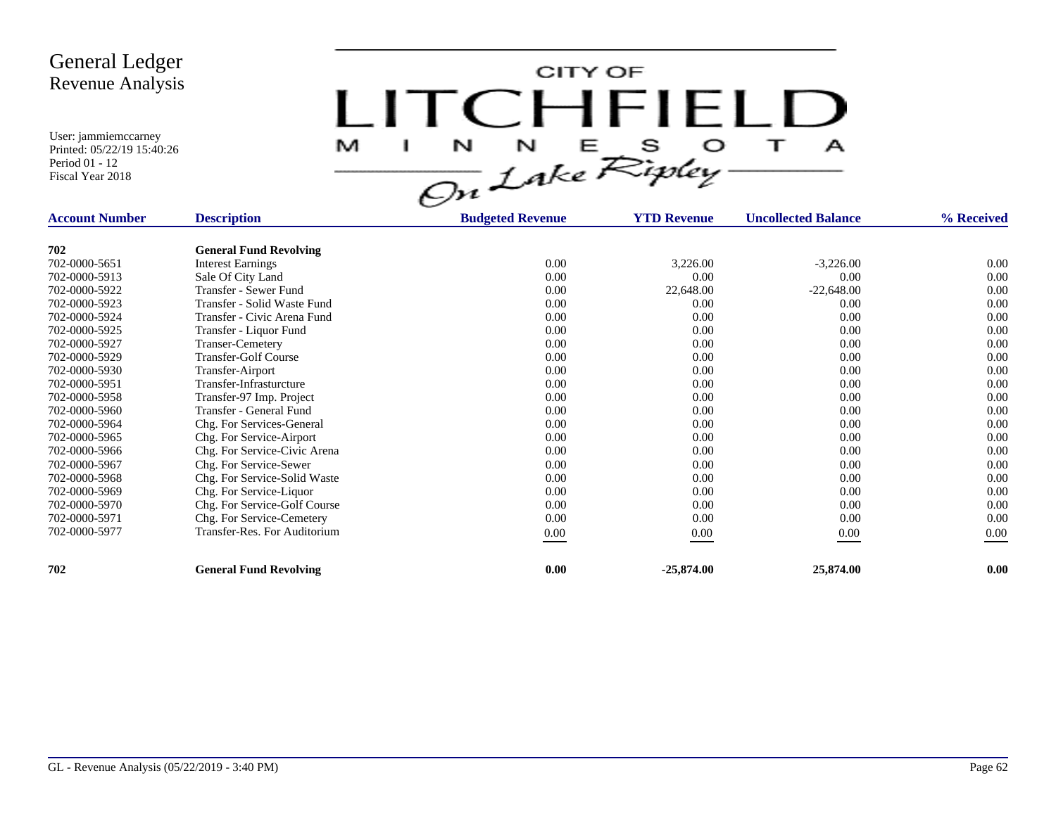CITY OF LITCHFIELD  $\overline{1}$ M.  $\mathbf{I}$  $\mathbf{A}$ 

| <b>Account Number</b> | <b>Description</b>            | <b>Budgeted Revenue</b> | <b>YTD Revenue</b> | <b>Uncollected Balance</b> | % Received |
|-----------------------|-------------------------------|-------------------------|--------------------|----------------------------|------------|
|                       |                               |                         |                    |                            |            |
| 702                   | <b>General Fund Revolving</b> |                         |                    |                            |            |
| 702-0000-5651         | <b>Interest Earnings</b>      | 0.00                    | 3,226.00           | $-3,226.00$                | $0.00\,$   |
| 702-0000-5913         | Sale Of City Land             | 0.00                    | 0.00               | 0.00                       | 0.00       |
| 702-0000-5922         | Transfer - Sewer Fund         | 0.00                    | 22,648.00          | $-22,648.00$               | 0.00       |
| 702-0000-5923         | Transfer - Solid Waste Fund   | 0.00                    | 0.00               | 0.00                       | 0.00       |
| 702-0000-5924         | Transfer - Civic Arena Fund   | 0.00                    | 0.00               | 0.00                       | 0.00       |
| 702-0000-5925         | Transfer - Liquor Fund        | 0.00                    | 0.00               | 0.00                       | 0.00       |
| 702-0000-5927         | <b>Transer-Cemetery</b>       | 0.00                    | 0.00               | 0.00                       | 0.00       |
| 702-0000-5929         | <b>Transfer-Golf Course</b>   | 0.00                    | 0.00               | 0.00                       | 0.00       |
| 702-0000-5930         | Transfer-Airport              | 0.00                    | 0.00               | 0.00                       | 0.00       |
| 702-0000-5951         | Transfer-Infrasturcture       | 0.00                    | 0.00               | 0.00                       | 0.00       |
| 702-0000-5958         | Transfer-97 Imp. Project      | 0.00                    | 0.00               | 0.00                       | 0.00       |
| 702-0000-5960         | Transfer - General Fund       | 0.00                    | 0.00               | 0.00                       | 0.00       |
| 702-0000-5964         | Chg. For Services-General     | 0.00                    | 0.00               | 0.00                       | 0.00       |
| 702-0000-5965         | Chg. For Service-Airport      | 0.00                    | 0.00               | 0.00                       | 0.00       |
| 702-0000-5966         | Chg. For Service-Civic Arena  | 0.00                    | 0.00               | 0.00                       | 0.00       |
| 702-0000-5967         | Chg. For Service-Sewer        | 0.00                    | 0.00               | 0.00                       | 0.00       |
| 702-0000-5968         | Chg. For Service-Solid Waste  | 0.00                    | 0.00               | 0.00                       | 0.00       |
| 702-0000-5969         | Chg. For Service-Liquor       | 0.00                    | 0.00               | 0.00                       | 0.00       |
| 702-0000-5970         | Chg. For Service-Golf Course  | 0.00                    | 0.00               | 0.00                       | 0.00       |
| 702-0000-5971         | Chg. For Service-Cemetery     | 0.00                    | 0.00               | 0.00                       | 0.00       |
| 702-0000-5977         | Transfer-Res. For Auditorium  | $0.00\,$                | 0.00               | 0.00                       | 0.00       |
|                       |                               |                         |                    |                            |            |
| 702                   | <b>General Fund Revolving</b> | 0.00                    | $-25,874.00$       | 25,874.00                  | 0.00       |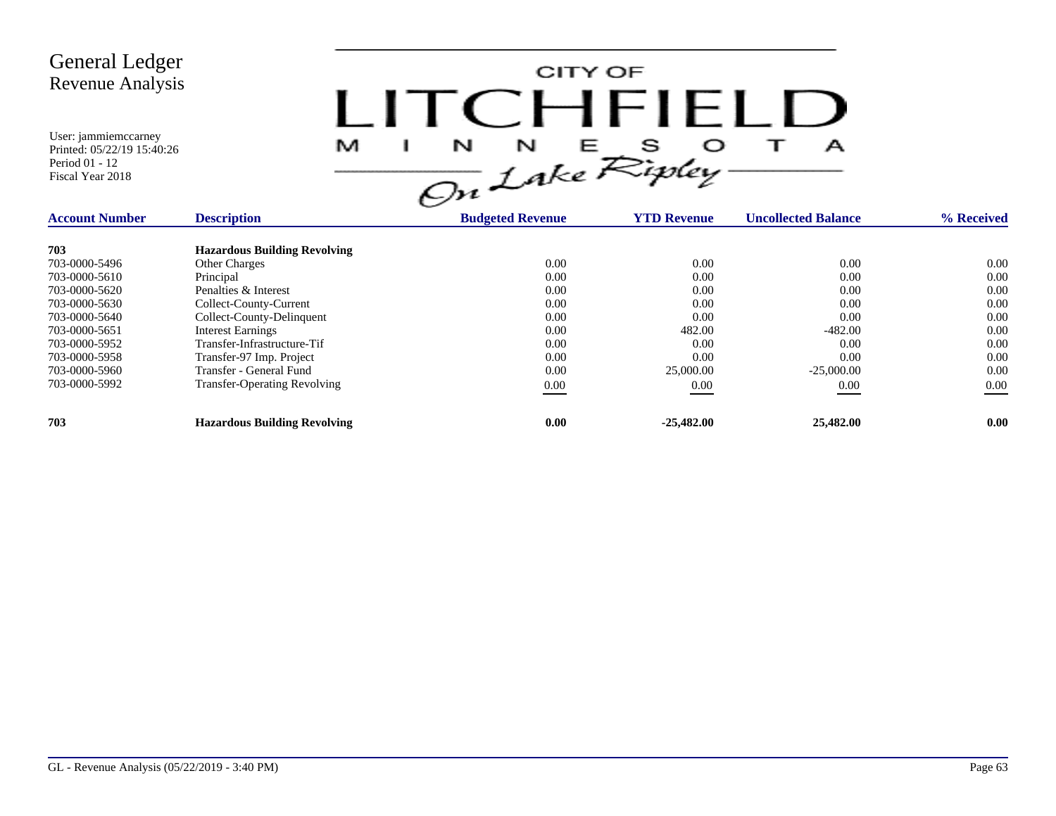

| <b>Account Number</b> | <b>Description</b>                  | <b>Budgeted Revenue</b> | <b>YTD Revenue</b> | <b>Uncollected Balance</b> | % Received |
|-----------------------|-------------------------------------|-------------------------|--------------------|----------------------------|------------|
| 703                   | <b>Hazardous Building Revolving</b> |                         |                    |                            |            |
| 703-0000-5496         | <b>Other Charges</b>                | 0.00                    | 0.00               | 0.00                       | 0.00       |
| 703-0000-5610         | Principal                           | 0.00                    | 0.00               | 0.00                       | 0.00       |
| 703-0000-5620         | Penalties & Interest                | 0.00                    | 0.00               | 0.00                       | 0.00       |
| 703-0000-5630         | Collect-County-Current              | 0.00                    | 0.00               | 0.00                       | 0.00       |
| 703-0000-5640         | Collect-County-Delinguent           | 0.00                    | 0.00               | 0.00                       | 0.00       |
| 703-0000-5651         | <b>Interest Earnings</b>            | 0.00                    | 482.00             | $-482.00$                  | 0.00       |
| 703-0000-5952         | Transfer-Infrastructure-Tif         | 0.00                    | 0.00               | 0.00                       | 0.00       |
| 703-0000-5958         | Transfer-97 Imp. Project            | 0.00                    | 0.00               | 0.00                       | 0.00       |
| 703-0000-5960         | Transfer - General Fund             | 0.00                    | 25,000.00          | $-25,000,00$               | 0.00       |
| 703-0000-5992         | <b>Transfer-Operating Revolving</b> | $0.00\,$                | 0.00               | 0.00                       | $0.00\,$   |
| 703                   | <b>Hazardous Building Revolving</b> | 0.00                    | $-25,482,00$       | 25,482.00                  | 0.00       |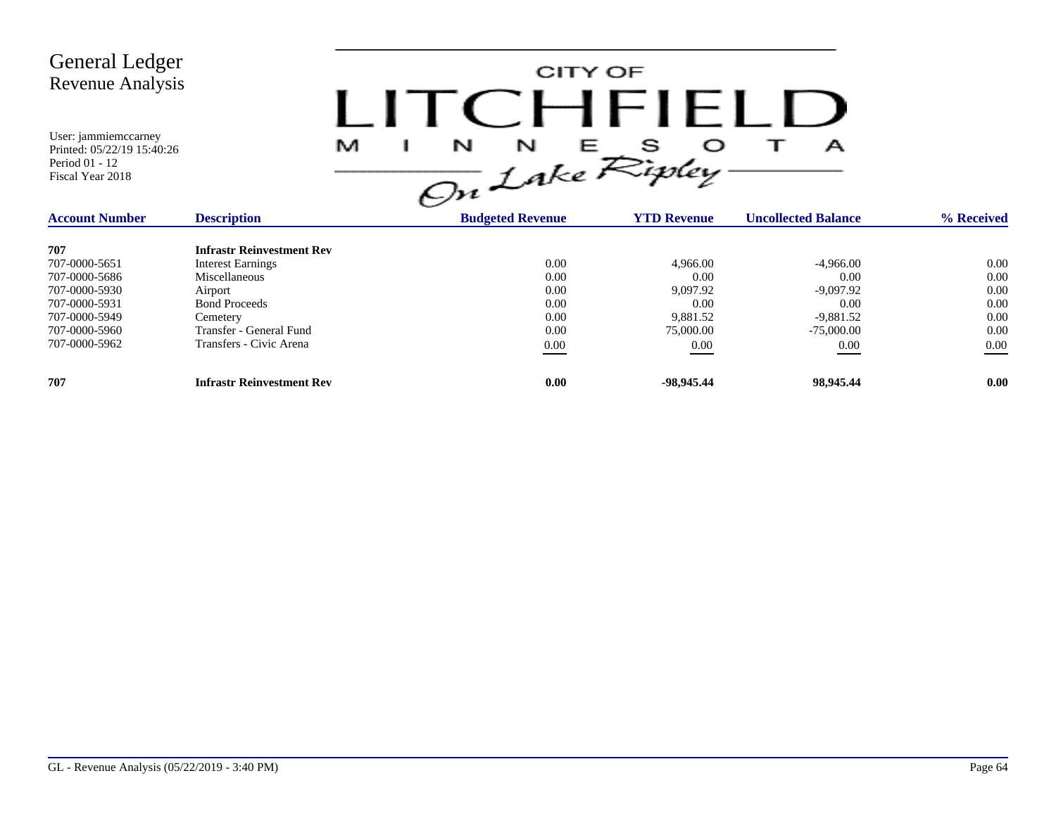

| <b>Account Number</b> | <b>Description</b>               | <b>Budgeted Revenue</b> | <b>YTD Revenue</b> | <b>Uncollected Balance</b> | % Received |
|-----------------------|----------------------------------|-------------------------|--------------------|----------------------------|------------|
| 707                   | <b>Infrastr Reinvestment Rev</b> |                         |                    |                            |            |
| 707-0000-5651         | <b>Interest Earnings</b>         | 0.00                    | 4,966.00           | $-4,966.00$                | 0.00       |
| 707-0000-5686         | Miscellaneous                    | 0.00                    | 0.00               | 0.00                       | 0.00       |
| 707-0000-5930         | Airport                          | 0.00                    | 9,097.92           | -9,097.92                  | 0.00       |
| 707-0000-5931         | <b>Bond Proceeds</b>             | 0.00                    | 0.00               | 0.00                       | 0.00       |
| 707-0000-5949         | Cemetery                         | 0.00                    | 9,881.52           | $-9,881.52$                | 0.00       |
| 707-0000-5960         | Transfer - General Fund          | 0.00                    | 75,000.00          | $-75,000,00$               | 0.00       |
| 707-0000-5962         | Transfers - Civic Arena          | 0.00                    | 0.00               | 0.00                       | 0.00       |
| 707                   | <b>Infrastr Reinvestment Rev</b> | 0.00                    | -98.945.44         | 98,945.44                  | 0.00       |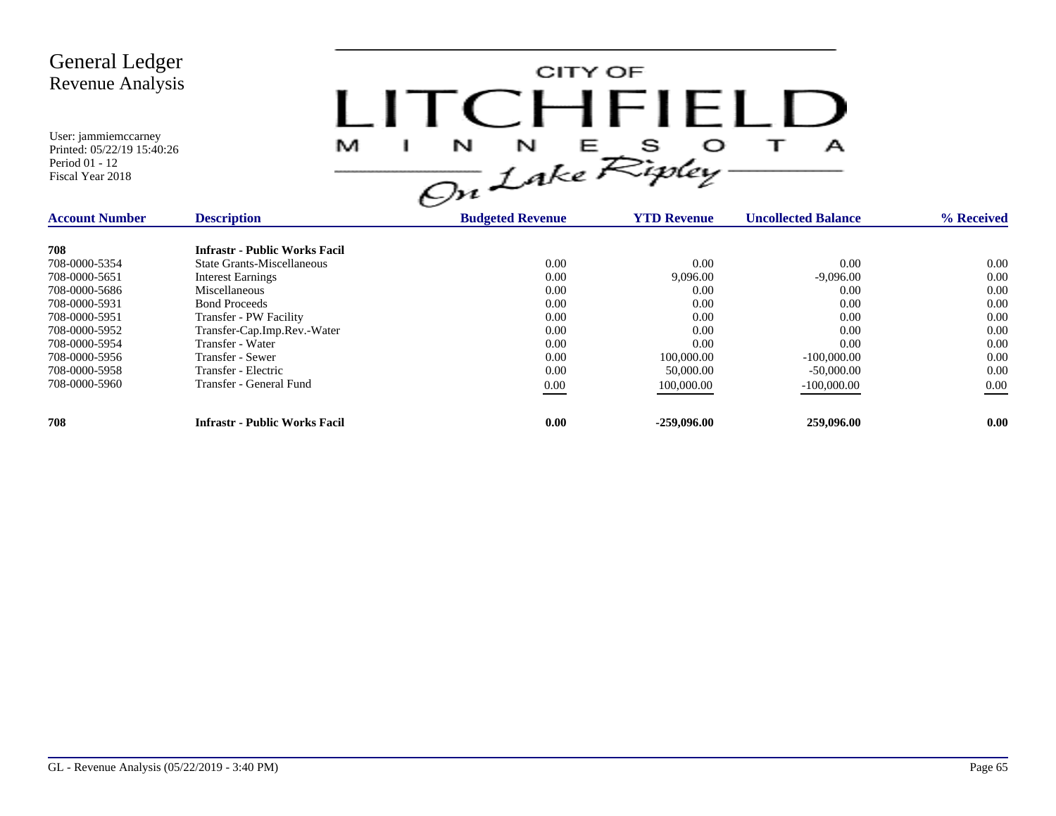

| <b>Account Number</b> | <b>Description</b>                   | <b>Budgeted Revenue</b> | <b>YTD Revenue</b> | <b>Uncollected Balance</b> | % Received |
|-----------------------|--------------------------------------|-------------------------|--------------------|----------------------------|------------|
| 708                   | <b>Infrastr - Public Works Facil</b> |                         |                    |                            |            |
| 708-0000-5354         | State Grants-Miscellaneous           | 0.00                    | 0.00               | 0.00                       | 0.00       |
| 708-0000-5651         | <b>Interest Earnings</b>             | 0.00                    | 9,096.00           | $-9.096.00$                | 0.00       |
| 708-0000-5686         | Miscellaneous                        | 0.00                    | 0.00               | 0.00                       | 0.00       |
| 708-0000-5931         | <b>Bond Proceeds</b>                 | 0.00                    | 0.00               | 0.00                       | 0.00       |
| 708-0000-5951         | Transfer - PW Facility               | 0.00                    | 0.00               | 0.00                       | 0.00       |
| 708-0000-5952         | Transfer-Cap.Imp.Rev.-Water          | 0.00                    | 0.00               | 0.00                       | 0.00       |
| 708-0000-5954         | Transfer - Water                     | 0.00                    | 0.00               | 0.00                       | 0.00       |
| 708-0000-5956         | Transfer - Sewer                     | 0.00                    | 100,000.00         | $-100,000,00$              | 0.00       |
| 708-0000-5958         | Transfer - Electric                  | 0.00                    | 50,000.00          | $-50,000,00$               | 0.00       |
| 708-0000-5960         | Transfer - General Fund              | 0.00                    | 100,000.00         | $-100,000.00$              | $0.00\,$   |
| 708                   | <b>Infrastr - Public Works Facil</b> | 0.00                    | $-259,096,00$      | 259,096.00                 | 0.00       |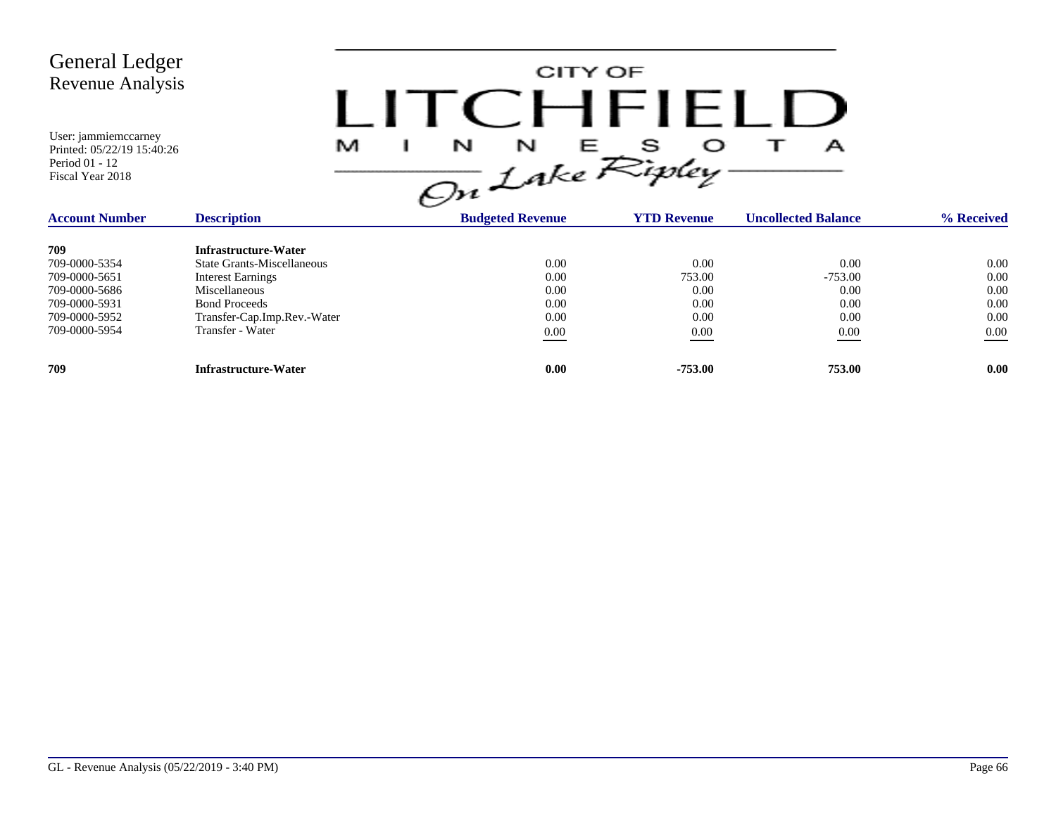CITY OF LITCHFIELD  $M$  I N N E S O T A<br>On Lake Ripley

| <b>Account Number</b> | <b>Description</b>                | <b>Budgeted Revenue</b> | <b>YTD Revenue</b> | <b>Uncollected Balance</b> | % Received |
|-----------------------|-----------------------------------|-------------------------|--------------------|----------------------------|------------|
| 709                   | Infrastructure-Water              |                         |                    |                            |            |
| 709-0000-5354         | <b>State Grants-Miscellaneous</b> | 0.00                    | 0.00               | 0.00                       | 0.00       |
| 709-0000-5651         | <b>Interest Earnings</b>          | 0.00                    | 753.00             | $-753.00$                  | 0.00       |
| 709-0000-5686         | Miscellaneous                     | 0.00                    | 0.00               | 0.00                       | 0.00       |
| 709-0000-5931         | <b>Bond Proceeds</b>              | 0.00                    | 0.00               | 0.00                       | 0.00       |
| 709-0000-5952         | Transfer-Cap.Imp.Rev.-Water       | 0.00                    | 0.00               | 0.00                       | 0.00       |
| 709-0000-5954         | Transfer - Water                  | 0.00                    | 0.00               | 0.00                       | 0.00       |
| 709                   | Infrastructure-Water              | 0.00                    | -753.00            | 753.00                     | 0.00       |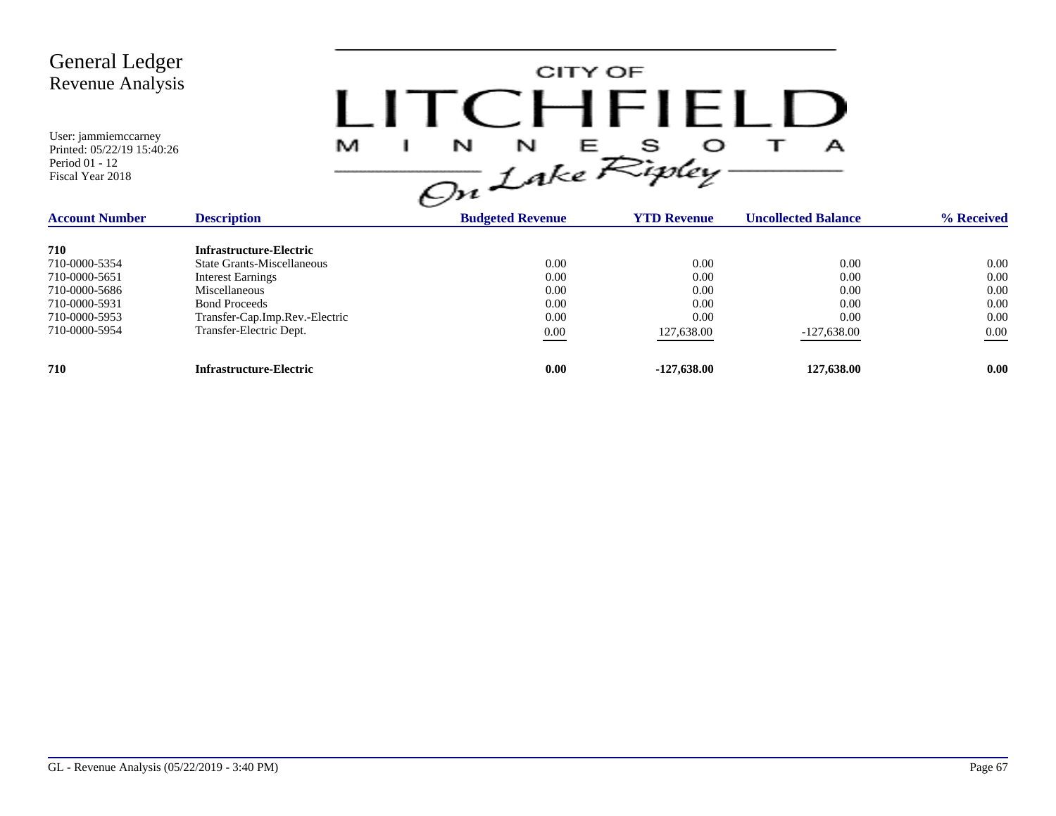CITY OF LITCHFIELD  $M$  I N N E S O T A<br>On Lake Ripley

| <b>Account Number</b> | <b>Description</b>             | <b>Budgeted Revenue</b> | <b>YTD Revenue</b> | <b>Uncollected Balance</b> | % Received        |
|-----------------------|--------------------------------|-------------------------|--------------------|----------------------------|-------------------|
| 710                   | Infrastructure-Electric        |                         |                    |                            |                   |
| 710-0000-5354         | State Grants-Miscellaneous     | 0.00                    | 0.00               | 0.00                       | 0.00              |
| 710-0000-5651         | <b>Interest Earnings</b>       | 0.00                    | 0.00               | 0.00                       | 0.00              |
| 710-0000-5686         | <b>Miscellaneous</b>           | 0.00                    | 0.00               | 0.00                       | 0.00              |
| 710-0000-5931         | <b>Bond Proceeds</b>           | 0.00                    | 0.00               | 0.00                       | 0.00              |
| 710-0000-5953         | Transfer-Cap.Imp.Rev.-Electric | 0.00                    | 0.00               | 0.00                       | 0.00              |
| 710-0000-5954         | Transfer-Electric Dept.        | 0.00                    | 127,638.00         | $-127,638.00$              | 0.00              |
| 710                   | <b>Infrastructure-Electric</b> | 0.00                    | $-127,638,00$      | 127,638.00                 | 0.00 <sub>1</sub> |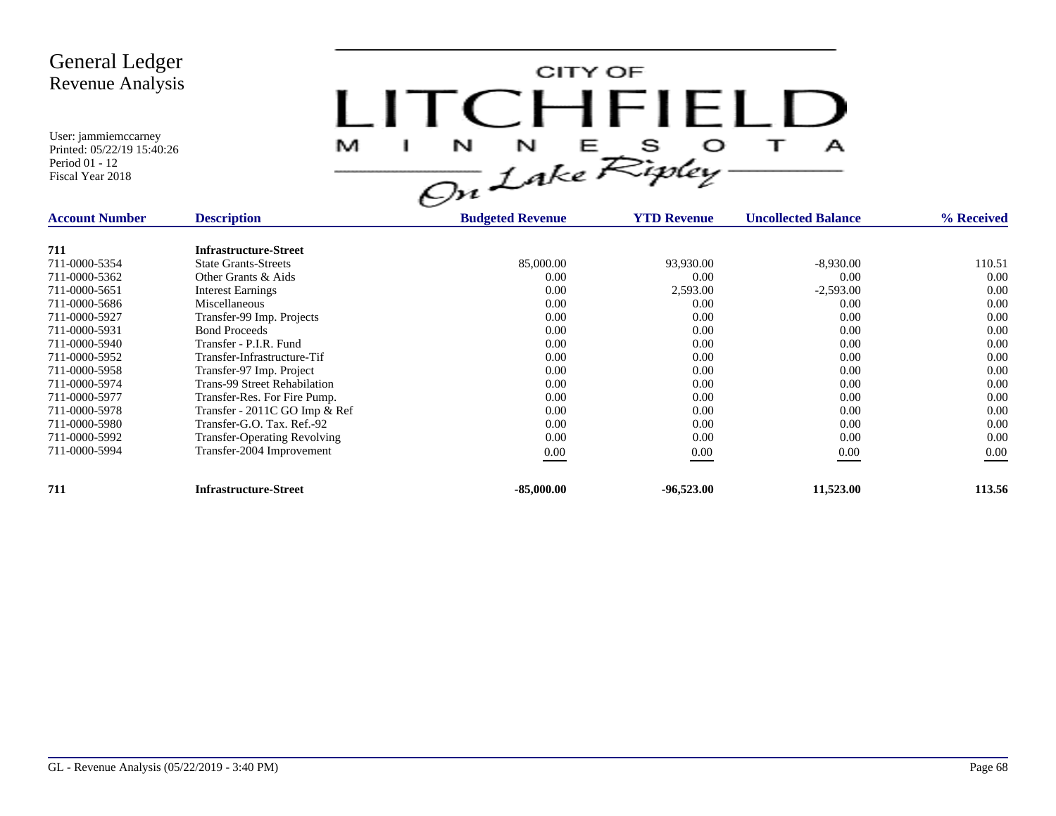CITY OF LITCHFIELD M  $\mathbf{I}$  $\mathbf{A}$ 

| <b>Account Number</b> | <b>Description</b>                  | <b>Budgeted Revenue</b> | <b>YTD Revenue</b> | <b>Uncollected Balance</b> | % Received |
|-----------------------|-------------------------------------|-------------------------|--------------------|----------------------------|------------|
| 711                   | <b>Infrastructure-Street</b>        |                         |                    |                            |            |
| 711-0000-5354         | <b>State Grants-Streets</b>         | 85,000.00               | 93,930.00          | $-8,930.00$                | 110.51     |
| 711-0000-5362         | Other Grants & Aids                 | 0.00                    | 0.00               | 0.00                       | 0.00       |
| 711-0000-5651         | <b>Interest Earnings</b>            | 0.00                    | 2,593.00           | $-2,593.00$                | 0.00       |
| 711-0000-5686         | Miscellaneous                       | 0.00                    | 0.00               | 0.00                       | 0.00       |
| 711-0000-5927         | Transfer-99 Imp. Projects           | 0.00                    | 0.00               | 0.00                       | 0.00       |
| 711-0000-5931         | <b>Bond Proceeds</b>                | 0.00                    | 0.00               | 0.00                       | 0.00       |
| 711-0000-5940         | Transfer - P.I.R. Fund              | 0.00                    | 0.00               | 0.00                       | 0.00       |
| 711-0000-5952         | Transfer-Infrastructure-Tif         | 0.00                    | 0.00               | 0.00                       | 0.00       |
| 711-0000-5958         | Transfer-97 Imp. Project            | 0.00                    | 0.00               | 0.00                       | 0.00       |
| 711-0000-5974         | Trans-99 Street Rehabilation        | 0.00                    | 0.00               | 0.00                       | 0.00       |
| 711-0000-5977         | Transfer-Res. For Fire Pump.        | 0.00                    | 0.00               | 0.00                       | 0.00       |
| 711-0000-5978         | Transfer - 2011C GO Imp & Ref       | 0.00                    | 0.00               | 0.00                       | 0.00       |
| 711-0000-5980         | Transfer-G.O. Tax. Ref.-92          | 0.00                    | 0.00               | 0.00                       | 0.00       |
| 711-0000-5992         | <b>Transfer-Operating Revolving</b> | 0.00                    | 0.00               | 0.00                       | 0.00       |
| 711-0000-5994         | Transfer-2004 Improvement           | 0.00                    | 0.00               | $0.00\,$                   | 0.00       |
| 711                   | <b>Infrastructure-Street</b>        | $-85,000.00$            | $-96,523.00$       | 11,523.00                  | 113.56     |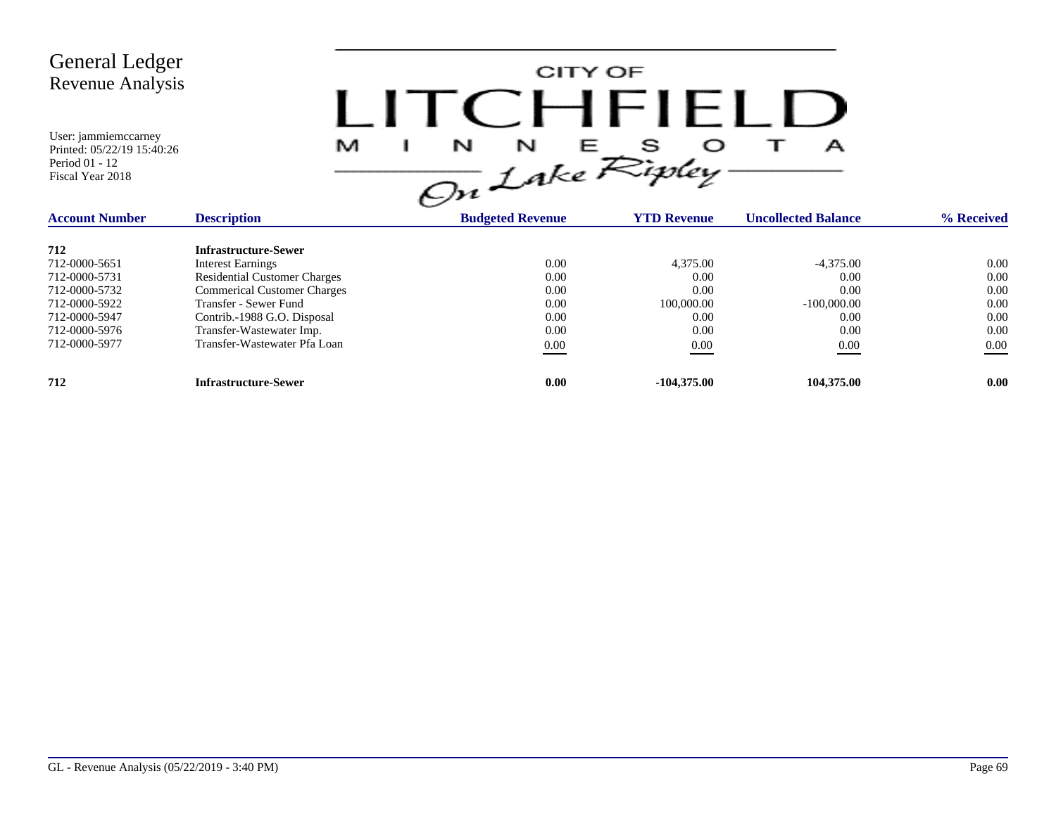| <b>General Ledger</b><br><b>Revenue Analysis</b><br>User: jammiemccarney<br>Printed: 05/22/19 15:40:26<br>Period 01 - 12<br>Fiscal Year 2018 | M                                   | CITY OF<br>$C$ $H$ $H$ $H$<br>N<br>Е<br>N<br>А<br>On Lake Ripley. |                    |                            |            |  |  |  |
|----------------------------------------------------------------------------------------------------------------------------------------------|-------------------------------------|-------------------------------------------------------------------|--------------------|----------------------------|------------|--|--|--|
| <b>Account Number</b>                                                                                                                        | <b>Description</b>                  | <b>Budgeted Revenue</b>                                           | <b>YTD Revenue</b> | <b>Uncollected Balance</b> | % Received |  |  |  |
| 712                                                                                                                                          | <b>Infrastructure-Sewer</b>         |                                                                   |                    |                            |            |  |  |  |
| 712-0000-5651                                                                                                                                | <b>Interest Earnings</b>            | 0.00                                                              | 4,375.00           | $-4.375.00$                | 0.00       |  |  |  |
| 712-0000-5731                                                                                                                                | <b>Residential Customer Charges</b> | 0.00                                                              | 0.00               | 0.00                       | 0.00       |  |  |  |
| 712-0000-5732                                                                                                                                | <b>Commerical Customer Charges</b>  | 0.00                                                              | 0.00               | 0.00                       | 0.00       |  |  |  |
| 712-0000-5922                                                                                                                                | Transfer - Sewer Fund               | 0.00                                                              | 100,000.00         | $-100,000.00$              | 0.00       |  |  |  |
| 712-0000-5947                                                                                                                                | Contrib.-1988 G.O. Disposal         | 0.00                                                              | 0.00               | 0.00                       | 0.00       |  |  |  |
| 712-0000-5976                                                                                                                                | Transfer-Wastewater Imp.            | 0.00                                                              | 0.00               | 0.00                       | 0.00       |  |  |  |
| 712-0000-5977                                                                                                                                | Transfer-Wastewater Pfa Loan        | $0.00\,$                                                          | 0.00               | $0.00\,$                   | 0.00       |  |  |  |

**712 Infrastructure-Sewer 0.00 -104,375.00 104,375.00 0.00**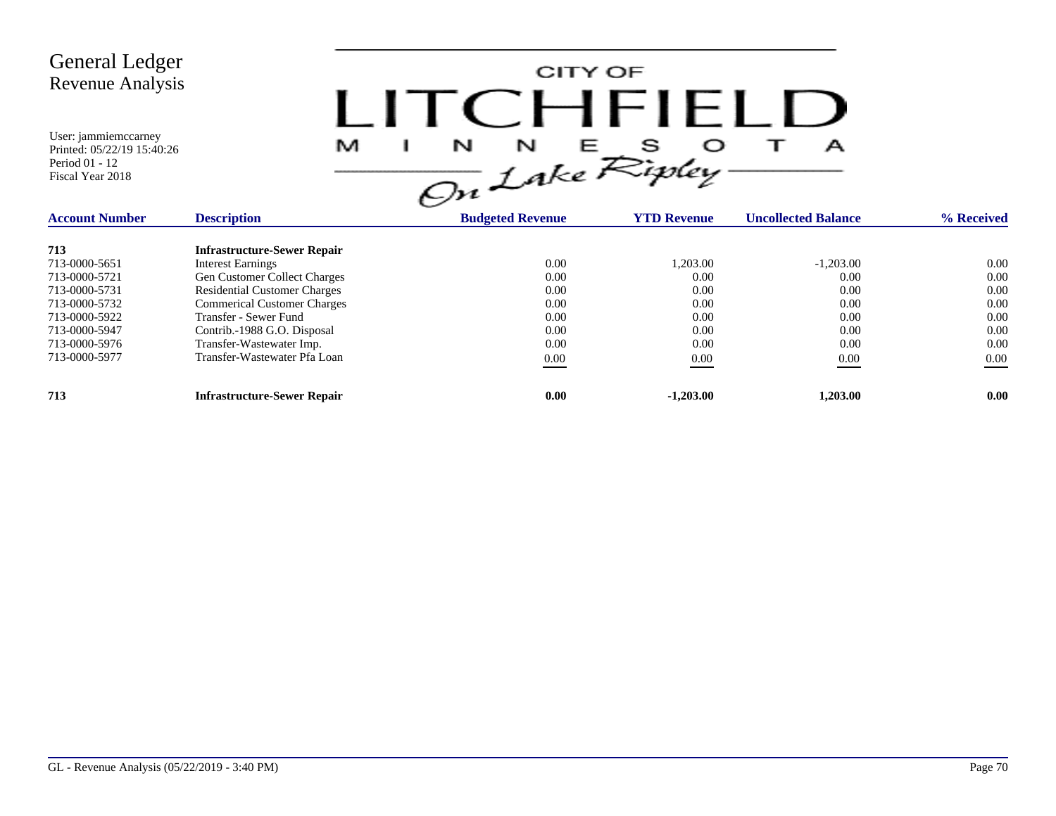User: jammiemccarney Printed: 05/22/19 15:40:26

Period 01 - 12 Fiscal Year 2018

CITY OF LITCHFIELD  $M$  I N N E S O T A<br>On Lake Ripley

| <b>Account Number</b> | <b>Description</b>                  | <b>Budgeted Revenue</b> | <b>YTD Revenue</b> | <b>Uncollected Balance</b> | % Received |
|-----------------------|-------------------------------------|-------------------------|--------------------|----------------------------|------------|
| 713                   | <b>Infrastructure-Sewer Repair</b>  |                         |                    |                            |            |
| 713-0000-5651         | <b>Interest Earnings</b>            | 0.00                    | 1,203.00           | $-1,203.00$                | 0.00       |
| 713-0000-5721         | <b>Gen Customer Collect Charges</b> | 0.00                    | 0.00               | 0.00                       | 0.00       |
| 713-0000-5731         | <b>Residential Customer Charges</b> | 0.00                    | 0.00               | 0.00                       | 0.00       |
| 713-0000-5732         | <b>Commerical Customer Charges</b>  | 0.00                    | 0.00               | 0.00                       | 0.00       |
| 713-0000-5922         | Transfer - Sewer Fund               | 0.00                    | 0.00               | 0.00                       | 0.00       |
| 713-0000-5947         | Contrib.-1988 G.O. Disposal         | 0.00                    | 0.00               | 0.00                       | 0.00       |
| 713-0000-5976         | Transfer-Wastewater Imp.            | 0.00                    | 0.00               | 0.00                       | 0.00       |
| 713-0000-5977         | Transfer-Wastewater Pfa Loan        | 0.00                    | 0.00               | 0.00                       | $0.00\,$   |
| 713                   | <b>Infrastructure-Sewer Repair</b>  | 0.00                    | $-1,203.00$        | 1.203.00                   | 0.00       |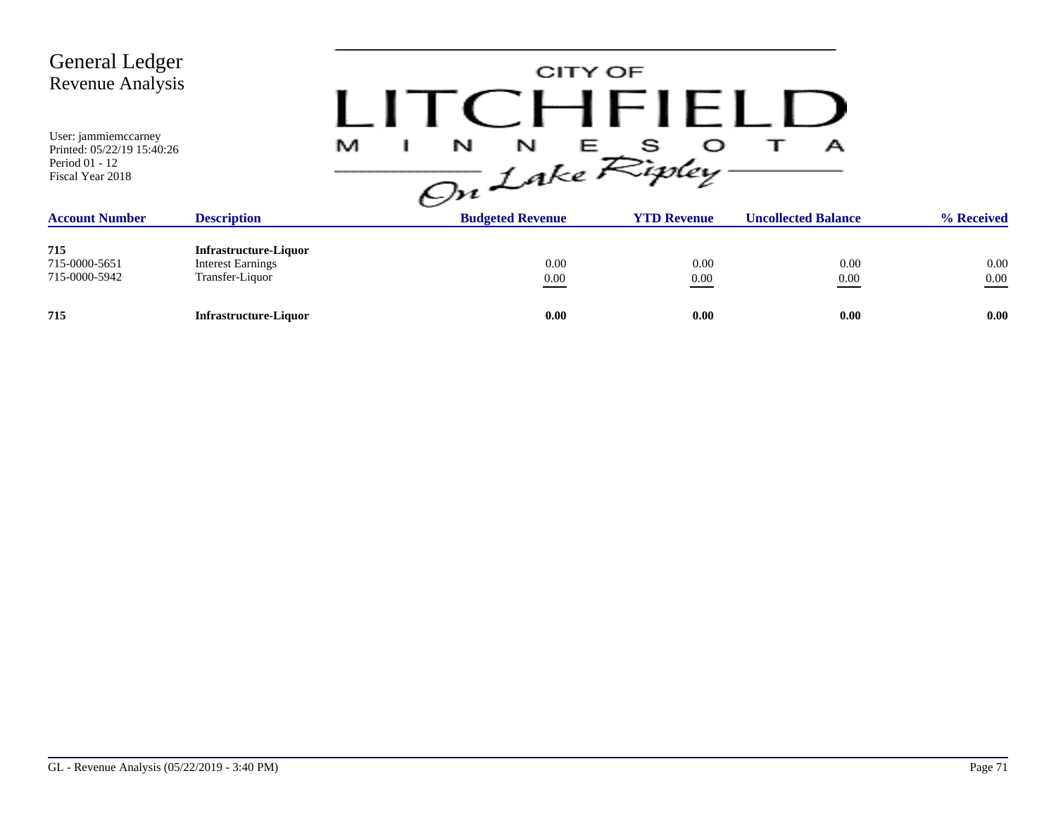| <b>General Ledger</b><br><b>Revenue Analysis</b>                                         |                                                                             |                                | CITY OF<br>CHFIFLIJ |                            |                  |
|------------------------------------------------------------------------------------------|-----------------------------------------------------------------------------|--------------------------------|---------------------|----------------------------|------------------|
| User: jammiemccarney<br>Printed: 05/22/19 15:40:26<br>Period 01 - 12<br>Fiscal Year 2018 |                                                                             | N<br>M<br>N<br>On Lake Ripley- | E S                 | А                          |                  |
| <b>Account Number</b>                                                                    | <b>Description</b>                                                          | <b>Budgeted Revenue</b>        | <b>YTD Revenue</b>  | <b>Uncollected Balance</b> | % Received       |
| 715<br>715-0000-5651<br>715-0000-5942                                                    | <b>Infrastructure-Liquor</b><br><b>Interest Earnings</b><br>Transfer-Liquor | 0.00<br>$0.00\,$               | 0.00<br>0.00        | 0.00<br>0.00               | 0.00<br>$0.00\,$ |
| 715                                                                                      | <b>Infrastructure-Liquor</b>                                                | 0.00                           | 0.00                | 0.00                       | 0.00             |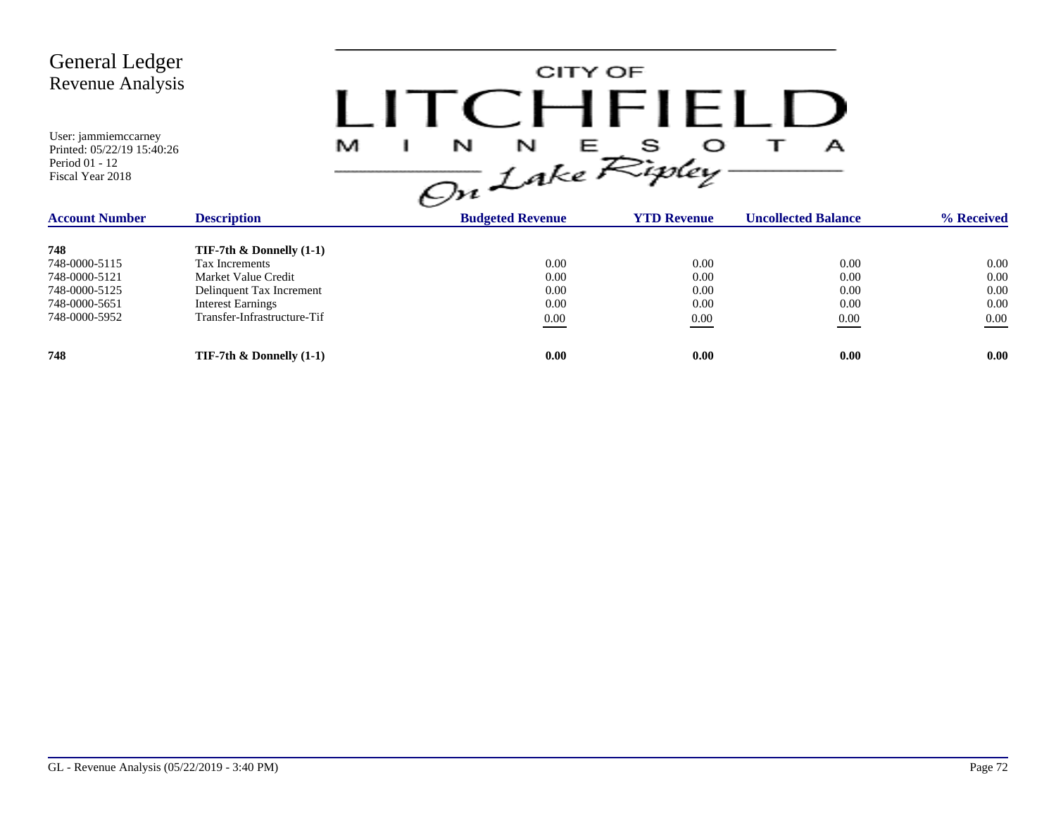| <b>General Ledger</b><br><b>Revenue Analysis</b><br>User: jammiemccarney<br>Printed: 05/22/19 15:40:26<br>Period 01 - 12<br>Fiscal Year 2018 |                                                                                                                                                               | M | N<br>N                                   | CITY OF<br>CHFIELL<br>s<br>Е<br>On Lake Ripley. | А                                    |                                      |
|----------------------------------------------------------------------------------------------------------------------------------------------|---------------------------------------------------------------------------------------------------------------------------------------------------------------|---|------------------------------------------|-------------------------------------------------|--------------------------------------|--------------------------------------|
| <b>Account Number</b>                                                                                                                        | <b>Description</b>                                                                                                                                            |   | <b>Budgeted Revenue</b>                  | <b>YTD Revenue</b>                              | <b>Uncollected Balance</b>           | % Received                           |
| 748<br>748-0000-5115<br>748-0000-5121<br>748-0000-5125<br>748-0000-5651<br>748-0000-5952                                                     | TIF-7th $\&$ Donnelly $(1-1)$<br>Tax Increments<br>Market Value Credit<br>Delinquent Tax Increment<br><b>Interest Earnings</b><br>Transfer-Infrastructure-Tif |   | 0.00<br>0.00<br>0.00<br>0.00<br>$0.00\,$ | 0.00<br>0.00<br>0.00<br>0.00<br>0.00            | 0.00<br>0.00<br>0.00<br>0.00<br>0.00 | 0.00<br>0.00<br>0.00<br>0.00<br>0.00 |
| 748                                                                                                                                          | TIF-7th $\&$ Donnelly (1-1)                                                                                                                                   |   | 0.00                                     | 0.00                                            | 0.00                                 | 0.00                                 |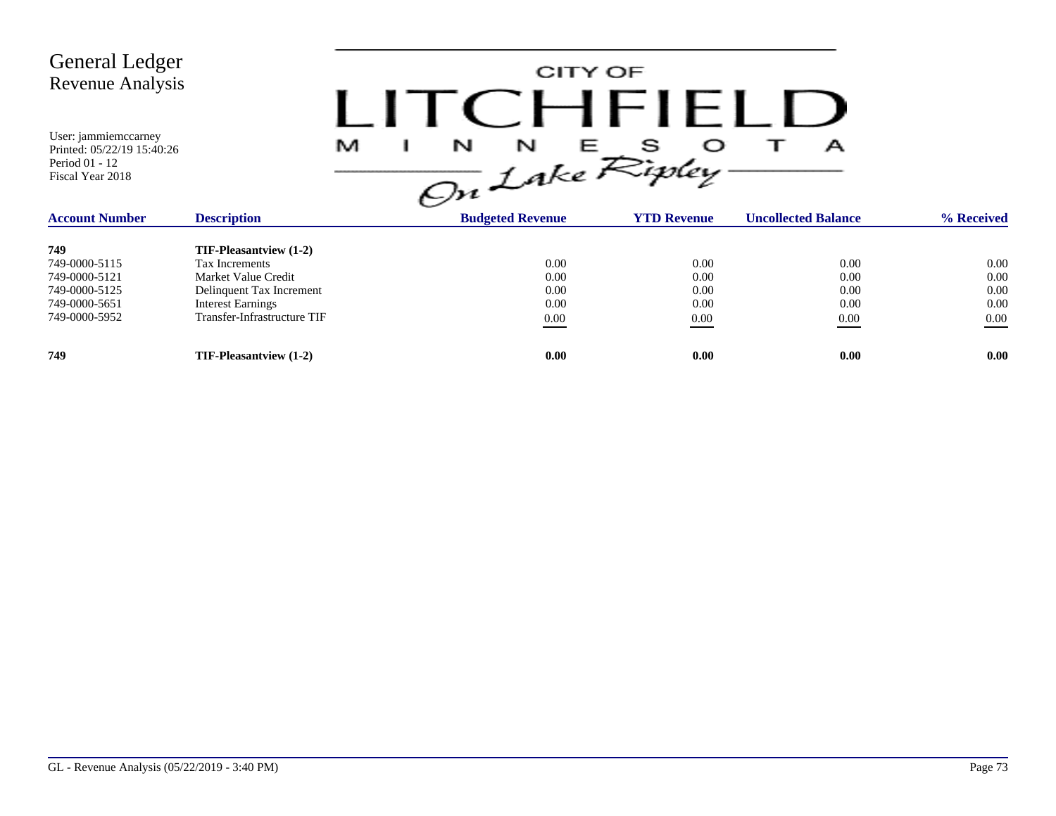| <b>General Ledger</b><br><b>Revenue Analysis</b><br>User: jammiemccarney<br>Printed: 05/22/19 15:40:26<br>Period 01 - 12<br>Fiscal Year 2018 |                                                                                                                                                               | CITY OF<br>$\blacksquare$<br>$\frac{1}{\sqrt{m}}\int_{0}^{N}dkeR^{s}$ |                                      | А                                    |                                          |
|----------------------------------------------------------------------------------------------------------------------------------------------|---------------------------------------------------------------------------------------------------------------------------------------------------------------|-----------------------------------------------------------------------|--------------------------------------|--------------------------------------|------------------------------------------|
| <b>Account Number</b>                                                                                                                        | <b>Description</b>                                                                                                                                            | <b>Budgeted Revenue</b>                                               | <b>YTD Revenue</b>                   | <b>Uncollected Balance</b>           | % Received                               |
| 749<br>749-0000-5115<br>749-0000-5121<br>749-0000-5125<br>749-0000-5651<br>749-0000-5952                                                     | <b>TIF-Pleasantview (1-2)</b><br>Tax Increments<br>Market Value Credit<br>Delinquent Tax Increment<br><b>Interest Earnings</b><br>Transfer-Infrastructure TIF | 0.00<br>0.00<br>0.00<br>0.00<br>$0.00\,$                              | 0.00<br>0.00<br>0.00<br>0.00<br>0.00 | 0.00<br>0.00<br>0.00<br>0.00<br>0.00 | 0.00<br>0.00<br>0.00<br>0.00<br>$0.00\,$ |
| 749                                                                                                                                          | TIF-Pleasantview (1-2)                                                                                                                                        | 0.00                                                                  | 0.00                                 | 0.00                                 | 0.00                                     |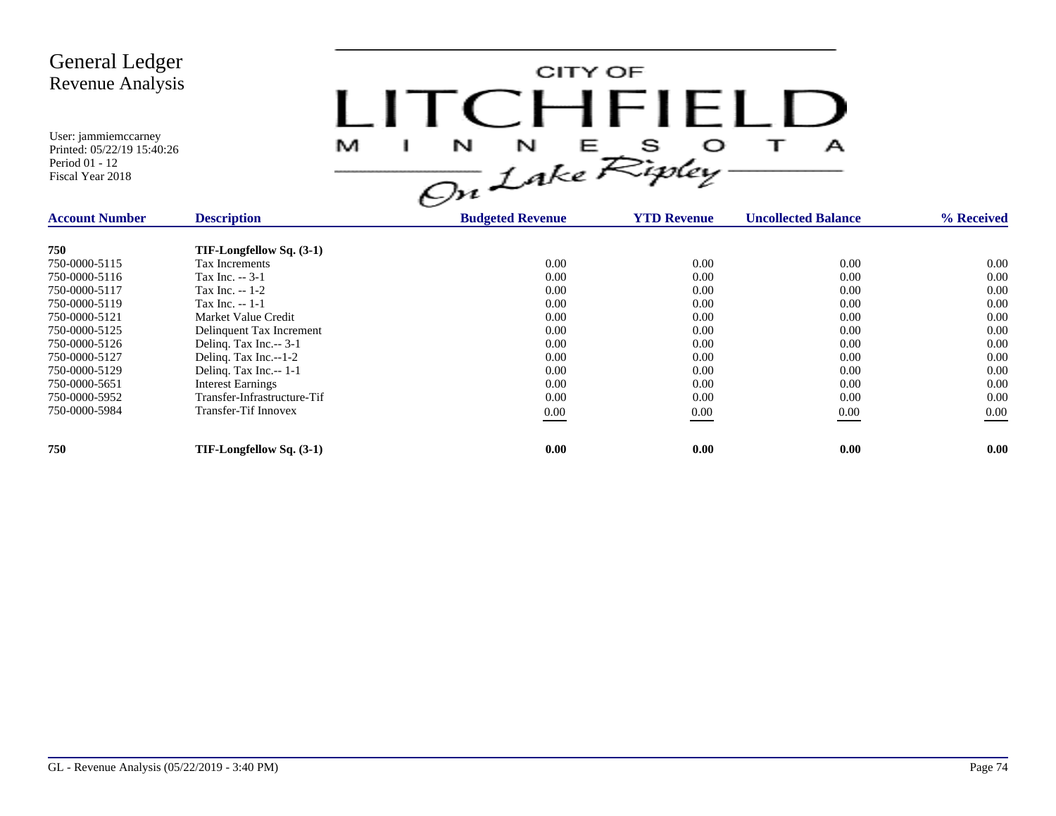

| <b>Account Number</b> | <b>Description</b>          | <b>Budgeted Revenue</b> | <b>YTD Revenue</b> | <b>Uncollected Balance</b> | % Received |
|-----------------------|-----------------------------|-------------------------|--------------------|----------------------------|------------|
| 750                   | TIF-Longfellow Sq. (3-1)    |                         |                    |                            |            |
| 750-0000-5115         | Tax Increments              | 0.00                    | 0.00               | 0.00                       | 0.00       |
| 750-0000-5116         | Tax Inc. -- 3-1             | 0.00                    | 0.00               | 0.00                       | 0.00       |
| 750-0000-5117         | Tax Inc. -- 1-2             | 0.00                    | 0.00               | 0.00                       | 0.00       |
| 750-0000-5119         | Tax Inc. $-1-1$             | 0.00                    | 0.00               | 0.00                       | 0.00       |
| 750-0000-5121         | Market Value Credit         | 0.00                    | 0.00               | 0.00                       | 0.00       |
| 750-0000-5125         | Delinquent Tax Increment    | 0.00                    | 0.00               | 0.00                       | 0.00       |
| 750-0000-5126         | Deling. Tax Inc.-- 3-1      | 0.00                    | 0.00               | 0.00                       | 0.00       |
| 750-0000-5127         | Delinq. Tax Inc.--1-2       | 0.00                    | 0.00               | 0.00                       | 0.00       |
| 750-0000-5129         | Deling. Tax Inc.-- 1-1      | 0.00                    | 0.00               | 0.00                       | 0.00       |
| 750-0000-5651         | <b>Interest Earnings</b>    | 0.00                    | 0.00               | 0.00                       | 0.00       |
| 750-0000-5952         | Transfer-Infrastructure-Tif | 0.00                    | 0.00               | 0.00                       | 0.00       |
| 750-0000-5984         | <b>Transfer-Tif Innovex</b> | $0.00\,$                | 0.00               | 0.00                       | $0.00\,$   |
| 750                   | TIF-Longfellow Sq. (3-1)    | 0.00                    | 0.00               | 0.00                       | 0.00       |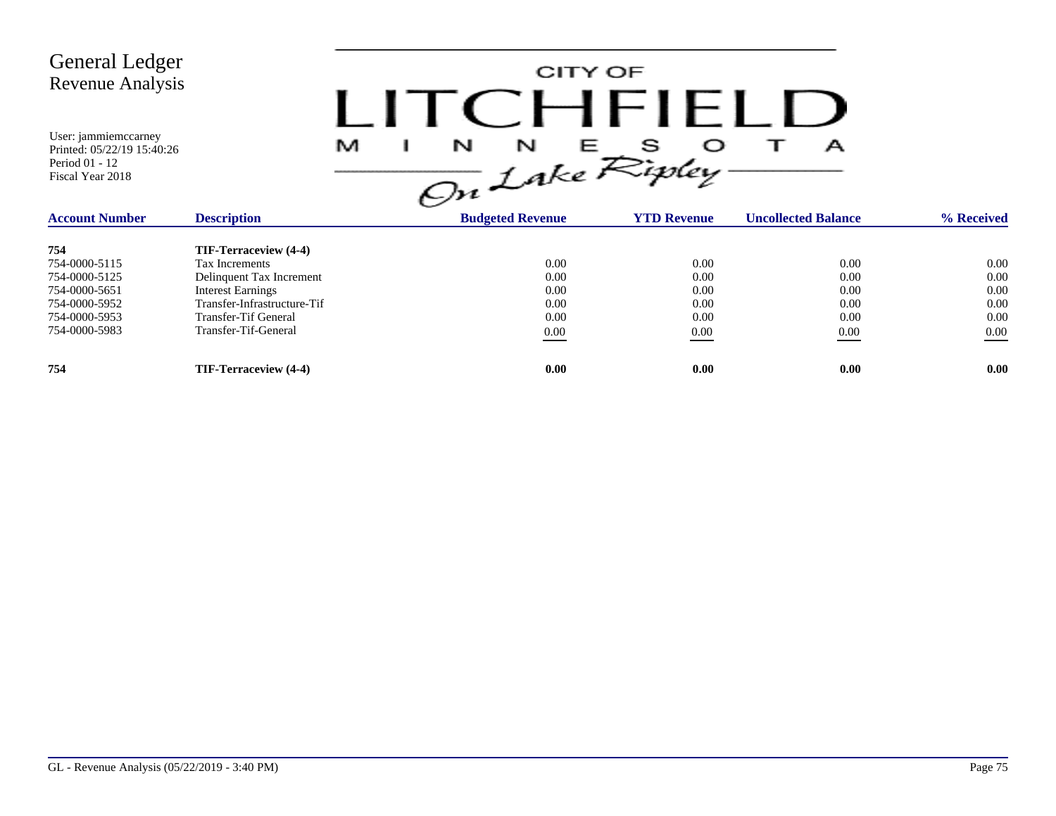

| <b>Description</b><br><b>Account Number</b> |                             | <b>Budgeted Revenue</b> | <b>YTD Revenue</b> | <b>Uncollected Balance</b> | % Received |
|---------------------------------------------|-----------------------------|-------------------------|--------------------|----------------------------|------------|
| 754                                         | TIF-Terraceview (4-4)       |                         |                    |                            |            |
| 754-0000-5115                               | Tax Increments              | 0.00                    | 0.00               | 0.00                       | 0.00       |
| 754-0000-5125                               | Delinquent Tax Increment    | 0.00                    | 0.00               | 0.00                       | 0.00       |
| 754-0000-5651                               | Interest Earnings           | 0.00                    | 0.00               | 0.00                       | 0.00       |
| 754-0000-5952                               | Transfer-Infrastructure-Tif | 0.00                    | 0.00               | 0.00                       | 0.00       |
| 754-0000-5953                               | Transfer-Tif General        | 0.00                    | 0.00               | 0.00                       | 0.00       |
| 754-0000-5983                               | Transfer-Tif-General        | 0.00                    | 0.00               | 0.00                       | 0.00       |
| 754                                         | TIF-Terraceview (4-4)       | 0.00                    | 0.00               | 0.00                       | 0.00       |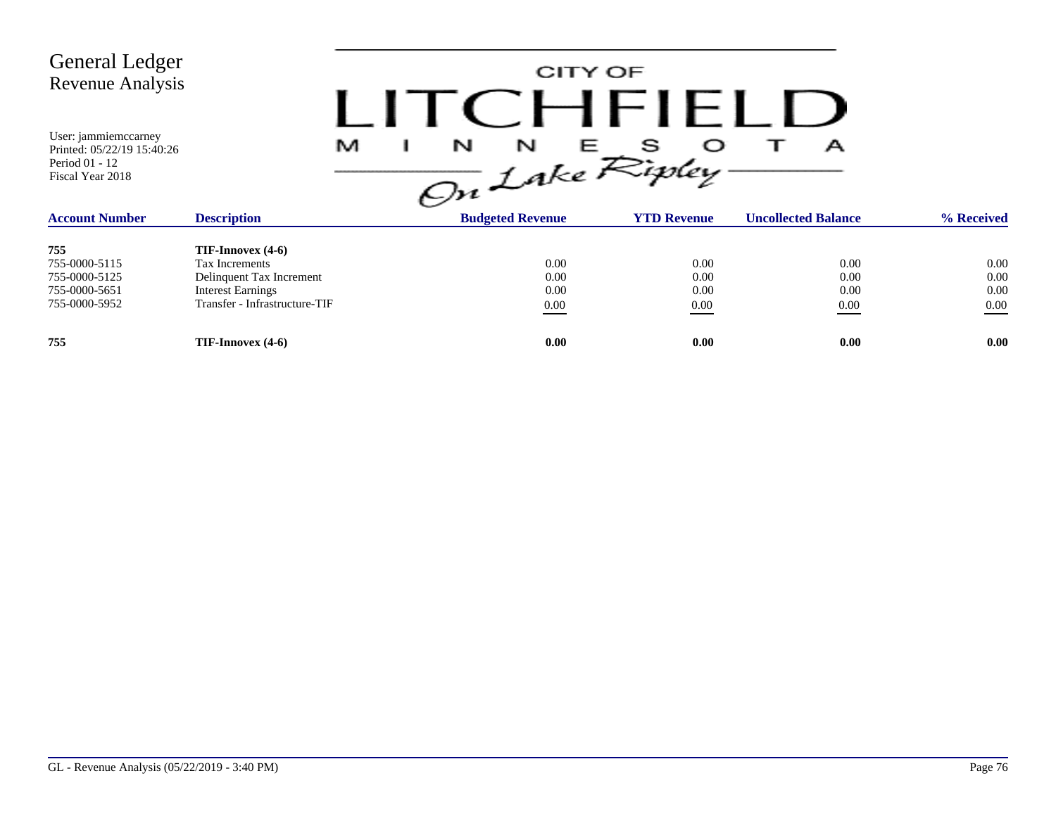CITY OF LITCHFIELD  $M$  I N N E S O T A<br>On Lake Ripley

| <b>Description</b><br><b>Account Number</b> |                               | <b>Budgeted Revenue</b> | <b>YTD Revenue</b> | <b>Uncollected Balance</b> | % Received |
|---------------------------------------------|-------------------------------|-------------------------|--------------------|----------------------------|------------|
| 755                                         | $TIF-{\rm Innocex}(4-6)$      |                         |                    |                            |            |
| 755-0000-5115                               | Tax Increments                | 0.00                    | 0.00               | 0.00                       | 0.00       |
| 755-0000-5125                               | Delinquent Tax Increment      | 0.00                    | 0.00               | 0.00                       | 0.00       |
| 755-0000-5651                               | <b>Interest Earnings</b>      | 0.00                    | 0.00               | 0.00                       | 0.00       |
| 755-0000-5952                               | Transfer - Infrastructure-TIF | 0.00                    | 0.00               | 0.00                       | $0.00\,$   |
| 755                                         | $TIF-{\rm Innocex}(4-6)$      | 0.00                    | 0.00               | 0.00                       | 0.00       |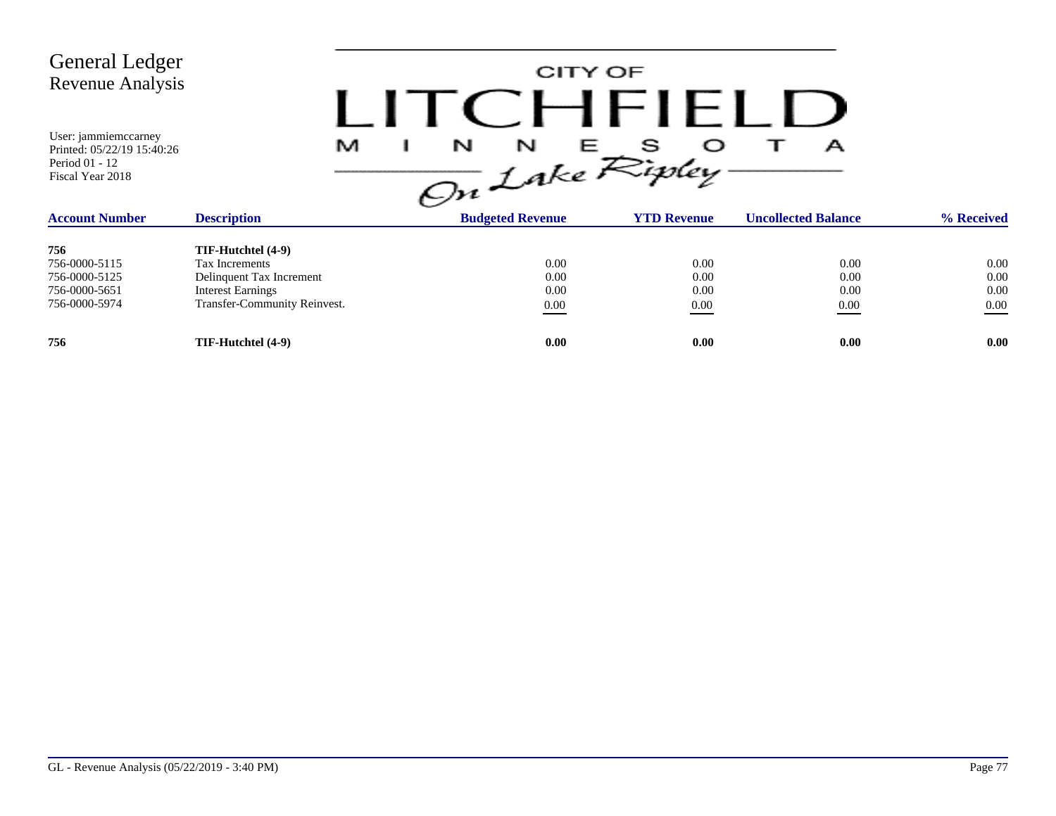CITY OF LITCHFIELD  $M$  I N N E S O T A<br>On Lake Ripley

| <b>Account Number</b> | <b>Description</b>           | <b>Budgeted Revenue</b> | <b>YTD Revenue</b> | <b>Uncollected Balance</b> | % Received |
|-----------------------|------------------------------|-------------------------|--------------------|----------------------------|------------|
| 756                   | TIF-Hutchtel (4-9)           |                         |                    |                            |            |
| 756-0000-5115         | Tax Increments               | 0.00                    | 0.00               | 0.00                       | 0.00       |
| 756-0000-5125         | Delinquent Tax Increment     | 0.00                    | 0.00               | 0.00                       | 0.00       |
| 756-0000-5651         | <b>Interest Earnings</b>     | 0.00                    | 0.00               | 0.00                       | 0.00       |
| 756-0000-5974         | Transfer-Community Reinvest. | 0.00                    | 0.00               | 0.00                       | 0.00       |
| 756                   | TIF-Hutchtel (4-9)           | 0.00                    | 0.00               | 0.00                       | 0.00       |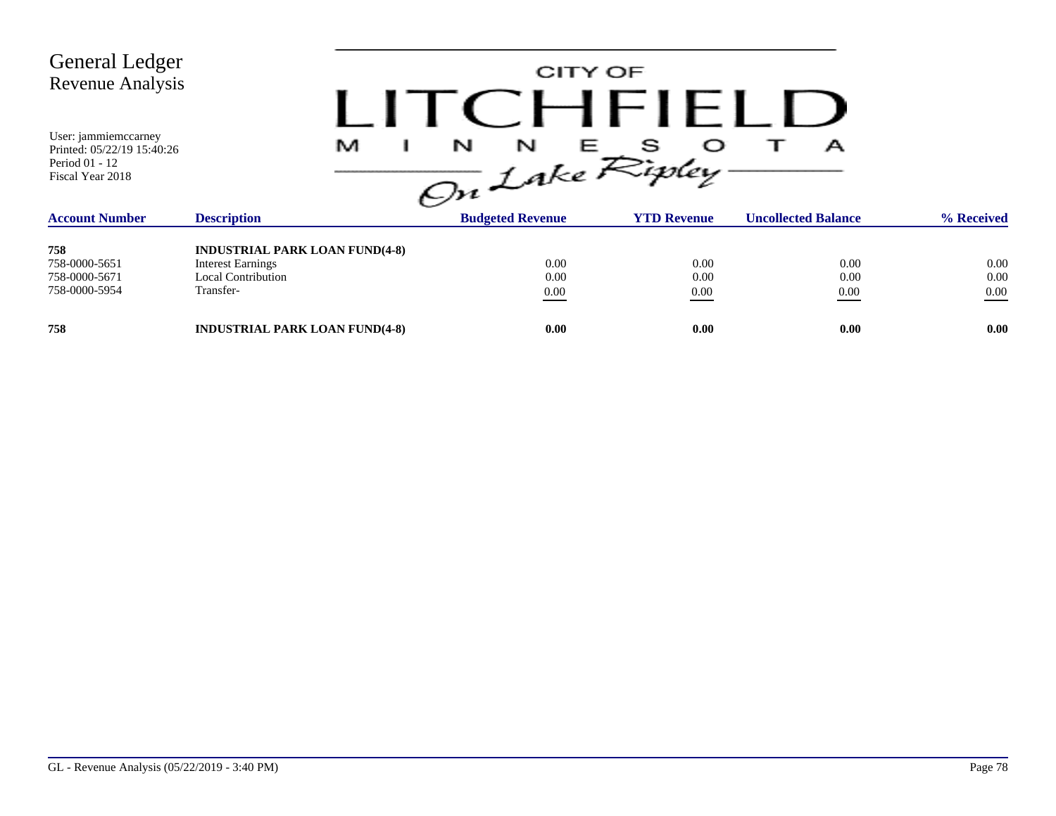| <b>General Ledger</b><br>Revenue Analysis                                                |                                                                                                             | CITY OF<br>CHFIF              |                      |                            |                          |
|------------------------------------------------------------------------------------------|-------------------------------------------------------------------------------------------------------------|-------------------------------|----------------------|----------------------------|--------------------------|
| User: jammiemccarney<br>Printed: 05/22/19 15:40:26<br>Period 01 - 12<br>Fiscal Year 2018 | M                                                                                                           | N<br>N<br>ᄂ<br>On Lake Ripley | s                    | А                          |                          |
| <b>Account Number</b>                                                                    | <b>Description</b>                                                                                          | <b>Budgeted Revenue</b>       | <b>YTD Revenue</b>   | <b>Uncollected Balance</b> | % Received               |
| 758<br>758-0000-5651<br>758-0000-5671<br>758-0000-5954                                   | <b>INDUSTRIAL PARK LOAN FUND(4-8)</b><br><b>Interest Earnings</b><br><b>Local Contribution</b><br>Transfer- | 0.00<br>0.00<br>0.00          | 0.00<br>0.00<br>0.00 | 0.00<br>0.00<br>0.00       | 0.00<br>0.00<br>$0.00\,$ |
| 758                                                                                      | <b>INDUSTRIAL PARK LOAN FUND(4-8)</b>                                                                       | 0.00                          | 0.00                 | 0.00                       | 0.00                     |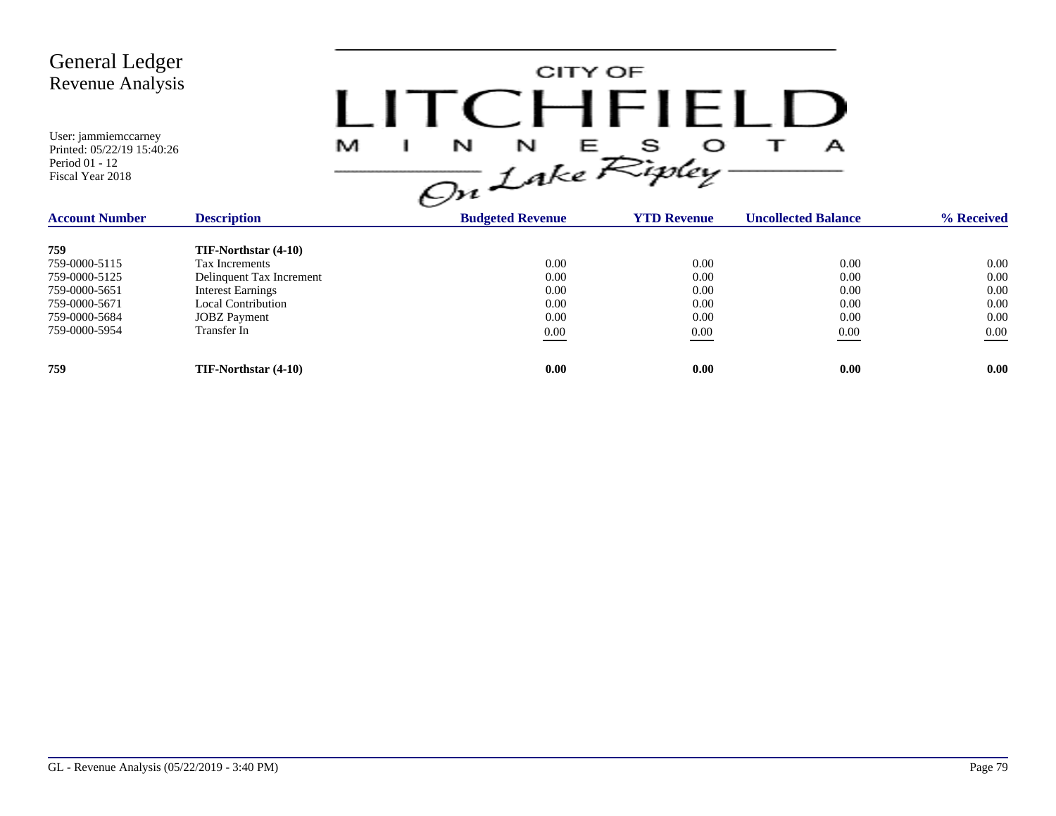

| <b>Description</b><br><b>Account Number</b> |                          | <b>Budgeted Revenue</b> | <b>YTD Revenue</b> | <b>Uncollected Balance</b> | % Received |
|---------------------------------------------|--------------------------|-------------------------|--------------------|----------------------------|------------|
| 759                                         | TIF-Northstar (4-10)     |                         |                    |                            |            |
| 759-0000-5115                               | Tax Increments           | 0.00                    | 0.00               | 0.00                       | 0.00       |
| 759-0000-5125                               | Delinquent Tax Increment | 0.00                    | 0.00               | 0.00                       | 0.00       |
| 759-0000-5651                               | <b>Interest Earnings</b> | 0.00                    | 0.00               | 0.00                       | 0.00       |
| 759-0000-5671                               | Local Contribution       | 0.00                    | 0.00               | 0.00                       | 0.00       |
| 759-0000-5684                               | <b>JOBZ</b> Payment      | 0.00                    | 0.00               | 0.00                       | 0.00       |
| 759-0000-5954                               | Transfer In              | 0.00                    | 0.00               | 0.00<br>____               | 0.00       |
| 759                                         | TIF-Northstar (4-10)     | 0.00                    | 0.00               | 0.00                       | 0.00       |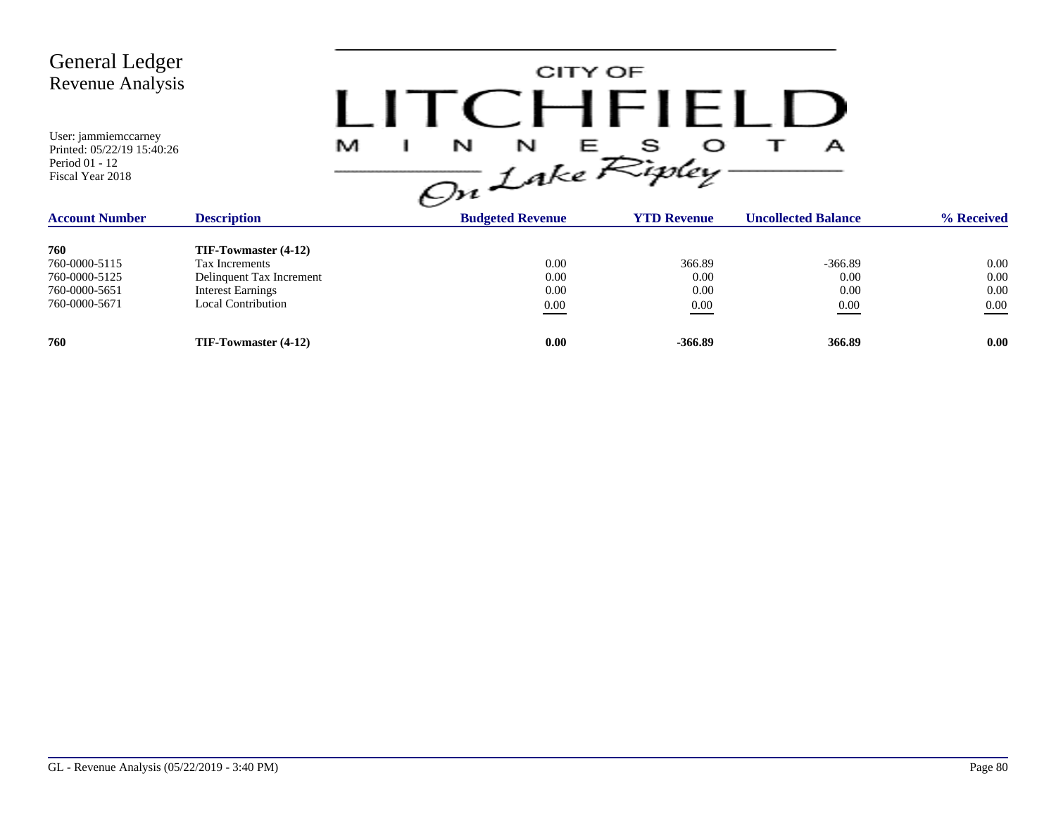

| <b>Account Number</b> | <b>Description</b>       | <b>Budgeted Revenue</b> | <b>YTD Revenue</b> | <b>Uncollected Balance</b> | % Received |
|-----------------------|--------------------------|-------------------------|--------------------|----------------------------|------------|
| 760                   | TIF-Towmaster (4-12)     |                         |                    |                            |            |
| 760-0000-5115         | Tax Increments           | 0.00                    | 366.89             | $-366.89$                  | 0.00       |
| 760-0000-5125         | Delinquent Tax Increment | 0.00                    | 0.00               | 0.00                       | 0.00       |
| 760-0000-5651         | <b>Interest Earnings</b> | 0.00                    | 0.00               | 0.00                       | 0.00       |
| 760-0000-5671         | Local Contribution       | 0.00                    | 0.00               | 0.00                       | 0.00       |
| 760                   | TIF-Towmaster (4-12)     | 0.00                    | $-366.89$          | 366.89                     | 0.00       |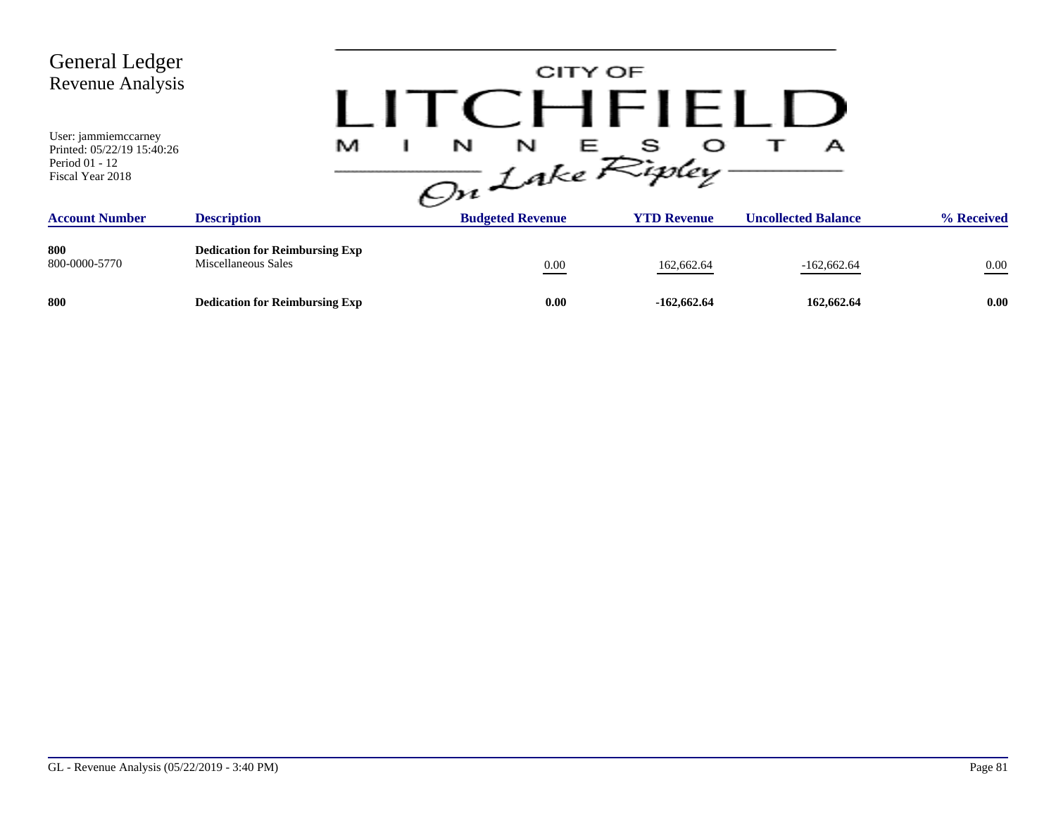| <b>General Ledger</b><br><b>Revenue Analysis</b><br>User: jammiemccarney<br>Printed: 05/22/19 15:40:26<br>Period 01 - 12<br>Fiscal Year 2018 | M                                                            | N<br>N<br>On Lake Ripley. | CITY OF<br>CHFIELL<br>s<br>E 11 | А                          |            |
|----------------------------------------------------------------------------------------------------------------------------------------------|--------------------------------------------------------------|---------------------------|---------------------------------|----------------------------|------------|
| <b>Account Number</b>                                                                                                                        | <b>Description</b>                                           | <b>Budgeted Revenue</b>   | <b>YTD Revenue</b>              | <b>Uncollected Balance</b> | % Received |
| 800<br>800-0000-5770                                                                                                                         | <b>Dedication for Reimbursing Exp</b><br>Miscellaneous Sales | $0.00\,$                  | 162,662.64                      | $-162,662.64$              | $0.00\,$   |
| 800                                                                                                                                          | <b>Dedication for Reimbursing Exp</b>                        | 0.00                      | $-162,662.64$                   | 162,662.64                 | 0.00       |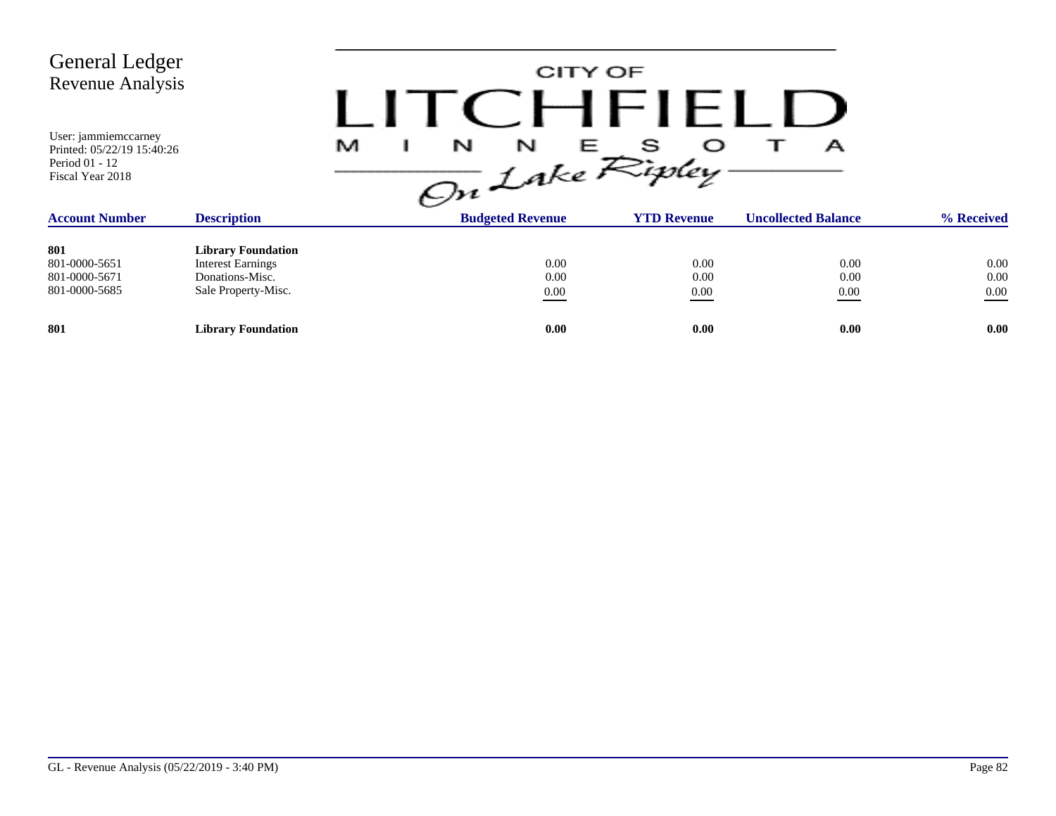| <b>General Ledger</b><br><b>Revenue Analysis</b>                                         |                                                                                                 | and the | CITY OF                 | CHFIFLIJ                                                                       |                            |                          |
|------------------------------------------------------------------------------------------|-------------------------------------------------------------------------------------------------|---------|-------------------------|--------------------------------------------------------------------------------|----------------------------|--------------------------|
| User: jammiemccarney<br>Printed: 05/22/19 15:40:26<br>Period 01 - 12<br>Fiscal Year 2018 |                                                                                                 | M       |                         | $\frac{1}{\sqrt{m}}\int_{0}^{N} f dx e^{\frac{1}{\sqrt{m}} \int_{0}^{N} f dx}$ | А                          |                          |
| <b>Account Number</b>                                                                    | <b>Description</b>                                                                              |         | <b>Budgeted Revenue</b> | <b>YTD Revenue</b>                                                             | <b>Uncollected Balance</b> | % Received               |
| 801<br>801-0000-5651<br>801-0000-5671<br>801-0000-5685                                   | <b>Library Foundation</b><br><b>Interest Earnings</b><br>Donations-Misc.<br>Sale Property-Misc. |         | 0.00<br>0.00<br>0.00    | 0.00<br>0.00<br>0.00                                                           | 0.00<br>0.00<br>0.00       | 0.00<br>0.00<br>$0.00\,$ |
| 801                                                                                      | <b>Library Foundation</b>                                                                       |         | 0.00                    | 0.00                                                                           | 0.00                       | 0.00                     |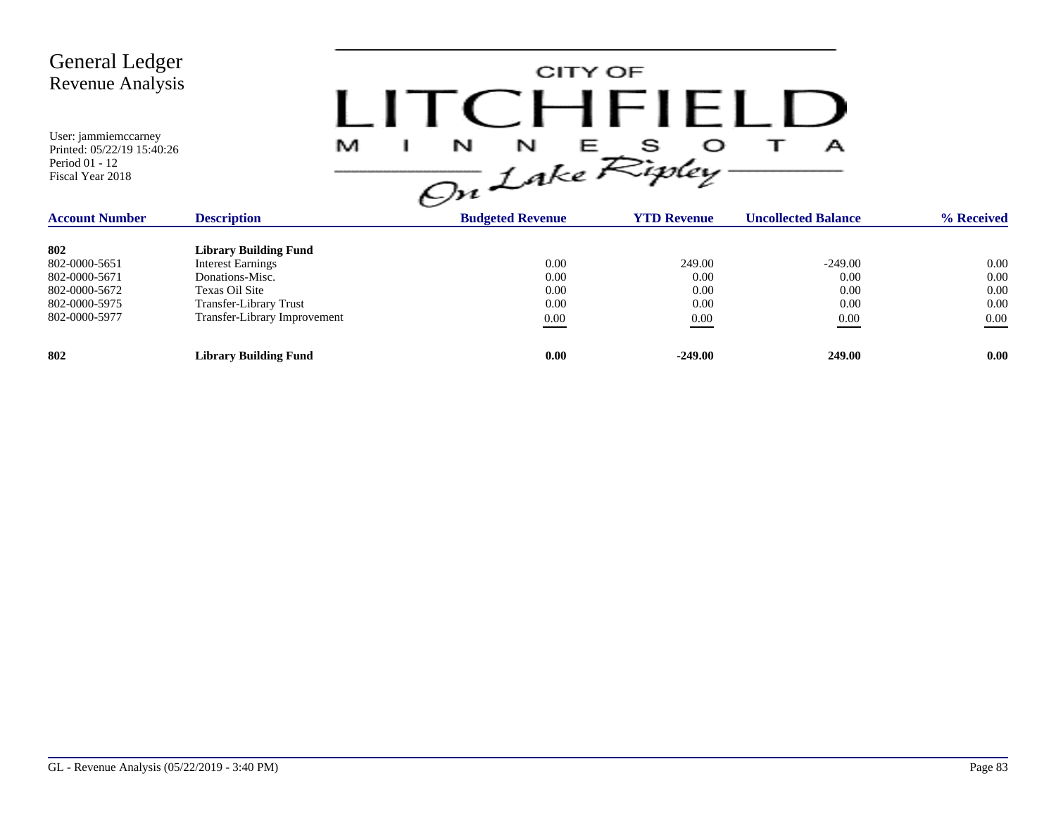| <b>General Ledger</b><br><b>Revenue Analysis</b><br>User: jammiemccarney<br>Printed: 05/22/19 15:40:26<br>Period 01 - 12<br>Fiscal Year 2018 | M                            | CITY OF<br>$\frac{1}{\sqrt{m}}$ $\int_{akc}^{R}$ $\mathcal{R}_{i}^{s}$ | $H$ $H$ $H$ $H$    | А                          |            |
|----------------------------------------------------------------------------------------------------------------------------------------------|------------------------------|------------------------------------------------------------------------|--------------------|----------------------------|------------|
| <b>Account Number</b>                                                                                                                        | <b>Description</b>           | <b>Budgeted Revenue</b>                                                | <b>YTD Revenue</b> | <b>Uncollected Balance</b> | % Received |
| 802                                                                                                                                          | <b>Library Building Fund</b> |                                                                        |                    |                            |            |
| 802-0000-5651                                                                                                                                | <b>Interest Earnings</b>     | 0.00                                                                   | 249.00             | $-249.00$                  | 0.00       |
| 802-0000-5671                                                                                                                                | Donations-Misc.              | 0.00                                                                   | 0.00               | 0.00                       | 0.00       |
| 802-0000-5672                                                                                                                                | Texas Oil Site               | 0.00                                                                   | 0.00               | 0.00                       | 0.00       |
| 802-0000-5975                                                                                                                                | Transfer-Library Trust       | 0.00                                                                   | 0.00               | 0.00                       | 0.00       |
| 802-0000-5977                                                                                                                                | Transfer-Library Improvement | $0.00\,$                                                               | 0.00               | $0.00\,$                   | 0.00       |
| 802                                                                                                                                          | <b>Library Building Fund</b> | 0.00                                                                   | $-249.00$          | 249.00                     | 0.00       |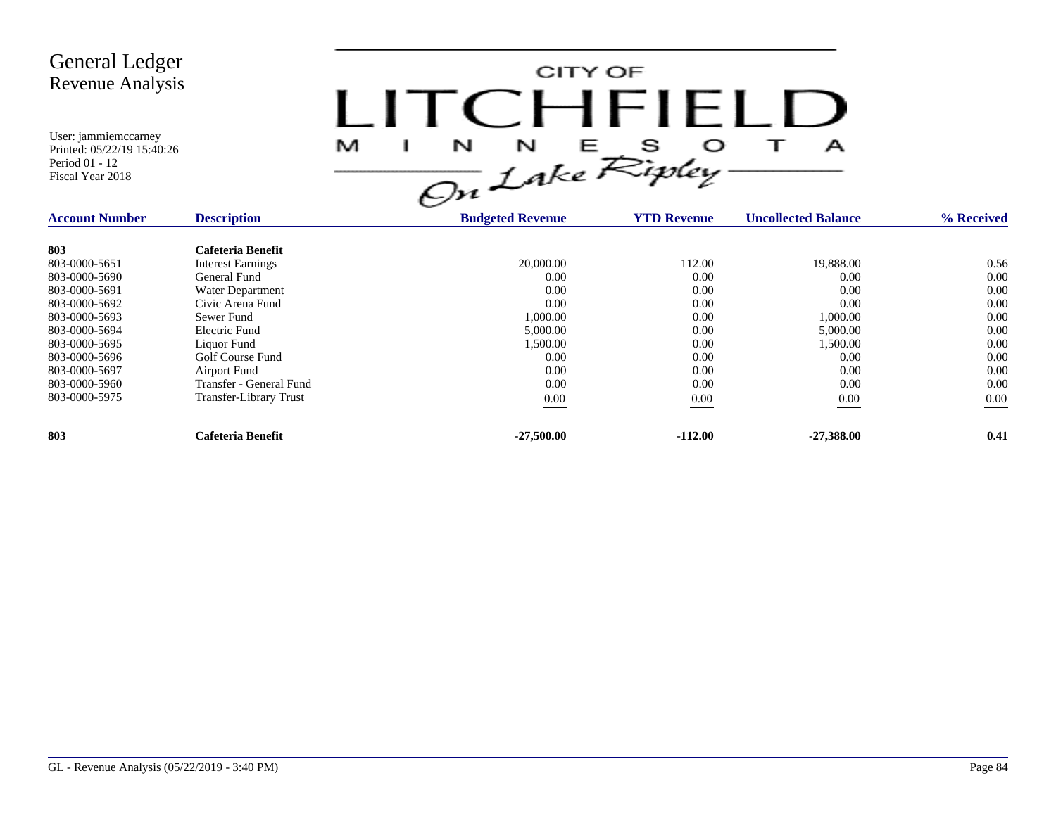

| <b>Account Number</b> | <b>Description</b>            | <b>Budgeted Revenue</b> | <b>YTD Revenue</b> | <b>Uncollected Balance</b> | % Received |
|-----------------------|-------------------------------|-------------------------|--------------------|----------------------------|------------|
| 803                   | Cafeteria Benefit             |                         |                    |                            |            |
| 803-0000-5651         | <b>Interest Earnings</b>      | 20,000.00               | 112.00             | 19,888.00                  | 0.56       |
| 803-0000-5690         | General Fund                  | 0.00                    | 0.00               | 0.00                       | 0.00       |
| 803-0000-5691         | Water Department              | 0.00                    | 0.00               | 0.00                       | 0.00       |
| 803-0000-5692         | Civic Arena Fund              | 0.00                    | 0.00               | 0.00                       | 0.00       |
| 803-0000-5693         | Sewer Fund                    | 1,000.00                | 0.00               | 1,000.00                   | 0.00       |
| 803-0000-5694         | Electric Fund                 | 5,000.00                | 0.00               | 5,000.00                   | 0.00       |
| 803-0000-5695         | Liquor Fund                   | 1,500.00                | 0.00               | 1.500.00                   | 0.00       |
| 803-0000-5696         | Golf Course Fund              | 0.00                    | 0.00               | 0.00                       | 0.00       |
| 803-0000-5697         | Airport Fund                  | 0.00                    | 0.00               | 0.00                       | 0.00       |
| 803-0000-5960         | Transfer - General Fund       | 0.00                    | 0.00               | 0.00                       | 0.00       |
| 803-0000-5975         | <b>Transfer-Library Trust</b> | $0.00\,$                | 0.00               | 0.00                       | 0.00       |
| 803                   | Cafeteria Benefit             | $-27,500,00$            | $-112.00$          | $-27.388.00$               | 0.41       |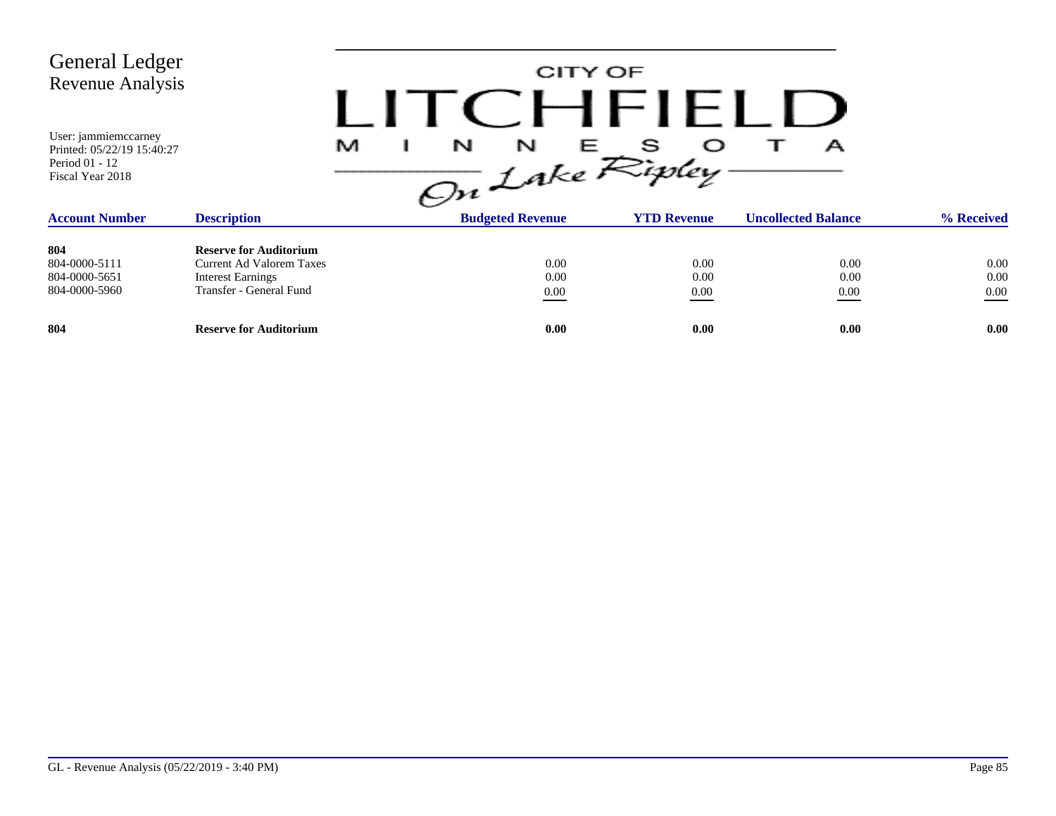| <b>General Ledger</b><br>Revenue Analysis                                                |                                                                                                                         |                               | CITY OF<br>CHEIFLI   |                            |                          |
|------------------------------------------------------------------------------------------|-------------------------------------------------------------------------------------------------------------------------|-------------------------------|----------------------|----------------------------|--------------------------|
| User: jammiemccarney<br>Printed: 05/22/19 15:40:27<br>Period 01 - 12<br>Fiscal Year 2018 |                                                                                                                         | N<br>N<br>M<br>On Lake Ripley | s<br>Е               | А                          |                          |
| <b>Account Number</b>                                                                    | <b>Description</b>                                                                                                      | <b>Budgeted Revenue</b>       | <b>YTD Revenue</b>   | <b>Uncollected Balance</b> | % Received               |
| 804<br>804-0000-5111<br>804-0000-5651<br>804-0000-5960                                   | <b>Reserve for Auditorium</b><br><b>Current Ad Valorem Taxes</b><br><b>Interest Earnings</b><br>Transfer - General Fund | 0.00<br>0.00<br>$0.00\,$      | 0.00<br>0.00<br>0.00 | 0.00<br>0.00<br>0.00       | 0.00<br>0.00<br>$0.00\,$ |
| 804                                                                                      | <b>Reserve for Auditorium</b>                                                                                           | 0.00                          | 0.00                 | 0.00                       | 0.00                     |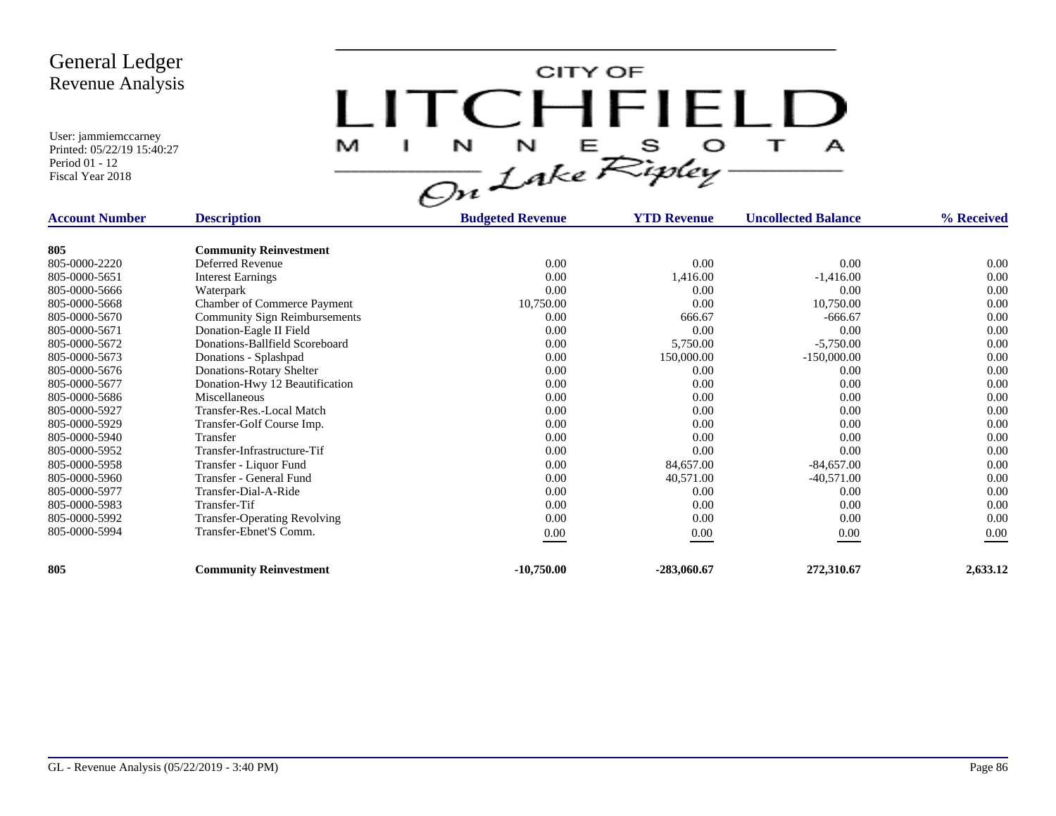

| <b>Account Number</b> | <b>Description</b>                   | <b>Budgeted Revenue</b> | <b>YTD Revenue</b> | <b>Uncollected Balance</b> | % Received |
|-----------------------|--------------------------------------|-------------------------|--------------------|----------------------------|------------|
|                       |                                      |                         |                    |                            |            |
| 805                   | <b>Community Reinvestment</b>        |                         |                    |                            |            |
| 805-0000-2220         | Deferred Revenue                     | 0.00                    | 0.00               | 0.00                       | 0.00       |
| 805-0000-5651         | <b>Interest Earnings</b>             | 0.00                    | 1,416.00           | $-1,416.00$                | 0.00       |
| 805-0000-5666         | Waterpark                            | 0.00                    | 0.00               | 0.00                       | 0.00       |
| 805-0000-5668         | Chamber of Commerce Payment          | 10,750.00               | 0.00               | 10,750.00                  | 0.00       |
| 805-0000-5670         | <b>Community Sign Reimbursements</b> | 0.00                    | 666.67             | $-666.67$                  | 0.00       |
| 805-0000-5671         | Donation-Eagle II Field              | 0.00                    | 0.00               | 0.00                       | 0.00       |
| 805-0000-5672         | Donations-Ballfield Scoreboard       | 0.00                    | 5,750.00           | $-5,750.00$                | 0.00       |
| 805-0000-5673         | Donations - Splashpad                | 0.00                    | 150,000.00         | $-150,000.00$              | 0.00       |
| 805-0000-5676         | Donations-Rotary Shelter             | 0.00                    | 0.00               | 0.00                       | 0.00       |
| 805-0000-5677         | Donation-Hwy 12 Beautification       | 0.00                    | 0.00               | 0.00                       | 0.00       |
| 805-0000-5686         | Miscellaneous                        | 0.00                    | 0.00               | 0.00                       | 0.00       |
| 805-0000-5927         | Transfer-Res.-Local Match            | 0.00                    | 0.00               | 0.00                       | 0.00       |
| 805-0000-5929         | Transfer-Golf Course Imp.            | 0.00                    | 0.00               | 0.00                       | 0.00       |
| 805-0000-5940         | Transfer                             | 0.00                    | 0.00               | 0.00                       | 0.00       |
| 805-0000-5952         | Transfer-Infrastructure-Tif          | 0.00                    | 0.00               | 0.00                       | 0.00       |
| 805-0000-5958         | Transfer - Liquor Fund               | 0.00                    | 84,657.00          | $-84,657.00$               | 0.00       |
| 805-0000-5960         | Transfer - General Fund              | 0.00                    | 40,571.00          | $-40,571.00$               | 0.00       |
| 805-0000-5977         | Transfer-Dial-A-Ride                 | 0.00                    | 0.00               | 0.00                       | 0.00       |
| 805-0000-5983         | Transfer-Tif                         | 0.00                    | 0.00               | 0.00                       | 0.00       |
| 805-0000-5992         | <b>Transfer-Operating Revolving</b>  | 0.00                    | 0.00               | 0.00                       | 0.00       |
| 805-0000-5994         | Transfer-Ebnet'S Comm.               | $0.00\,$                | 0.00               | 0.00                       | 0.00       |
| 805                   | <b>Community Reinvestment</b>        | $-10,750.00$            | $-283,060.67$      | 272,310.67                 | 2,633.12   |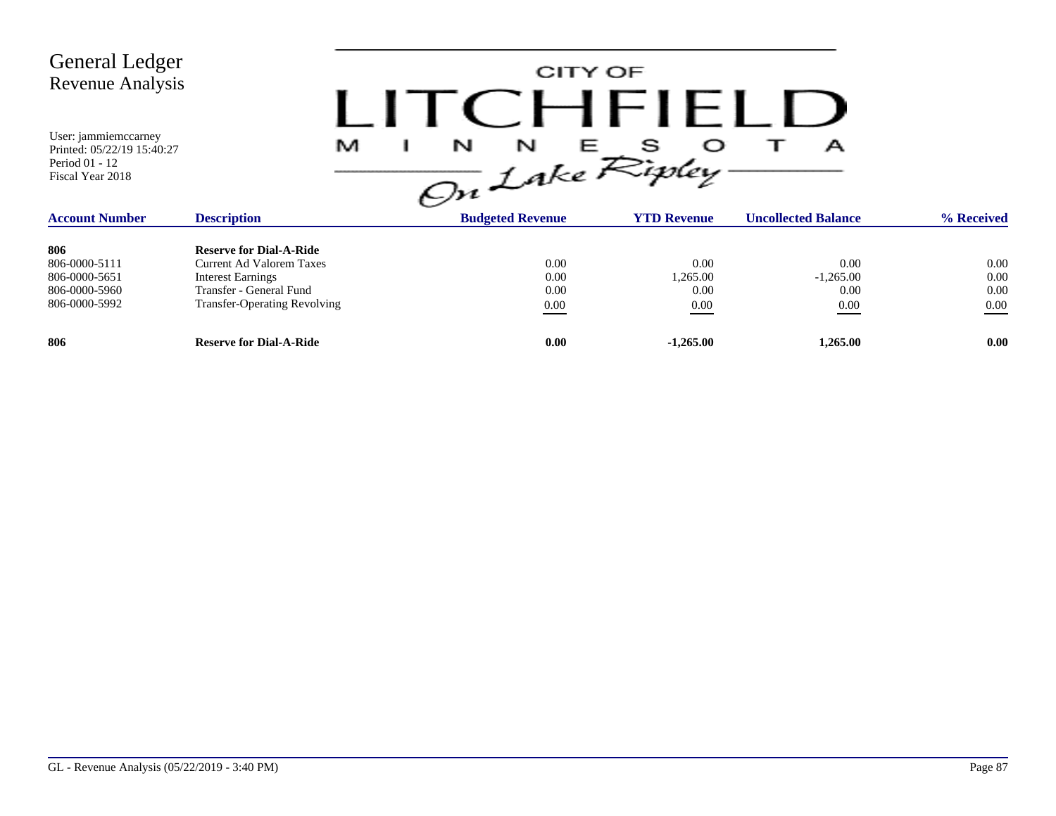| <b>General Ledger</b><br><b>Revenue Analysis</b><br>User: jammiemccarney<br>Printed: 05/22/19 15:40:27<br>Period 01 - 12<br>Fiscal Year 2018 | M                                                                                                                                                               | CITY OF<br>$\Gamma$ $H$ $H$ $H$ $H$<br>$\frac{1}{\sqrt{2n}}\int_{0}^{N}dkeR^{Sipley}$ |                                  | А                                   |                                  |
|----------------------------------------------------------------------------------------------------------------------------------------------|-----------------------------------------------------------------------------------------------------------------------------------------------------------------|---------------------------------------------------------------------------------------|----------------------------------|-------------------------------------|----------------------------------|
| <b>Account Number</b>                                                                                                                        | <b>Description</b>                                                                                                                                              | <b>Budgeted Revenue</b>                                                               | <b>YTD Revenue</b>               | <b>Uncollected Balance</b>          | % Received                       |
| 806<br>806-0000-5111<br>806-0000-5651<br>806-0000-5960<br>806-0000-5992                                                                      | <b>Reserve for Dial-A-Ride</b><br><b>Current Ad Valorem Taxes</b><br><b>Interest Earnings</b><br>Transfer - General Fund<br><b>Transfer-Operating Revolving</b> | 0.00<br>0.00<br>0.00<br>$0.00\,$                                                      | 0.00<br>1,265.00<br>0.00<br>0.00 | 0.00<br>$-1,265.00$<br>0.00<br>0.00 | 0.00<br>0.00<br>0.00<br>$0.00\,$ |
| 806                                                                                                                                          | <b>Reserve for Dial-A-Ride</b>                                                                                                                                  | 0.00                                                                                  | $-1,265.00$                      | 1,265.00                            | 0.00                             |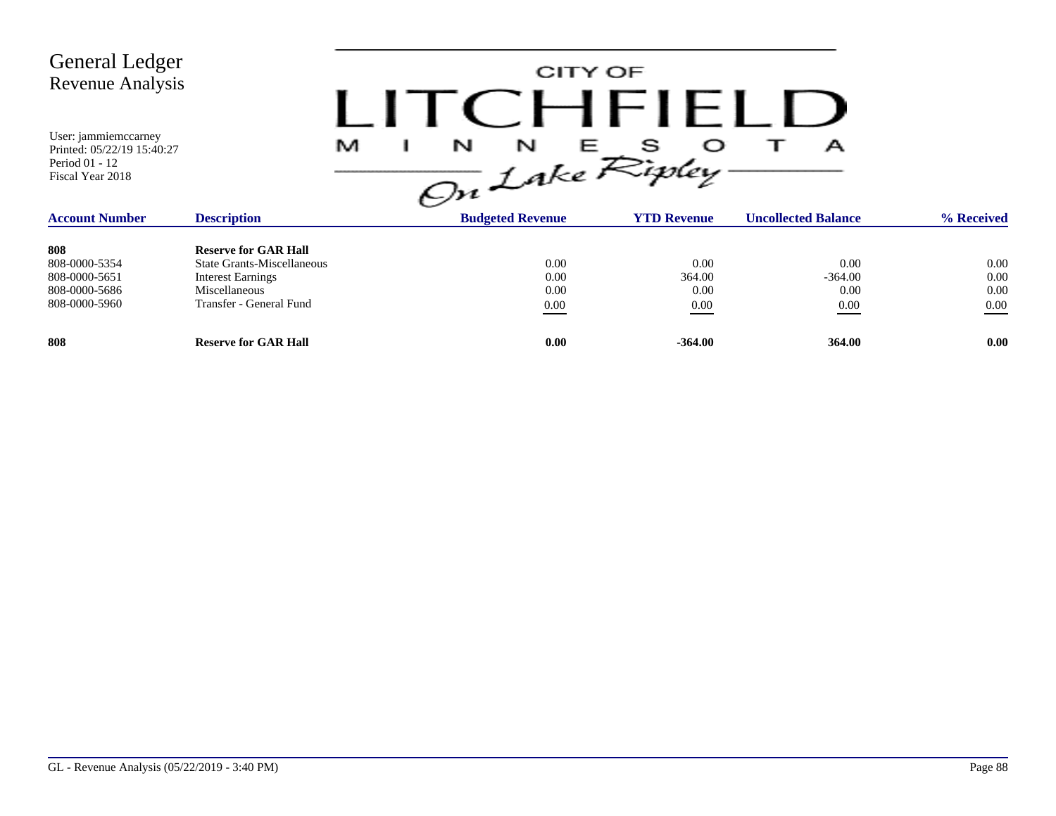| General Ledger<br><b>Revenue Analysis</b><br>User: jammiemccarney<br>Printed: 05/22/19 15:40:27<br>Period 01 - 12<br>Fiscal Year 2018 |                                                                                                                                          | M<br>N | CITY OF<br>N<br>Е                | $\Gamma$ $H$ $H$ $H$ $I$<br>s<br>On Lake Ripley | А                                 |                                  |
|---------------------------------------------------------------------------------------------------------------------------------------|------------------------------------------------------------------------------------------------------------------------------------------|--------|----------------------------------|-------------------------------------------------|-----------------------------------|----------------------------------|
| <b>Account Number</b>                                                                                                                 | <b>Description</b>                                                                                                                       |        | <b>Budgeted Revenue</b>          | <b>YTD Revenue</b>                              | <b>Uncollected Balance</b>        | % Received                       |
| 808<br>808-0000-5354<br>808-0000-5651<br>808-0000-5686<br>808-0000-5960                                                               | <b>Reserve for GAR Hall</b><br><b>State Grants-Miscellaneous</b><br><b>Interest Earnings</b><br>Miscellaneous<br>Transfer - General Fund |        | 0.00<br>0.00<br>0.00<br>$0.00\,$ | 0.00<br>364.00<br>0.00<br>0.00                  | 0.00<br>$-364.00$<br>0.00<br>0.00 | 0.00<br>0.00<br>0.00<br>$0.00\,$ |
| 808                                                                                                                                   | <b>Reserve for GAR Hall</b>                                                                                                              |        | 0.00                             | $-364.00$                                       | 364.00                            | 0.00                             |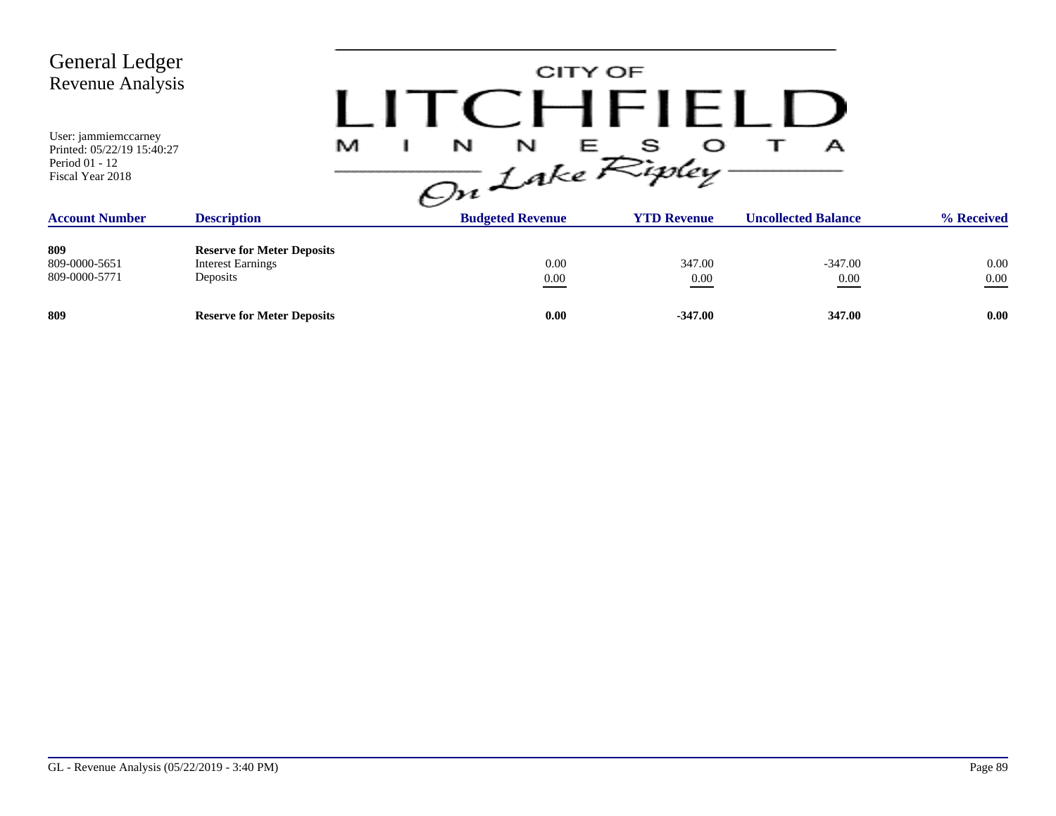| <b>General Ledger</b><br>Revenue Analysis<br>User: jammiemccarney                         |                                                                           | CITY OF<br><b>TCHFIFILI</b>                               |                               |                                 |                  |
|-------------------------------------------------------------------------------------------|---------------------------------------------------------------------------|-----------------------------------------------------------|-------------------------------|---------------------------------|------------------|
| Printed: 05/22/19 15:40:27<br>Period 01 - 12<br>Fiscal Year 2018<br><b>Account Number</b> | M<br><b>Description</b>                                                   | N<br>L<br>N<br>On Lake Ripley-<br><b>Budgeted Revenue</b> | s<br>医三<br><b>YTD Revenue</b> | А<br><b>Uncollected Balance</b> | % Received       |
| 809<br>809-0000-5651<br>809-0000-5771                                                     | <b>Reserve for Meter Deposits</b><br><b>Interest Earnings</b><br>Deposits | 0.00<br>$0.00\,$                                          | 347.00<br>0.00                | $-347.00$<br>0.00               | 0.00<br>$0.00\,$ |
| 809                                                                                       | <b>Reserve for Meter Deposits</b>                                         | 0.00                                                      | $-347.00$                     | 347.00                          | 0.00             |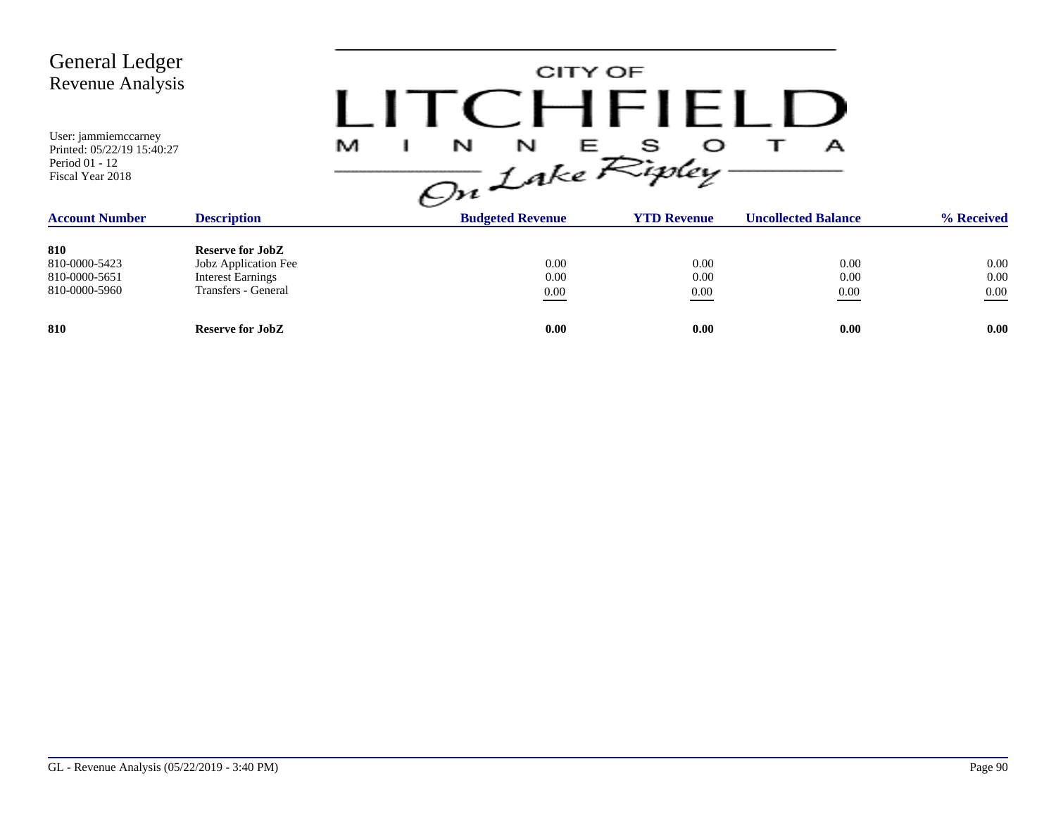| <b>General Ledger</b><br>Revenue Analysis<br>User: jammiemccarney<br>Printed: 05/22/19 15:40:27<br>Period 01 - 12<br>Fiscal Year 2018 |                                                                                                    | N<br>N<br>M<br>On Lake Ripley | CITY OF<br>CHFIELD<br>E - | А                          |                                  |
|---------------------------------------------------------------------------------------------------------------------------------------|----------------------------------------------------------------------------------------------------|-------------------------------|---------------------------|----------------------------|----------------------------------|
| <b>Account Number</b>                                                                                                                 | <b>Description</b>                                                                                 | <b>Budgeted Revenue</b>       | <b>YTD Revenue</b>        | <b>Uncollected Balance</b> | % Received                       |
| 810<br>810-0000-5423<br>810-0000-5651<br>810-0000-5960                                                                                | <b>Reserve for JobZ</b><br>Jobz Application Fee<br><b>Interest Earnings</b><br>Transfers - General | 0.00<br>0.00<br>0.00          | 0.00<br>0.00<br>0.00      | 0.00<br>0.00<br>0.00       | $0.00\,$<br>$0.00\,$<br>$0.00\,$ |
| 810                                                                                                                                   | <b>Reserve for JobZ</b>                                                                            | 0.00                          | 0.00                      | 0.00                       | 0.00                             |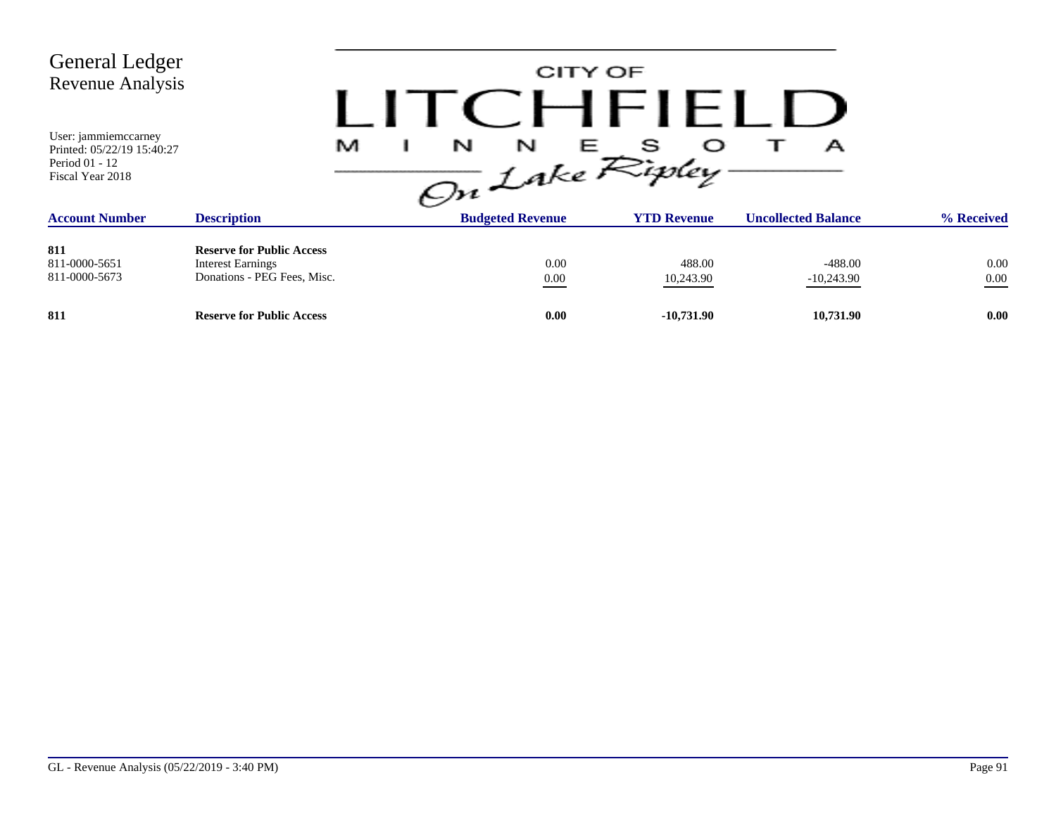| <b>General Ledger</b><br>Revenue Analysis                                                       |                                                                                             |                           | CITY OF<br>CHFLLU   |                            |                  |
|-------------------------------------------------------------------------------------------------|---------------------------------------------------------------------------------------------|---------------------------|---------------------|----------------------------|------------------|
| User: <i>jammiemccarney</i><br>Printed: 05/22/19 15:40:27<br>Period 01 - 12<br>Fiscal Year 2018 | M                                                                                           | N<br>N<br>On Lake Ripley. | E S                 | А                          |                  |
| <b>Account Number</b>                                                                           | <b>Description</b>                                                                          | <b>Budgeted Revenue</b>   | <b>YTD Revenue</b>  | <b>Uncollected Balance</b> | % Received       |
| 811<br>811-0000-5651<br>811-0000-5673                                                           | <b>Reserve for Public Access</b><br><b>Interest Earnings</b><br>Donations - PEG Fees, Misc. | 0.00<br>$0.00\,$          | 488.00<br>10,243.90 | $-488.00$<br>$-10,243.90$  | 0.00<br>$0.00\,$ |
| 811                                                                                             | <b>Reserve for Public Access</b>                                                            | 0.00                      | $-10,731.90$        | 10,731.90                  | 0.00             |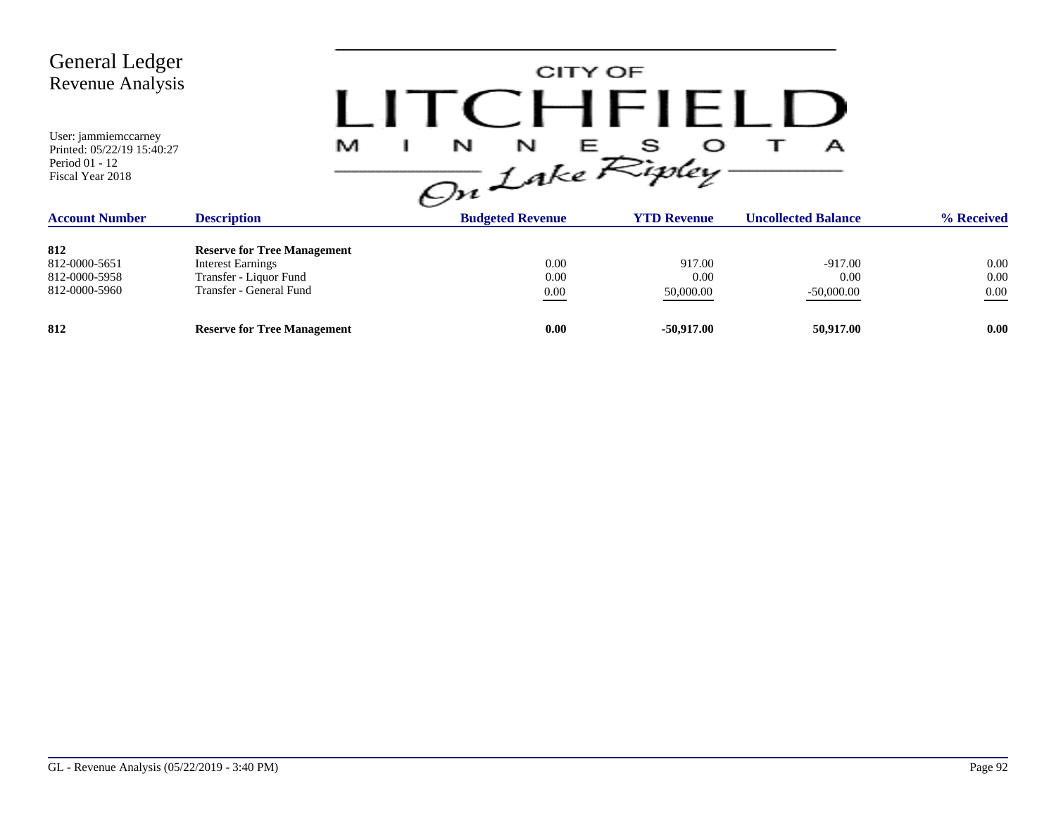| <b>General Ledger</b><br><b>Revenue Analysis</b><br>User: jammiemccarney<br>Printed: 05/22/19 15:40:27<br>Period 01 - 12<br>Fiscal Year 2018 | .<br>M                             | CITY OF<br>CHFIELD<br>N<br>N<br>Е<br>On Lake Ripley | s                  | А                          |            |
|----------------------------------------------------------------------------------------------------------------------------------------------|------------------------------------|-----------------------------------------------------|--------------------|----------------------------|------------|
| <b>Account Number</b>                                                                                                                        | <b>Description</b>                 | <b>Budgeted Revenue</b>                             | <b>YTD Revenue</b> | <b>Uncollected Balance</b> | % Received |
| 812                                                                                                                                          | <b>Reserve for Tree Management</b> |                                                     |                    |                            |            |
| 812-0000-5651                                                                                                                                | <b>Interest Earnings</b>           | 0.00                                                | 917.00             | $-917.00$                  | 0.00       |
| 812-0000-5958                                                                                                                                | Transfer - Liquor Fund             | 0.00                                                | 0.00               | 0.00                       | 0.00       |
| 812-0000-5960                                                                                                                                | Transfer - General Fund            | 0.00                                                | 50,000.00          | $-50,000.00$               | $0.00\,$   |
| 812                                                                                                                                          | <b>Reserve for Tree Management</b> | 0.00                                                | $-50,917.00$       | 50,917.00                  | 0.00       |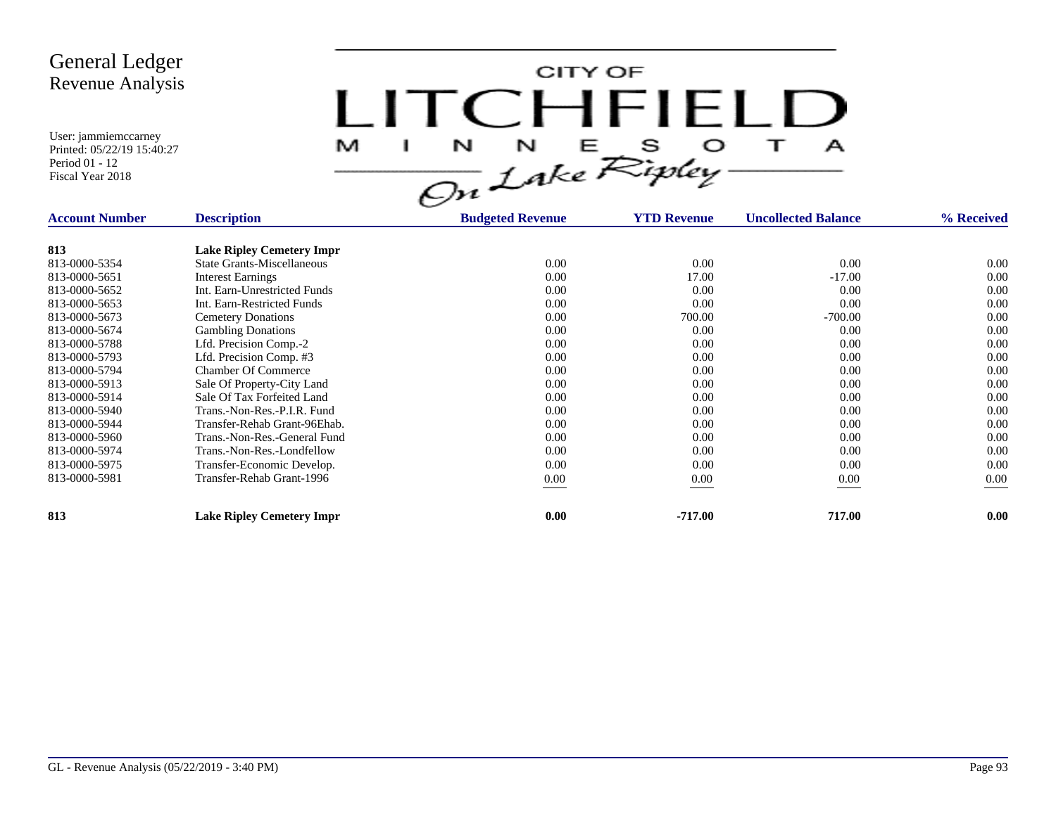

| <b>Account Number</b> | <b>Description</b>                | <b>Budgeted Revenue</b> | <b>YTD Revenue</b> | <b>Uncollected Balance</b> | % Received |
|-----------------------|-----------------------------------|-------------------------|--------------------|----------------------------|------------|
| 813                   | <b>Lake Ripley Cemetery Impr</b>  |                         |                    |                            |            |
| 813-0000-5354         | <b>State Grants-Miscellaneous</b> | 0.00                    | 0.00               | 0.00                       | $0.00\,$   |
| 813-0000-5651         | <b>Interest Earnings</b>          | 0.00                    | 17.00              | $-17.00$                   | 0.00       |
| 813-0000-5652         | Int. Earn-Unrestricted Funds      | 0.00                    | 0.00               | 0.00                       | 0.00       |
| 813-0000-5653         | Int. Earn-Restricted Funds        | 0.00                    | 0.00               | 0.00                       | 0.00       |
| 813-0000-5673         | <b>Cemetery Donations</b>         | 0.00                    | 700.00             | $-700.00$                  | 0.00       |
| 813-0000-5674         | <b>Gambling Donations</b>         | 0.00                    | 0.00               | 0.00                       | 0.00       |
| 813-0000-5788         | Lfd. Precision Comp.-2            | 0.00                    | 0.00               | 0.00                       | 0.00       |
| 813-0000-5793         | Lfd. Precision Comp. #3           | 0.00                    | 0.00               | 0.00                       | 0.00       |
| 813-0000-5794         | <b>Chamber Of Commerce</b>        | 0.00                    | 0.00               | 0.00                       | 0.00       |
| 813-0000-5913         | Sale Of Property-City Land        | 0.00                    | 0.00               | 0.00                       | 0.00       |
| 813-0000-5914         | Sale Of Tax Forfeited Land        | 0.00                    | 0.00               | 0.00                       | 0.00       |
| 813-0000-5940         | Trans.-Non-Res.-P.I.R. Fund       | 0.00                    | 0.00               | 0.00                       | 0.00       |
| 813-0000-5944         | Transfer-Rehab Grant-96Ehab.      | 0.00                    | 0.00               | 0.00                       | 0.00       |
| 813-0000-5960         | Trans.-Non-Res.-General Fund      | 0.00                    | 0.00               | 0.00                       | 0.00       |
| 813-0000-5974         | Trans.-Non-Res.-Londfellow        | 0.00                    | 0.00               | 0.00                       | 0.00       |
| 813-0000-5975         | Transfer-Economic Develop.        | 0.00                    | 0.00               | 0.00                       | 0.00       |
| 813-0000-5981         | Transfer-Rehab Grant-1996         | 0.00                    | 0.00               | 0.00                       | 0.00       |
| 813                   | <b>Lake Ripley Cemetery Impr</b>  | 0.00                    | $-717.00$          | 717.00                     | 0.00       |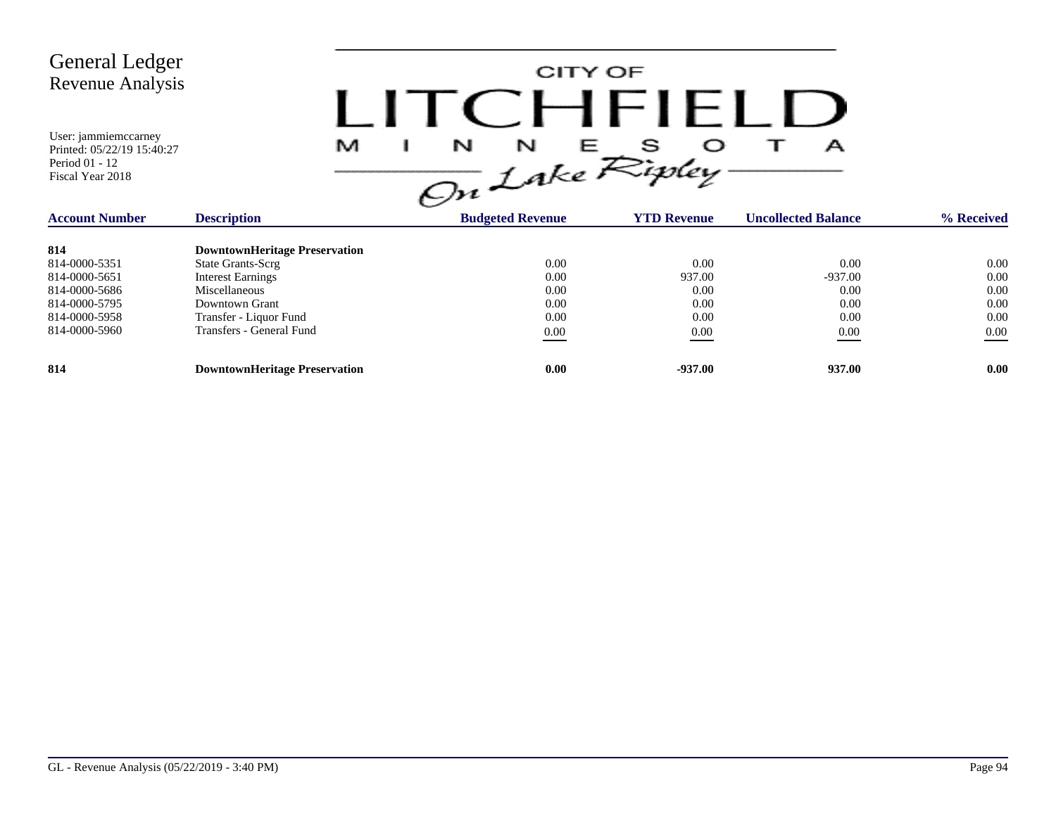

| <b>Account Number</b> | <b>Description</b>                   | <b>Budgeted Revenue</b> | <b>YTD Revenue</b> | <b>Uncollected Balance</b> | % Received |
|-----------------------|--------------------------------------|-------------------------|--------------------|----------------------------|------------|
| 814                   | <b>DowntownHeritage Preservation</b> |                         |                    |                            |            |
| 814-0000-5351         | <b>State Grants-Scrg</b>             | 0.00                    | 0.00               | 0.00                       | 0.00       |
| 814-0000-5651         | <b>Interest Earnings</b>             | 0.00                    | 937.00             | $-937.00$                  | 0.00       |
| 814-0000-5686         | Miscellaneous                        | 0.00                    | 0.00               | 0.00                       | 0.00       |
| 814-0000-5795         | Downtown Grant                       | 0.00                    | 0.00               | 0.00                       | 0.00       |
| 814-0000-5958         | Transfer - Liquor Fund               | 0.00                    | 0.00               | 0.00                       | 0.00       |
| 814-0000-5960         | Transfers - General Fund             | 0.00                    | 0.00               | 0.00                       | $0.00\,$   |
| 814                   | <b>DowntownHeritage Preservation</b> | 0.00                    | $-937.00$          | 937.00                     | 0.00       |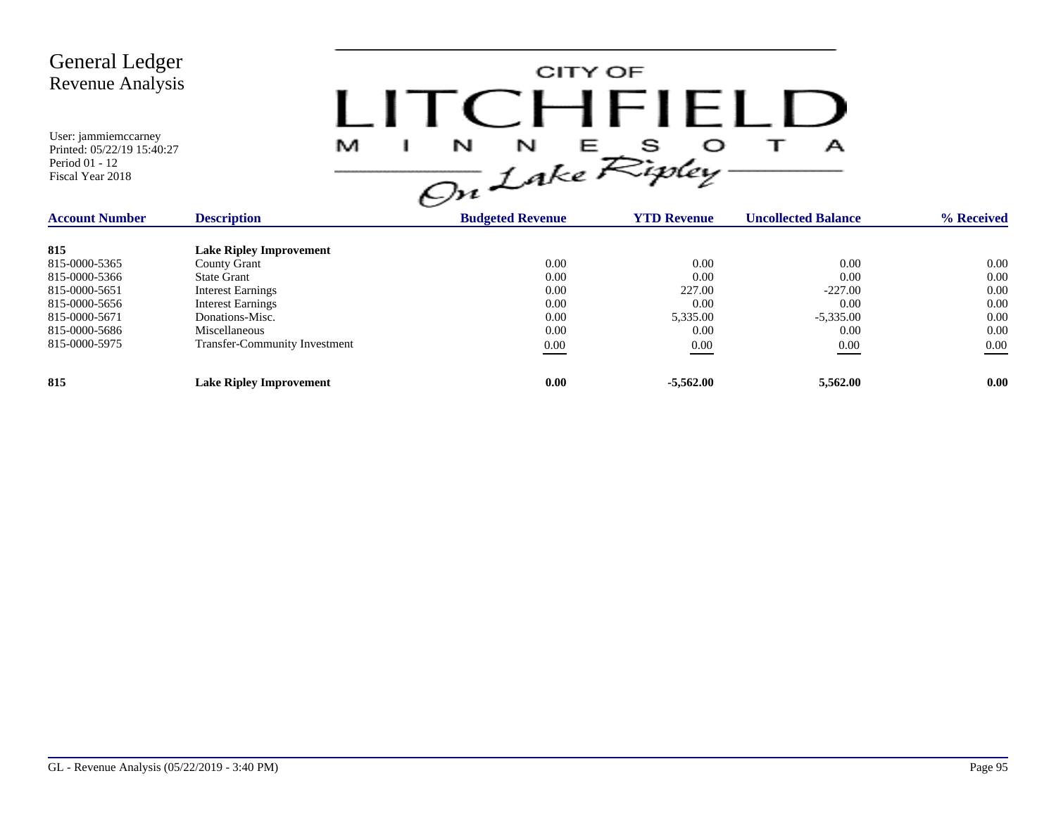CITY OF LITCHFIELD  $M$  I N N E S O T A<br>On Lake Ripley

| <b>Account Number</b> | <b>Description</b>                   | <b>Budgeted Revenue</b> | <b>YTD Revenue</b> | <b>Uncollected Balance</b> | % Received |
|-----------------------|--------------------------------------|-------------------------|--------------------|----------------------------|------------|
| 815                   | <b>Lake Ripley Improvement</b>       |                         |                    |                            |            |
| 815-0000-5365         | County Grant                         | 0.00                    | 0.00               | 0.00                       | 0.00       |
| 815-0000-5366         | <b>State Grant</b>                   | 0.00                    | 0.00               | 0.00                       | 0.00       |
| 815-0000-5651         | <b>Interest Earnings</b>             | 0.00                    | 227.00             | $-227.00$                  | 0.00       |
| 815-0000-5656         | <b>Interest Earnings</b>             | 0.00                    | 0.00               | 0.00                       | 0.00       |
| 815-0000-5671         | Donations-Misc.                      | 0.00                    | 5,335.00           | $-5,335.00$                | 0.00       |
| 815-0000-5686         | Miscellaneous                        | 0.00                    | 0.00               | 0.00                       | 0.00       |
| 815-0000-5975         | <b>Transfer-Community Investment</b> | 0.00                    | 0.00               | 0.00                       | $0.00\,$   |
| 815                   | <b>Lake Ripley Improvement</b>       | 0.00                    | $-5,562.00$        | 5,562.00                   | 0.00       |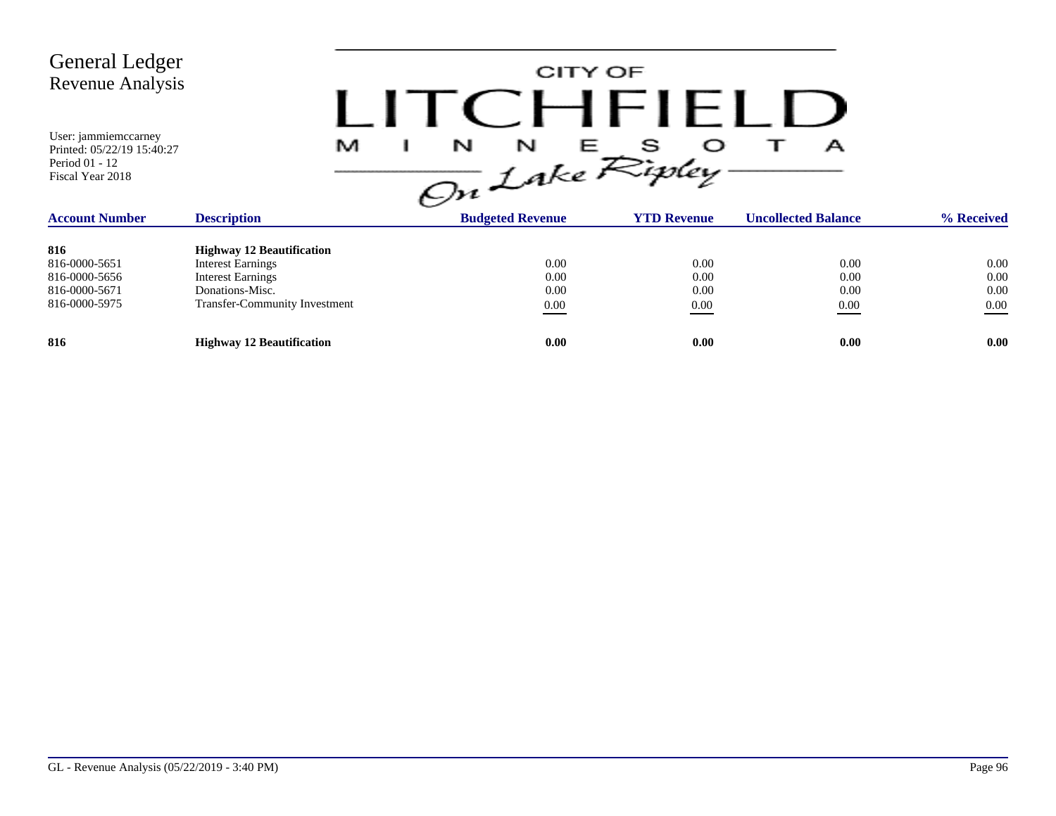CITY OF LITCHFIELD  $M$  I N N E S O T A<br>On Lake Ripley

| <b>Account Number</b> | <b>Description</b>                   | <b>Budgeted Revenue</b> | <b>YTD Revenue</b> | <b>Uncollected Balance</b> | % Received |
|-----------------------|--------------------------------------|-------------------------|--------------------|----------------------------|------------|
| 816                   | <b>Highway 12 Beautification</b>     |                         |                    |                            |            |
| 816-0000-5651         | <b>Interest Earnings</b>             | 0.00                    | 0.00               | 0.00                       | 0.00       |
| 816-0000-5656         | <b>Interest Earnings</b>             | 0.00                    | 0.00               | 0.00                       | 0.00       |
| 816-0000-5671         | Donations-Misc.                      | 0.00                    | 0.00               | 0.00                       | 0.00       |
| 816-0000-5975         | <b>Transfer-Community Investment</b> | $\underline{0.00}$      | 0.00               | 0.00                       | 0.00       |
| 816                   | <b>Highway 12 Beautification</b>     | 0.00                    | 0.00               | 0.00                       | 0.00       |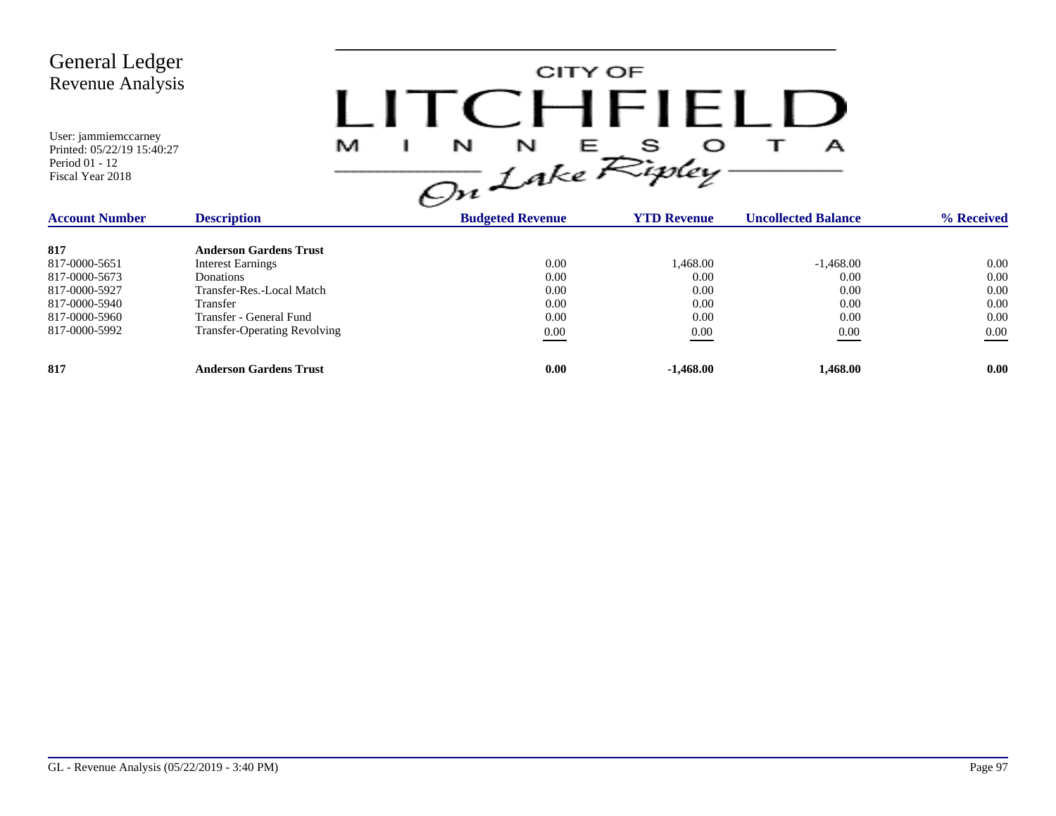CITY OF LITCHFIELD  $M$  I N N E S O T A<br>On Lake Ripley

| <b>Account Number</b> | <b>Description</b>                  | <b>Budgeted Revenue</b> | <b>YTD Revenue</b> | <b>Uncollected Balance</b> | % Received        |  |
|-----------------------|-------------------------------------|-------------------------|--------------------|----------------------------|-------------------|--|
| 817                   | <b>Anderson Gardens Trust</b>       |                         |                    |                            |                   |  |
| 817-0000-5651         | <b>Interest Earnings</b>            | 0.00                    | 1,468.00           | $-1,468.00$                | 0.00              |  |
| 817-0000-5673         | Donations                           | 0.00                    | 0.00               | 0.00                       | 0.00              |  |
| 817-0000-5927         | Transfer-Res.-Local Match           | 0.00                    | 0.00               | 0.00                       | 0.00              |  |
| 817-0000-5940         | Transfer                            | 0.00                    | 0.00               | 0.00                       | 0.00              |  |
| 817-0000-5960         | Transfer - General Fund             | 0.00                    | 0.00               | 0.00                       | 0.00              |  |
| 817-0000-5992         | <b>Transfer-Operating Revolving</b> | 0.00                    | 0.00               | 0.00                       | $0.00\,$          |  |
| 817                   | <b>Anderson Gardens Trust</b>       | 0.00                    | $-1.468.00$        | 1.468.00                   | 0.00 <sub>1</sub> |  |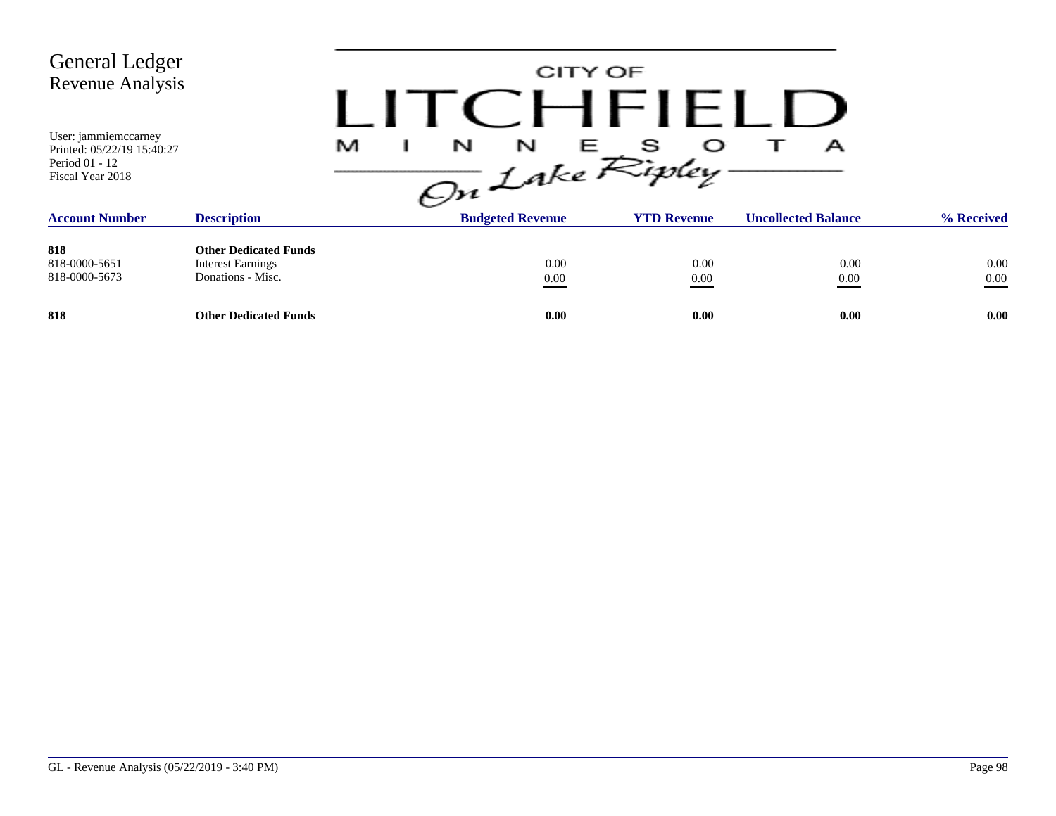| <b>General Ledger</b><br><b>Revenue Analysis</b>                                         |                                                                               | CITY OF<br>CHFIFLI                                    |                    |                            |                  |  |  |
|------------------------------------------------------------------------------------------|-------------------------------------------------------------------------------|-------------------------------------------------------|--------------------|----------------------------|------------------|--|--|
| User: jammiemccarney<br>Printed: 05/22/19 15:40:27<br>Period 01 - 12<br>Fiscal Year 2018 |                                                                               | $\frac{1}{\sqrt{2n}}\int_{0}^{N}e^{E}E_{ij}^{s}$<br>M |                    | А                          |                  |  |  |
| <b>Account Number</b>                                                                    | <b>Description</b>                                                            | <b>Budgeted Revenue</b>                               | <b>YTD Revenue</b> | <b>Uncollected Balance</b> | % Received       |  |  |
| 818<br>818-0000-5651<br>818-0000-5673                                                    | <b>Other Dedicated Funds</b><br><b>Interest Earnings</b><br>Donations - Misc. | 0.00<br>$0.00\,$                                      | 0.00<br>0.00       | 0.00<br>0.00               | 0.00<br>$0.00\,$ |  |  |
| 818                                                                                      | <b>Other Dedicated Funds</b>                                                  | 0.00                                                  | 0.00               | 0.00                       | 0.00             |  |  |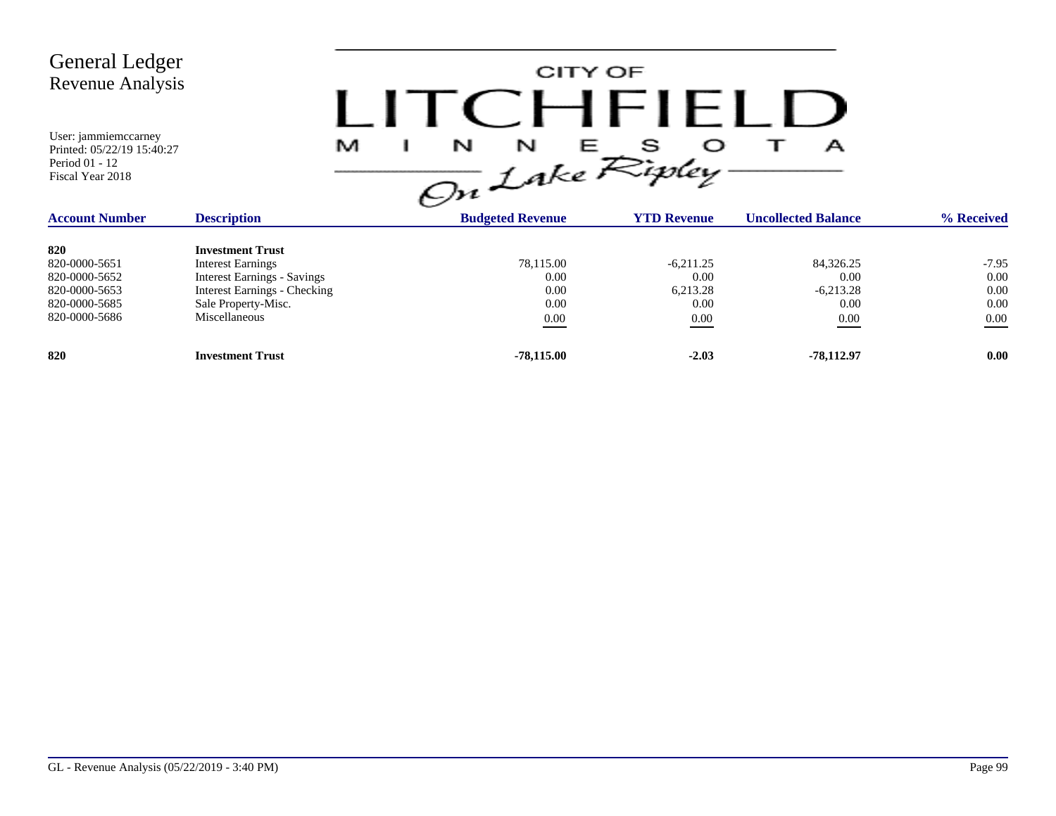| <b>General Ledger</b><br><b>Revenue Analysis</b><br>User: jammiemccarney<br>Printed: 05/22/19 15:40:27<br>Period 01 - 12<br>Fiscal Year 2018 | M                                                                                                                                                                        | LITCHEIFL |                                           | CITY OF<br>$\frac{1}{\omega}$ $\frac{N}{L}$ are $\frac{S}{\omega}$ | А                                                |                                             |
|----------------------------------------------------------------------------------------------------------------------------------------------|--------------------------------------------------------------------------------------------------------------------------------------------------------------------------|-----------|-------------------------------------------|--------------------------------------------------------------------|--------------------------------------------------|---------------------------------------------|
| <b>Account Number</b>                                                                                                                        | <b>Description</b>                                                                                                                                                       |           | <b>Budgeted Revenue</b>                   | <b>YTD Revenue</b>                                                 | <b>Uncollected Balance</b>                       | % Received                                  |
| 820<br>820-0000-5651<br>820-0000-5652<br>820-0000-5653<br>820-0000-5685<br>820-0000-5686                                                     | <b>Investment Trust</b><br><b>Interest Earnings</b><br><b>Interest Earnings - Savings</b><br><b>Interest Earnings - Checking</b><br>Sale Property-Misc.<br>Miscellaneous |           | 78,115.00<br>0.00<br>0.00<br>0.00<br>0.00 | $-6.211.25$<br>0.00<br>6,213.28<br>0.00<br>$0.00\,$                | 84,326.25<br>0.00<br>$-6,213.28$<br>0.00<br>0.00 | $-7.95$<br>0.00<br>0.00<br>0.00<br>$0.00\,$ |
| 820                                                                                                                                          | <b>Investment Trust</b>                                                                                                                                                  |           | $-78,115.00$                              | $-2.03$                                                            | $-78,112.97$                                     | 0.00                                        |